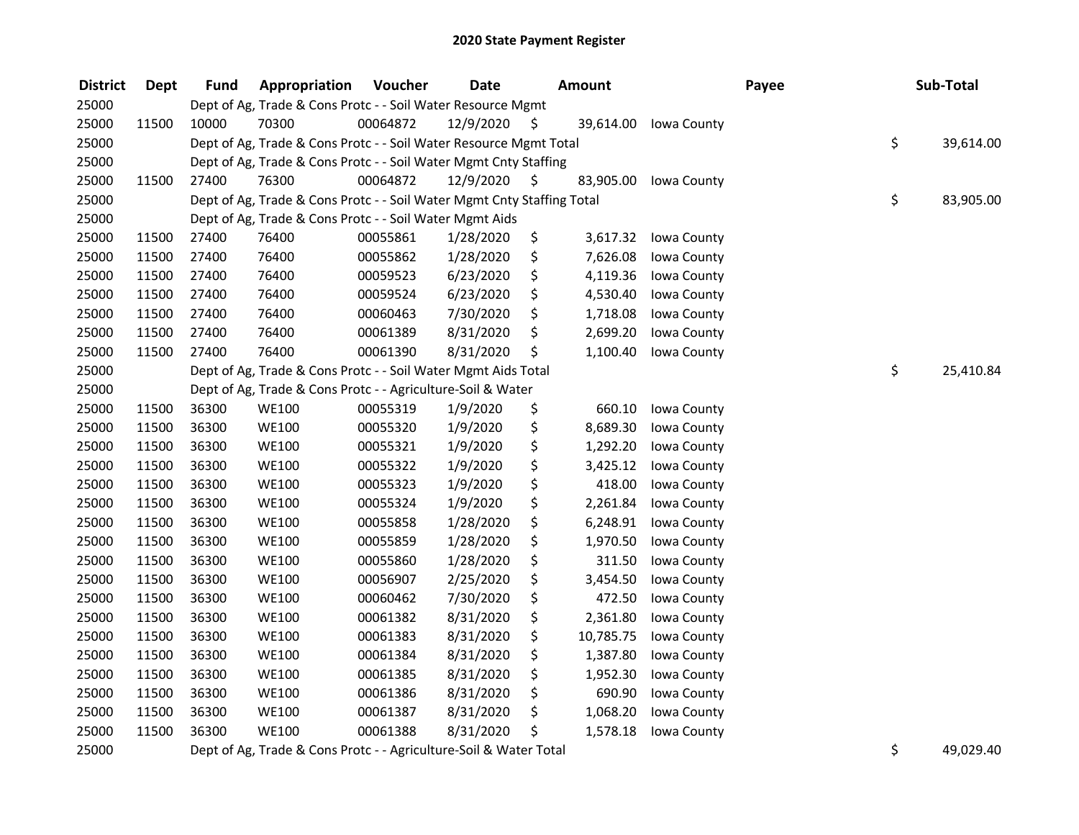| <b>District</b>                                             | <b>Dept</b> | <b>Fund</b> | Appropriation                                                          | Voucher  | <b>Date</b>                                      |      | <b>Amount</b> |                    | Payee | Sub-Total       |
|-------------------------------------------------------------|-------------|-------------|------------------------------------------------------------------------|----------|--------------------------------------------------|------|---------------|--------------------|-------|-----------------|
| 25000                                                       |             |             | Dept of Ag, Trade & Cons Protc - - Soil Water Resource Mgmt            |          |                                                  |      |               |                    |       |                 |
| 25000                                                       | 11500       | 10000       | 70300                                                                  | 00064872 | 12/9/2020                                        | S    | 39,614.00     | <b>Iowa County</b> |       |                 |
| 25000                                                       |             |             | Dept of Ag, Trade & Cons Protc - - Soil Water Resource Mgmt Total      |          |                                                  |      |               |                    |       | \$<br>39,614.00 |
| 25000                                                       |             |             | Dept of Ag, Trade & Cons Protc - - Soil Water Mgmt Cnty Staffing       |          |                                                  |      |               |                    |       |                 |
| 25000                                                       | 11500       | 27400       | 76300                                                                  | 00064872 | 12/9/2020                                        | - \$ | 83,905.00     | Iowa County        |       |                 |
| 25000                                                       |             |             | Dept of Ag, Trade & Cons Protc - - Soil Water Mgmt Cnty Staffing Total |          |                                                  |      |               |                    |       | \$<br>83,905.00 |
| 25000                                                       |             |             | Dept of Ag, Trade & Cons Protc - - Soil Water Mgmt Aids                |          |                                                  |      |               |                    |       |                 |
| 25000                                                       | 11500       | 27400       | 76400                                                                  | 00055861 | 1/28/2020                                        | \$   | 3,617.32      | Iowa County        |       |                 |
| 25000                                                       | 11500       | 27400       | 76400                                                                  | 00055862 | 1/28/2020                                        | \$   | 7,626.08      | Iowa County        |       |                 |
| 25000                                                       | 11500       | 27400       | 76400                                                                  | 00059523 | 6/23/2020                                        | \$   | 4,119.36      | Iowa County        |       |                 |
| 25000                                                       | 11500       | 27400       | 76400                                                                  | 00059524 | 6/23/2020                                        | \$   | 4,530.40      | Iowa County        |       |                 |
| 25000                                                       | 11500       | 27400       | 76400                                                                  | 00060463 | 7/30/2020                                        | \$   | 1,718.08      | Iowa County        |       |                 |
| 25000                                                       | 11500       | 27400       | 76400                                                                  | 00061389 | 8/31/2020                                        | \$   | 2,699.20      | Iowa County        |       |                 |
| 25000                                                       | 11500       | 27400       | 76400                                                                  | 00061390 | 8/31/2020                                        | \$   | 1,100.40      | Iowa County        |       |                 |
| 25000                                                       |             |             | Dept of Ag, Trade & Cons Protc - - Soil Water Mgmt Aids Total          |          |                                                  |      |               |                    |       | \$<br>25,410.84 |
| 25000                                                       |             |             | Dept of Ag, Trade & Cons Protc - - Agriculture-Soil & Water            |          |                                                  |      |               |                    |       |                 |
| 25000                                                       | 11500       | 36300       | <b>WE100</b>                                                           | 00055319 | 1/9/2020                                         | \$   | 660.10        | Iowa County        |       |                 |
| 25000                                                       | 11500       | 36300       | <b>WE100</b>                                                           | 00055320 | 1/9/2020                                         | \$   | 8,689.30      | Iowa County        |       |                 |
| 25000                                                       | 11500       | 36300       | <b>WE100</b>                                                           | 00055321 | 1/9/2020                                         | \$   | 1,292.20      | Iowa County        |       |                 |
| 25000                                                       | 11500       | 36300       | <b>WE100</b>                                                           | 00055322 | 1/9/2020                                         | \$   | 3,425.12      | Iowa County        |       |                 |
| 25000                                                       | 11500       | 36300       | <b>WE100</b>                                                           | 00055323 | 1/9/2020                                         | \$   | 418.00        | Iowa County        |       |                 |
| 25000                                                       | 11500       | 36300       | <b>WE100</b>                                                           | 00055324 | 1/9/2020                                         | \$   | 2,261.84      | Iowa County        |       |                 |
| 25000                                                       | 11500       | 36300       | <b>WE100</b>                                                           | 00055858 | 1/28/2020                                        | \$   | 6,248.91      | Iowa County        |       |                 |
| 25000                                                       | 11500       | 36300       | <b>WE100</b>                                                           | 00055859 | 1/28/2020                                        | \$   | 1,970.50      | Iowa County        |       |                 |
| 25000                                                       | 11500       | 36300       | <b>WE100</b>                                                           | 00055860 | 1/28/2020                                        | \$   | 311.50        | Iowa County        |       |                 |
| 25000                                                       | 11500       | 36300       | <b>WE100</b>                                                           | 00056907 | 2/25/2020                                        | \$   | 3,454.50      | Iowa County        |       |                 |
| 25000                                                       | 11500       | 36300       | <b>WE100</b>                                                           | 00060462 | 7/30/2020                                        | \$   | 472.50        | Iowa County        |       |                 |
| 25000                                                       | 11500       | 36300       | <b>WE100</b>                                                           | 00061382 | 8/31/2020                                        | \$   | 2,361.80      | Iowa County        |       |                 |
| 25000                                                       | 11500       | 36300       | <b>WE100</b>                                                           | 00061383 | 8/31/2020                                        | \$   | 10,785.75     | Iowa County        |       |                 |
| 25000                                                       | 11500       | 36300       | <b>WE100</b>                                                           | 00061384 | 8/31/2020                                        | \$   | 1,387.80      | Iowa County        |       |                 |
| 25000                                                       | 11500       | 36300       | <b>WE100</b>                                                           | 00061385 | 8/31/2020                                        | \$   | 1,952.30      | Iowa County        |       |                 |
| 25000                                                       | 11500       | 36300       | <b>WE100</b>                                                           | 00061386 | 8/31/2020                                        | \$   | 690.90        | Iowa County        |       |                 |
| 25000                                                       | 11500       | 36300       | <b>WE100</b>                                                           | 00061387 | 8/31/2020                                        | \$   | 1,068.20      | Iowa County        |       |                 |
| 25000                                                       | 11500       | 36300       | <b>WE100</b>                                                           | 00061388 | 8/31/2020                                        | \$   | 1,578.18      | Iowa County        |       |                 |
| $\mathbf{a} = \mathbf{a} \cdot \mathbf{a} \cdot \mathbf{a}$ |             |             |                                                                        |          | $\sim$ $\sim$ 10 $\mu$ $\mu$ $\sim$ $\sim$ $\mu$ |      |               |                    |       | $\sim$ $\sim$   |

25000 Dept of Ag, Trade & Cons Protc - - Agriculture-Soil & Water Total \$ 49,029.40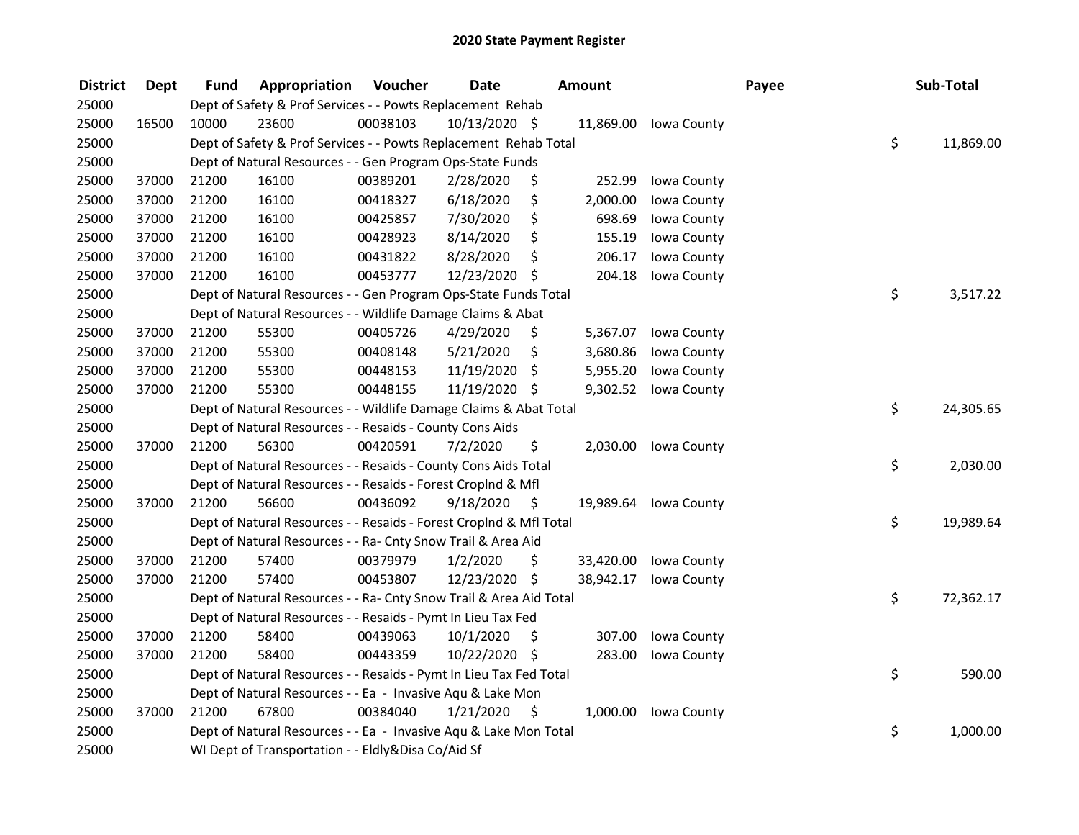| <b>District</b> | <b>Dept</b> | Fund  | Appropriation                                                      | Voucher  | <b>Date</b>   |     | Amount    |                       | Payee | Sub-Total       |
|-----------------|-------------|-------|--------------------------------------------------------------------|----------|---------------|-----|-----------|-----------------------|-------|-----------------|
| 25000           |             |       | Dept of Safety & Prof Services - - Powts Replacement Rehab         |          |               |     |           |                       |       |                 |
| 25000           | 16500       | 10000 | 23600                                                              | 00038103 | 10/13/2020 \$ |     |           | 11,869.00 Iowa County |       |                 |
| 25000           |             |       | Dept of Safety & Prof Services - - Powts Replacement Rehab Total   |          |               |     |           |                       |       | \$<br>11,869.00 |
| 25000           |             |       | Dept of Natural Resources - - Gen Program Ops-State Funds          |          |               |     |           |                       |       |                 |
| 25000           | 37000       | 21200 | 16100                                                              | 00389201 | 2/28/2020     | \$  | 252.99    | Iowa County           |       |                 |
| 25000           | 37000       | 21200 | 16100                                                              | 00418327 | 6/18/2020     | \$  | 2,000.00  | Iowa County           |       |                 |
| 25000           | 37000       | 21200 | 16100                                                              | 00425857 | 7/30/2020     | \$  | 698.69    | Iowa County           |       |                 |
| 25000           | 37000       | 21200 | 16100                                                              | 00428923 | 8/14/2020     | \$  | 155.19    | Iowa County           |       |                 |
| 25000           | 37000       | 21200 | 16100                                                              | 00431822 | 8/28/2020     | \$  | 206.17    | Iowa County           |       |                 |
| 25000           | 37000       | 21200 | 16100                                                              | 00453777 | 12/23/2020 \$ |     | 204.18    | Iowa County           |       |                 |
| 25000           |             |       | Dept of Natural Resources - - Gen Program Ops-State Funds Total    |          |               |     |           |                       |       | \$<br>3,517.22  |
| 25000           |             |       | Dept of Natural Resources - - Wildlife Damage Claims & Abat        |          |               |     |           |                       |       |                 |
| 25000           | 37000       | 21200 | 55300                                                              | 00405726 | 4/29/2020     | \$  | 5,367.07  | Iowa County           |       |                 |
| 25000           | 37000       | 21200 | 55300                                                              | 00408148 | 5/21/2020     | \$  | 3,680.86  | Iowa County           |       |                 |
| 25000           | 37000       | 21200 | 55300                                                              | 00448153 | 11/19/2020    | \$  | 5,955.20  | Iowa County           |       |                 |
| 25000           | 37000       | 21200 | 55300                                                              | 00448155 | 11/19/2020 \$ |     | 9,302.52  | Iowa County           |       |                 |
| 25000           |             |       | Dept of Natural Resources - - Wildlife Damage Claims & Abat Total  |          |               |     |           |                       |       | \$<br>24,305.65 |
| 25000           |             |       | Dept of Natural Resources - - Resaids - County Cons Aids           |          |               |     |           |                       |       |                 |
| 25000           | 37000       | 21200 | 56300                                                              | 00420591 | 7/2/2020      | \$  | 2,030.00  | Iowa County           |       |                 |
| 25000           |             |       | Dept of Natural Resources - - Resaids - County Cons Aids Total     |          |               |     |           |                       |       | \$<br>2,030.00  |
| 25000           |             |       | Dept of Natural Resources - - Resaids - Forest Croplnd & Mfl       |          |               |     |           |                       |       |                 |
| 25000           | 37000       | 21200 | 56600                                                              | 00436092 | 9/18/2020     | - S |           | 19,989.64 Iowa County |       |                 |
| 25000           |             |       | Dept of Natural Resources - - Resaids - Forest CropInd & Mfl Total |          |               |     |           |                       |       | \$<br>19,989.64 |
| 25000           |             |       | Dept of Natural Resources - - Ra- Cnty Snow Trail & Area Aid       |          |               |     |           |                       |       |                 |
| 25000           | 37000       | 21200 | 57400                                                              | 00379979 | 1/2/2020      | S   | 33,420.00 | Iowa County           |       |                 |
| 25000           | 37000       | 21200 | 57400                                                              | 00453807 | 12/23/2020 \$ |     | 38,942.17 | Iowa County           |       |                 |
| 25000           |             |       | Dept of Natural Resources - - Ra- Cnty Snow Trail & Area Aid Total |          |               |     |           |                       |       | \$<br>72,362.17 |
| 25000           |             |       | Dept of Natural Resources - - Resaids - Pymt In Lieu Tax Fed       |          |               |     |           |                       |       |                 |
| 25000           | 37000       | 21200 | 58400                                                              | 00439063 | 10/1/2020     | \$  | 307.00    | Iowa County           |       |                 |
| 25000           | 37000       | 21200 | 58400                                                              | 00443359 | 10/22/2020 \$ |     | 283.00    | Iowa County           |       |                 |
| 25000           |             |       | Dept of Natural Resources - - Resaids - Pymt In Lieu Tax Fed Total |          |               |     |           |                       |       | \$<br>590.00    |
| 25000           |             |       | Dept of Natural Resources - - Ea - Invasive Aqu & Lake Mon         |          |               |     |           |                       |       |                 |
| 25000           | 37000       | 21200 | 67800                                                              | 00384040 | 1/21/2020     | \$  | 1,000.00  | Iowa County           |       |                 |
| 25000           |             |       | Dept of Natural Resources - - Ea - Invasive Aqu & Lake Mon Total   |          |               |     |           |                       |       | \$<br>1,000.00  |
| 25000           |             |       | WI Dept of Transportation - - Eldly&Disa Co/Aid Sf                 |          |               |     |           |                       |       |                 |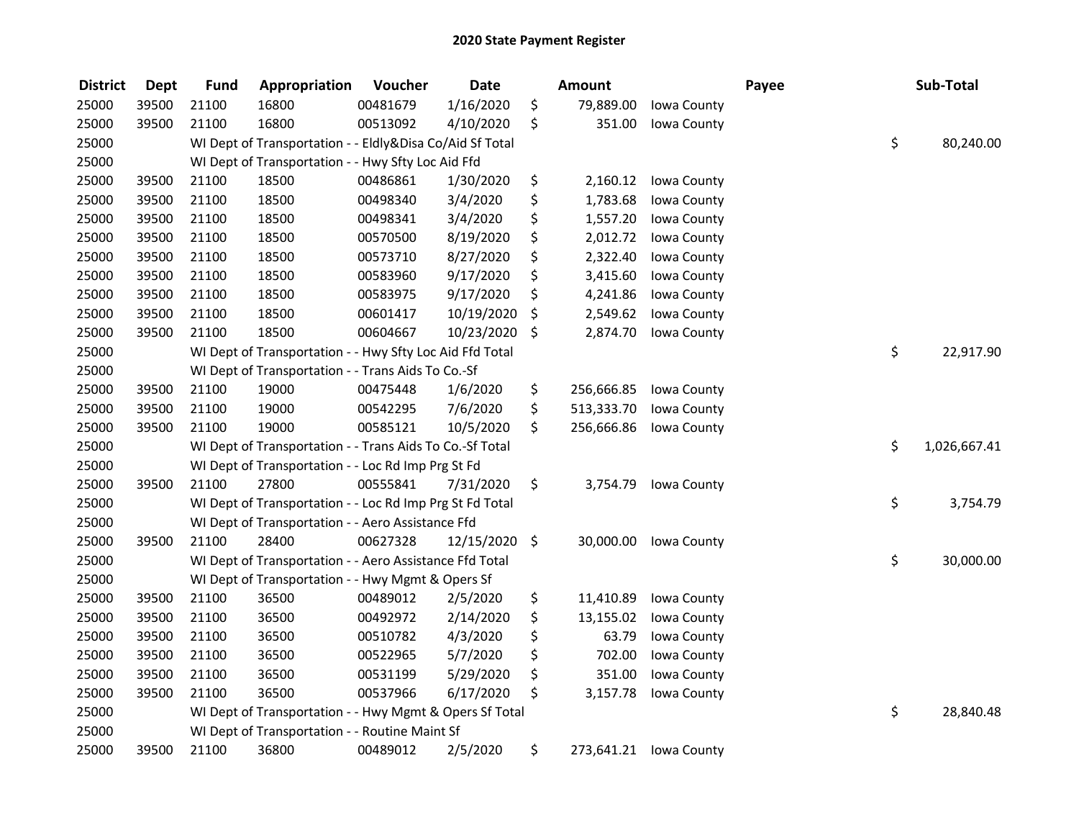| <b>District</b> | <b>Dept</b> | <b>Fund</b> | Appropriation                                            | Voucher  | <b>Date</b> |         | <b>Amount</b> |             | Payee | Sub-Total          |
|-----------------|-------------|-------------|----------------------------------------------------------|----------|-------------|---------|---------------|-------------|-------|--------------------|
| 25000           | 39500       | 21100       | 16800                                                    | 00481679 | 1/16/2020   | \$      | 79,889.00     | Iowa County |       |                    |
| 25000           | 39500       | 21100       | 16800                                                    | 00513092 | 4/10/2020   | \$      | 351.00        | Iowa County |       |                    |
| 25000           |             |             | WI Dept of Transportation - - Eldly&Disa Co/Aid Sf Total |          |             |         |               |             |       | \$<br>80,240.00    |
| 25000           |             |             | WI Dept of Transportation - - Hwy Sfty Loc Aid Ffd       |          |             |         |               |             |       |                    |
| 25000           | 39500       | 21100       | 18500                                                    | 00486861 | 1/30/2020   | \$      | 2,160.12      | Iowa County |       |                    |
| 25000           | 39500       | 21100       | 18500                                                    | 00498340 | 3/4/2020    | \$      | 1,783.68      | Iowa County |       |                    |
| 25000           | 39500       | 21100       | 18500                                                    | 00498341 | 3/4/2020    | \$      | 1,557.20      | Iowa County |       |                    |
| 25000           | 39500       | 21100       | 18500                                                    | 00570500 | 8/19/2020   | \$      | 2,012.72      | Iowa County |       |                    |
| 25000           | 39500       | 21100       | 18500                                                    | 00573710 | 8/27/2020   | \$      | 2,322.40      | Iowa County |       |                    |
| 25000           | 39500       | 21100       | 18500                                                    | 00583960 | 9/17/2020   | \$      | 3,415.60      | Iowa County |       |                    |
| 25000           | 39500       | 21100       | 18500                                                    | 00583975 | 9/17/2020   | \$      | 4,241.86      | Iowa County |       |                    |
| 25000           | 39500       | 21100       | 18500                                                    | 00601417 | 10/19/2020  | \$      | 2,549.62      | Iowa County |       |                    |
| 25000           | 39500       | 21100       | 18500                                                    | 00604667 | 10/23/2020  | \$      | 2,874.70      | Iowa County |       |                    |
| 25000           |             |             | WI Dept of Transportation - - Hwy Sfty Loc Aid Ffd Total |          |             |         |               |             |       | \$<br>22,917.90    |
| 25000           |             |             | WI Dept of Transportation - - Trans Aids To Co.-Sf       |          |             |         |               |             |       |                    |
| 25000           | 39500       | 21100       | 19000                                                    | 00475448 | 1/6/2020    | \$      | 256,666.85    | Iowa County |       |                    |
| 25000           | 39500       | 21100       | 19000                                                    | 00542295 | 7/6/2020    | \$      | 513,333.70    | Iowa County |       |                    |
| 25000           | 39500       | 21100       | 19000                                                    | 00585121 | 10/5/2020   | \$      | 256,666.86    | Iowa County |       |                    |
| 25000           |             |             | WI Dept of Transportation - - Trans Aids To Co.-Sf Total |          |             |         |               |             |       | \$<br>1,026,667.41 |
| 25000           |             |             | WI Dept of Transportation - - Loc Rd Imp Prg St Fd       |          |             |         |               |             |       |                    |
| 25000           | 39500       | 21100       | 27800                                                    | 00555841 | 7/31/2020   | \$      | 3,754.79      | Iowa County |       |                    |
| 25000           |             |             | WI Dept of Transportation - - Loc Rd Imp Prg St Fd Total |          |             |         |               |             |       | \$<br>3,754.79     |
| 25000           |             |             | WI Dept of Transportation - - Aero Assistance Ffd        |          |             |         |               |             |       |                    |
| 25000           | 39500       | 21100       | 28400                                                    | 00627328 | 12/15/2020  | $\zeta$ | 30,000.00     | Iowa County |       |                    |
| 25000           |             |             | WI Dept of Transportation - - Aero Assistance Ffd Total  |          |             |         |               |             |       | \$<br>30,000.00    |
| 25000           |             |             | WI Dept of Transportation - - Hwy Mgmt & Opers Sf        |          |             |         |               |             |       |                    |
| 25000           | 39500       | 21100       | 36500                                                    | 00489012 | 2/5/2020    | \$      | 11,410.89     | Iowa County |       |                    |
| 25000           | 39500       | 21100       | 36500                                                    | 00492972 | 2/14/2020   | \$      | 13,155.02     | Iowa County |       |                    |
| 25000           | 39500       | 21100       | 36500                                                    | 00510782 | 4/3/2020    | \$      | 63.79         | Iowa County |       |                    |
| 25000           | 39500       | 21100       | 36500                                                    | 00522965 | 5/7/2020    | \$      | 702.00        | Iowa County |       |                    |
| 25000           | 39500       | 21100       | 36500                                                    | 00531199 | 5/29/2020   | \$      | 351.00        | Iowa County |       |                    |
| 25000           | 39500       | 21100       | 36500                                                    | 00537966 | 6/17/2020   | \$      | 3,157.78      | Iowa County |       |                    |
| 25000           |             |             | WI Dept of Transportation - - Hwy Mgmt & Opers Sf Total  |          |             |         |               |             |       | \$<br>28,840.48    |
| 25000           |             |             | WI Dept of Transportation - - Routine Maint Sf           |          |             |         |               |             |       |                    |
| 25000           | 39500       | 21100       | 36800                                                    | 00489012 | 2/5/2020    | \$      | 273,641.21    | Iowa County |       |                    |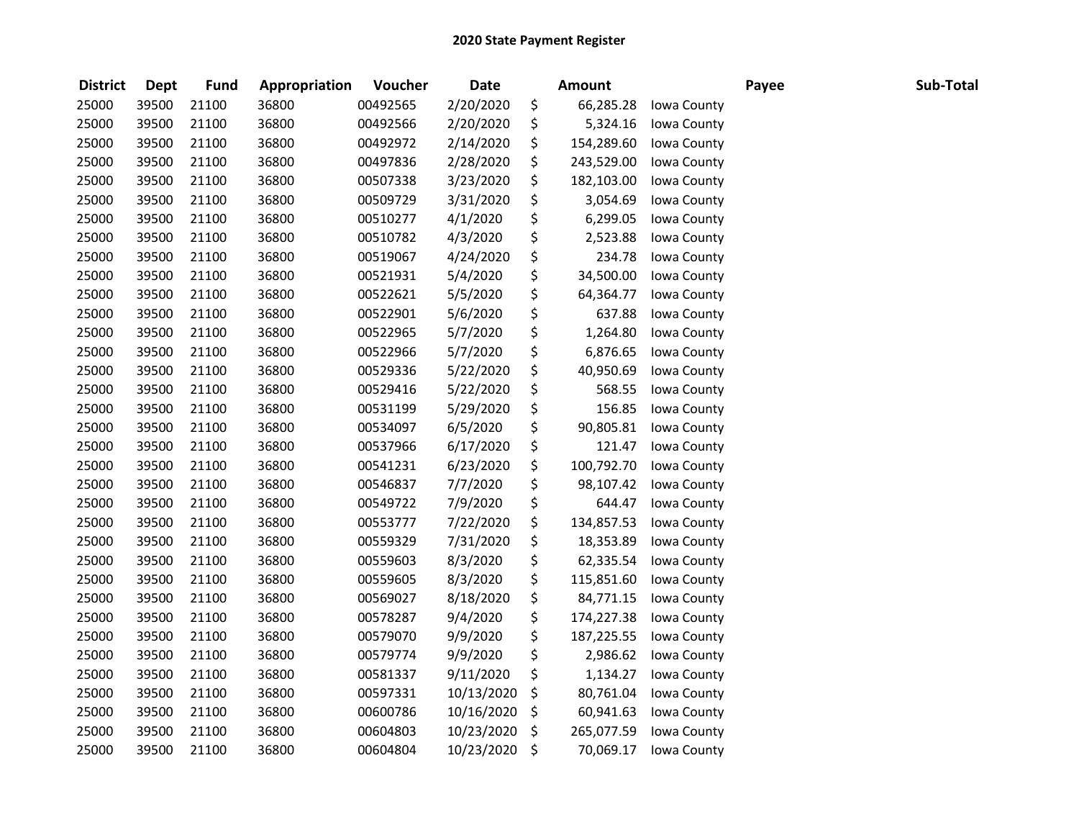| <b>District</b> | <b>Dept</b> | <b>Fund</b> | Appropriation | Voucher  | <b>Date</b> |         | <b>Amount</b> |             | Payee | Sub-Total |
|-----------------|-------------|-------------|---------------|----------|-------------|---------|---------------|-------------|-------|-----------|
| 25000           | 39500       | 21100       | 36800         | 00492565 | 2/20/2020   | \$      | 66,285.28     | Iowa County |       |           |
| 25000           | 39500       | 21100       | 36800         | 00492566 | 2/20/2020   | \$      | 5,324.16      | Iowa County |       |           |
| 25000           | 39500       | 21100       | 36800         | 00492972 | 2/14/2020   | \$      | 154,289.60    | Iowa County |       |           |
| 25000           | 39500       | 21100       | 36800         | 00497836 | 2/28/2020   | \$      | 243,529.00    | Iowa County |       |           |
| 25000           | 39500       | 21100       | 36800         | 00507338 | 3/23/2020   | \$      | 182,103.00    | Iowa County |       |           |
| 25000           | 39500       | 21100       | 36800         | 00509729 | 3/31/2020   | \$      | 3,054.69      | Iowa County |       |           |
| 25000           | 39500       | 21100       | 36800         | 00510277 | 4/1/2020    | \$      | 6,299.05      | Iowa County |       |           |
| 25000           | 39500       | 21100       | 36800         | 00510782 | 4/3/2020    | \$      | 2,523.88      | Iowa County |       |           |
| 25000           | 39500       | 21100       | 36800         | 00519067 | 4/24/2020   | \$      | 234.78        | Iowa County |       |           |
| 25000           | 39500       | 21100       | 36800         | 00521931 | 5/4/2020    | \$      | 34,500.00     | Iowa County |       |           |
| 25000           | 39500       | 21100       | 36800         | 00522621 | 5/5/2020    | \$      | 64,364.77     | Iowa County |       |           |
| 25000           | 39500       | 21100       | 36800         | 00522901 | 5/6/2020    | \$      | 637.88        | Iowa County |       |           |
| 25000           | 39500       | 21100       | 36800         | 00522965 | 5/7/2020    | \$      | 1,264.80      | Iowa County |       |           |
| 25000           | 39500       | 21100       | 36800         | 00522966 | 5/7/2020    | \$      | 6,876.65      | Iowa County |       |           |
| 25000           | 39500       | 21100       | 36800         | 00529336 | 5/22/2020   | \$      | 40,950.69     | Iowa County |       |           |
| 25000           | 39500       | 21100       | 36800         | 00529416 | 5/22/2020   | \$      | 568.55        | Iowa County |       |           |
| 25000           | 39500       | 21100       | 36800         | 00531199 | 5/29/2020   | \$      | 156.85        | Iowa County |       |           |
| 25000           | 39500       | 21100       | 36800         | 00534097 | 6/5/2020    | \$      | 90,805.81     | Iowa County |       |           |
| 25000           | 39500       | 21100       | 36800         | 00537966 | 6/17/2020   | \$      | 121.47        | Iowa County |       |           |
| 25000           | 39500       | 21100       | 36800         | 00541231 | 6/23/2020   | \$      | 100,792.70    | Iowa County |       |           |
| 25000           | 39500       | 21100       | 36800         | 00546837 | 7/7/2020    | \$      | 98,107.42     | Iowa County |       |           |
| 25000           | 39500       | 21100       | 36800         | 00549722 | 7/9/2020    | \$      | 644.47        | Iowa County |       |           |
| 25000           | 39500       | 21100       | 36800         | 00553777 | 7/22/2020   | \$      | 134,857.53    | Iowa County |       |           |
| 25000           | 39500       | 21100       | 36800         | 00559329 | 7/31/2020   | \$      | 18,353.89     | Iowa County |       |           |
| 25000           | 39500       | 21100       | 36800         | 00559603 | 8/3/2020    | \$      | 62,335.54     | Iowa County |       |           |
| 25000           | 39500       | 21100       | 36800         | 00559605 | 8/3/2020    | \$      | 115,851.60    | Iowa County |       |           |
| 25000           | 39500       | 21100       | 36800         | 00569027 | 8/18/2020   | \$      | 84,771.15     | Iowa County |       |           |
| 25000           | 39500       | 21100       | 36800         | 00578287 | 9/4/2020    | \$      | 174,227.38    | Iowa County |       |           |
| 25000           | 39500       | 21100       | 36800         | 00579070 | 9/9/2020    | \$      | 187,225.55    | Iowa County |       |           |
| 25000           | 39500       | 21100       | 36800         | 00579774 | 9/9/2020    | \$      | 2,986.62      | Iowa County |       |           |
| 25000           | 39500       | 21100       | 36800         | 00581337 | 9/11/2020   | \$      | 1,134.27      | Iowa County |       |           |
| 25000           | 39500       | 21100       | 36800         | 00597331 | 10/13/2020  | \$      | 80,761.04     | Iowa County |       |           |
| 25000           | 39500       | 21100       | 36800         | 00600786 | 10/16/2020  | \$      | 60,941.63     | Iowa County |       |           |
| 25000           | 39500       | 21100       | 36800         | 00604803 | 10/23/2020  | \$      | 265,077.59    | Iowa County |       |           |
| 25000           | 39500       | 21100       | 36800         | 00604804 | 10/23/2020  | $\zeta$ | 70,069.17     | Iowa County |       |           |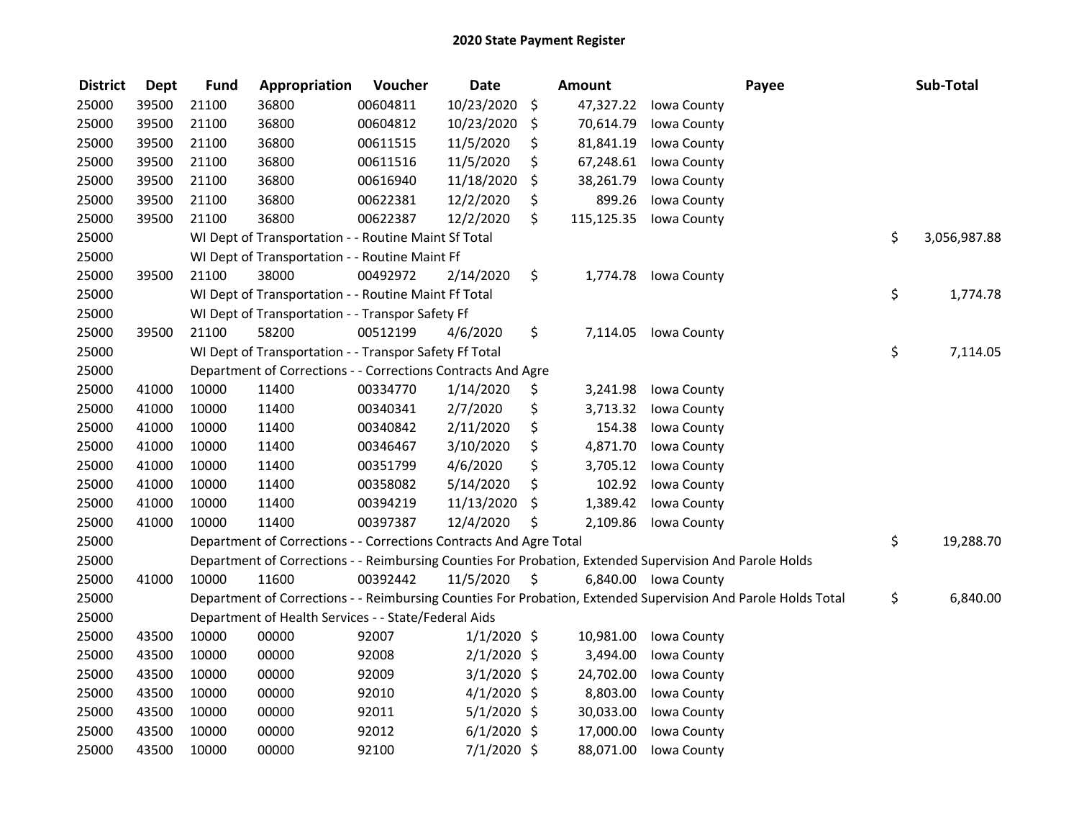| <b>District</b> | <b>Dept</b> | <b>Fund</b> | Appropriation                                                      | Voucher  | <b>Date</b>   |     | <b>Amount</b> | Payee                                                                                                         | Sub-Total          |
|-----------------|-------------|-------------|--------------------------------------------------------------------|----------|---------------|-----|---------------|---------------------------------------------------------------------------------------------------------------|--------------------|
| 25000           | 39500       | 21100       | 36800                                                              | 00604811 | 10/23/2020    | \$  | 47,327.22     | Iowa County                                                                                                   |                    |
| 25000           | 39500       | 21100       | 36800                                                              | 00604812 | 10/23/2020    | \$. | 70,614.79     | Iowa County                                                                                                   |                    |
| 25000           | 39500       | 21100       | 36800                                                              | 00611515 | 11/5/2020     | \$  | 81,841.19     | Iowa County                                                                                                   |                    |
| 25000           | 39500       | 21100       | 36800                                                              | 00611516 | 11/5/2020     | \$  | 67,248.61     | Iowa County                                                                                                   |                    |
| 25000           | 39500       | 21100       | 36800                                                              | 00616940 | 11/18/2020    | \$  | 38,261.79     | Iowa County                                                                                                   |                    |
| 25000           | 39500       | 21100       | 36800                                                              | 00622381 | 12/2/2020     | \$  | 899.26        | Iowa County                                                                                                   |                    |
| 25000           | 39500       | 21100       | 36800                                                              | 00622387 | 12/2/2020     | \$  | 115,125.35    | Iowa County                                                                                                   |                    |
| 25000           |             |             | WI Dept of Transportation - - Routine Maint Sf Total               |          |               |     |               |                                                                                                               | \$<br>3,056,987.88 |
| 25000           |             |             | WI Dept of Transportation - - Routine Maint Ff                     |          |               |     |               |                                                                                                               |                    |
| 25000           | 39500       | 21100       | 38000                                                              | 00492972 | 2/14/2020     | \$  | 1,774.78      | Iowa County                                                                                                   |                    |
| 25000           |             |             | WI Dept of Transportation - - Routine Maint Ff Total               |          |               |     |               |                                                                                                               | \$<br>1,774.78     |
| 25000           |             |             | WI Dept of Transportation - - Transpor Safety Ff                   |          |               |     |               |                                                                                                               |                    |
| 25000           | 39500       | 21100       | 58200                                                              | 00512199 | 4/6/2020      | \$  | 7,114.05      | Iowa County                                                                                                   |                    |
| 25000           |             |             | WI Dept of Transportation - - Transpor Safety Ff Total             |          |               |     |               |                                                                                                               | \$<br>7,114.05     |
| 25000           |             |             | Department of Corrections - - Corrections Contracts And Agre       |          |               |     |               |                                                                                                               |                    |
| 25000           | 41000       | 10000       | 11400                                                              | 00334770 | 1/14/2020     | \$  | 3,241.98      | Iowa County                                                                                                   |                    |
| 25000           | 41000       | 10000       | 11400                                                              | 00340341 | 2/7/2020      | \$  | 3,713.32      | Iowa County                                                                                                   |                    |
| 25000           | 41000       | 10000       | 11400                                                              | 00340842 | 2/11/2020     | \$  | 154.38        | Iowa County                                                                                                   |                    |
| 25000           | 41000       | 10000       | 11400                                                              | 00346467 | 3/10/2020     | \$  | 4,871.70      | Iowa County                                                                                                   |                    |
| 25000           | 41000       | 10000       | 11400                                                              | 00351799 | 4/6/2020      | \$  | 3,705.12      | Iowa County                                                                                                   |                    |
| 25000           | 41000       | 10000       | 11400                                                              | 00358082 | 5/14/2020     | \$  | 102.92        | Iowa County                                                                                                   |                    |
| 25000           | 41000       | 10000       | 11400                                                              | 00394219 | 11/13/2020    | \$  | 1,389.42      | Iowa County                                                                                                   |                    |
| 25000           | 41000       | 10000       | 11400                                                              | 00397387 | 12/4/2020     | \$  | 2,109.86      | Iowa County                                                                                                   |                    |
| 25000           |             |             | Department of Corrections - - Corrections Contracts And Agre Total |          |               |     |               |                                                                                                               | \$<br>19,288.70    |
| 25000           |             |             |                                                                    |          |               |     |               | Department of Corrections - - Reimbursing Counties For Probation, Extended Supervision And Parole Holds       |                    |
| 25000           | 41000       | 10000       | 11600                                                              | 00392442 | 11/5/2020     | \$  |               | 6,840.00 Iowa County                                                                                          |                    |
| 25000           |             |             |                                                                    |          |               |     |               | Department of Corrections - - Reimbursing Counties For Probation, Extended Supervision And Parole Holds Total | \$<br>6,840.00     |
| 25000           |             |             | Department of Health Services - - State/Federal Aids               |          |               |     |               |                                                                                                               |                    |
| 25000           | 43500       | 10000       | 00000                                                              | 92007    | $1/1/2020$ \$ |     | 10,981.00     | Iowa County                                                                                                   |                    |
| 25000           | 43500       | 10000       | 00000                                                              | 92008    | $2/1/2020$ \$ |     | 3,494.00      | Iowa County                                                                                                   |                    |
| 25000           | 43500       | 10000       | 00000                                                              | 92009    | $3/1/2020$ \$ |     | 24,702.00     | Iowa County                                                                                                   |                    |
| 25000           | 43500       | 10000       | 00000                                                              | 92010    | $4/1/2020$ \$ |     | 8,803.00      | Iowa County                                                                                                   |                    |
| 25000           | 43500       | 10000       | 00000                                                              | 92011    | $5/1/2020$ \$ |     | 30,033.00     | Iowa County                                                                                                   |                    |
| 25000           | 43500       | 10000       | 00000                                                              | 92012    | $6/1/2020$ \$ |     | 17,000.00     | Iowa County                                                                                                   |                    |
| 25000           | 43500       | 10000       | 00000                                                              | 92100    | $7/1/2020$ \$ |     | 88,071.00     | Iowa County                                                                                                   |                    |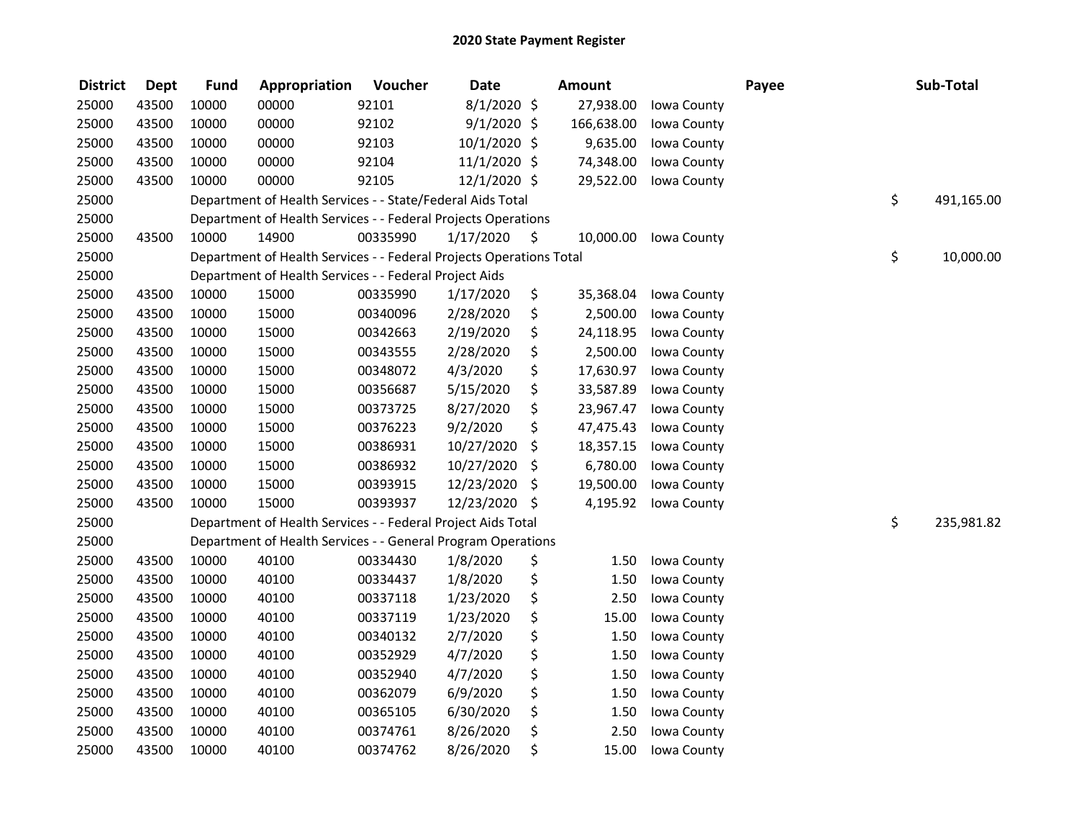| <b>District</b> | <b>Dept</b> | <b>Fund</b> | Appropriation                                                       | Voucher  | <b>Date</b>   |         | <b>Amount</b> |             | Payee | Sub-Total        |
|-----------------|-------------|-------------|---------------------------------------------------------------------|----------|---------------|---------|---------------|-------------|-------|------------------|
| 25000           | 43500       | 10000       | 00000                                                               | 92101    | $8/1/2020$ \$ |         | 27,938.00     | Iowa County |       |                  |
| 25000           | 43500       | 10000       | 00000                                                               | 92102    | $9/1/2020$ \$ |         | 166,638.00    | Iowa County |       |                  |
| 25000           | 43500       | 10000       | 00000                                                               | 92103    | 10/1/2020 \$  |         | 9,635.00      | Iowa County |       |                  |
| 25000           | 43500       | 10000       | 00000                                                               | 92104    | 11/1/2020 \$  |         | 74,348.00     | Iowa County |       |                  |
| 25000           | 43500       | 10000       | 00000                                                               | 92105    | 12/1/2020 \$  |         | 29,522.00     | Iowa County |       |                  |
| 25000           |             |             | Department of Health Services - - State/Federal Aids Total          |          |               |         |               |             |       | \$<br>491,165.00 |
| 25000           |             |             | Department of Health Services - - Federal Projects Operations       |          |               |         |               |             |       |                  |
| 25000           | 43500       | 10000       | 14900                                                               | 00335990 | 1/17/2020     | - \$    | 10,000.00     | Iowa County |       |                  |
| 25000           |             |             | Department of Health Services - - Federal Projects Operations Total |          |               |         |               |             |       | \$<br>10,000.00  |
| 25000           |             |             | Department of Health Services - - Federal Project Aids              |          |               |         |               |             |       |                  |
| 25000           | 43500       | 10000       | 15000                                                               | 00335990 | 1/17/2020     | \$      | 35,368.04     | Iowa County |       |                  |
| 25000           | 43500       | 10000       | 15000                                                               | 00340096 | 2/28/2020     | \$      | 2,500.00      | Iowa County |       |                  |
| 25000           | 43500       | 10000       | 15000                                                               | 00342663 | 2/19/2020     | \$      | 24,118.95     | Iowa County |       |                  |
| 25000           | 43500       | 10000       | 15000                                                               | 00343555 | 2/28/2020     | \$      | 2,500.00      | Iowa County |       |                  |
| 25000           | 43500       | 10000       | 15000                                                               | 00348072 | 4/3/2020      | \$      | 17,630.97     | Iowa County |       |                  |
| 25000           | 43500       | 10000       | 15000                                                               | 00356687 | 5/15/2020     | \$      | 33,587.89     | Iowa County |       |                  |
| 25000           | 43500       | 10000       | 15000                                                               | 00373725 | 8/27/2020     | \$      | 23,967.47     | Iowa County |       |                  |
| 25000           | 43500       | 10000       | 15000                                                               | 00376223 | 9/2/2020      | \$      | 47,475.43     | Iowa County |       |                  |
| 25000           | 43500       | 10000       | 15000                                                               | 00386931 | 10/27/2020    | \$      | 18,357.15     | Iowa County |       |                  |
| 25000           | 43500       | 10000       | 15000                                                               | 00386932 | 10/27/2020    | \$      | 6,780.00      | Iowa County |       |                  |
| 25000           | 43500       | 10000       | 15000                                                               | 00393915 | 12/23/2020    | -\$     | 19,500.00     | Iowa County |       |                  |
| 25000           | 43500       | 10000       | 15000                                                               | 00393937 | 12/23/2020    | $\zeta$ | 4,195.92      | Iowa County |       |                  |
| 25000           |             |             | Department of Health Services - - Federal Project Aids Total        |          |               |         |               |             |       | \$<br>235,981.82 |
| 25000           |             |             | Department of Health Services - - General Program Operations        |          |               |         |               |             |       |                  |
| 25000           | 43500       | 10000       | 40100                                                               | 00334430 | 1/8/2020      | \$      | 1.50          | Iowa County |       |                  |
| 25000           | 43500       | 10000       | 40100                                                               | 00334437 | 1/8/2020      | \$      | 1.50          | Iowa County |       |                  |
| 25000           | 43500       | 10000       | 40100                                                               | 00337118 | 1/23/2020     | \$      | 2.50          | Iowa County |       |                  |
| 25000           | 43500       | 10000       | 40100                                                               | 00337119 | 1/23/2020     | \$      | 15.00         | Iowa County |       |                  |
| 25000           | 43500       | 10000       | 40100                                                               | 00340132 | 2/7/2020      | \$      | 1.50          | Iowa County |       |                  |
| 25000           | 43500       | 10000       | 40100                                                               | 00352929 | 4/7/2020      | \$      | 1.50          | Iowa County |       |                  |
| 25000           | 43500       | 10000       | 40100                                                               | 00352940 | 4/7/2020      | \$      | 1.50          | Iowa County |       |                  |
| 25000           | 43500       | 10000       | 40100                                                               | 00362079 | 6/9/2020      | \$      | 1.50          | Iowa County |       |                  |
| 25000           | 43500       | 10000       | 40100                                                               | 00365105 | 6/30/2020     | \$      | 1.50          | Iowa County |       |                  |
| 25000           | 43500       | 10000       | 40100                                                               | 00374761 | 8/26/2020     | \$      | 2.50          | Iowa County |       |                  |
| 25000           | 43500       | 10000       | 40100                                                               | 00374762 | 8/26/2020     | \$      | 15.00         | Iowa County |       |                  |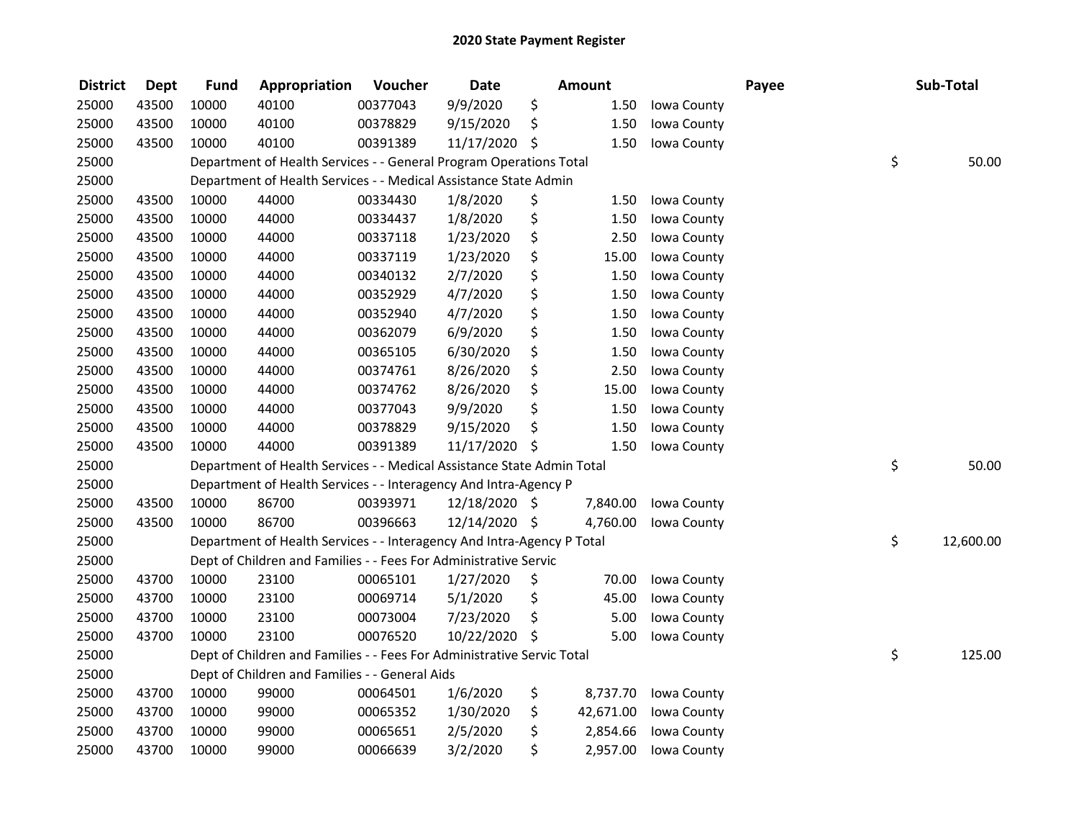| <b>District</b> | <b>Dept</b> | <b>Fund</b> | Appropriation                                                          | Voucher  | <b>Date</b>   |     | <b>Amount</b> |             | Payee | Sub-Total       |
|-----------------|-------------|-------------|------------------------------------------------------------------------|----------|---------------|-----|---------------|-------------|-------|-----------------|
| 25000           | 43500       | 10000       | 40100                                                                  | 00377043 | 9/9/2020      | \$  | 1.50          | Iowa County |       |                 |
| 25000           | 43500       | 10000       | 40100                                                                  | 00378829 | 9/15/2020     | \$  | 1.50          | Iowa County |       |                 |
| 25000           | 43500       | 10000       | 40100                                                                  | 00391389 | 11/17/2020 \$ |     | 1.50          | Iowa County |       |                 |
| 25000           |             |             | Department of Health Services - - General Program Operations Total     |          |               |     |               |             |       | \$<br>50.00     |
| 25000           |             |             | Department of Health Services - - Medical Assistance State Admin       |          |               |     |               |             |       |                 |
| 25000           | 43500       | 10000       | 44000                                                                  | 00334430 | 1/8/2020      | \$  | 1.50          | Iowa County |       |                 |
| 25000           | 43500       | 10000       | 44000                                                                  | 00334437 | 1/8/2020      | \$  | 1.50          | Iowa County |       |                 |
| 25000           | 43500       | 10000       | 44000                                                                  | 00337118 | 1/23/2020     | \$  | 2.50          | Iowa County |       |                 |
| 25000           | 43500       | 10000       | 44000                                                                  | 00337119 | 1/23/2020     | \$  | 15.00         | Iowa County |       |                 |
| 25000           | 43500       | 10000       | 44000                                                                  | 00340132 | 2/7/2020      | \$  | 1.50          | Iowa County |       |                 |
| 25000           | 43500       | 10000       | 44000                                                                  | 00352929 | 4/7/2020      | \$  | 1.50          | Iowa County |       |                 |
| 25000           | 43500       | 10000       | 44000                                                                  | 00352940 | 4/7/2020      | \$  | 1.50          | Iowa County |       |                 |
| 25000           | 43500       | 10000       | 44000                                                                  | 00362079 | 6/9/2020      | \$  | 1.50          | Iowa County |       |                 |
| 25000           | 43500       | 10000       | 44000                                                                  | 00365105 | 6/30/2020     | \$  | 1.50          | Iowa County |       |                 |
| 25000           | 43500       | 10000       | 44000                                                                  | 00374761 | 8/26/2020     | \$  | 2.50          | Iowa County |       |                 |
| 25000           | 43500       | 10000       | 44000                                                                  | 00374762 | 8/26/2020     | \$  | 15.00         | Iowa County |       |                 |
| 25000           | 43500       | 10000       | 44000                                                                  | 00377043 | 9/9/2020      | \$  | 1.50          | Iowa County |       |                 |
| 25000           | 43500       | 10000       | 44000                                                                  | 00378829 | 9/15/2020     | \$  | 1.50          | Iowa County |       |                 |
| 25000           | 43500       | 10000       | 44000                                                                  | 00391389 | 11/17/2020    | -\$ | 1.50          | Iowa County |       |                 |
| 25000           |             |             | Department of Health Services - - Medical Assistance State Admin Total |          |               |     |               |             |       | \$<br>50.00     |
| 25000           |             |             | Department of Health Services - - Interagency And Intra-Agency P       |          |               |     |               |             |       |                 |
| 25000           | 43500       | 10000       | 86700                                                                  | 00393971 | 12/18/2020 \$ |     | 7,840.00      | Iowa County |       |                 |
| 25000           | 43500       | 10000       | 86700                                                                  | 00396663 | 12/14/2020 \$ |     | 4,760.00      | Iowa County |       |                 |
| 25000           |             |             | Department of Health Services - - Interagency And Intra-Agency P Total |          |               |     |               |             |       | \$<br>12,600.00 |
| 25000           |             |             | Dept of Children and Families - - Fees For Administrative Servic       |          |               |     |               |             |       |                 |
| 25000           | 43700       | 10000       | 23100                                                                  | 00065101 | 1/27/2020     | \$  | 70.00         | Iowa County |       |                 |
| 25000           | 43700       | 10000       | 23100                                                                  | 00069714 | 5/1/2020      | \$  | 45.00         | Iowa County |       |                 |
| 25000           | 43700       | 10000       | 23100                                                                  | 00073004 | 7/23/2020     | \$  | 5.00          | Iowa County |       |                 |
| 25000           | 43700       | 10000       | 23100                                                                  | 00076520 | 10/22/2020 \$ |     | 5.00          | Iowa County |       |                 |
| 25000           |             |             | Dept of Children and Families - - Fees For Administrative Servic Total |          |               |     |               |             |       | \$<br>125.00    |
| 25000           |             |             | Dept of Children and Families - - General Aids                         |          |               |     |               |             |       |                 |
| 25000           | 43700       | 10000       | 99000                                                                  | 00064501 | 1/6/2020      | \$  | 8,737.70      | Iowa County |       |                 |
| 25000           | 43700       | 10000       | 99000                                                                  | 00065352 | 1/30/2020     | \$  | 42,671.00     | Iowa County |       |                 |
| 25000           | 43700       | 10000       | 99000                                                                  | 00065651 | 2/5/2020      | \$  | 2,854.66      | Iowa County |       |                 |
| 25000           | 43700       | 10000       | 99000                                                                  | 00066639 | 3/2/2020      | \$  | 2,957.00      | Iowa County |       |                 |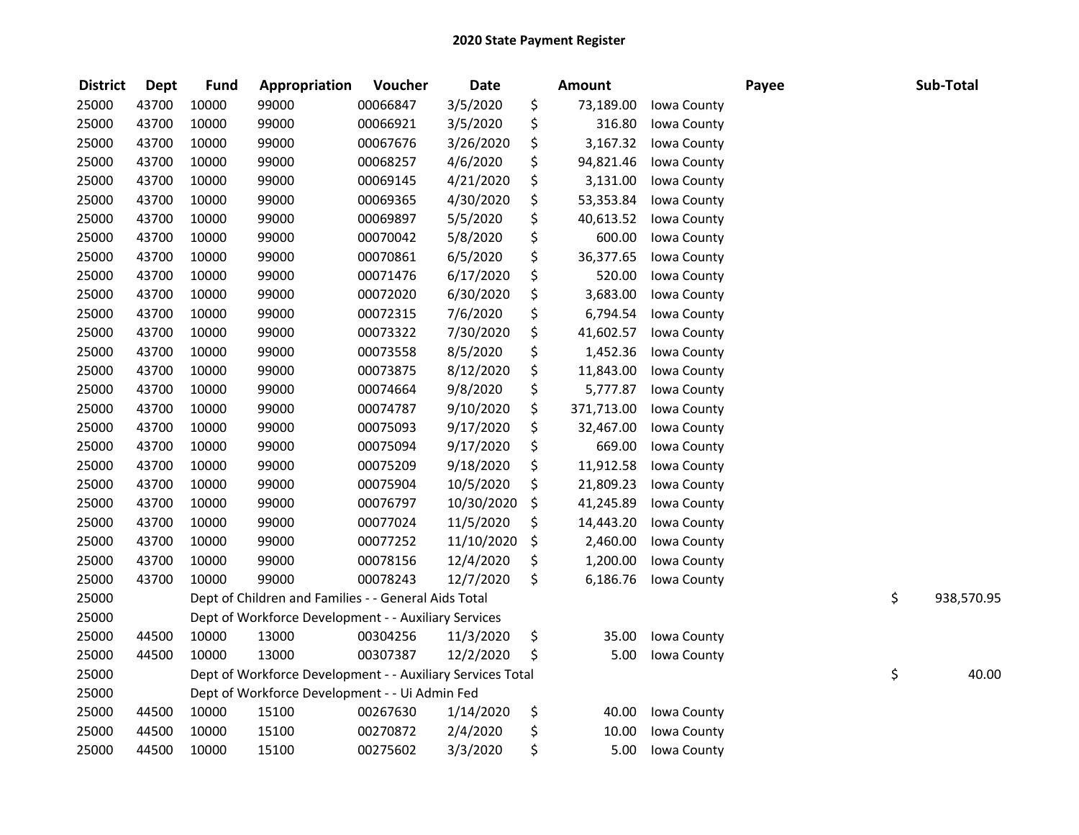| <b>District</b> | <b>Dept</b> | <b>Fund</b> | Appropriation                                              | Voucher  | <b>Date</b> | <b>Amount</b>    |             | Payee | Sub-Total        |
|-----------------|-------------|-------------|------------------------------------------------------------|----------|-------------|------------------|-------------|-------|------------------|
| 25000           | 43700       | 10000       | 99000                                                      | 00066847 | 3/5/2020    | \$<br>73,189.00  | Iowa County |       |                  |
| 25000           | 43700       | 10000       | 99000                                                      | 00066921 | 3/5/2020    | \$<br>316.80     | Iowa County |       |                  |
| 25000           | 43700       | 10000       | 99000                                                      | 00067676 | 3/26/2020   | \$<br>3,167.32   | Iowa County |       |                  |
| 25000           | 43700       | 10000       | 99000                                                      | 00068257 | 4/6/2020    | \$<br>94,821.46  | Iowa County |       |                  |
| 25000           | 43700       | 10000       | 99000                                                      | 00069145 | 4/21/2020   | \$<br>3,131.00   | Iowa County |       |                  |
| 25000           | 43700       | 10000       | 99000                                                      | 00069365 | 4/30/2020   | \$<br>53,353.84  | Iowa County |       |                  |
| 25000           | 43700       | 10000       | 99000                                                      | 00069897 | 5/5/2020    | \$<br>40,613.52  | Iowa County |       |                  |
| 25000           | 43700       | 10000       | 99000                                                      | 00070042 | 5/8/2020    | \$<br>600.00     | Iowa County |       |                  |
| 25000           | 43700       | 10000       | 99000                                                      | 00070861 | 6/5/2020    | \$<br>36,377.65  | Iowa County |       |                  |
| 25000           | 43700       | 10000       | 99000                                                      | 00071476 | 6/17/2020   | \$<br>520.00     | Iowa County |       |                  |
| 25000           | 43700       | 10000       | 99000                                                      | 00072020 | 6/30/2020   | \$<br>3,683.00   | Iowa County |       |                  |
| 25000           | 43700       | 10000       | 99000                                                      | 00072315 | 7/6/2020    | \$<br>6,794.54   | Iowa County |       |                  |
| 25000           | 43700       | 10000       | 99000                                                      | 00073322 | 7/30/2020   | \$<br>41,602.57  | Iowa County |       |                  |
| 25000           | 43700       | 10000       | 99000                                                      | 00073558 | 8/5/2020    | \$<br>1,452.36   | Iowa County |       |                  |
| 25000           | 43700       | 10000       | 99000                                                      | 00073875 | 8/12/2020   | \$<br>11,843.00  | Iowa County |       |                  |
| 25000           | 43700       | 10000       | 99000                                                      | 00074664 | 9/8/2020    | \$<br>5,777.87   | Iowa County |       |                  |
| 25000           | 43700       | 10000       | 99000                                                      | 00074787 | 9/10/2020   | \$<br>371,713.00 | Iowa County |       |                  |
| 25000           | 43700       | 10000       | 99000                                                      | 00075093 | 9/17/2020   | \$<br>32,467.00  | Iowa County |       |                  |
| 25000           | 43700       | 10000       | 99000                                                      | 00075094 | 9/17/2020   | \$<br>669.00     | Iowa County |       |                  |
| 25000           | 43700       | 10000       | 99000                                                      | 00075209 | 9/18/2020   | \$<br>11,912.58  | Iowa County |       |                  |
| 25000           | 43700       | 10000       | 99000                                                      | 00075904 | 10/5/2020   | \$<br>21,809.23  | Iowa County |       |                  |
| 25000           | 43700       | 10000       | 99000                                                      | 00076797 | 10/30/2020  | \$<br>41,245.89  | Iowa County |       |                  |
| 25000           | 43700       | 10000       | 99000                                                      | 00077024 | 11/5/2020   | \$<br>14,443.20  | Iowa County |       |                  |
| 25000           | 43700       | 10000       | 99000                                                      | 00077252 | 11/10/2020  | \$<br>2,460.00   | Iowa County |       |                  |
| 25000           | 43700       | 10000       | 99000                                                      | 00078156 | 12/4/2020   | \$<br>1,200.00   | Iowa County |       |                  |
| 25000           | 43700       | 10000       | 99000                                                      | 00078243 | 12/7/2020   | \$<br>6,186.76   | Iowa County |       |                  |
| 25000           |             |             | Dept of Children and Families - - General Aids Total       |          |             |                  |             |       | \$<br>938,570.95 |
| 25000           |             |             | Dept of Workforce Development - - Auxiliary Services       |          |             |                  |             |       |                  |
| 25000           | 44500       | 10000       | 13000                                                      | 00304256 | 11/3/2020   | \$<br>35.00      | Iowa County |       |                  |
| 25000           | 44500       | 10000       | 13000                                                      | 00307387 | 12/2/2020   | \$<br>5.00       | Iowa County |       |                  |
| 25000           |             |             | Dept of Workforce Development - - Auxiliary Services Total |          |             |                  |             |       | \$<br>40.00      |
| 25000           |             |             | Dept of Workforce Development - - Ui Admin Fed             |          |             |                  |             |       |                  |
| 25000           | 44500       | 10000       | 15100                                                      | 00267630 | 1/14/2020   | \$<br>40.00      | Iowa County |       |                  |
| 25000           | 44500       | 10000       | 15100                                                      | 00270872 | 2/4/2020    | \$<br>10.00      | Iowa County |       |                  |
| 25000           | 44500       | 10000       | 15100                                                      | 00275602 | 3/3/2020    | \$<br>5.00       | Iowa County |       |                  |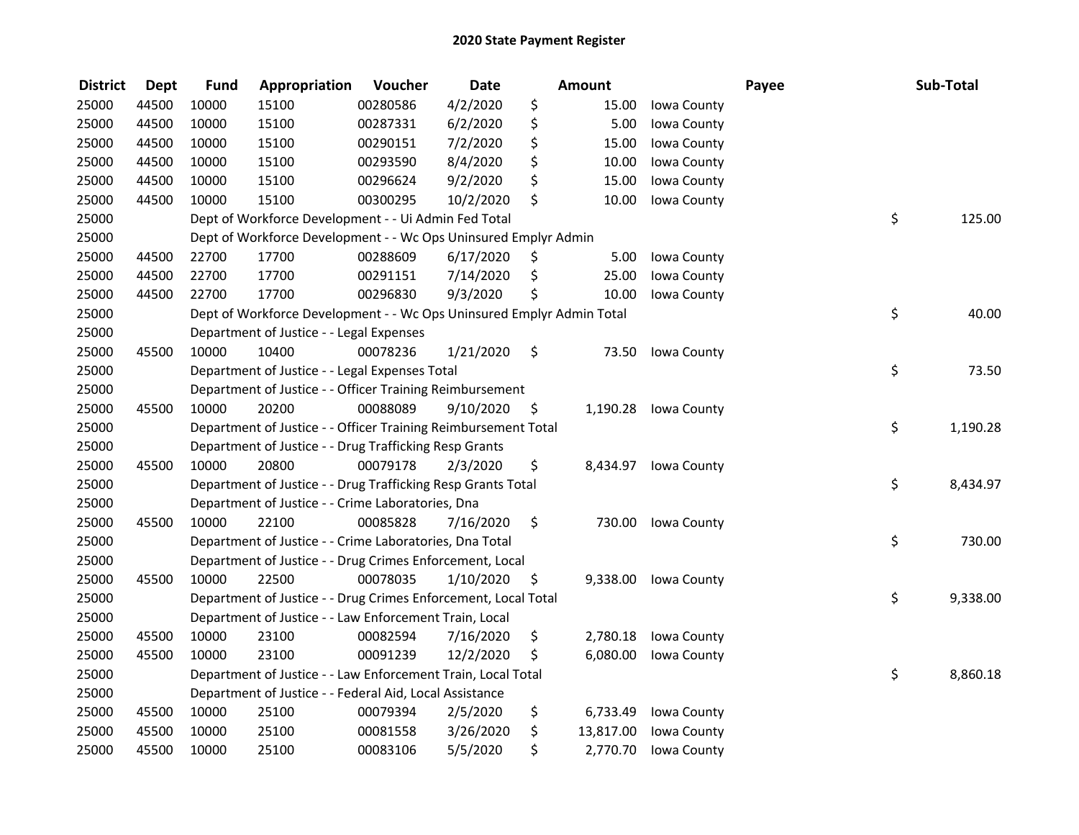| <b>District</b> | <b>Dept</b> | <b>Fund</b> | Appropriation                                                         | Voucher  | <b>Date</b> | <b>Amount</b>   |             | Payee | Sub-Total |          |
|-----------------|-------------|-------------|-----------------------------------------------------------------------|----------|-------------|-----------------|-------------|-------|-----------|----------|
| 25000           | 44500       | 10000       | 15100                                                                 | 00280586 | 4/2/2020    | \$<br>15.00     | Iowa County |       |           |          |
| 25000           | 44500       | 10000       | 15100                                                                 | 00287331 | 6/2/2020    | \$<br>5.00      | Iowa County |       |           |          |
| 25000           | 44500       | 10000       | 15100                                                                 | 00290151 | 7/2/2020    | \$<br>15.00     | Iowa County |       |           |          |
| 25000           | 44500       | 10000       | 15100                                                                 | 00293590 | 8/4/2020    | \$<br>10.00     | Iowa County |       |           |          |
| 25000           | 44500       | 10000       | 15100                                                                 | 00296624 | 9/2/2020    | \$<br>15.00     | Iowa County |       |           |          |
| 25000           | 44500       | 10000       | 15100                                                                 | 00300295 | 10/2/2020   | \$<br>10.00     | Iowa County |       |           |          |
| 25000           |             |             | Dept of Workforce Development - - Ui Admin Fed Total                  |          |             |                 |             |       | \$        | 125.00   |
| 25000           |             |             | Dept of Workforce Development - - Wc Ops Uninsured Emplyr Admin       |          |             |                 |             |       |           |          |
| 25000           | 44500       | 22700       | 17700                                                                 | 00288609 | 6/17/2020   | \$<br>5.00      | Iowa County |       |           |          |
| 25000           | 44500       | 22700       | 17700                                                                 | 00291151 | 7/14/2020   | \$<br>25.00     | Iowa County |       |           |          |
| 25000           | 44500       | 22700       | 17700                                                                 | 00296830 | 9/3/2020    | \$<br>10.00     | Iowa County |       |           |          |
| 25000           |             |             | Dept of Workforce Development - - Wc Ops Uninsured Emplyr Admin Total |          |             |                 |             |       | \$        | 40.00    |
| 25000           |             |             | Department of Justice - - Legal Expenses                              |          |             |                 |             |       |           |          |
| 25000           | 45500       | 10000       | 10400                                                                 | 00078236 | 1/21/2020   | \$<br>73.50     | Iowa County |       |           |          |
| 25000           |             |             | Department of Justice - - Legal Expenses Total                        |          |             |                 |             |       | \$        | 73.50    |
| 25000           |             |             | Department of Justice - - Officer Training Reimbursement              |          |             |                 |             |       |           |          |
| 25000           | 45500       | 10000       | 20200                                                                 | 00088089 | 9/10/2020   | \$<br>1,190.28  | Iowa County |       |           |          |
| 25000           |             |             | Department of Justice - - Officer Training Reimbursement Total        |          |             |                 |             |       | \$        | 1,190.28 |
| 25000           |             |             | Department of Justice - - Drug Trafficking Resp Grants                |          |             |                 |             |       |           |          |
| 25000           | 45500       | 10000       | 20800                                                                 | 00079178 | 2/3/2020    | \$<br>8,434.97  | Iowa County |       |           |          |
| 25000           |             |             | Department of Justice - - Drug Trafficking Resp Grants Total          |          |             |                 |             |       | \$        | 8,434.97 |
| 25000           |             |             | Department of Justice - - Crime Laboratories, Dna                     |          |             |                 |             |       |           |          |
| 25000           | 45500       | 10000       | 22100                                                                 | 00085828 | 7/16/2020   | \$<br>730.00    | Iowa County |       |           |          |
| 25000           |             |             | Department of Justice - - Crime Laboratories, Dna Total               |          |             |                 |             |       | \$        | 730.00   |
| 25000           |             |             | Department of Justice - - Drug Crimes Enforcement, Local              |          |             |                 |             |       |           |          |
| 25000           | 45500       | 10000       | 22500                                                                 | 00078035 | 1/10/2020   | \$<br>9,338.00  | Iowa County |       |           |          |
| 25000           |             |             | Department of Justice - - Drug Crimes Enforcement, Local Total        |          |             |                 |             |       | \$        | 9,338.00 |
| 25000           |             |             | Department of Justice - - Law Enforcement Train, Local                |          |             |                 |             |       |           |          |
| 25000           | 45500       | 10000       | 23100                                                                 | 00082594 | 7/16/2020   | \$<br>2,780.18  | Iowa County |       |           |          |
| 25000           | 45500       | 10000       | 23100                                                                 | 00091239 | 12/2/2020   | \$<br>6,080.00  | Iowa County |       |           |          |
| 25000           |             |             | Department of Justice - - Law Enforcement Train, Local Total          |          |             |                 |             |       | \$        | 8,860.18 |
| 25000           |             |             | Department of Justice - - Federal Aid, Local Assistance               |          |             |                 |             |       |           |          |
| 25000           | 45500       | 10000       | 25100                                                                 | 00079394 | 2/5/2020    | \$<br>6,733.49  | Iowa County |       |           |          |
| 25000           | 45500       | 10000       | 25100                                                                 | 00081558 | 3/26/2020   | \$<br>13,817.00 | Iowa County |       |           |          |
| 25000           | 45500       | 10000       | 25100                                                                 | 00083106 | 5/5/2020    | \$<br>2,770.70  | Iowa County |       |           |          |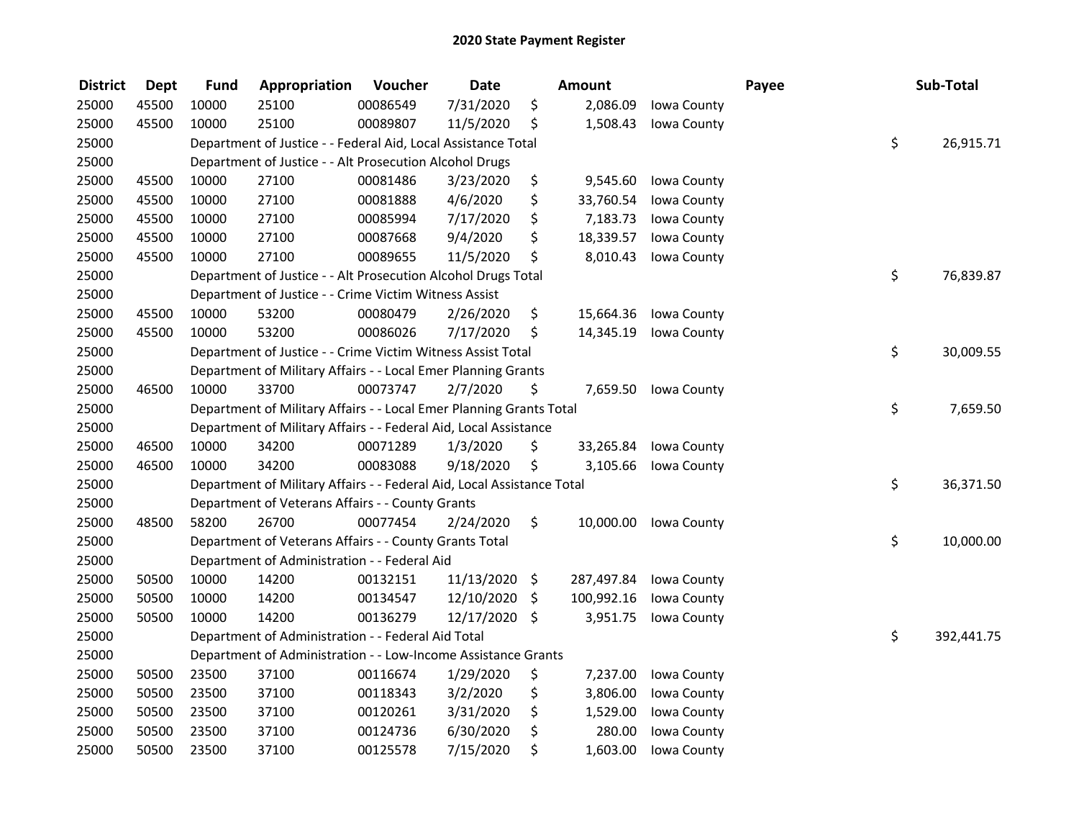| <b>District</b> | <b>Dept</b> | <b>Fund</b> | Appropriation                                                          | Voucher  | <b>Date</b>   | Amount           |             | Payee | Sub-Total        |
|-----------------|-------------|-------------|------------------------------------------------------------------------|----------|---------------|------------------|-------------|-------|------------------|
| 25000           | 45500       | 10000       | 25100                                                                  | 00086549 | 7/31/2020     | \$<br>2,086.09   | Iowa County |       |                  |
| 25000           | 45500       | 10000       | 25100                                                                  | 00089807 | 11/5/2020     | \$<br>1,508.43   | Iowa County |       |                  |
| 25000           |             |             | Department of Justice - - Federal Aid, Local Assistance Total          |          |               |                  |             |       | \$<br>26,915.71  |
| 25000           |             |             | Department of Justice - - Alt Prosecution Alcohol Drugs                |          |               |                  |             |       |                  |
| 25000           | 45500       | 10000       | 27100                                                                  | 00081486 | 3/23/2020     | \$<br>9,545.60   | Iowa County |       |                  |
| 25000           | 45500       | 10000       | 27100                                                                  | 00081888 | 4/6/2020      | \$<br>33,760.54  | Iowa County |       |                  |
| 25000           | 45500       | 10000       | 27100                                                                  | 00085994 | 7/17/2020     | \$<br>7,183.73   | Iowa County |       |                  |
| 25000           | 45500       | 10000       | 27100                                                                  | 00087668 | 9/4/2020      | \$<br>18,339.57  | Iowa County |       |                  |
| 25000           | 45500       | 10000       | 27100                                                                  | 00089655 | 11/5/2020     | \$<br>8,010.43   | Iowa County |       |                  |
| 25000           |             |             | Department of Justice - - Alt Prosecution Alcohol Drugs Total          |          |               |                  |             |       | \$<br>76,839.87  |
| 25000           |             |             | Department of Justice - - Crime Victim Witness Assist                  |          |               |                  |             |       |                  |
| 25000           | 45500       | 10000       | 53200                                                                  | 00080479 | 2/26/2020     | \$<br>15,664.36  | Iowa County |       |                  |
| 25000           | 45500       | 10000       | 53200                                                                  | 00086026 | 7/17/2020     | \$<br>14,345.19  | Iowa County |       |                  |
| 25000           |             |             | Department of Justice - - Crime Victim Witness Assist Total            |          |               |                  |             |       | \$<br>30,009.55  |
| 25000           |             |             | Department of Military Affairs - - Local Emer Planning Grants          |          |               |                  |             |       |                  |
| 25000           | 46500       | 10000       | 33700                                                                  | 00073747 | 2/7/2020      | \$<br>7,659.50   | Iowa County |       |                  |
| 25000           |             |             | Department of Military Affairs - - Local Emer Planning Grants Total    |          |               |                  |             |       | \$<br>7,659.50   |
| 25000           |             |             | Department of Military Affairs - - Federal Aid, Local Assistance       |          |               |                  |             |       |                  |
| 25000           | 46500       | 10000       | 34200                                                                  | 00071289 | 1/3/2020      | \$<br>33,265.84  | Iowa County |       |                  |
| 25000           | 46500       | 10000       | 34200                                                                  | 00083088 | 9/18/2020     | \$<br>3,105.66   | Iowa County |       |                  |
| 25000           |             |             | Department of Military Affairs - - Federal Aid, Local Assistance Total |          |               |                  |             |       | \$<br>36,371.50  |
| 25000           |             |             | Department of Veterans Affairs - - County Grants                       |          |               |                  |             |       |                  |
| 25000           | 48500       | 58200       | 26700                                                                  | 00077454 | 2/24/2020     | \$<br>10,000.00  | Iowa County |       |                  |
| 25000           |             |             | Department of Veterans Affairs - - County Grants Total                 |          |               |                  |             |       | \$<br>10,000.00  |
| 25000           |             |             | Department of Administration - - Federal Aid                           |          |               |                  |             |       |                  |
| 25000           | 50500       | 10000       | 14200                                                                  | 00132151 | 11/13/2020    | \$<br>287,497.84 | Iowa County |       |                  |
| 25000           | 50500       | 10000       | 14200                                                                  | 00134547 | 12/10/2020    | \$<br>100,992.16 | Iowa County |       |                  |
| 25000           | 50500       | 10000       | 14200                                                                  | 00136279 | 12/17/2020 \$ | 3,951.75         | Iowa County |       |                  |
| 25000           |             |             | Department of Administration - - Federal Aid Total                     |          |               |                  |             |       | \$<br>392,441.75 |
| 25000           |             |             | Department of Administration - - Low-Income Assistance Grants          |          |               |                  |             |       |                  |
| 25000           | 50500       | 23500       | 37100                                                                  | 00116674 | 1/29/2020     | \$<br>7,237.00   | Iowa County |       |                  |
| 25000           | 50500       | 23500       | 37100                                                                  | 00118343 | 3/2/2020      | \$<br>3,806.00   | Iowa County |       |                  |
| 25000           | 50500       | 23500       | 37100                                                                  | 00120261 | 3/31/2020     | \$<br>1,529.00   | Iowa County |       |                  |
| 25000           | 50500       | 23500       | 37100                                                                  | 00124736 | 6/30/2020     | \$<br>280.00     | Iowa County |       |                  |
| 25000           | 50500       | 23500       | 37100                                                                  | 00125578 | 7/15/2020     | \$<br>1,603.00   | Iowa County |       |                  |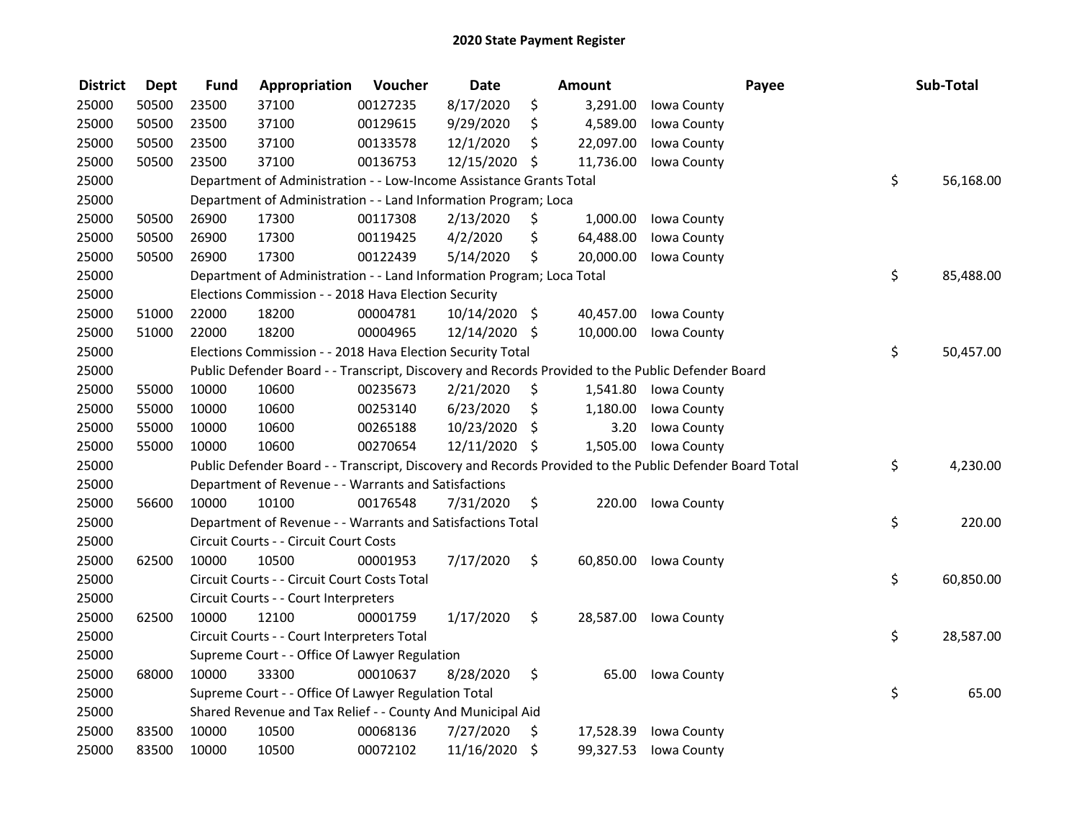| <b>District</b> | <b>Dept</b> | <b>Fund</b> | Appropriation                                                         | Voucher  | <b>Date</b>   |     | <b>Amount</b> | Payee                                                                                                   | Sub-Total       |
|-----------------|-------------|-------------|-----------------------------------------------------------------------|----------|---------------|-----|---------------|---------------------------------------------------------------------------------------------------------|-----------------|
| 25000           | 50500       | 23500       | 37100                                                                 | 00127235 | 8/17/2020     | \$  | 3,291.00      | Iowa County                                                                                             |                 |
| 25000           | 50500       | 23500       | 37100                                                                 | 00129615 | 9/29/2020     | \$  | 4,589.00      | Iowa County                                                                                             |                 |
| 25000           | 50500       | 23500       | 37100                                                                 | 00133578 | 12/1/2020     | \$  | 22,097.00     | Iowa County                                                                                             |                 |
| 25000           | 50500       | 23500       | 37100                                                                 | 00136753 | 12/15/2020 \$ |     | 11,736.00     | Iowa County                                                                                             |                 |
| 25000           |             |             | Department of Administration - - Low-Income Assistance Grants Total   |          |               |     |               |                                                                                                         | \$<br>56,168.00 |
| 25000           |             |             | Department of Administration - - Land Information Program; Loca       |          |               |     |               |                                                                                                         |                 |
| 25000           | 50500       | 26900       | 17300                                                                 | 00117308 | 2/13/2020     | \$. | 1,000.00      | Iowa County                                                                                             |                 |
| 25000           | 50500       | 26900       | 17300                                                                 | 00119425 | 4/2/2020      | \$  | 64,488.00     | Iowa County                                                                                             |                 |
| 25000           | 50500       | 26900       | 17300                                                                 | 00122439 | 5/14/2020     | \$  | 20,000.00     | Iowa County                                                                                             |                 |
| 25000           |             |             | Department of Administration - - Land Information Program; Loca Total |          |               |     |               |                                                                                                         | \$<br>85,488.00 |
| 25000           |             |             | Elections Commission - - 2018 Hava Election Security                  |          |               |     |               |                                                                                                         |                 |
| 25000           | 51000       | 22000       | 18200                                                                 | 00004781 | 10/14/2020 \$ |     | 40,457.00     | Iowa County                                                                                             |                 |
| 25000           | 51000       | 22000       | 18200                                                                 | 00004965 | 12/14/2020 \$ |     | 10,000.00     | Iowa County                                                                                             |                 |
| 25000           |             |             | Elections Commission - - 2018 Hava Election Security Total            |          |               |     |               |                                                                                                         | \$<br>50,457.00 |
| 25000           |             |             |                                                                       |          |               |     |               | Public Defender Board - - Transcript, Discovery and Records Provided to the Public Defender Board       |                 |
| 25000           | 55000       | 10000       | 10600                                                                 | 00235673 | 2/21/2020     | \$  | 1,541.80      | Iowa County                                                                                             |                 |
| 25000           | 55000       | 10000       | 10600                                                                 | 00253140 | 6/23/2020     | \$  | 1,180.00      | Iowa County                                                                                             |                 |
| 25000           | 55000       | 10000       | 10600                                                                 | 00265188 | 10/23/2020    | \$  | 3.20          | Iowa County                                                                                             |                 |
| 25000           | 55000       | 10000       | 10600                                                                 | 00270654 | 12/11/2020 \$ |     | 1,505.00      | Iowa County                                                                                             |                 |
| 25000           |             |             |                                                                       |          |               |     |               | Public Defender Board - - Transcript, Discovery and Records Provided to the Public Defender Board Total | \$<br>4,230.00  |
| 25000           |             |             | Department of Revenue - - Warrants and Satisfactions                  |          |               |     |               |                                                                                                         |                 |
| 25000           | 56600       | 10000       | 10100                                                                 | 00176548 | 7/31/2020     | \$  | 220.00        | Iowa County                                                                                             |                 |
| 25000           |             |             | Department of Revenue - - Warrants and Satisfactions Total            |          |               |     |               |                                                                                                         | \$<br>220.00    |
| 25000           |             |             | Circuit Courts - - Circuit Court Costs                                |          |               |     |               |                                                                                                         |                 |
| 25000           | 62500       | 10000       | 10500                                                                 | 00001953 | 7/17/2020     | \$  | 60,850.00     | Iowa County                                                                                             |                 |
| 25000           |             |             | Circuit Courts - - Circuit Court Costs Total                          |          |               |     |               |                                                                                                         | \$<br>60,850.00 |
| 25000           |             |             | Circuit Courts - - Court Interpreters                                 |          |               |     |               |                                                                                                         |                 |
| 25000           | 62500       | 10000       | 12100                                                                 | 00001759 | 1/17/2020     | \$  | 28,587.00     | Iowa County                                                                                             |                 |
| 25000           |             |             | Circuit Courts - - Court Interpreters Total                           |          |               |     |               |                                                                                                         | \$<br>28,587.00 |
| 25000           |             |             | Supreme Court - - Office Of Lawyer Regulation                         |          |               |     |               |                                                                                                         |                 |
| 25000           | 68000       | 10000       | 33300                                                                 | 00010637 | 8/28/2020     | \$  | 65.00         | Iowa County                                                                                             |                 |
| 25000           |             |             | Supreme Court - - Office Of Lawyer Regulation Total                   |          |               |     |               |                                                                                                         | \$<br>65.00     |
| 25000           |             |             | Shared Revenue and Tax Relief - - County And Municipal Aid            |          |               |     |               |                                                                                                         |                 |
| 25000           | 83500       | 10000       | 10500                                                                 | 00068136 | 7/27/2020     | \$  | 17,528.39     | Iowa County                                                                                             |                 |
| 25000           | 83500       | 10000       | 10500                                                                 | 00072102 | 11/16/2020    | \$  | 99,327.53     | Iowa County                                                                                             |                 |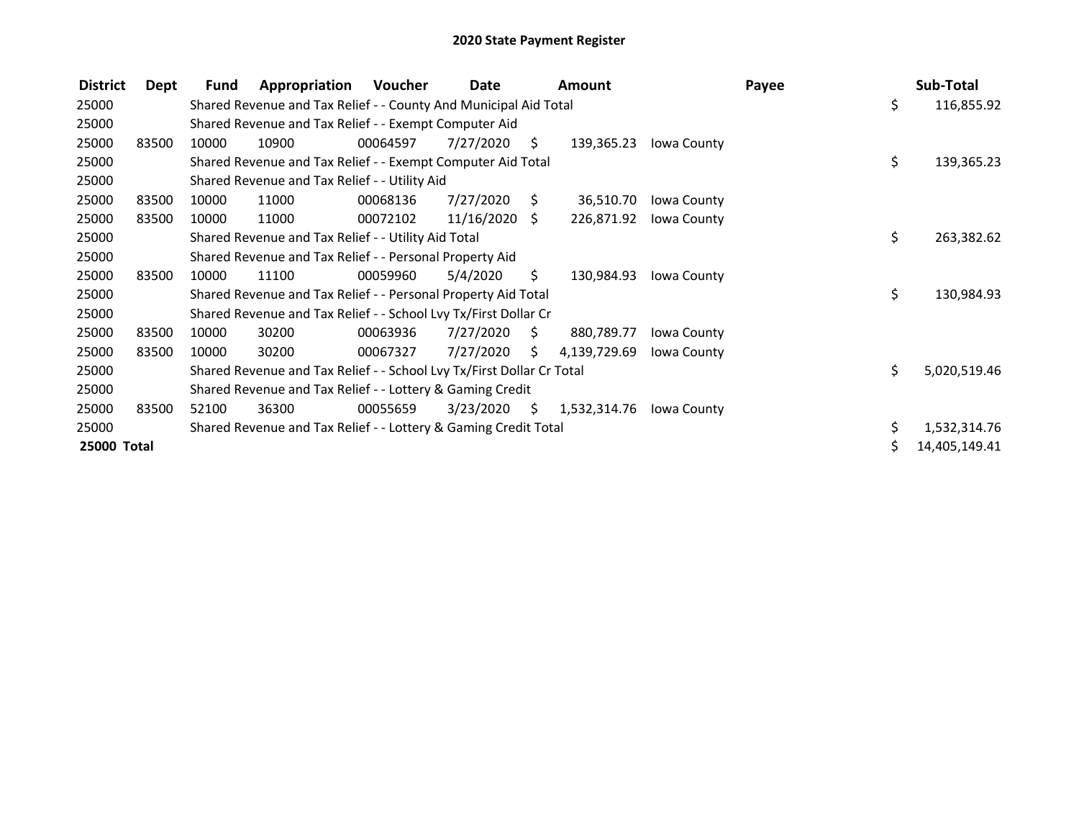| <b>District</b> | Dept  | Fund                                                      | Appropriation                                                         | Voucher  | Date       |      | <b>Amount</b> |                    | Payee |    | Sub-Total     |
|-----------------|-------|-----------------------------------------------------------|-----------------------------------------------------------------------|----------|------------|------|---------------|--------------------|-------|----|---------------|
| 25000           |       |                                                           | Shared Revenue and Tax Relief - - County And Municipal Aid Total      |          |            |      |               |                    |       | \$ | 116,855.92    |
| 25000           |       |                                                           | Shared Revenue and Tax Relief - - Exempt Computer Aid                 |          |            |      |               |                    |       |    |               |
| 25000           | 83500 | 10000                                                     | 10900                                                                 | 00064597 | 7/27/2020  | \$.  | 139,365.23    | Iowa County        |       |    |               |
| 25000           |       |                                                           | Shared Revenue and Tax Relief - - Exempt Computer Aid Total           |          |            |      |               |                    |       | \$ | 139,365.23    |
| 25000           |       |                                                           | Shared Revenue and Tax Relief - - Utility Aid                         |          |            |      |               |                    |       |    |               |
| 25000           | 83500 | 10000                                                     | 11000                                                                 | 00068136 | 7/27/2020  | S.   | 36,510.70     | Iowa County        |       |    |               |
| 25000           | 83500 | 10000                                                     | 11000                                                                 | 00072102 | 11/16/2020 | S.   | 226,871.92    | Iowa County        |       |    |               |
| 25000           |       |                                                           | Shared Revenue and Tax Relief - - Utility Aid Total                   |          |            |      |               |                    |       | \$ | 263,382.62    |
| 25000           |       |                                                           | Shared Revenue and Tax Relief - - Personal Property Aid               |          |            |      |               |                    |       |    |               |
| 25000           | 83500 | 10000                                                     | 11100                                                                 | 00059960 | 5/4/2020   | \$.  | 130,984.93    | Iowa County        |       |    |               |
| 25000           |       |                                                           | Shared Revenue and Tax Relief - - Personal Property Aid Total         |          |            |      |               |                    |       | \$ | 130,984.93    |
| 25000           |       |                                                           | Shared Revenue and Tax Relief - - School Lvy Tx/First Dollar Cr       |          |            |      |               |                    |       |    |               |
| 25000           | 83500 | 10000                                                     | 30200                                                                 | 00063936 | 7/27/2020  | - \$ | 880,789.77    | <b>Iowa County</b> |       |    |               |
| 25000           | 83500 | 10000                                                     | 30200                                                                 | 00067327 | 7/27/2020  | S.   | 4,139,729.69  | Iowa County        |       |    |               |
| 25000           |       |                                                           | Shared Revenue and Tax Relief - - School Lvy Tx/First Dollar Cr Total |          |            |      |               |                    |       | \$ | 5,020,519.46  |
| 25000           |       | Shared Revenue and Tax Relief - - Lottery & Gaming Credit |                                                                       |          |            |      |               |                    |       |    |               |
| 25000           | 83500 | 52100                                                     | 36300                                                                 | 00055659 | 3/23/2020  | S.   | 1,532,314.76  | Iowa County        |       |    |               |
| 25000           |       |                                                           | Shared Revenue and Tax Relief - - Lottery & Gaming Credit Total       |          |            |      |               |                    |       | Ś. | 1,532,314.76  |
| 25000 Total     |       |                                                           |                                                                       |          |            |      |               |                    |       |    | 14,405,149.41 |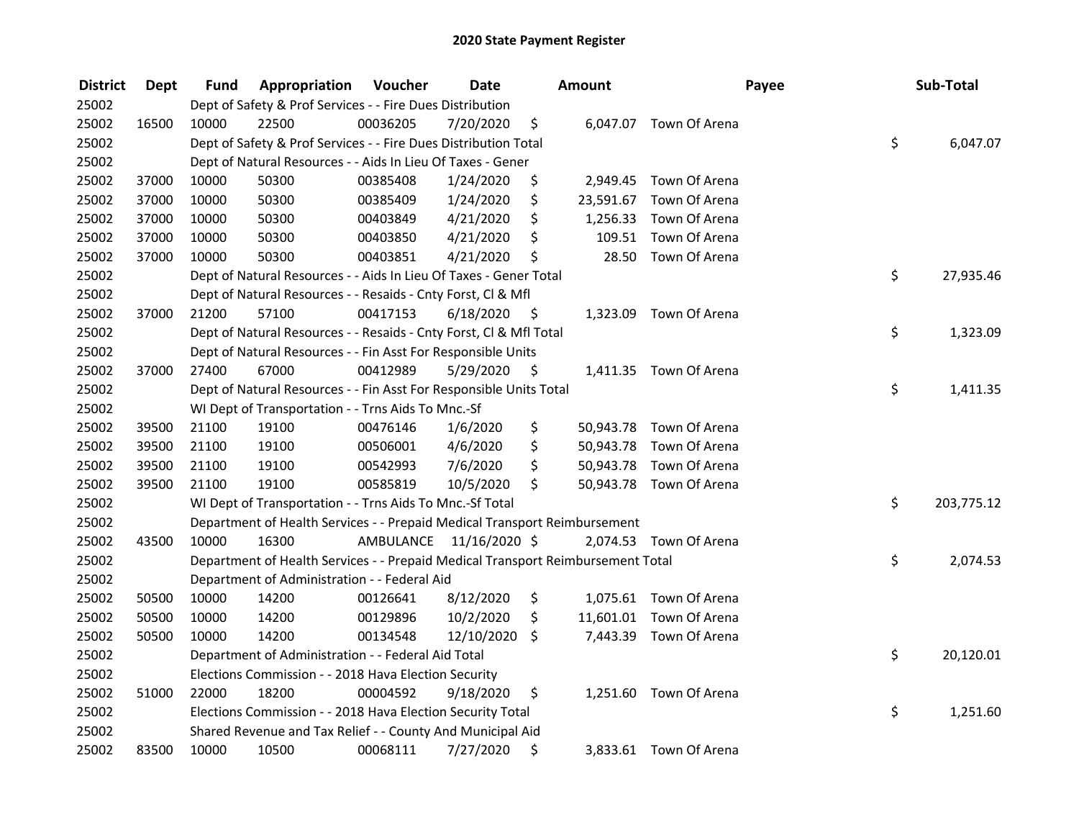| <b>District</b> | <b>Dept</b> | Fund  | Appropriation                                                                   | Voucher  | <b>Date</b>             |      | Amount |                         | Payee | Sub-Total        |
|-----------------|-------------|-------|---------------------------------------------------------------------------------|----------|-------------------------|------|--------|-------------------------|-------|------------------|
| 25002           |             |       | Dept of Safety & Prof Services - - Fire Dues Distribution                       |          |                         |      |        |                         |       |                  |
| 25002           | 16500       | 10000 | 22500                                                                           | 00036205 | 7/20/2020               | \$   |        | 6,047.07 Town Of Arena  |       |                  |
| 25002           |             |       | Dept of Safety & Prof Services - - Fire Dues Distribution Total                 |          |                         |      |        |                         |       | \$<br>6,047.07   |
| 25002           |             |       | Dept of Natural Resources - - Aids In Lieu Of Taxes - Gener                     |          |                         |      |        |                         |       |                  |
| 25002           | 37000       | 10000 | 50300                                                                           | 00385408 | 1/24/2020               | \$   |        | 2,949.45 Town Of Arena  |       |                  |
| 25002           | 37000       | 10000 | 50300                                                                           | 00385409 | 1/24/2020               | \$   |        | 23,591.67 Town Of Arena |       |                  |
| 25002           | 37000       | 10000 | 50300                                                                           | 00403849 | 4/21/2020               | \$   |        | 1,256.33 Town Of Arena  |       |                  |
| 25002           | 37000       | 10000 | 50300                                                                           | 00403850 | 4/21/2020               | \$   |        | 109.51 Town Of Arena    |       |                  |
| 25002           | 37000       | 10000 | 50300                                                                           | 00403851 | 4/21/2020               | \$   |        | 28.50 Town Of Arena     |       |                  |
| 25002           |             |       | Dept of Natural Resources - - Aids In Lieu Of Taxes - Gener Total               |          |                         |      |        |                         |       | \$<br>27,935.46  |
| 25002           |             |       | Dept of Natural Resources - - Resaids - Cnty Forst, Cl & Mfl                    |          |                         |      |        |                         |       |                  |
| 25002           | 37000       | 21200 | 57100                                                                           | 00417153 | 6/18/2020               | - \$ |        | 1,323.09 Town Of Arena  |       |                  |
| 25002           |             |       | Dept of Natural Resources - - Resaids - Cnty Forst, Cl & Mfl Total              |          |                         |      |        |                         |       | \$<br>1,323.09   |
| 25002           |             |       | Dept of Natural Resources - - Fin Asst For Responsible Units                    |          |                         |      |        |                         |       |                  |
| 25002           | 37000       | 27400 | 67000                                                                           | 00412989 | 5/29/2020               | -\$  |        | 1,411.35 Town Of Arena  |       |                  |
| 25002           |             |       | Dept of Natural Resources - - Fin Asst For Responsible Units Total              |          |                         |      |        |                         |       | \$<br>1,411.35   |
| 25002           |             |       | WI Dept of Transportation - - Trns Aids To Mnc.-Sf                              |          |                         |      |        |                         |       |                  |
| 25002           | 39500       | 21100 | 19100                                                                           | 00476146 | 1/6/2020                | \$   |        | 50,943.78 Town Of Arena |       |                  |
| 25002           | 39500       | 21100 | 19100                                                                           | 00506001 | 4/6/2020                | \$   |        | 50,943.78 Town Of Arena |       |                  |
| 25002           | 39500       | 21100 | 19100                                                                           | 00542993 | 7/6/2020                | \$   |        | 50,943.78 Town Of Arena |       |                  |
| 25002           | 39500       | 21100 | 19100                                                                           | 00585819 | 10/5/2020               | \$   |        | 50,943.78 Town Of Arena |       |                  |
| 25002           |             |       | WI Dept of Transportation - - Trns Aids To Mnc.-Sf Total                        |          |                         |      |        |                         |       | \$<br>203,775.12 |
| 25002           |             |       | Department of Health Services - - Prepaid Medical Transport Reimbursement       |          |                         |      |        |                         |       |                  |
| 25002           | 43500       | 10000 | 16300                                                                           |          | AMBULANCE 11/16/2020 \$ |      |        | 2,074.53 Town Of Arena  |       |                  |
| 25002           |             |       | Department of Health Services - - Prepaid Medical Transport Reimbursement Total |          |                         |      |        |                         |       | \$<br>2,074.53   |
| 25002           |             |       | Department of Administration - - Federal Aid                                    |          |                         |      |        |                         |       |                  |
| 25002           | 50500       | 10000 | 14200                                                                           | 00126641 | 8/12/2020               | \$   |        | 1,075.61 Town Of Arena  |       |                  |
| 25002           | 50500       | 10000 | 14200                                                                           | 00129896 | 10/2/2020               | \$   |        | 11,601.01 Town Of Arena |       |                  |
| 25002           | 50500       | 10000 | 14200                                                                           | 00134548 | 12/10/2020              | \$   |        | 7,443.39 Town Of Arena  |       |                  |
| 25002           |             |       | Department of Administration - - Federal Aid Total                              |          |                         |      |        |                         |       | \$<br>20,120.01  |
| 25002           |             |       | Elections Commission - - 2018 Hava Election Security                            |          |                         |      |        |                         |       |                  |
| 25002           | 51000       | 22000 | 18200                                                                           | 00004592 | 9/18/2020               | \$   |        | 1,251.60 Town Of Arena  |       |                  |
| 25002           |             |       | Elections Commission - - 2018 Hava Election Security Total                      |          |                         |      |        |                         |       | \$<br>1,251.60   |
| 25002           |             |       | Shared Revenue and Tax Relief - - County And Municipal Aid                      |          |                         |      |        |                         |       |                  |
| 25002           | 83500       | 10000 | 10500                                                                           | 00068111 | 7/27/2020               | \$   |        | 3,833.61 Town Of Arena  |       |                  |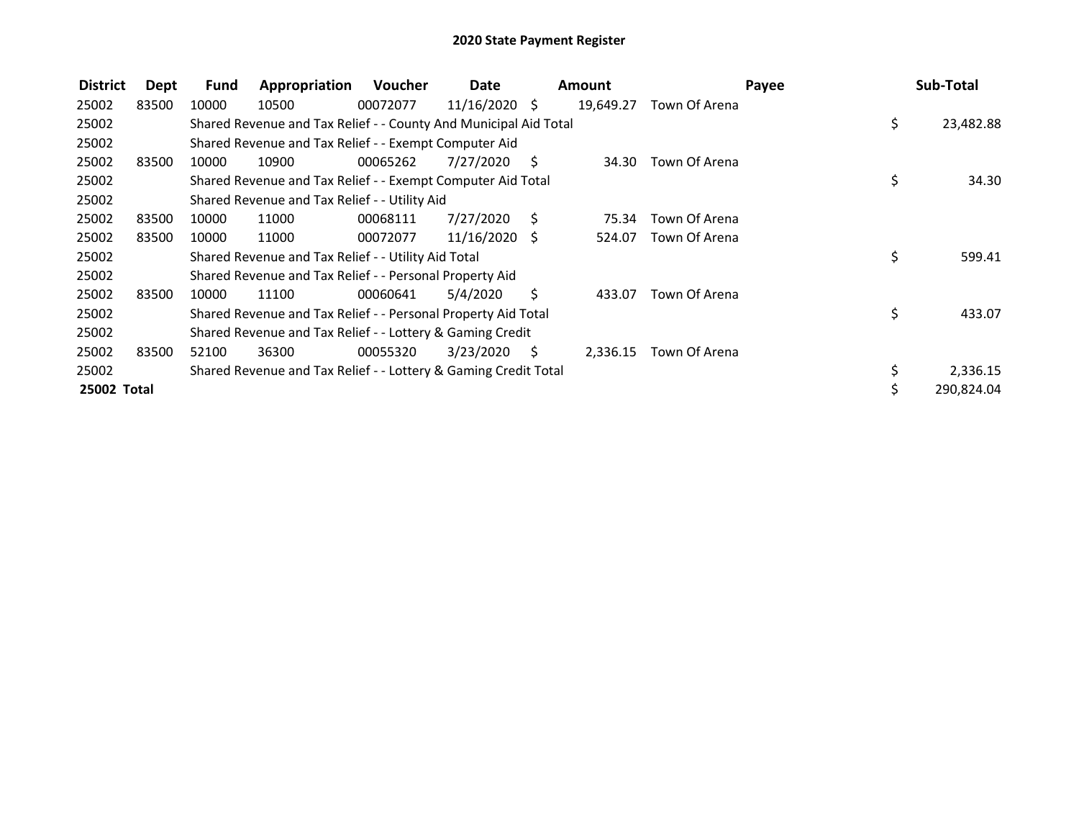| <b>District</b> | <b>Dept</b> | <b>Fund</b> | Appropriation                                                    | Voucher  | Date            |                     | <b>Amount</b> |               | Payee | Sub-Total  |
|-----------------|-------------|-------------|------------------------------------------------------------------|----------|-----------------|---------------------|---------------|---------------|-------|------------|
| 25002           | 83500       | 10000       | 10500                                                            | 00072077 | $11/16/2020$ \$ |                     | 19,649.27     | Town Of Arena |       |            |
| 25002           |             |             | Shared Revenue and Tax Relief - - County And Municipal Aid Total |          |                 |                     |               |               | \$    | 23,482.88  |
| 25002           |             |             | Shared Revenue and Tax Relief - - Exempt Computer Aid            |          |                 |                     |               |               |       |            |
| 25002           | 83500       | 10000       | 10900                                                            | 00065262 | 7/27/2020       | - S                 | 34.30         | Town Of Arena |       |            |
| 25002           |             |             | Shared Revenue and Tax Relief - - Exempt Computer Aid Total      |          |                 |                     |               |               | \$    | 34.30      |
| 25002           |             |             | Shared Revenue and Tax Relief - - Utility Aid                    |          |                 |                     |               |               |       |            |
| 25002           | 83500       | 10000       | 11000                                                            | 00068111 | 7/27/2020       | S.                  | 75.34         | Town Of Arena |       |            |
| 25002           | 83500       | 10000       | 11000                                                            | 00072077 | $11/16/2020$ \$ |                     | 524.07        | Town Of Arena |       |            |
| 25002           |             |             | Shared Revenue and Tax Relief - - Utility Aid Total              |          |                 |                     |               |               | \$    | 599.41     |
| 25002           |             |             | Shared Revenue and Tax Relief - - Personal Property Aid          |          |                 |                     |               |               |       |            |
| 25002           | 83500       | 10000       | 11100                                                            | 00060641 | 5/4/2020        | S.                  | 433.07        | Town Of Arena |       |            |
| 25002           |             |             | Shared Revenue and Tax Relief - - Personal Property Aid Total    |          |                 |                     |               |               | \$    | 433.07     |
| 25002           |             |             | Shared Revenue and Tax Relief - - Lottery & Gaming Credit        |          |                 |                     |               |               |       |            |
| 25002           | 83500       | 52100       | 36300                                                            | 00055320 | 3/23/2020       | $\ddot{\mathsf{s}}$ | 2,336.15      | Town Of Arena |       |            |
| 25002           |             |             | Shared Revenue and Tax Relief - - Lottery & Gaming Credit Total  |          |                 |                     |               |               | \$    | 2,336.15   |
| 25002 Total     |             |             |                                                                  |          |                 |                     |               |               |       | 290,824.04 |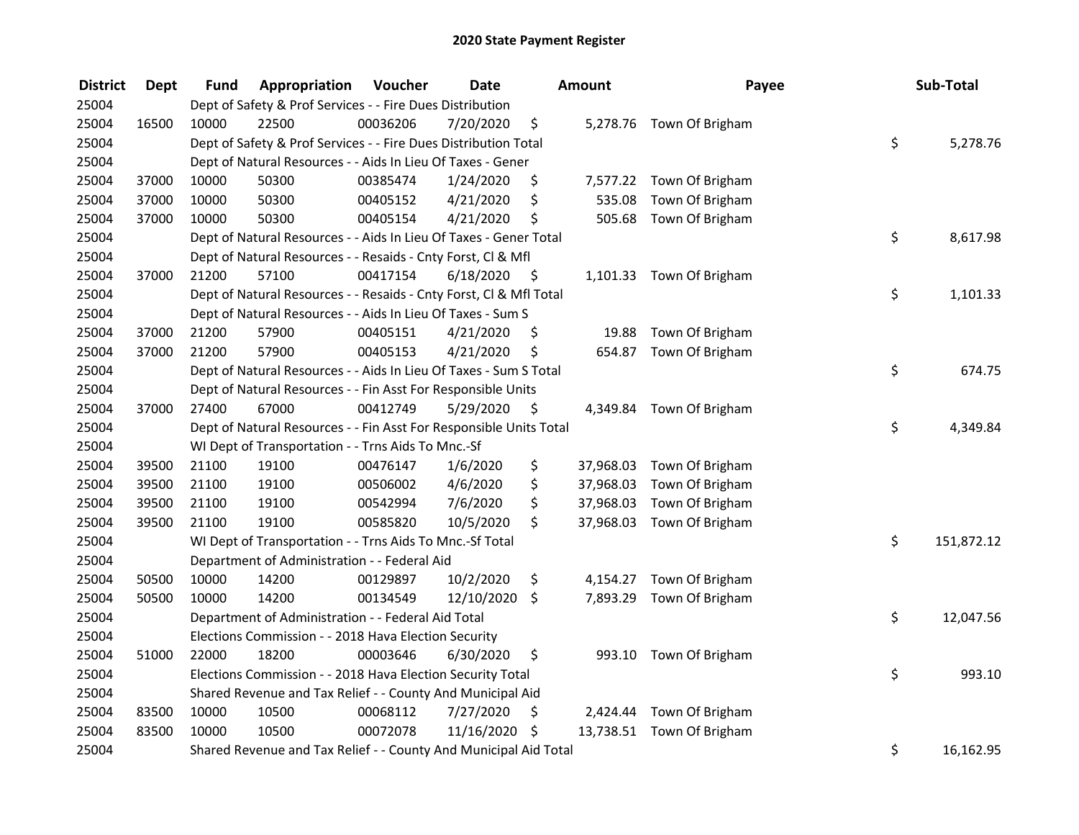| <b>District</b> | <b>Dept</b> | Fund  | Appropriation                                                      | Voucher  | <b>Date</b> |      | Amount    | Payee                     | Sub-Total        |
|-----------------|-------------|-------|--------------------------------------------------------------------|----------|-------------|------|-----------|---------------------------|------------------|
| 25004           |             |       | Dept of Safety & Prof Services - - Fire Dues Distribution          |          |             |      |           |                           |                  |
| 25004           | 16500       | 10000 | 22500                                                              | 00036206 | 7/20/2020   | \$   |           | 5,278.76 Town Of Brigham  |                  |
| 25004           |             |       | Dept of Safety & Prof Services - - Fire Dues Distribution Total    |          |             |      |           |                           | \$<br>5,278.76   |
| 25004           |             |       | Dept of Natural Resources - - Aids In Lieu Of Taxes - Gener        |          |             |      |           |                           |                  |
| 25004           | 37000       | 10000 | 50300                                                              | 00385474 | 1/24/2020   | \$   |           | 7,577.22 Town Of Brigham  |                  |
| 25004           | 37000       | 10000 | 50300                                                              | 00405152 | 4/21/2020   | \$   | 535.08    | Town Of Brigham           |                  |
| 25004           | 37000       | 10000 | 50300                                                              | 00405154 | 4/21/2020   | \$   | 505.68    | Town Of Brigham           |                  |
| 25004           |             |       | Dept of Natural Resources - - Aids In Lieu Of Taxes - Gener Total  |          |             |      |           |                           | \$<br>8,617.98   |
| 25004           |             |       | Dept of Natural Resources - - Resaids - Cnty Forst, Cl & Mfl       |          |             |      |           |                           |                  |
| 25004           | 37000       | 21200 | 57100                                                              | 00417154 | 6/18/2020   | - \$ |           | 1,101.33 Town Of Brigham  |                  |
| 25004           |             |       | Dept of Natural Resources - - Resaids - Cnty Forst, CI & Mfl Total |          |             |      |           |                           | \$<br>1,101.33   |
| 25004           |             |       | Dept of Natural Resources - - Aids In Lieu Of Taxes - Sum S        |          |             |      |           |                           |                  |
| 25004           | 37000       | 21200 | 57900                                                              | 00405151 | 4/21/2020   | \$.  | 19.88     | Town Of Brigham           |                  |
| 25004           | 37000       | 21200 | 57900                                                              | 00405153 | 4/21/2020   | \$   |           | 654.87 Town Of Brigham    |                  |
| 25004           |             |       | Dept of Natural Resources - - Aids In Lieu Of Taxes - Sum S Total  |          |             |      |           |                           | \$<br>674.75     |
| 25004           |             |       | Dept of Natural Resources - - Fin Asst For Responsible Units       |          |             |      |           |                           |                  |
| 25004           | 37000       | 27400 | 67000                                                              | 00412749 | 5/29/2020   | \$   |           | 4,349.84 Town Of Brigham  |                  |
| 25004           |             |       | Dept of Natural Resources - - Fin Asst For Responsible Units Total |          |             |      |           |                           | \$<br>4,349.84   |
| 25004           |             |       | WI Dept of Transportation - - Trns Aids To Mnc.-Sf                 |          |             |      |           |                           |                  |
| 25004           | 39500       | 21100 | 19100                                                              | 00476147 | 1/6/2020    | \$   | 37,968.03 | Town Of Brigham           |                  |
| 25004           | 39500       | 21100 | 19100                                                              | 00506002 | 4/6/2020    | \$   | 37,968.03 | Town Of Brigham           |                  |
| 25004           | 39500       | 21100 | 19100                                                              | 00542994 | 7/6/2020    | \$   | 37,968.03 | Town Of Brigham           |                  |
| 25004           | 39500       | 21100 | 19100                                                              | 00585820 | 10/5/2020   | \$   | 37,968.03 | Town Of Brigham           |                  |
| 25004           |             |       | WI Dept of Transportation - - Trns Aids To Mnc.-Sf Total           |          |             |      |           |                           | \$<br>151,872.12 |
| 25004           |             |       | Department of Administration - - Federal Aid                       |          |             |      |           |                           |                  |
| 25004           | 50500       | 10000 | 14200                                                              | 00129897 | 10/2/2020   | \$   |           | 4,154.27 Town Of Brigham  |                  |
| 25004           | 50500       | 10000 | 14200                                                              | 00134549 | 12/10/2020  | \$   |           | 7,893.29 Town Of Brigham  |                  |
| 25004           |             |       | Department of Administration - - Federal Aid Total                 |          |             |      |           |                           | \$<br>12,047.56  |
| 25004           |             |       | Elections Commission - - 2018 Hava Election Security               |          |             |      |           |                           |                  |
| 25004           | 51000       | 22000 | 18200                                                              | 00003646 | 6/30/2020   | \$   |           | 993.10 Town Of Brigham    |                  |
| 25004           |             |       | Elections Commission - - 2018 Hava Election Security Total         |          |             |      |           |                           | \$<br>993.10     |
| 25004           |             |       | Shared Revenue and Tax Relief - - County And Municipal Aid         |          |             |      |           |                           |                  |
| 25004           | 83500       | 10000 | 10500                                                              | 00068112 | 7/27/2020   | \$   |           | 2,424.44 Town Of Brigham  |                  |
| 25004           | 83500       | 10000 | 10500                                                              | 00072078 | 11/16/2020  | \$   |           | 13,738.51 Town Of Brigham |                  |
| 25004           |             |       | Shared Revenue and Tax Relief - - County And Municipal Aid Total   |          |             |      |           |                           | \$<br>16,162.95  |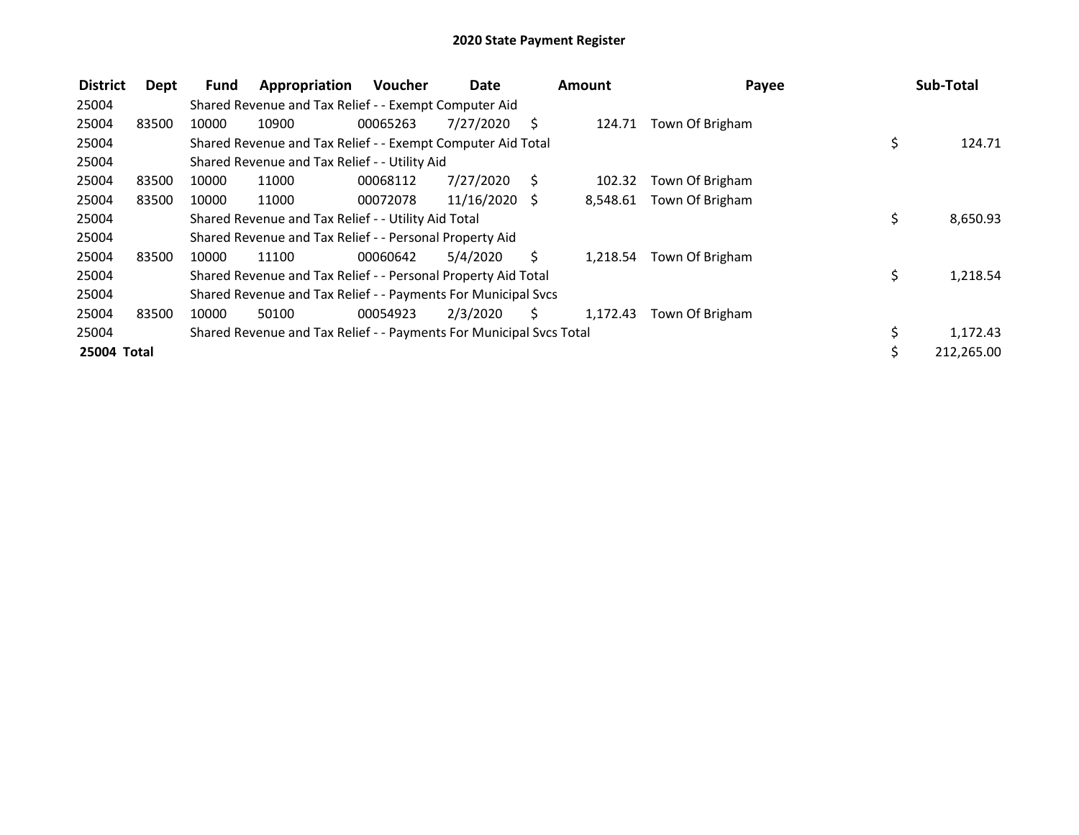| <b>District</b> | Dept  | Fund  | Appropriation                                                       | <b>Voucher</b> | Date            |              | <b>Amount</b> | Payee           | Sub-Total        |
|-----------------|-------|-------|---------------------------------------------------------------------|----------------|-----------------|--------------|---------------|-----------------|------------------|
| 25004           |       |       | Shared Revenue and Tax Relief - - Exempt Computer Aid               |                |                 |              |               |                 |                  |
| 25004           | 83500 | 10000 | 10900                                                               | 00065263       | 7/27/2020       | <sup>S</sup> | 124.71        | Town Of Brigham |                  |
| 25004           |       |       | Shared Revenue and Tax Relief - - Exempt Computer Aid Total         |                |                 |              |               |                 | \$<br>124.71     |
| 25004           |       |       | Shared Revenue and Tax Relief - - Utility Aid                       |                |                 |              |               |                 |                  |
| 25004           | 83500 | 10000 | 11000                                                               | 00068112       | 7/27/2020       | - S          | 102.32        | Town Of Brigham |                  |
| 25004           | 83500 | 10000 | 11000                                                               | 00072078       | $11/16/2020$ \$ |              | 8,548.61      | Town Of Brigham |                  |
| 25004           |       |       | Shared Revenue and Tax Relief - - Utility Aid Total                 |                |                 |              |               |                 | \$<br>8,650.93   |
| 25004           |       |       | Shared Revenue and Tax Relief - - Personal Property Aid             |                |                 |              |               |                 |                  |
| 25004           | 83500 | 10000 | 11100                                                               | 00060642       | 5/4/2020        | Ś.           | 1,218.54      | Town Of Brigham |                  |
| 25004           |       |       | Shared Revenue and Tax Relief - - Personal Property Aid Total       |                |                 |              |               |                 | \$<br>1,218.54   |
| 25004           |       |       | Shared Revenue and Tax Relief - - Payments For Municipal Svcs       |                |                 |              |               |                 |                  |
| 25004           | 83500 | 10000 | 50100                                                               | 00054923       | 2/3/2020        | S.           | 1,172.43      | Town Of Brigham |                  |
| 25004           |       |       | Shared Revenue and Tax Relief - - Payments For Municipal Svcs Total |                |                 |              |               |                 | \$<br>1,172.43   |
| 25004 Total     |       |       |                                                                     |                |                 |              |               |                 | \$<br>212,265.00 |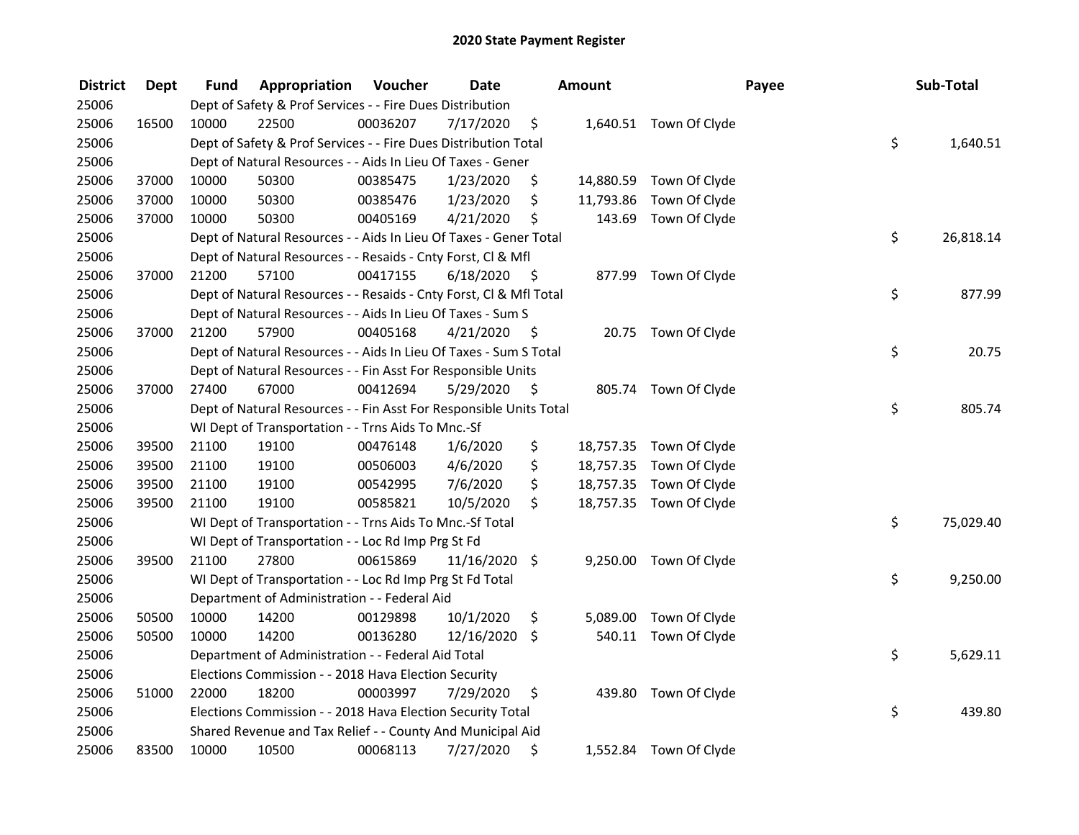| <b>District</b> | <b>Dept</b> | Fund  | Appropriation                                                      | Voucher  | <b>Date</b>   |      | <b>Amount</b> |                         | Payee | Sub-Total |
|-----------------|-------------|-------|--------------------------------------------------------------------|----------|---------------|------|---------------|-------------------------|-------|-----------|
| 25006           |             |       | Dept of Safety & Prof Services - - Fire Dues Distribution          |          |               |      |               |                         |       |           |
| 25006           | 16500       | 10000 | 22500                                                              | 00036207 | 7/17/2020     | \$   |               | 1,640.51 Town Of Clyde  |       |           |
| 25006           |             |       | Dept of Safety & Prof Services - - Fire Dues Distribution Total    |          |               |      |               |                         | \$    | 1,640.51  |
| 25006           |             |       | Dept of Natural Resources - - Aids In Lieu Of Taxes - Gener        |          |               |      |               |                         |       |           |
| 25006           | 37000       | 10000 | 50300                                                              | 00385475 | 1/23/2020     | \$   |               | 14,880.59 Town Of Clyde |       |           |
| 25006           | 37000       | 10000 | 50300                                                              | 00385476 | 1/23/2020     | \$   | 11,793.86     | Town Of Clyde           |       |           |
| 25006           | 37000       | 10000 | 50300                                                              | 00405169 | 4/21/2020     | \$   | 143.69        | Town Of Clyde           |       |           |
| 25006           |             |       | Dept of Natural Resources - - Aids In Lieu Of Taxes - Gener Total  |          |               |      |               |                         | \$    | 26,818.14 |
| 25006           |             |       | Dept of Natural Resources - - Resaids - Cnty Forst, CI & Mfl       |          |               |      |               |                         |       |           |
| 25006           | 37000       | 21200 | 57100                                                              | 00417155 | 6/18/2020     | - \$ |               | 877.99 Town Of Clyde    |       |           |
| 25006           |             |       | Dept of Natural Resources - - Resaids - Cnty Forst, CI & Mfl Total |          |               |      |               |                         | \$    | 877.99    |
| 25006           |             |       | Dept of Natural Resources - - Aids In Lieu Of Taxes - Sum S        |          |               |      |               |                         |       |           |
| 25006           | 37000       | 21200 | 57900                                                              | 00405168 | 4/21/2020     | -\$  |               | 20.75 Town Of Clyde     |       |           |
| 25006           |             |       | Dept of Natural Resources - - Aids In Lieu Of Taxes - Sum S Total  |          |               |      |               |                         | \$    | 20.75     |
| 25006           |             |       | Dept of Natural Resources - - Fin Asst For Responsible Units       |          |               |      |               |                         |       |           |
| 25006           | 37000       | 27400 | 67000                                                              | 00412694 | 5/29/2020     | \$   |               | 805.74 Town Of Clyde    |       |           |
| 25006           |             |       | Dept of Natural Resources - - Fin Asst For Responsible Units Total |          |               |      |               |                         | \$    | 805.74    |
| 25006           |             |       | WI Dept of Transportation - - Trns Aids To Mnc.-Sf                 |          |               |      |               |                         |       |           |
| 25006           | 39500       | 21100 | 19100                                                              | 00476148 | 1/6/2020      | \$   | 18,757.35     | Town Of Clyde           |       |           |
| 25006           | 39500       | 21100 | 19100                                                              | 00506003 | 4/6/2020      | \$   | 18,757.35     | Town Of Clyde           |       |           |
| 25006           | 39500       | 21100 | 19100                                                              | 00542995 | 7/6/2020      | \$   | 18,757.35     | Town Of Clyde           |       |           |
| 25006           | 39500       | 21100 | 19100                                                              | 00585821 | 10/5/2020     | \$   |               | 18,757.35 Town Of Clyde |       |           |
| 25006           |             |       | WI Dept of Transportation - - Trns Aids To Mnc.-Sf Total           |          |               |      |               |                         | \$    | 75,029.40 |
| 25006           |             |       | WI Dept of Transportation - - Loc Rd Imp Prg St Fd                 |          |               |      |               |                         |       |           |
| 25006           | 39500       | 21100 | 27800                                                              | 00615869 | 11/16/2020 \$ |      |               | 9,250.00 Town Of Clyde  |       |           |
| 25006           |             |       | WI Dept of Transportation - - Loc Rd Imp Prg St Fd Total           |          |               |      |               |                         | \$    | 9,250.00  |
| 25006           |             |       | Department of Administration - - Federal Aid                       |          |               |      |               |                         |       |           |
| 25006           | 50500       | 10000 | 14200                                                              | 00129898 | 10/1/2020     | \$   | 5,089.00      | Town Of Clyde           |       |           |
| 25006           | 50500       | 10000 | 14200                                                              | 00136280 | 12/16/2020    | \$   |               | 540.11 Town Of Clyde    |       |           |
| 25006           |             |       | Department of Administration - - Federal Aid Total                 |          |               |      |               |                         | \$    | 5,629.11  |
| 25006           |             |       | Elections Commission - - 2018 Hava Election Security               |          |               |      |               |                         |       |           |
| 25006           | 51000       | 22000 | 18200                                                              | 00003997 | 7/29/2020     | \$   | 439.80        | Town Of Clyde           |       |           |
| 25006           |             |       | Elections Commission - - 2018 Hava Election Security Total         |          |               |      |               |                         | \$    | 439.80    |
| 25006           |             |       | Shared Revenue and Tax Relief - - County And Municipal Aid         |          |               |      |               |                         |       |           |
| 25006           | 83500       | 10000 | 10500                                                              | 00068113 | 7/27/2020     | \$   |               | 1,552.84 Town Of Clyde  |       |           |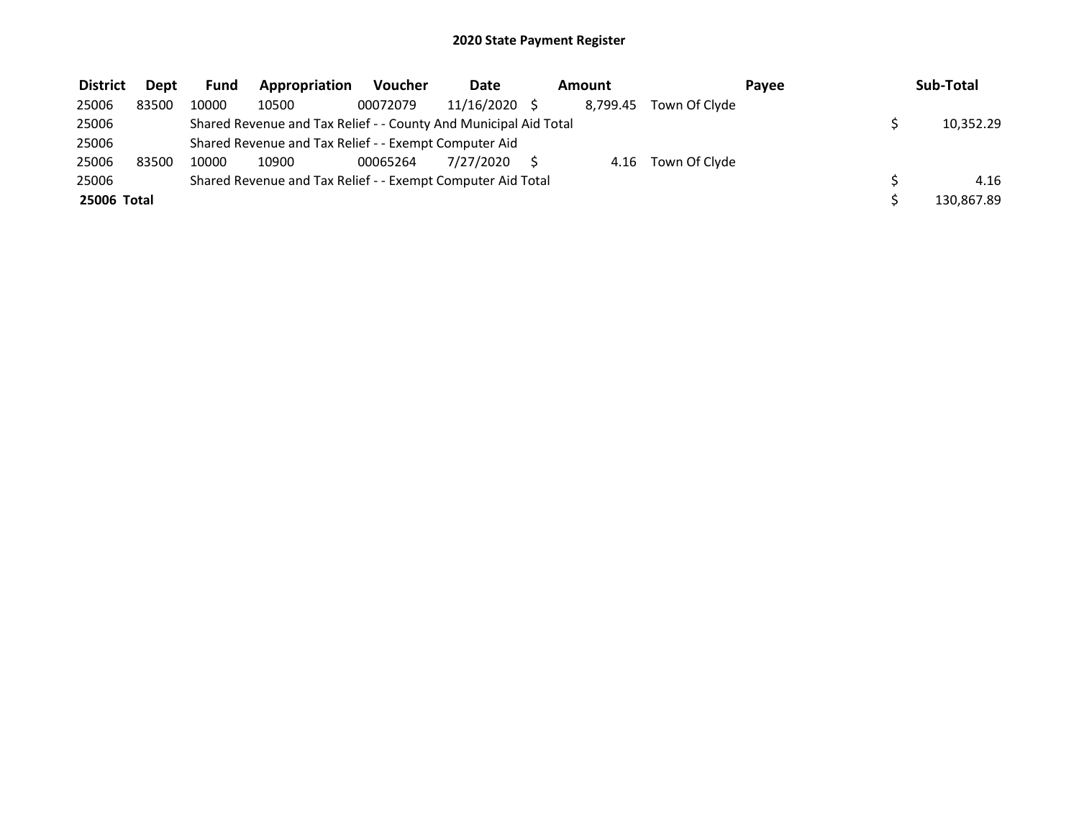| <b>District</b> | <b>Dept</b> | <b>Fund</b> | Appropriation                                                    | <b>Voucher</b> | <b>Date</b> | Amount   |               | Pavee | Sub-Total  |
|-----------------|-------------|-------------|------------------------------------------------------------------|----------------|-------------|----------|---------------|-------|------------|
| 25006           | 83500       | 10000       | 10500                                                            | 00072079       | 11/16/2020  | 8.799.45 | Town Of Clyde |       |            |
| 25006           |             |             | Shared Revenue and Tax Relief - - County And Municipal Aid Total |                |             |          |               |       | 10,352.29  |
| 25006           |             |             | Shared Revenue and Tax Relief - - Exempt Computer Aid            |                |             |          |               |       |            |
| 25006           | 83500       | 10000       | 10900                                                            | 00065264       | 7/27/2020   | 4.16     | Town Of Clyde |       |            |
| 25006           |             |             | Shared Revenue and Tax Relief - - Exempt Computer Aid Total      |                |             |          |               |       | 4.16       |
| 25006 Total     |             |             |                                                                  |                |             |          |               |       | 130.867.89 |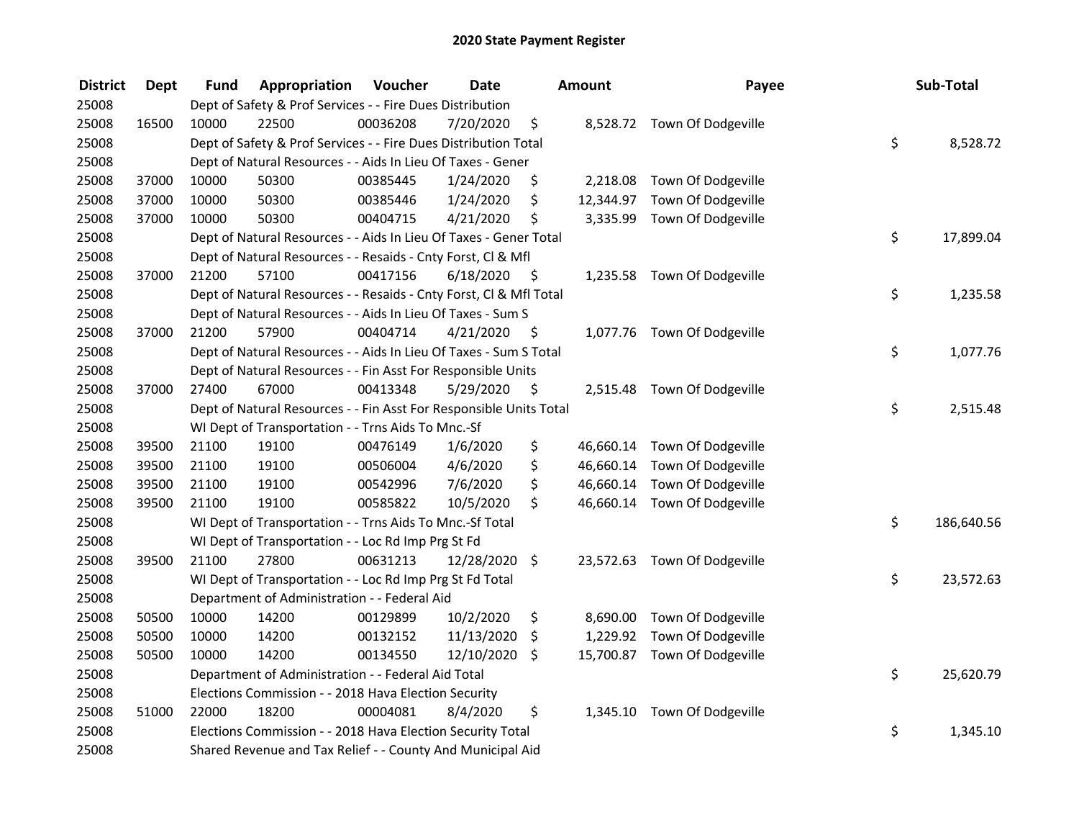| <b>District</b> | <b>Dept</b> | Fund  | Appropriation                                                      | Voucher  | <b>Date</b> |      | Amount    | Payee                        | Sub-Total        |
|-----------------|-------------|-------|--------------------------------------------------------------------|----------|-------------|------|-----------|------------------------------|------------------|
| 25008           |             |       | Dept of Safety & Prof Services - - Fire Dues Distribution          |          |             |      |           |                              |                  |
| 25008           | 16500       | 10000 | 22500                                                              | 00036208 | 7/20/2020   | \$   |           | 8,528.72 Town Of Dodgeville  |                  |
| 25008           |             |       | Dept of Safety & Prof Services - - Fire Dues Distribution Total    |          |             |      |           |                              | \$<br>8,528.72   |
| 25008           |             |       | Dept of Natural Resources - - Aids In Lieu Of Taxes - Gener        |          |             |      |           |                              |                  |
| 25008           | 37000       | 10000 | 50300                                                              | 00385445 | 1/24/2020   | \$   | 2,218.08  | Town Of Dodgeville           |                  |
| 25008           | 37000       | 10000 | 50300                                                              | 00385446 | 1/24/2020   | \$   | 12,344.97 | Town Of Dodgeville           |                  |
| 25008           | 37000       | 10000 | 50300                                                              | 00404715 | 4/21/2020   | \$   | 3,335.99  | Town Of Dodgeville           |                  |
| 25008           |             |       | Dept of Natural Resources - - Aids In Lieu Of Taxes - Gener Total  |          |             |      |           |                              | \$<br>17,899.04  |
| 25008           |             |       | Dept of Natural Resources - - Resaids - Cnty Forst, Cl & Mfl       |          |             |      |           |                              |                  |
| 25008           | 37000       | 21200 | 57100                                                              | 00417156 | 6/18/2020   | - \$ |           | 1,235.58 Town Of Dodgeville  |                  |
| 25008           |             |       | Dept of Natural Resources - - Resaids - Cnty Forst, Cl & Mfl Total |          |             |      |           |                              | \$<br>1,235.58   |
| 25008           |             |       | Dept of Natural Resources - - Aids In Lieu Of Taxes - Sum S        |          |             |      |           |                              |                  |
| 25008           | 37000       | 21200 | 57900                                                              | 00404714 | 4/21/2020   | \$.  |           | 1,077.76 Town Of Dodgeville  |                  |
| 25008           |             |       | Dept of Natural Resources - - Aids In Lieu Of Taxes - Sum S Total  |          |             |      |           |                              | \$<br>1,077.76   |
| 25008           |             |       | Dept of Natural Resources - - Fin Asst For Responsible Units       |          |             |      |           |                              |                  |
| 25008           | 37000       | 27400 | 67000                                                              | 00413348 | 5/29/2020   | \$   |           | 2,515.48 Town Of Dodgeville  |                  |
| 25008           |             |       | Dept of Natural Resources - - Fin Asst For Responsible Units Total |          |             |      |           |                              | \$<br>2,515.48   |
| 25008           |             |       | WI Dept of Transportation - - Trns Aids To Mnc.-Sf                 |          |             |      |           |                              |                  |
| 25008           | 39500       | 21100 | 19100                                                              | 00476149 | 1/6/2020    | \$   | 46,660.14 | Town Of Dodgeville           |                  |
| 25008           | 39500       | 21100 | 19100                                                              | 00506004 | 4/6/2020    | \$   | 46,660.14 | Town Of Dodgeville           |                  |
| 25008           | 39500       | 21100 | 19100                                                              | 00542996 | 7/6/2020    | \$   | 46,660.14 | Town Of Dodgeville           |                  |
| 25008           | 39500       | 21100 | 19100                                                              | 00585822 | 10/5/2020   | \$   |           | 46,660.14 Town Of Dodgeville |                  |
| 25008           |             |       | WI Dept of Transportation - - Trns Aids To Mnc.-Sf Total           |          |             |      |           |                              | \$<br>186,640.56 |
| 25008           |             |       | WI Dept of Transportation - - Loc Rd Imp Prg St Fd                 |          |             |      |           |                              |                  |
| 25008           | 39500       | 21100 | 27800                                                              | 00631213 | 12/28/2020  | \$   |           | 23,572.63 Town Of Dodgeville |                  |
| 25008           |             |       | WI Dept of Transportation - - Loc Rd Imp Prg St Fd Total           |          |             |      |           |                              | \$<br>23,572.63  |
| 25008           |             |       | Department of Administration - - Federal Aid                       |          |             |      |           |                              |                  |
| 25008           | 50500       | 10000 | 14200                                                              | 00129899 | 10/2/2020   | \$   | 8,690.00  | Town Of Dodgeville           |                  |
| 25008           | 50500       | 10000 | 14200                                                              | 00132152 | 11/13/2020  | \$   | 1,229.92  | Town Of Dodgeville           |                  |
| 25008           | 50500       | 10000 | 14200                                                              | 00134550 | 12/10/2020  | \$   |           | 15,700.87 Town Of Dodgeville |                  |
| 25008           |             |       | Department of Administration - - Federal Aid Total                 |          |             |      |           |                              | \$<br>25,620.79  |
| 25008           |             |       | Elections Commission - - 2018 Hava Election Security               |          |             |      |           |                              |                  |
| 25008           | 51000       | 22000 | 18200                                                              | 00004081 | 8/4/2020    | \$   |           | 1,345.10 Town Of Dodgeville  |                  |
| 25008           |             |       | Elections Commission - - 2018 Hava Election Security Total         |          |             |      |           |                              | \$<br>1,345.10   |
| 25008           |             |       | Shared Revenue and Tax Relief - - County And Municipal Aid         |          |             |      |           |                              |                  |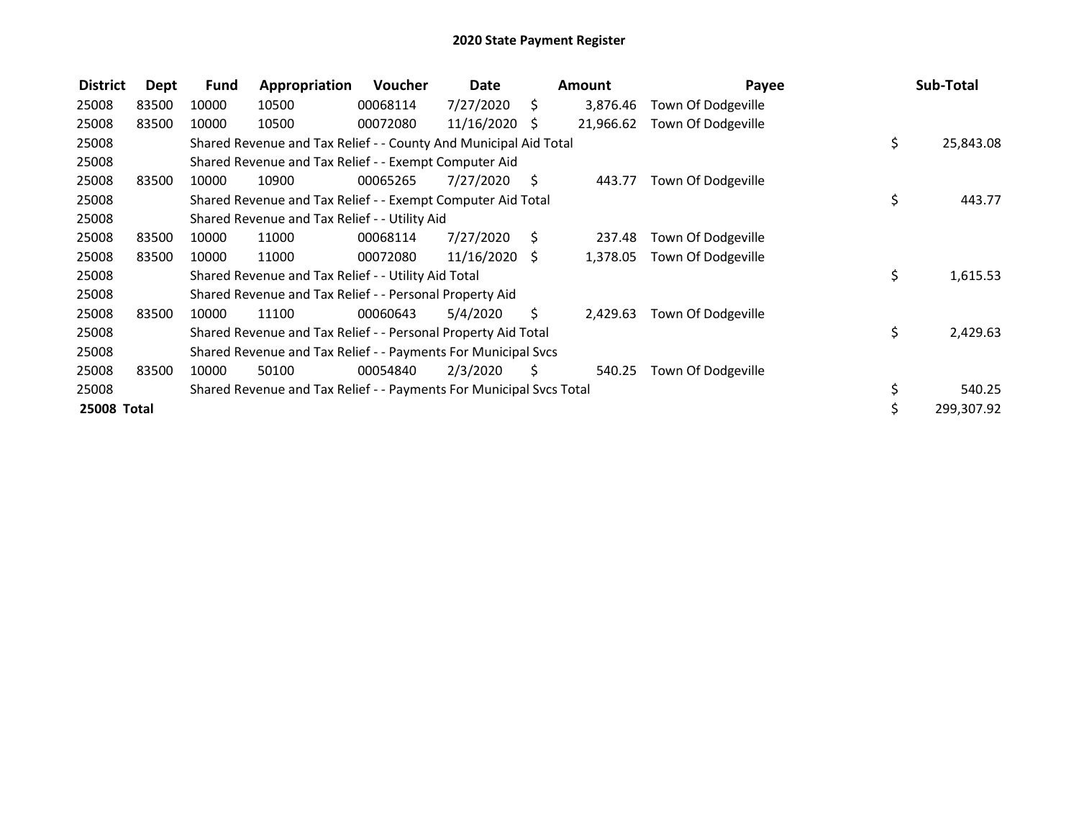| <b>District</b>    | Dept  | <b>Fund</b> | Appropriation                                                       | <b>Voucher</b> | Date            |      | <b>Amount</b> | Payee              |     | Sub-Total  |
|--------------------|-------|-------------|---------------------------------------------------------------------|----------------|-----------------|------|---------------|--------------------|-----|------------|
| 25008              | 83500 | 10000       | 10500                                                               | 00068114       | 7/27/2020       | \$   | 3,876.46      | Town Of Dodgeville |     |            |
| 25008              | 83500 | 10000       | 10500                                                               | 00072080       | 11/16/2020      | -\$  | 21,966.62     | Town Of Dodgeville |     |            |
| 25008              |       |             | Shared Revenue and Tax Relief - - County And Municipal Aid Total    |                |                 |      |               |                    | \$. | 25,843.08  |
| 25008              |       |             | Shared Revenue and Tax Relief - - Exempt Computer Aid               |                |                 |      |               |                    |     |            |
| 25008              | 83500 | 10000       | 10900                                                               | 00065265       | 7/27/2020       | - \$ | 443.77        | Town Of Dodgeville |     |            |
| 25008              |       |             | Shared Revenue and Tax Relief - - Exempt Computer Aid Total         |                |                 |      |               |                    | \$  | 443.77     |
| 25008              |       |             | Shared Revenue and Tax Relief - - Utility Aid                       |                |                 |      |               |                    |     |            |
| 25008              | 83500 | 10000       | 11000                                                               | 00068114       | 7/27/2020       | - \$ | 237.48        | Town Of Dodgeville |     |            |
| 25008              | 83500 | 10000       | 11000                                                               | 00072080       | $11/16/2020$ \$ |      | 1,378.05      | Town Of Dodgeville |     |            |
| 25008              |       |             | Shared Revenue and Tax Relief - - Utility Aid Total                 |                |                 |      |               |                    | \$  | 1,615.53   |
| 25008              |       |             | Shared Revenue and Tax Relief - - Personal Property Aid             |                |                 |      |               |                    |     |            |
| 25008              | 83500 | 10000       | 11100                                                               | 00060643       | 5/4/2020        | Ś.   | 2,429.63      | Town Of Dodgeville |     |            |
| 25008              |       |             | Shared Revenue and Tax Relief - - Personal Property Aid Total       |                |                 |      |               |                    | \$  | 2,429.63   |
| 25008              |       |             | Shared Revenue and Tax Relief - - Payments For Municipal Svcs       |                |                 |      |               |                    |     |            |
| 25008              | 83500 | 10000       | 50100                                                               | 00054840       | 2/3/2020        | Ś.   | 540.25        | Town Of Dodgeville |     |            |
| 25008              |       |             | Shared Revenue and Tax Relief - - Payments For Municipal Svcs Total |                |                 |      |               |                    |     | 540.25     |
| <b>25008 Total</b> |       |             |                                                                     |                |                 |      |               |                    |     | 299,307.92 |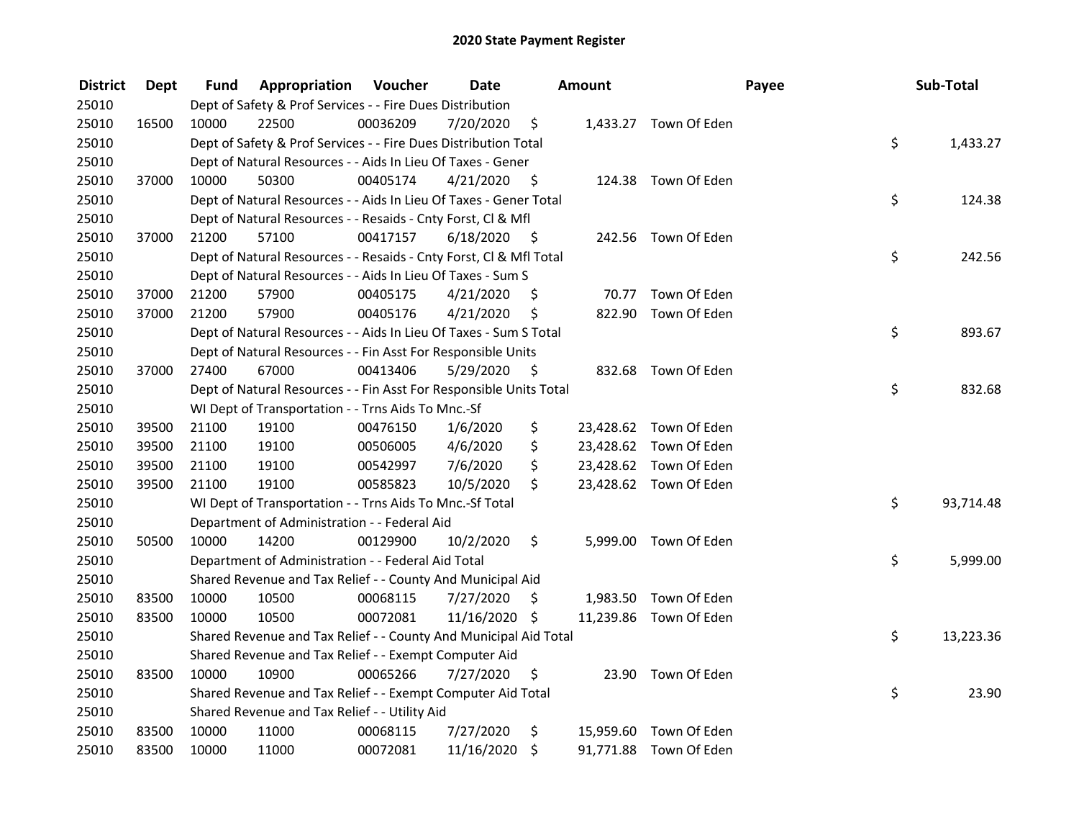| <b>District</b> | Dept  | Fund  | <b>Appropriation Voucher</b>                                       |          | <b>Date</b>   |      | <b>Amount</b> |                        | Payee | Sub-Total |
|-----------------|-------|-------|--------------------------------------------------------------------|----------|---------------|------|---------------|------------------------|-------|-----------|
| 25010           |       |       | Dept of Safety & Prof Services - - Fire Dues Distribution          |          |               |      |               |                        |       |           |
| 25010           | 16500 | 10000 | 22500                                                              | 00036209 | 7/20/2020     | \$   |               | 1,433.27 Town Of Eden  |       |           |
| 25010           |       |       | Dept of Safety & Prof Services - - Fire Dues Distribution Total    |          |               |      |               |                        | \$    | 1,433.27  |
| 25010           |       |       | Dept of Natural Resources - - Aids In Lieu Of Taxes - Gener        |          |               |      |               |                        |       |           |
| 25010           | 37000 | 10000 | 50300                                                              | 00405174 | 4/21/2020     | - \$ |               | 124.38 Town Of Eden    |       |           |
| 25010           |       |       | Dept of Natural Resources - - Aids In Lieu Of Taxes - Gener Total  |          |               |      |               |                        | \$    | 124.38    |
| 25010           |       |       | Dept of Natural Resources - - Resaids - Cnty Forst, Cl & Mfl       |          |               |      |               |                        |       |           |
| 25010           | 37000 | 21200 | 57100                                                              | 00417157 | 6/18/2020     | - \$ |               | 242.56 Town Of Eden    |       |           |
| 25010           |       |       | Dept of Natural Resources - - Resaids - Cnty Forst, Cl & Mfl Total |          |               |      |               |                        | \$    | 242.56    |
| 25010           |       |       | Dept of Natural Resources - - Aids In Lieu Of Taxes - Sum S        |          |               |      |               |                        |       |           |
| 25010           | 37000 | 21200 | 57900                                                              | 00405175 | 4/21/2020     | \$   |               | 70.77 Town Of Eden     |       |           |
| 25010           | 37000 | 21200 | 57900                                                              | 00405176 | 4/21/2020     | \$   |               | 822.90 Town Of Eden    |       |           |
| 25010           |       |       | Dept of Natural Resources - - Aids In Lieu Of Taxes - Sum S Total  |          |               |      |               |                        | \$    | 893.67    |
| 25010           |       |       | Dept of Natural Resources - - Fin Asst For Responsible Units       |          |               |      |               |                        |       |           |
| 25010           | 37000 | 27400 | 67000                                                              | 00413406 | 5/29/2020     | \$   | 832.68        | Town Of Eden           |       |           |
| 25010           |       |       | Dept of Natural Resources - - Fin Asst For Responsible Units Total |          |               |      |               |                        | \$    | 832.68    |
| 25010           |       |       | WI Dept of Transportation - - Trns Aids To Mnc.-Sf                 |          |               |      |               |                        |       |           |
| 25010           | 39500 | 21100 | 19100                                                              | 00476150 | 1/6/2020      | \$   |               | 23,428.62 Town Of Eden |       |           |
| 25010           | 39500 | 21100 | 19100                                                              | 00506005 | 4/6/2020      | \$   |               | 23,428.62 Town Of Eden |       |           |
| 25010           | 39500 | 21100 | 19100                                                              | 00542997 | 7/6/2020      | \$   |               | 23,428.62 Town Of Eden |       |           |
| 25010           | 39500 | 21100 | 19100                                                              | 00585823 | 10/5/2020     | \$   |               | 23,428.62 Town Of Eden |       |           |
| 25010           |       |       | WI Dept of Transportation - - Trns Aids To Mnc.-Sf Total           |          |               |      |               |                        | \$    | 93,714.48 |
| 25010           |       |       | Department of Administration - - Federal Aid                       |          |               |      |               |                        |       |           |
| 25010           | 50500 | 10000 | 14200                                                              | 00129900 | 10/2/2020     | \$   |               | 5,999.00 Town Of Eden  |       |           |
| 25010           |       |       | Department of Administration - - Federal Aid Total                 |          |               |      |               |                        | \$    | 5,999.00  |
| 25010           |       |       | Shared Revenue and Tax Relief - - County And Municipal Aid         |          |               |      |               |                        |       |           |
| 25010           | 83500 | 10000 | 10500                                                              | 00068115 | 7/27/2020     | \$   |               | 1,983.50 Town Of Eden  |       |           |
| 25010           | 83500 | 10000 | 10500                                                              | 00072081 | 11/16/2020 \$ |      |               | 11,239.86 Town Of Eden |       |           |
| 25010           |       |       | Shared Revenue and Tax Relief - - County And Municipal Aid Total   |          |               |      |               |                        | \$    | 13,223.36 |
| 25010           |       |       | Shared Revenue and Tax Relief - - Exempt Computer Aid              |          |               |      |               |                        |       |           |
| 25010           | 83500 | 10000 | 10900                                                              | 00065266 | 7/27/2020     | \$   | 23.90         | Town Of Eden           |       |           |
| 25010           |       |       | Shared Revenue and Tax Relief - - Exempt Computer Aid Total        |          |               |      |               |                        | \$    | 23.90     |
| 25010           |       |       | Shared Revenue and Tax Relief - - Utility Aid                      |          |               |      |               |                        |       |           |
| 25010           | 83500 | 10000 | 11000                                                              | 00068115 | 7/27/2020     | \$   |               | 15,959.60 Town Of Eden |       |           |
| 25010           | 83500 | 10000 | 11000                                                              | 00072081 | 11/16/2020    | \$   |               | 91,771.88 Town Of Eden |       |           |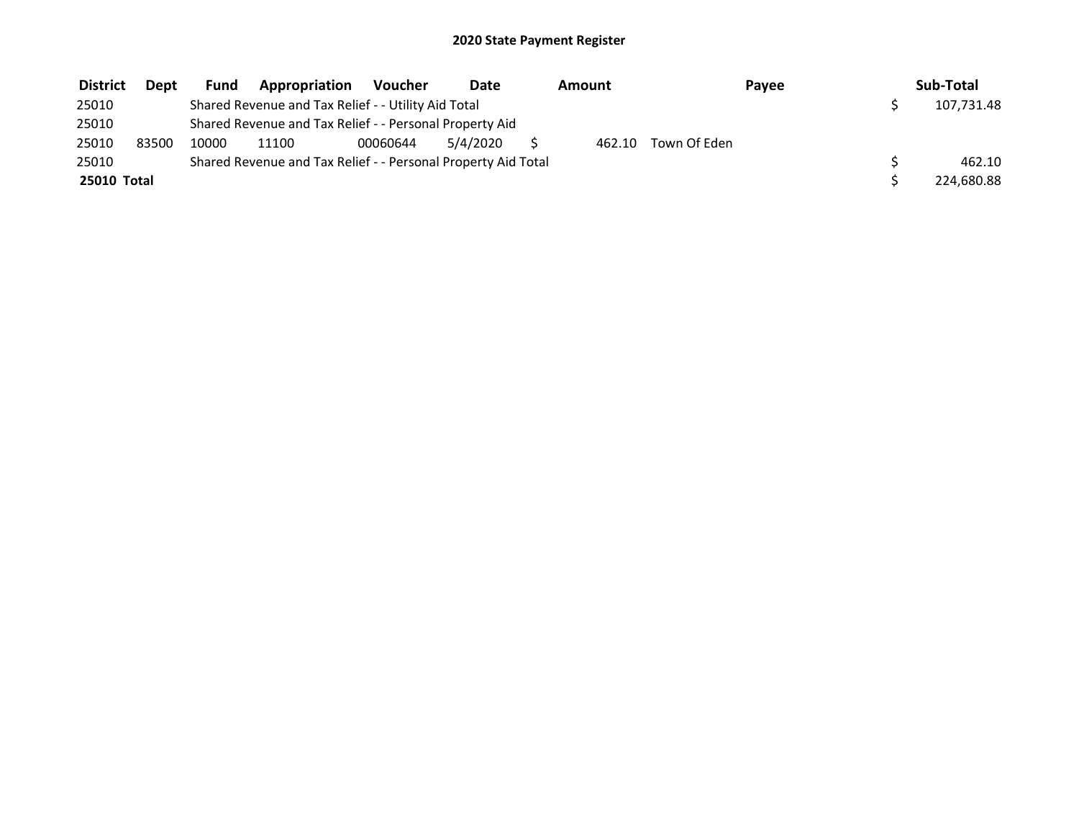| <b>District</b> | <b>Dept</b> | Fund  | Appropriation                                                 | Voucher  | Date     | Amount |              | Payee | Sub-Total  |
|-----------------|-------------|-------|---------------------------------------------------------------|----------|----------|--------|--------------|-------|------------|
| 25010           |             |       | Shared Revenue and Tax Relief - - Utility Aid Total           |          |          |        |              |       | 107,731.48 |
| 25010           |             |       | Shared Revenue and Tax Relief - - Personal Property Aid       |          |          |        |              |       |            |
| 25010           | 83500       | 10000 | 11100                                                         | 00060644 | 5/4/2020 | 462.10 | Town Of Eden |       |            |
| 25010           |             |       | Shared Revenue and Tax Relief - - Personal Property Aid Total |          |          |        |              |       | 462.10     |
| 25010 Total     |             |       |                                                               |          |          |        |              |       | 224,680.88 |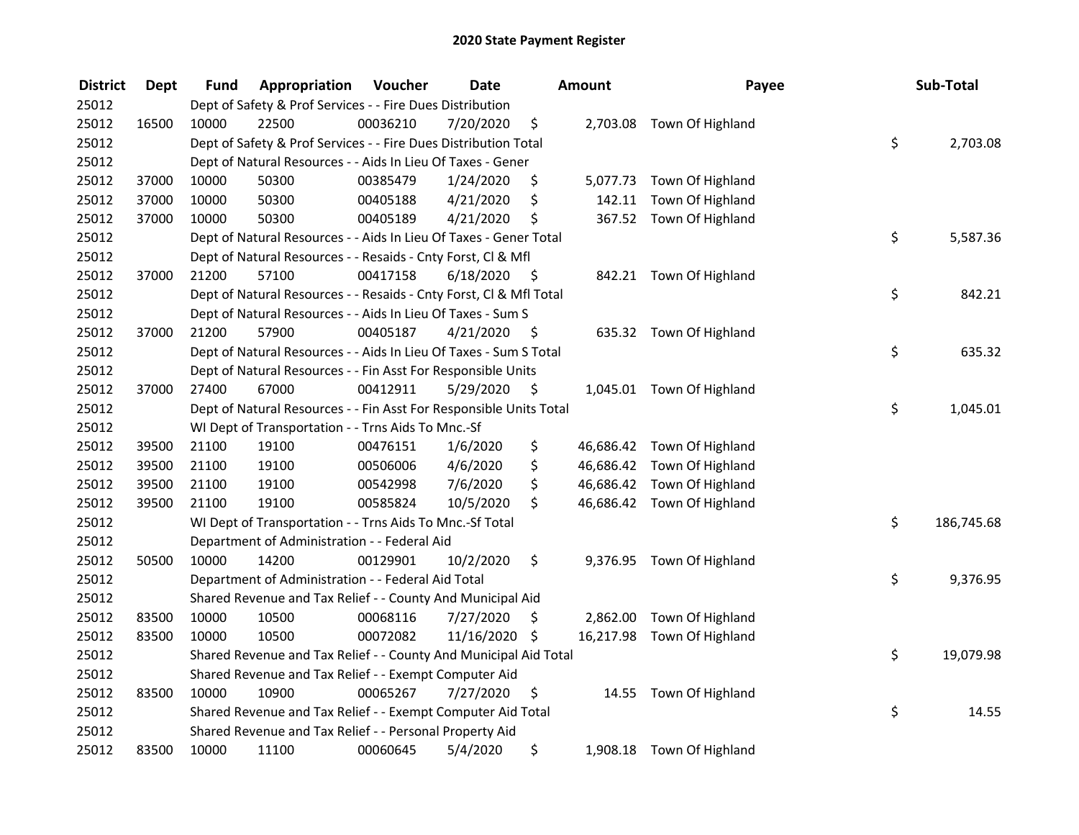| <b>District</b> | <b>Dept</b> | Fund  | Appropriation                                                      | Voucher  | <b>Date</b>   |      | <b>Amount</b> | Payee                      | Sub-Total        |
|-----------------|-------------|-------|--------------------------------------------------------------------|----------|---------------|------|---------------|----------------------------|------------------|
| 25012           |             |       | Dept of Safety & Prof Services - - Fire Dues Distribution          |          |               |      |               |                            |                  |
| 25012           | 16500       | 10000 | 22500                                                              | 00036210 | 7/20/2020     | \$   |               | 2,703.08 Town Of Highland  |                  |
| 25012           |             |       | Dept of Safety & Prof Services - - Fire Dues Distribution Total    |          |               |      |               |                            | \$<br>2,703.08   |
| 25012           |             |       | Dept of Natural Resources - - Aids In Lieu Of Taxes - Gener        |          |               |      |               |                            |                  |
| 25012           | 37000       | 10000 | 50300                                                              | 00385479 | 1/24/2020     | \$   |               | 5,077.73 Town Of Highland  |                  |
| 25012           | 37000       | 10000 | 50300                                                              | 00405188 | 4/21/2020     | \$   | 142.11        | Town Of Highland           |                  |
| 25012           | 37000       | 10000 | 50300                                                              | 00405189 | 4/21/2020     | \$   |               | 367.52 Town Of Highland    |                  |
| 25012           |             |       | Dept of Natural Resources - - Aids In Lieu Of Taxes - Gener Total  |          |               |      |               |                            | \$<br>5,587.36   |
| 25012           |             |       | Dept of Natural Resources - - Resaids - Cnty Forst, Cl & Mfl       |          |               |      |               |                            |                  |
| 25012           | 37000       | 21200 | 57100                                                              | 00417158 | 6/18/2020     | - \$ |               | 842.21 Town Of Highland    |                  |
| 25012           |             |       | Dept of Natural Resources - - Resaids - Cnty Forst, Cl & Mfl Total |          |               |      |               |                            | \$<br>842.21     |
| 25012           |             |       | Dept of Natural Resources - - Aids In Lieu Of Taxes - Sum S        |          |               |      |               |                            |                  |
| 25012           | 37000       | 21200 | 57900                                                              | 00405187 | 4/21/2020     | -\$  |               | 635.32 Town Of Highland    |                  |
| 25012           |             |       | Dept of Natural Resources - - Aids In Lieu Of Taxes - Sum S Total  |          |               |      |               |                            | \$<br>635.32     |
| 25012           |             |       | Dept of Natural Resources - - Fin Asst For Responsible Units       |          |               |      |               |                            |                  |
| 25012           | 37000       | 27400 | 67000                                                              | 00412911 | 5/29/2020     | \$   |               | 1,045.01 Town Of Highland  |                  |
| 25012           |             |       | Dept of Natural Resources - - Fin Asst For Responsible Units Total |          |               |      |               |                            | \$<br>1,045.01   |
| 25012           |             |       | WI Dept of Transportation - - Trns Aids To Mnc.-Sf                 |          |               |      |               |                            |                  |
| 25012           | 39500       | 21100 | 19100                                                              | 00476151 | 1/6/2020      | \$   |               | 46,686.42 Town Of Highland |                  |
| 25012           | 39500       | 21100 | 19100                                                              | 00506006 | 4/6/2020      | \$   |               | 46,686.42 Town Of Highland |                  |
| 25012           | 39500       | 21100 | 19100                                                              | 00542998 | 7/6/2020      | \$   |               | 46,686.42 Town Of Highland |                  |
| 25012           | 39500       | 21100 | 19100                                                              | 00585824 | 10/5/2020     | \$.  |               | 46,686.42 Town Of Highland |                  |
| 25012           |             |       | WI Dept of Transportation - - Trns Aids To Mnc.-Sf Total           |          |               |      |               |                            | \$<br>186,745.68 |
| 25012           |             |       | Department of Administration - - Federal Aid                       |          |               |      |               |                            |                  |
| 25012           | 50500       | 10000 | 14200                                                              | 00129901 | 10/2/2020     | \$   |               | 9,376.95 Town Of Highland  |                  |
| 25012           |             |       | Department of Administration - - Federal Aid Total                 |          |               |      |               |                            | \$<br>9,376.95   |
| 25012           |             |       | Shared Revenue and Tax Relief - - County And Municipal Aid         |          |               |      |               |                            |                  |
| 25012           | 83500       | 10000 | 10500                                                              | 00068116 | 7/27/2020     | \$   |               | 2,862.00 Town Of Highland  |                  |
| 25012           | 83500       | 10000 | 10500                                                              | 00072082 | 11/16/2020 \$ |      |               | 16,217.98 Town Of Highland |                  |
| 25012           |             |       | Shared Revenue and Tax Relief - - County And Municipal Aid Total   |          |               |      |               |                            | \$<br>19,079.98  |
| 25012           |             |       | Shared Revenue and Tax Relief - - Exempt Computer Aid              |          |               |      |               |                            |                  |
| 25012           | 83500       | 10000 | 10900                                                              | 00065267 | 7/27/2020     | \$   |               | 14.55 Town Of Highland     |                  |
| 25012           |             |       | Shared Revenue and Tax Relief - - Exempt Computer Aid Total        |          |               |      |               |                            | \$<br>14.55      |
| 25012           |             |       | Shared Revenue and Tax Relief - - Personal Property Aid            |          |               |      |               |                            |                  |
| 25012           | 83500       | 10000 | 11100                                                              | 00060645 | 5/4/2020      | \$   |               | 1,908.18 Town Of Highland  |                  |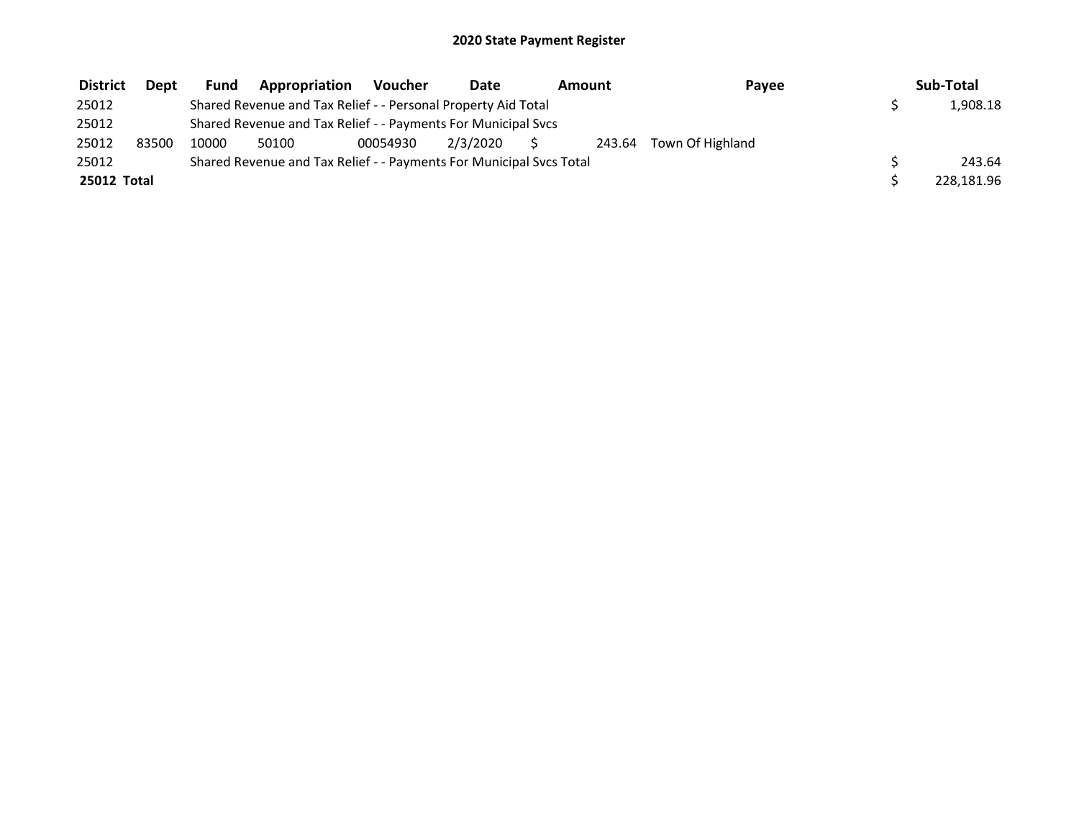| <b>District</b> | <b>Dept</b> | Fund  | Appropriation                                                       | Voucher  | Date     | Amount | Pavee                   | Sub-Total  |
|-----------------|-------------|-------|---------------------------------------------------------------------|----------|----------|--------|-------------------------|------------|
| 25012           |             |       | Shared Revenue and Tax Relief - - Personal Property Aid Total       |          |          |        |                         | 1,908.18   |
| 25012           |             |       | Shared Revenue and Tax Relief - - Payments For Municipal Svcs       |          |          |        |                         |            |
| 25012           | 83500       | 10000 | 50100                                                               | 00054930 | 2/3/2020 |        | 243.64 Town Of Highland |            |
| 25012           |             |       | Shared Revenue and Tax Relief - - Payments For Municipal Svcs Total |          |          |        |                         | 243.64     |
| 25012 Total     |             |       |                                                                     |          |          |        |                         | 228,181.96 |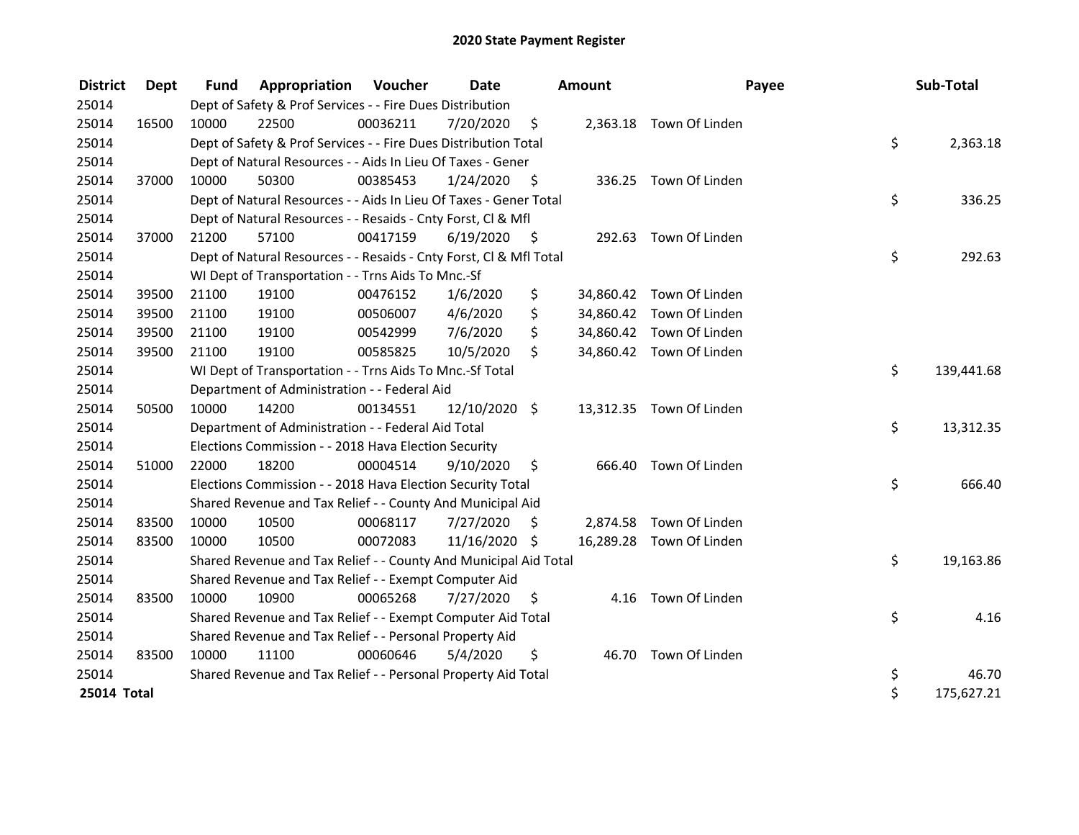| <b>District</b> | <b>Dept</b> | <b>Fund</b> | <b>Appropriation Voucher</b>                                       |          | Date          |                    | <b>Amount</b> |                          | Payee | Sub-Total  |
|-----------------|-------------|-------------|--------------------------------------------------------------------|----------|---------------|--------------------|---------------|--------------------------|-------|------------|
| 25014           |             |             | Dept of Safety & Prof Services - - Fire Dues Distribution          |          |               |                    |               |                          |       |            |
| 25014           | 16500       | 10000       | 22500                                                              | 00036211 | 7/20/2020     | $\ddot{\varsigma}$ |               | 2,363.18 Town Of Linden  |       |            |
| 25014           |             |             | Dept of Safety & Prof Services - - Fire Dues Distribution Total    |          |               |                    |               |                          | \$    | 2,363.18   |
| 25014           |             |             | Dept of Natural Resources - - Aids In Lieu Of Taxes - Gener        |          |               |                    |               |                          |       |            |
| 25014           | 37000       | 10000       | 50300                                                              | 00385453 | 1/24/2020     | - \$               |               | 336.25 Town Of Linden    |       |            |
| 25014           |             |             | Dept of Natural Resources - - Aids In Lieu Of Taxes - Gener Total  |          |               |                    |               |                          | \$    | 336.25     |
| 25014           |             |             | Dept of Natural Resources - - Resaids - Cnty Forst, Cl & Mfl       |          |               |                    |               |                          |       |            |
| 25014           | 37000       | 21200       | 57100                                                              | 00417159 | 6/19/2020     | - \$               |               | 292.63 Town Of Linden    |       |            |
| 25014           |             |             | Dept of Natural Resources - - Resaids - Cnty Forst, Cl & Mfl Total |          |               |                    |               |                          | \$    | 292.63     |
| 25014           |             |             | WI Dept of Transportation - - Trns Aids To Mnc.-Sf                 |          |               |                    |               |                          |       |            |
| 25014           | 39500       | 21100       | 19100                                                              | 00476152 | 1/6/2020      | \$                 |               | 34,860.42 Town Of Linden |       |            |
| 25014           | 39500       | 21100       | 19100                                                              | 00506007 | 4/6/2020      | \$                 |               | 34,860.42 Town Of Linden |       |            |
| 25014           | 39500       | 21100       | 19100                                                              | 00542999 | 7/6/2020      | \$                 |               | 34,860.42 Town Of Linden |       |            |
| 25014           | 39500       | 21100       | 19100                                                              | 00585825 | 10/5/2020     | \$                 |               | 34,860.42 Town Of Linden |       |            |
| 25014           |             |             | WI Dept of Transportation - - Trns Aids To Mnc.-Sf Total           |          |               |                    |               |                          | \$    | 139,441.68 |
| 25014           |             |             | Department of Administration - - Federal Aid                       |          |               |                    |               |                          |       |            |
| 25014           | 50500       | 10000       | 14200                                                              | 00134551 | 12/10/2020 \$ |                    |               | 13,312.35 Town Of Linden |       |            |
| 25014           |             |             | Department of Administration - - Federal Aid Total                 |          |               |                    |               |                          | \$    | 13,312.35  |
| 25014           |             |             | Elections Commission - - 2018 Hava Election Security               |          |               |                    |               |                          |       |            |
| 25014           | 51000       | 22000       | 18200                                                              | 00004514 | 9/10/2020     | \$                 | 666.40        | Town Of Linden           |       |            |
| 25014           |             |             | Elections Commission - - 2018 Hava Election Security Total         |          |               |                    |               |                          | \$    | 666.40     |
| 25014           |             |             | Shared Revenue and Tax Relief - - County And Municipal Aid         |          |               |                    |               |                          |       |            |
| 25014           | 83500       | 10000       | 10500                                                              | 00068117 | 7/27/2020     | \$                 |               | 2,874.58 Town Of Linden  |       |            |
| 25014           | 83500       | 10000       | 10500                                                              | 00072083 | 11/16/2020 \$ |                    |               | 16,289.28 Town Of Linden |       |            |
| 25014           |             |             | Shared Revenue and Tax Relief - - County And Municipal Aid Total   |          |               |                    |               |                          | \$    | 19,163.86  |
| 25014           |             |             | Shared Revenue and Tax Relief - - Exempt Computer Aid              |          |               |                    |               |                          |       |            |
| 25014           | 83500       | 10000       | 10900                                                              | 00065268 | 7/27/2020     | S                  |               | 4.16 Town Of Linden      |       |            |
| 25014           |             |             | Shared Revenue and Tax Relief - - Exempt Computer Aid Total        |          |               |                    |               |                          | \$    | 4.16       |
| 25014           |             |             | Shared Revenue and Tax Relief - - Personal Property Aid            |          |               |                    |               |                          |       |            |
| 25014           | 83500       | 10000       | 11100                                                              | 00060646 | 5/4/2020      | \$                 |               | 46.70 Town Of Linden     |       |            |
| 25014           |             |             | Shared Revenue and Tax Relief - - Personal Property Aid Total      |          |               |                    |               |                          | \$    | 46.70      |
| 25014 Total     |             |             |                                                                    |          |               |                    |               |                          | \$    | 175,627.21 |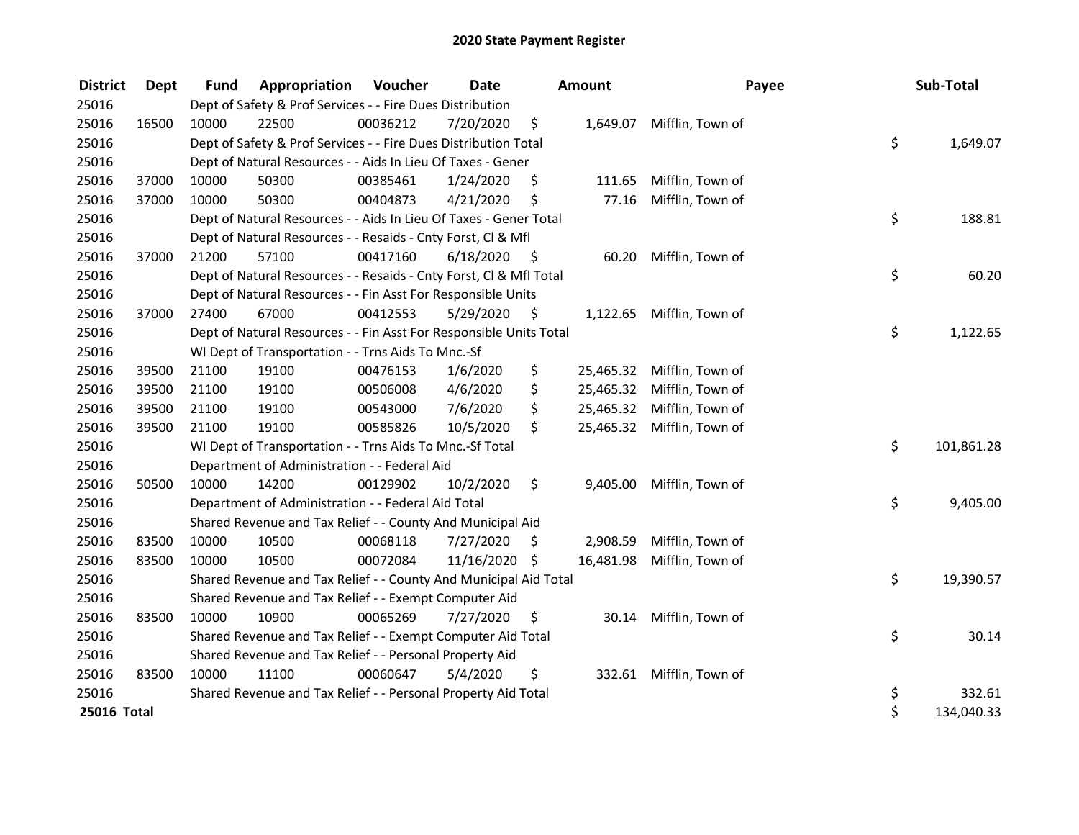| <b>District</b> | <b>Dept</b> | <b>Fund</b> | Appropriation                                                      | Voucher  | Date       |      | Amount    | Payee                     | Sub-Total        |
|-----------------|-------------|-------------|--------------------------------------------------------------------|----------|------------|------|-----------|---------------------------|------------------|
| 25016           |             |             | Dept of Safety & Prof Services - - Fire Dues Distribution          |          |            |      |           |                           |                  |
| 25016           | 16500       | 10000       | 22500                                                              | 00036212 | 7/20/2020  | \$   |           | 1,649.07 Mifflin, Town of |                  |
| 25016           |             |             | Dept of Safety & Prof Services - - Fire Dues Distribution Total    |          |            |      |           |                           | \$<br>1,649.07   |
| 25016           |             |             | Dept of Natural Resources - - Aids In Lieu Of Taxes - Gener        |          |            |      |           |                           |                  |
| 25016           | 37000       | 10000       | 50300                                                              | 00385461 | 1/24/2020  | \$,  | 111.65    | Mifflin, Town of          |                  |
| 25016           | 37000       | 10000       | 50300                                                              | 00404873 | 4/21/2020  | \$   | 77.16     | Mifflin, Town of          |                  |
| 25016           |             |             | Dept of Natural Resources - - Aids In Lieu Of Taxes - Gener Total  |          |            |      |           |                           | \$<br>188.81     |
| 25016           |             |             | Dept of Natural Resources - - Resaids - Cnty Forst, Cl & Mfl       |          |            |      |           |                           |                  |
| 25016           | 37000       | 21200       | 57100                                                              | 00417160 | 6/18/2020  | - \$ | 60.20     | Mifflin, Town of          |                  |
| 25016           |             |             | Dept of Natural Resources - - Resaids - Cnty Forst, Cl & Mfl Total |          |            |      |           |                           | \$<br>60.20      |
| 25016           |             |             | Dept of Natural Resources - - Fin Asst For Responsible Units       |          |            |      |           |                           |                  |
| 25016           | 37000       | 27400       | 67000                                                              | 00412553 | 5/29/2020  | \$   |           | 1,122.65 Mifflin, Town of |                  |
| 25016           |             |             | Dept of Natural Resources - - Fin Asst For Responsible Units Total |          |            |      |           |                           | \$<br>1,122.65   |
| 25016           |             |             | WI Dept of Transportation - - Trns Aids To Mnc.-Sf                 |          |            |      |           |                           |                  |
| 25016           | 39500       | 21100       | 19100                                                              | 00476153 | 1/6/2020   | \$   | 25,465.32 | Mifflin, Town of          |                  |
| 25016           | 39500       | 21100       | 19100                                                              | 00506008 | 4/6/2020   | \$   | 25,465.32 | Mifflin, Town of          |                  |
| 25016           | 39500       | 21100       | 19100                                                              | 00543000 | 7/6/2020   | \$   | 25,465.32 | Mifflin, Town of          |                  |
| 25016           | 39500       | 21100       | 19100                                                              | 00585826 | 10/5/2020  | \$   | 25,465.32 | Mifflin, Town of          |                  |
| 25016           |             |             | WI Dept of Transportation - - Trns Aids To Mnc.-Sf Total           |          |            |      |           |                           | \$<br>101,861.28 |
| 25016           |             |             | Department of Administration - - Federal Aid                       |          |            |      |           |                           |                  |
| 25016           | 50500       | 10000       | 14200                                                              | 00129902 | 10/2/2020  | \$   | 9,405.00  | Mifflin, Town of          |                  |
| 25016           |             |             | Department of Administration - - Federal Aid Total                 |          |            |      |           |                           | \$<br>9,405.00   |
| 25016           |             |             | Shared Revenue and Tax Relief - - County And Municipal Aid         |          |            |      |           |                           |                  |
| 25016           | 83500       | 10000       | 10500                                                              | 00068118 | 7/27/2020  | \$.  | 2,908.59  | Mifflin, Town of          |                  |
| 25016           | 83500       | 10000       | 10500                                                              | 00072084 | 11/16/2020 | \$   | 16,481.98 | Mifflin, Town of          |                  |
| 25016           |             |             | Shared Revenue and Tax Relief - - County And Municipal Aid Total   |          |            |      |           |                           | \$<br>19,390.57  |
| 25016           |             |             | Shared Revenue and Tax Relief - - Exempt Computer Aid              |          |            |      |           |                           |                  |
| 25016           | 83500       | 10000       | 10900                                                              | 00065269 | 7/27/2020  | \$   | 30.14     | Mifflin, Town of          |                  |
| 25016           |             |             | Shared Revenue and Tax Relief - - Exempt Computer Aid Total        |          |            |      |           |                           | \$<br>30.14      |
| 25016           |             |             | Shared Revenue and Tax Relief - - Personal Property Aid            |          |            |      |           |                           |                  |
| 25016           | 83500       | 10000       | 11100                                                              | 00060647 | 5/4/2020   | \$   |           | 332.61 Mifflin, Town of   |                  |
| 25016           |             |             | Shared Revenue and Tax Relief - - Personal Property Aid Total      |          |            |      |           |                           | \$<br>332.61     |
| 25016 Total     |             |             |                                                                    |          |            |      |           |                           | \$<br>134,040.33 |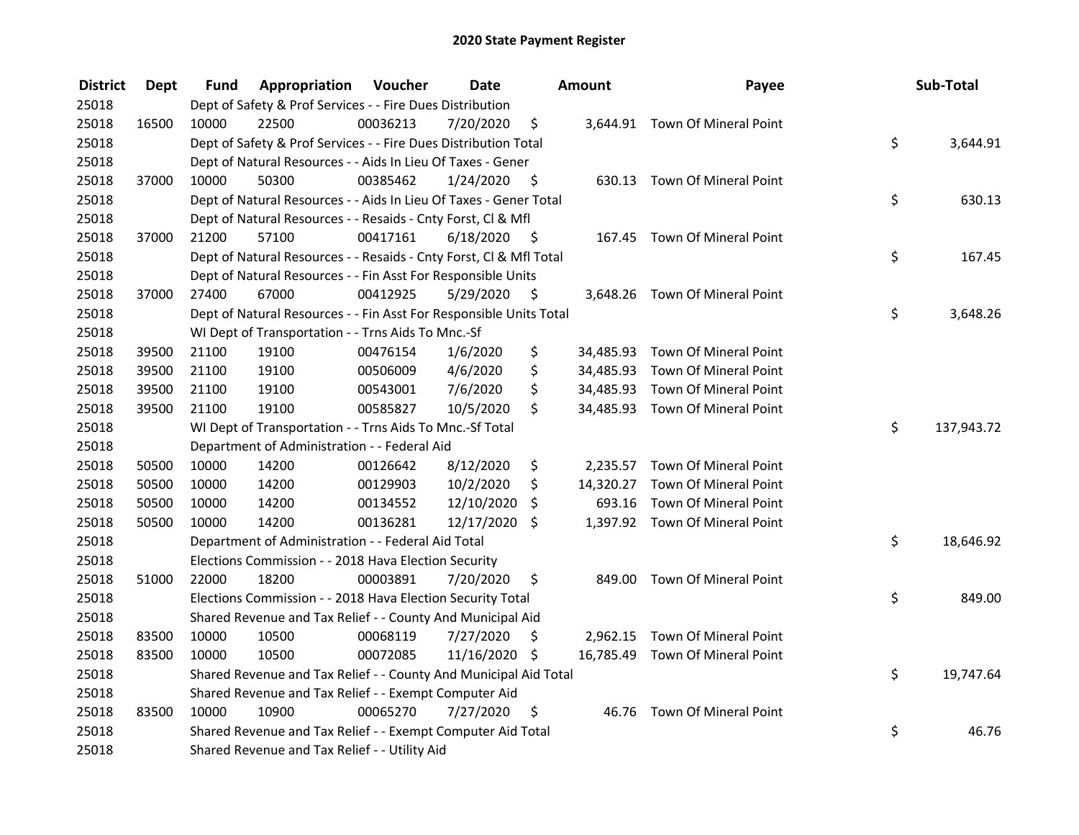| <b>District</b> | <b>Dept</b> | Fund  | Appropriation                                                      | Voucher  | <b>Date</b>   |      | Amount | Payee                           | Sub-Total        |
|-----------------|-------------|-------|--------------------------------------------------------------------|----------|---------------|------|--------|---------------------------------|------------------|
| 25018           |             |       | Dept of Safety & Prof Services - - Fire Dues Distribution          |          |               |      |        |                                 |                  |
| 25018           | 16500       | 10000 | 22500                                                              | 00036213 | 7/20/2020     | \$   |        | 3,644.91 Town Of Mineral Point  |                  |
| 25018           |             |       | Dept of Safety & Prof Services - - Fire Dues Distribution Total    |          |               |      |        |                                 | \$<br>3,644.91   |
| 25018           |             |       | Dept of Natural Resources - - Aids In Lieu Of Taxes - Gener        |          |               |      |        |                                 |                  |
| 25018           | 37000       | 10000 | 50300                                                              | 00385462 | 1/24/2020     | -\$  |        | 630.13 Town Of Mineral Point    |                  |
| 25018           |             |       | Dept of Natural Resources - - Aids In Lieu Of Taxes - Gener Total  |          |               |      |        |                                 | \$<br>630.13     |
| 25018           |             |       | Dept of Natural Resources - - Resaids - Cnty Forst, Cl & Mfl       |          |               |      |        |                                 |                  |
| 25018           | 37000       | 21200 | 57100                                                              | 00417161 | 6/18/2020     | - \$ |        | 167.45 Town Of Mineral Point    |                  |
| 25018           |             |       | Dept of Natural Resources - - Resaids - Cnty Forst, Cl & Mfl Total |          |               |      |        |                                 | \$<br>167.45     |
| 25018           |             |       | Dept of Natural Resources - - Fin Asst For Responsible Units       |          |               |      |        |                                 |                  |
| 25018           | 37000       | 27400 | 67000                                                              | 00412925 | 5/29/2020     | \$   |        | 3,648.26 Town Of Mineral Point  |                  |
| 25018           |             |       | Dept of Natural Resources - - Fin Asst For Responsible Units Total |          |               |      |        |                                 | \$<br>3,648.26   |
| 25018           |             |       | WI Dept of Transportation - - Trns Aids To Mnc.-Sf                 |          |               |      |        |                                 |                  |
| 25018           | 39500       | 21100 | 19100                                                              | 00476154 | 1/6/2020      | \$   |        | 34,485.93 Town Of Mineral Point |                  |
| 25018           | 39500       | 21100 | 19100                                                              | 00506009 | 4/6/2020      | \$   |        | 34,485.93 Town Of Mineral Point |                  |
| 25018           | 39500       | 21100 | 19100                                                              | 00543001 | 7/6/2020      | \$   |        | 34,485.93 Town Of Mineral Point |                  |
| 25018           | 39500       | 21100 | 19100                                                              | 00585827 | 10/5/2020     | \$   |        | 34,485.93 Town Of Mineral Point |                  |
| 25018           |             |       | WI Dept of Transportation - - Trns Aids To Mnc.-Sf Total           |          |               |      |        |                                 | \$<br>137,943.72 |
| 25018           |             |       | Department of Administration - - Federal Aid                       |          |               |      |        |                                 |                  |
| 25018           | 50500       | 10000 | 14200                                                              | 00126642 | 8/12/2020     | \$   |        | 2,235.57 Town Of Mineral Point  |                  |
| 25018           | 50500       | 10000 | 14200                                                              | 00129903 | 10/2/2020     | \$   |        | 14,320.27 Town Of Mineral Point |                  |
| 25018           | 50500       | 10000 | 14200                                                              | 00134552 | 12/10/2020    | \$   | 693.16 | Town Of Mineral Point           |                  |
| 25018           | 50500       | 10000 | 14200                                                              | 00136281 | 12/17/2020 \$ |      |        | 1,397.92 Town Of Mineral Point  |                  |
| 25018           |             |       | Department of Administration - - Federal Aid Total                 |          |               |      |        |                                 | \$<br>18,646.92  |
| 25018           |             |       | Elections Commission - - 2018 Hava Election Security               |          |               |      |        |                                 |                  |
| 25018           | 51000       | 22000 | 18200                                                              | 00003891 | 7/20/2020     | \$   |        | 849.00 Town Of Mineral Point    |                  |
| 25018           |             |       | Elections Commission - - 2018 Hava Election Security Total         |          |               |      |        |                                 | \$<br>849.00     |
| 25018           |             |       | Shared Revenue and Tax Relief - - County And Municipal Aid         |          |               |      |        |                                 |                  |
| 25018           | 83500       | 10000 | 10500                                                              | 00068119 | 7/27/2020     | \$   |        | 2,962.15 Town Of Mineral Point  |                  |
| 25018           | 83500       | 10000 | 10500                                                              | 00072085 | 11/16/2020 \$ |      |        | 16,785.49 Town Of Mineral Point |                  |
| 25018           |             |       | Shared Revenue and Tax Relief - - County And Municipal Aid Total   |          |               |      |        |                                 | \$<br>19,747.64  |
| 25018           |             |       | Shared Revenue and Tax Relief - - Exempt Computer Aid              |          |               |      |        |                                 |                  |
| 25018           | 83500       | 10000 | 10900                                                              | 00065270 | 7/27/2020     | \$   |        | 46.76 Town Of Mineral Point     |                  |
| 25018           |             |       | Shared Revenue and Tax Relief - - Exempt Computer Aid Total        |          |               |      |        |                                 | \$<br>46.76      |
| 25018           |             |       | Shared Revenue and Tax Relief - - Utility Aid                      |          |               |      |        |                                 |                  |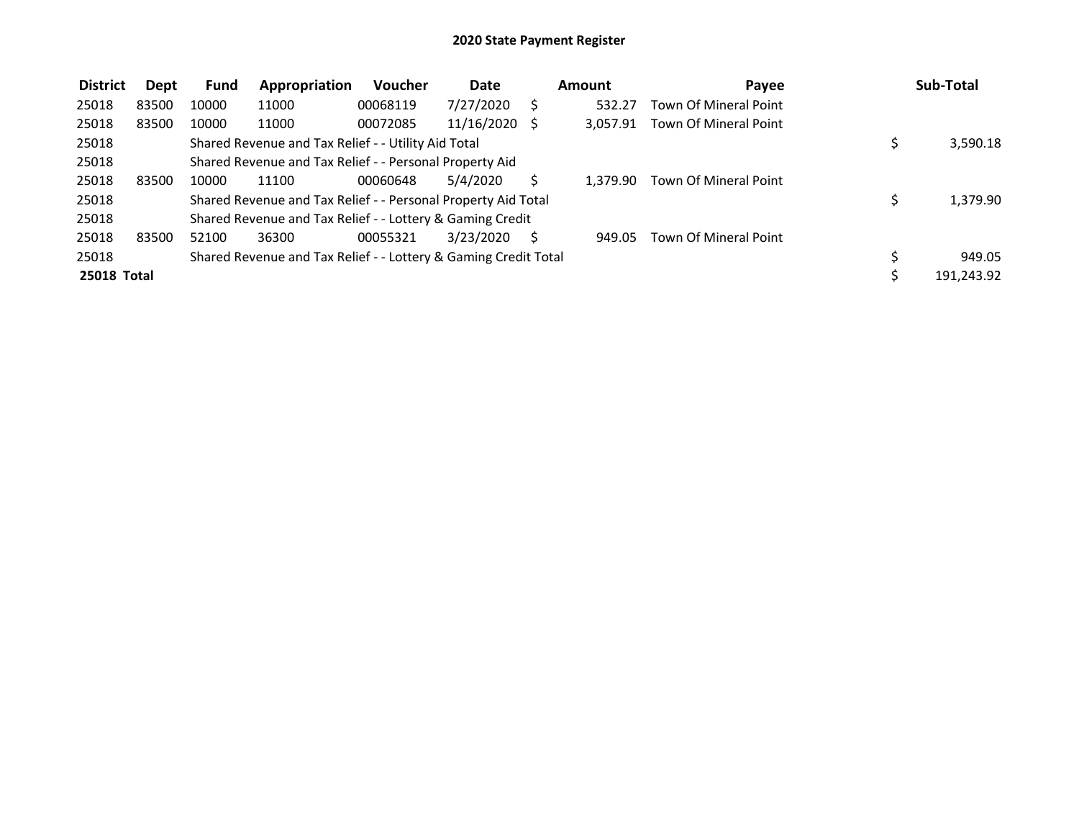| <b>District</b> | Dept  | <b>Fund</b> | Appropriation                                                   | <b>Voucher</b> | <b>Date</b>   |   | Amount   | Payee                        | Sub-Total  |
|-----------------|-------|-------------|-----------------------------------------------------------------|----------------|---------------|---|----------|------------------------------|------------|
| 25018           | 83500 | 10000       | 11000                                                           | 00068119       | 7/27/2020     |   | 532.27   | Town Of Mineral Point        |            |
| 25018           | 83500 | 10000       | 11000                                                           | 00072085       | 11/16/2020 \$ |   | 3.057.91 | Town Of Mineral Point        |            |
| 25018           |       |             | Shared Revenue and Tax Relief - - Utility Aid Total             |                |               |   |          |                              | 3,590.18   |
| 25018           |       |             | Shared Revenue and Tax Relief - - Personal Property Aid         |                |               |   |          |                              |            |
| 25018           | 83500 | 10000       | 11100                                                           | 00060648       | 5/4/2020      |   | 1.379.90 | <b>Town Of Mineral Point</b> |            |
| 25018           |       |             | Shared Revenue and Tax Relief - - Personal Property Aid Total   |                |               |   |          |                              | 1,379.90   |
| 25018           |       |             | Shared Revenue and Tax Relief - - Lottery & Gaming Credit       |                |               |   |          |                              |            |
| 25018           | 83500 | 52100       | 36300                                                           | 00055321       | 3/23/2020     | S | 949.05   | <b>Town Of Mineral Point</b> |            |
| 25018           |       |             | Shared Revenue and Tax Relief - - Lottery & Gaming Credit Total |                |               |   |          |                              | 949.05     |
| 25018 Total     |       |             |                                                                 |                |               |   |          |                              | 191,243.92 |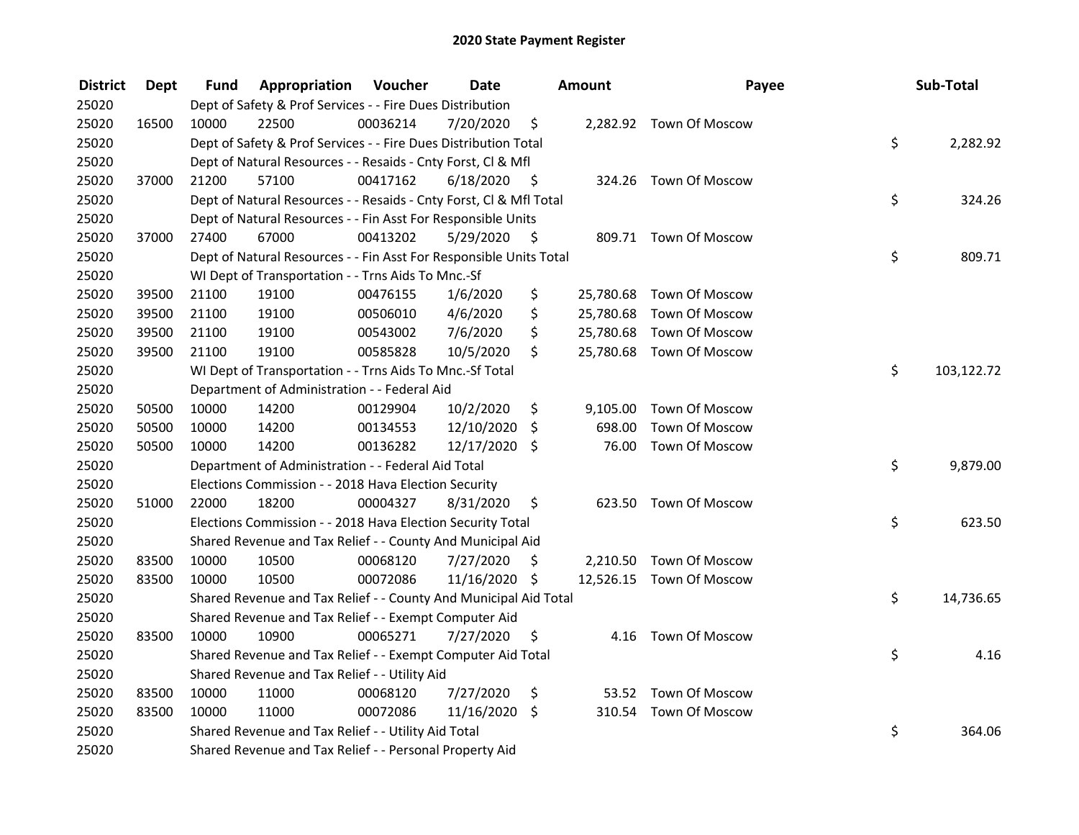| <b>District</b> | <b>Dept</b> | Fund  | <b>Appropriation Voucher</b>                                       |          | <b>Date</b>   |      | Amount   | Payee                    | Sub-Total        |
|-----------------|-------------|-------|--------------------------------------------------------------------|----------|---------------|------|----------|--------------------------|------------------|
| 25020           |             |       | Dept of Safety & Prof Services - - Fire Dues Distribution          |          |               |      |          |                          |                  |
| 25020           | 16500       | 10000 | 22500                                                              | 00036214 | 7/20/2020     | \$   |          | 2,282.92 Town Of Moscow  |                  |
| 25020           |             |       | Dept of Safety & Prof Services - - Fire Dues Distribution Total    |          |               |      |          |                          | \$<br>2,282.92   |
| 25020           |             |       | Dept of Natural Resources - - Resaids - Cnty Forst, Cl & Mfl       |          |               |      |          |                          |                  |
| 25020           | 37000       | 21200 | 57100                                                              | 00417162 | 6/18/2020     | - \$ |          | 324.26 Town Of Moscow    |                  |
| 25020           |             |       | Dept of Natural Resources - - Resaids - Cnty Forst, CI & Mfl Total |          |               |      |          |                          | \$<br>324.26     |
| 25020           |             |       | Dept of Natural Resources - - Fin Asst For Responsible Units       |          |               |      |          |                          |                  |
| 25020           | 37000       | 27400 | 67000                                                              | 00413202 | 5/29/2020     | - \$ |          | 809.71 Town Of Moscow    |                  |
| 25020           |             |       | Dept of Natural Resources - - Fin Asst For Responsible Units Total |          |               |      |          |                          | \$<br>809.71     |
| 25020           |             |       | WI Dept of Transportation - - Trns Aids To Mnc.-Sf                 |          |               |      |          |                          |                  |
| 25020           | 39500       | 21100 | 19100                                                              | 00476155 | 1/6/2020      | \$   |          | 25,780.68 Town Of Moscow |                  |
| 25020           | 39500       | 21100 | 19100                                                              | 00506010 | 4/6/2020      | \$   |          | 25,780.68 Town Of Moscow |                  |
| 25020           | 39500       | 21100 | 19100                                                              | 00543002 | 7/6/2020      | \$   |          | 25,780.68 Town Of Moscow |                  |
| 25020           | 39500       | 21100 | 19100                                                              | 00585828 | 10/5/2020     | \$   |          | 25,780.68 Town Of Moscow |                  |
| 25020           |             |       | WI Dept of Transportation - - Trns Aids To Mnc.-Sf Total           |          |               |      |          |                          | \$<br>103,122.72 |
| 25020           |             |       | Department of Administration - - Federal Aid                       |          |               |      |          |                          |                  |
| 25020           | 50500       | 10000 | 14200                                                              | 00129904 | 10/2/2020     | \$   | 9,105.00 | Town Of Moscow           |                  |
| 25020           | 50500       | 10000 | 14200                                                              | 00134553 | 12/10/2020    | \$   | 698.00   | Town Of Moscow           |                  |
| 25020           | 50500       | 10000 | 14200                                                              | 00136282 | 12/17/2020 \$ |      | 76.00    | <b>Town Of Moscow</b>    |                  |
| 25020           |             |       | Department of Administration - - Federal Aid Total                 |          |               |      |          |                          | \$<br>9,879.00   |
| 25020           |             |       | Elections Commission - - 2018 Hava Election Security               |          |               |      |          |                          |                  |
| 25020           | 51000       | 22000 | 18200                                                              | 00004327 | 8/31/2020     | \$.  |          | 623.50 Town Of Moscow    |                  |
| 25020           |             |       | Elections Commission - - 2018 Hava Election Security Total         |          |               |      |          |                          | \$<br>623.50     |
| 25020           |             |       | Shared Revenue and Tax Relief - - County And Municipal Aid         |          |               |      |          |                          |                  |
| 25020           | 83500       | 10000 | 10500                                                              | 00068120 | 7/27/2020     | S    |          | 2,210.50 Town Of Moscow  |                  |
| 25020           | 83500       | 10000 | 10500                                                              | 00072086 | 11/16/2020 \$ |      |          | 12,526.15 Town Of Moscow |                  |
| 25020           |             |       | Shared Revenue and Tax Relief - - County And Municipal Aid Total   |          |               |      |          |                          | \$<br>14,736.65  |
| 25020           |             |       | Shared Revenue and Tax Relief - - Exempt Computer Aid              |          |               |      |          |                          |                  |
| 25020           | 83500       | 10000 | 10900                                                              | 00065271 | 7/27/2020     | \$   |          | 4.16 Town Of Moscow      |                  |
| 25020           |             |       | Shared Revenue and Tax Relief - - Exempt Computer Aid Total        |          |               |      |          |                          | \$<br>4.16       |
| 25020           |             |       | Shared Revenue and Tax Relief - - Utility Aid                      |          |               |      |          |                          |                  |
| 25020           | 83500       | 10000 | 11000                                                              | 00068120 | 7/27/2020     | \$   |          | 53.52 Town Of Moscow     |                  |
| 25020           | 83500       | 10000 | 11000                                                              | 00072086 | 11/16/2020 \$ |      |          | 310.54 Town Of Moscow    |                  |
| 25020           |             |       | Shared Revenue and Tax Relief - - Utility Aid Total                |          |               |      |          |                          | \$<br>364.06     |
| 25020           |             |       | Shared Revenue and Tax Relief - - Personal Property Aid            |          |               |      |          |                          |                  |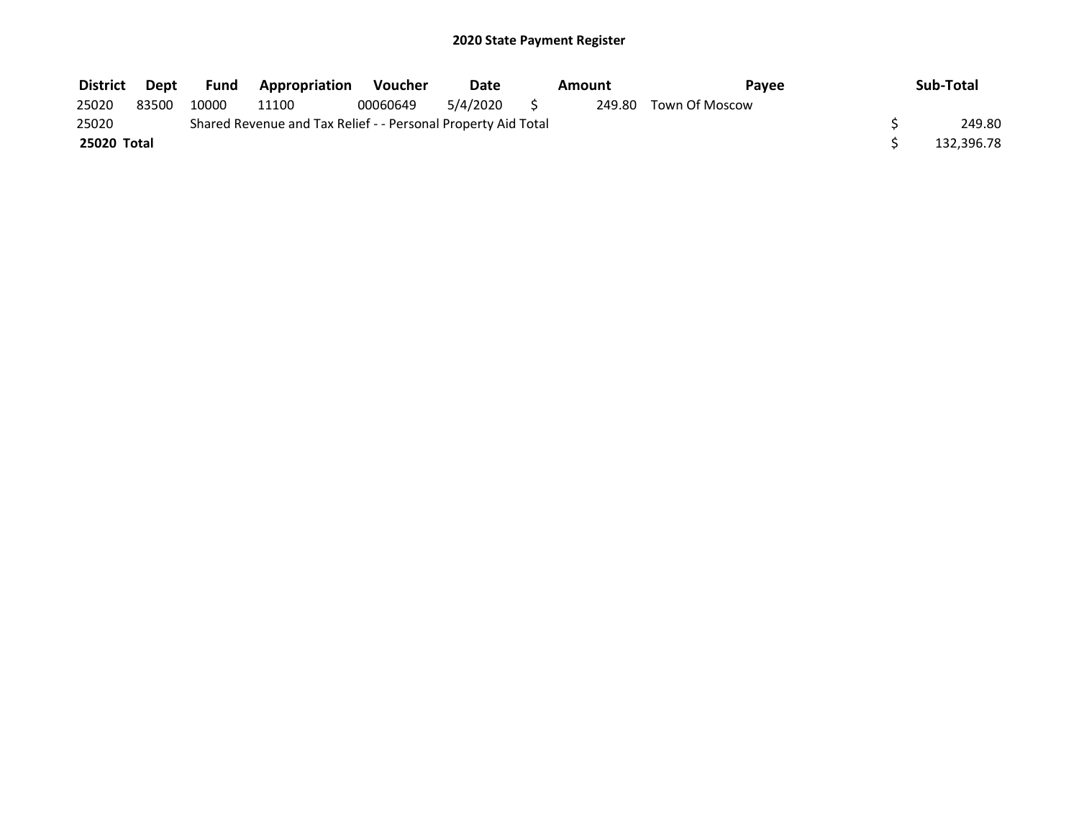| <b>District</b> | Dept  | Fund  | <b>Appropriation</b>                                          | Voucher  | Date     | Amount | Pavee                 | Sub-Total  |
|-----------------|-------|-------|---------------------------------------------------------------|----------|----------|--------|-----------------------|------------|
| 25020           | 83500 | 10000 | 11100                                                         | 00060649 | 5/4/2020 |        | 249.80 Town Of Moscow |            |
| 25020           |       |       | Shared Revenue and Tax Relief - - Personal Property Aid Total |          |          |        |                       | 249.80     |
| 25020 Total     |       |       |                                                               |          |          |        |                       | 132,396.78 |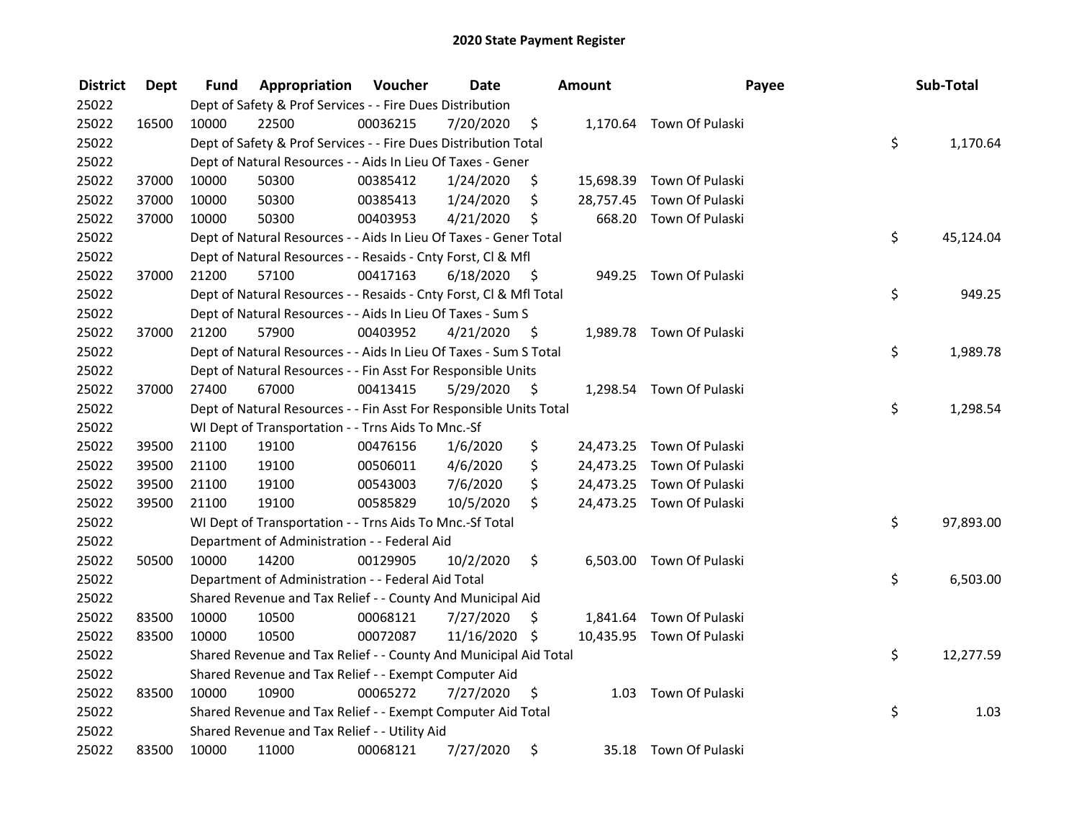| <b>District</b> | <b>Dept</b> | Fund  | Appropriation                                                      | Voucher  | <b>Date</b>   |      | Amount    | Payee                     | Sub-Total       |
|-----------------|-------------|-------|--------------------------------------------------------------------|----------|---------------|------|-----------|---------------------------|-----------------|
| 25022           |             |       | Dept of Safety & Prof Services - - Fire Dues Distribution          |          |               |      |           |                           |                 |
| 25022           | 16500       | 10000 | 22500                                                              | 00036215 | 7/20/2020     | \$   |           | 1,170.64 Town Of Pulaski  |                 |
| 25022           |             |       | Dept of Safety & Prof Services - - Fire Dues Distribution Total    |          |               |      |           |                           | \$<br>1,170.64  |
| 25022           |             |       | Dept of Natural Resources - - Aids In Lieu Of Taxes - Gener        |          |               |      |           |                           |                 |
| 25022           | 37000       | 10000 | 50300                                                              | 00385412 | 1/24/2020     | \$   |           | 15,698.39 Town Of Pulaski |                 |
| 25022           | 37000       | 10000 | 50300                                                              | 00385413 | 1/24/2020     | \$   | 28,757.45 | Town Of Pulaski           |                 |
| 25022           | 37000       | 10000 | 50300                                                              | 00403953 | 4/21/2020     | \$   |           | 668.20 Town Of Pulaski    |                 |
| 25022           |             |       | Dept of Natural Resources - - Aids In Lieu Of Taxes - Gener Total  |          |               |      |           |                           | \$<br>45,124.04 |
| 25022           |             |       | Dept of Natural Resources - - Resaids - Cnty Forst, CI & Mfl       |          |               |      |           |                           |                 |
| 25022           | 37000       | 21200 | 57100                                                              | 00417163 | 6/18/2020     | - \$ |           | 949.25 Town Of Pulaski    |                 |
| 25022           |             |       | Dept of Natural Resources - - Resaids - Cnty Forst, Cl & Mfl Total |          |               |      |           |                           | \$<br>949.25    |
| 25022           |             |       | Dept of Natural Resources - - Aids In Lieu Of Taxes - Sum S        |          |               |      |           |                           |                 |
| 25022           | 37000       | 21200 | 57900                                                              | 00403952 | 4/21/2020     | -\$  |           | 1,989.78 Town Of Pulaski  |                 |
| 25022           |             |       | Dept of Natural Resources - - Aids In Lieu Of Taxes - Sum S Total  |          |               |      |           |                           | \$<br>1,989.78  |
| 25022           |             |       | Dept of Natural Resources - - Fin Asst For Responsible Units       |          |               |      |           |                           |                 |
| 25022           | 37000       | 27400 | 67000                                                              | 00413415 | 5/29/2020     | \$   |           | 1,298.54 Town Of Pulaski  |                 |
| 25022           |             |       | Dept of Natural Resources - - Fin Asst For Responsible Units Total |          |               |      |           |                           | \$<br>1,298.54  |
| 25022           |             |       | WI Dept of Transportation - - Trns Aids To Mnc.-Sf                 |          |               |      |           |                           |                 |
| 25022           | 39500       | 21100 | 19100                                                              | 00476156 | 1/6/2020      | \$   |           | 24,473.25 Town Of Pulaski |                 |
| 25022           | 39500       | 21100 | 19100                                                              | 00506011 | 4/6/2020      | \$   |           | 24,473.25 Town Of Pulaski |                 |
| 25022           | 39500       | 21100 | 19100                                                              | 00543003 | 7/6/2020      | \$   | 24,473.25 | Town Of Pulaski           |                 |
| 25022           | 39500       | 21100 | 19100                                                              | 00585829 | 10/5/2020     | \$   |           | 24,473.25 Town Of Pulaski |                 |
| 25022           |             |       | WI Dept of Transportation - - Trns Aids To Mnc.-Sf Total           |          |               |      |           |                           | \$<br>97,893.00 |
| 25022           |             |       | Department of Administration - - Federal Aid                       |          |               |      |           |                           |                 |
| 25022           | 50500       | 10000 | 14200                                                              | 00129905 | 10/2/2020     | \$   |           | 6,503.00 Town Of Pulaski  |                 |
| 25022           |             |       | Department of Administration - - Federal Aid Total                 |          |               |      |           |                           | \$<br>6,503.00  |
| 25022           |             |       | Shared Revenue and Tax Relief - - County And Municipal Aid         |          |               |      |           |                           |                 |
| 25022           | 83500       | 10000 | 10500                                                              | 00068121 | 7/27/2020     | \$   |           | 1,841.64 Town Of Pulaski  |                 |
| 25022           | 83500       | 10000 | 10500                                                              | 00072087 | 11/16/2020 \$ |      |           | 10,435.95 Town Of Pulaski |                 |
| 25022           |             |       | Shared Revenue and Tax Relief - - County And Municipal Aid Total   |          |               |      |           |                           | \$<br>12,277.59 |
| 25022           |             |       | Shared Revenue and Tax Relief - - Exempt Computer Aid              |          |               |      |           |                           |                 |
| 25022           | 83500       | 10000 | 10900                                                              | 00065272 | 7/27/2020     | \$   |           | 1.03 Town Of Pulaski      |                 |
| 25022           |             |       | Shared Revenue and Tax Relief - - Exempt Computer Aid Total        |          |               |      |           |                           | \$<br>1.03      |
| 25022           |             |       | Shared Revenue and Tax Relief - - Utility Aid                      |          |               |      |           |                           |                 |
| 25022           | 83500       | 10000 | 11000                                                              | 00068121 | 7/27/2020     | \$   |           | 35.18 Town Of Pulaski     |                 |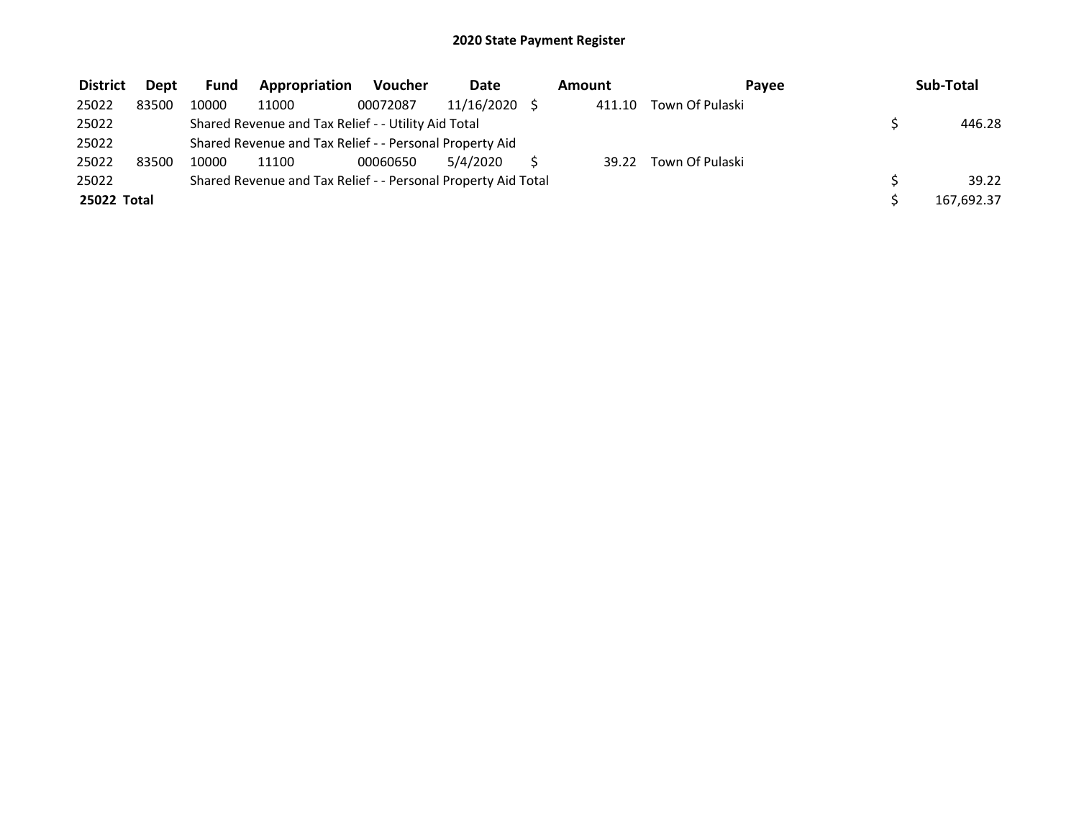| <b>District</b> | <b>Dept</b> | <b>Fund</b> | Appropriation                                                 | <b>Voucher</b> | <b>Date</b> | Amount | Pavee           | Sub-Total  |
|-----------------|-------------|-------------|---------------------------------------------------------------|----------------|-------------|--------|-----------------|------------|
| 25022           | 83500       | 10000       | 11000                                                         | 00072087       | 11/16/2020  | 411.10 | Town Of Pulaski |            |
| 25022           |             |             | Shared Revenue and Tax Relief - - Utility Aid Total           |                |             |        |                 | 446.28     |
| 25022           |             |             | Shared Revenue and Tax Relief - - Personal Property Aid       |                |             |        |                 |            |
| 25022           | 83500       | 10000       | 11100                                                         | 00060650       | 5/4/2020    | 39.22  | Town Of Pulaski |            |
| 25022           |             |             | Shared Revenue and Tax Relief - - Personal Property Aid Total |                |             |        |                 | 39.22      |
| 25022 Total     |             |             |                                                               |                |             |        |                 | 167,692.37 |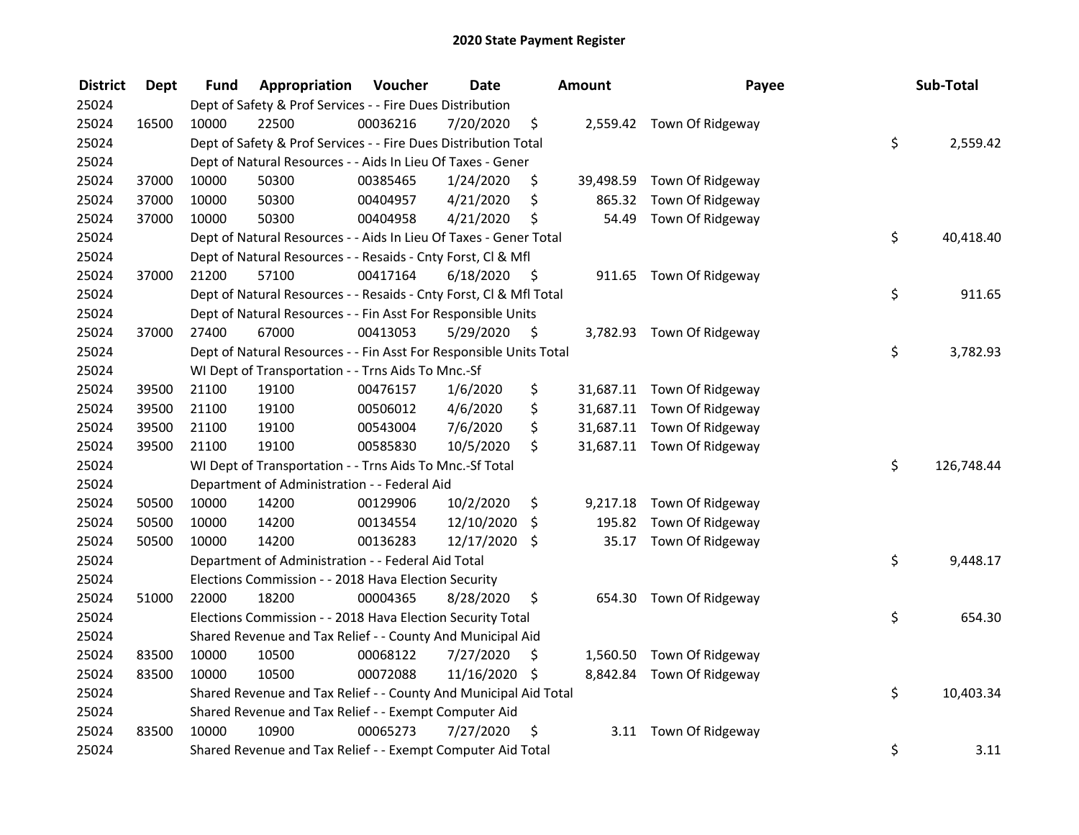| <b>District</b> | <b>Dept</b> | <b>Fund</b> | Appropriation                                                      | Voucher  | <b>Date</b>   |      | Amount    | Payee                      | Sub-Total        |
|-----------------|-------------|-------------|--------------------------------------------------------------------|----------|---------------|------|-----------|----------------------------|------------------|
| 25024           |             |             | Dept of Safety & Prof Services - - Fire Dues Distribution          |          |               |      |           |                            |                  |
| 25024           | 16500       | 10000       | 22500                                                              | 00036216 | 7/20/2020     | \$   |           | 2,559.42 Town Of Ridgeway  |                  |
| 25024           |             |             | Dept of Safety & Prof Services - - Fire Dues Distribution Total    |          |               |      |           |                            | \$<br>2,559.42   |
| 25024           |             |             | Dept of Natural Resources - - Aids In Lieu Of Taxes - Gener        |          |               |      |           |                            |                  |
| 25024           | 37000       | 10000       | 50300                                                              | 00385465 | 1/24/2020     | \$   | 39,498.59 | Town Of Ridgeway           |                  |
| 25024           | 37000       | 10000       | 50300                                                              | 00404957 | 4/21/2020     | \$   | 865.32    | Town Of Ridgeway           |                  |
| 25024           | 37000       | 10000       | 50300                                                              | 00404958 | 4/21/2020     | \$   | 54.49     | Town Of Ridgeway           |                  |
| 25024           |             |             | Dept of Natural Resources - - Aids In Lieu Of Taxes - Gener Total  |          |               |      |           |                            | \$<br>40,418.40  |
| 25024           |             |             | Dept of Natural Resources - - Resaids - Cnty Forst, Cl & Mfl       |          |               |      |           |                            |                  |
| 25024           | 37000       | 21200       | 57100                                                              | 00417164 | 6/18/2020     | - \$ |           | 911.65 Town Of Ridgeway    |                  |
| 25024           |             |             | Dept of Natural Resources - - Resaids - Cnty Forst, Cl & Mfl Total |          |               |      |           |                            | \$<br>911.65     |
| 25024           |             |             | Dept of Natural Resources - - Fin Asst For Responsible Units       |          |               |      |           |                            |                  |
| 25024           | 37000       | 27400       | 67000                                                              | 00413053 | 5/29/2020     | \$   |           | 3,782.93 Town Of Ridgeway  |                  |
| 25024           |             |             | Dept of Natural Resources - - Fin Asst For Responsible Units Total |          |               |      |           |                            | \$<br>3,782.93   |
| 25024           |             |             | WI Dept of Transportation - - Trns Aids To Mnc.-Sf                 |          |               |      |           |                            |                  |
| 25024           | 39500       | 21100       | 19100                                                              | 00476157 | 1/6/2020      | \$   |           | 31,687.11 Town Of Ridgeway |                  |
| 25024           | 39500       | 21100       | 19100                                                              | 00506012 | 4/6/2020      | \$   |           | 31,687.11 Town Of Ridgeway |                  |
| 25024           | 39500       | 21100       | 19100                                                              | 00543004 | 7/6/2020      | \$   |           | 31,687.11 Town Of Ridgeway |                  |
| 25024           | 39500       | 21100       | 19100                                                              | 00585830 | 10/5/2020     | \$   |           | 31,687.11 Town Of Ridgeway |                  |
| 25024           |             |             | WI Dept of Transportation - - Trns Aids To Mnc.-Sf Total           |          |               |      |           |                            | \$<br>126,748.44 |
| 25024           |             |             | Department of Administration - - Federal Aid                       |          |               |      |           |                            |                  |
| 25024           | 50500       | 10000       | 14200                                                              | 00129906 | 10/2/2020     | \$   |           | 9,217.18 Town Of Ridgeway  |                  |
| 25024           | 50500       | 10000       | 14200                                                              | 00134554 | 12/10/2020    | \$   | 195.82    | Town Of Ridgeway           |                  |
| 25024           | 50500       | 10000       | 14200                                                              | 00136283 | 12/17/2020    | \$   |           | 35.17 Town Of Ridgeway     |                  |
| 25024           |             |             | Department of Administration - - Federal Aid Total                 |          |               |      |           |                            | \$<br>9,448.17   |
| 25024           |             |             | Elections Commission - - 2018 Hava Election Security               |          |               |      |           |                            |                  |
| 25024           | 51000       | 22000       | 18200                                                              | 00004365 | 8/28/2020     | \$   |           | 654.30 Town Of Ridgeway    |                  |
| 25024           |             |             | Elections Commission - - 2018 Hava Election Security Total         |          |               |      |           |                            | \$<br>654.30     |
| 25024           |             |             | Shared Revenue and Tax Relief - - County And Municipal Aid         |          |               |      |           |                            |                  |
| 25024           | 83500       | 10000       | 10500                                                              | 00068122 | 7/27/2020     | \$   |           | 1,560.50 Town Of Ridgeway  |                  |
| 25024           | 83500       | 10000       | 10500                                                              | 00072088 | 11/16/2020 \$ |      |           | 8,842.84 Town Of Ridgeway  |                  |
| 25024           |             |             | Shared Revenue and Tax Relief - - County And Municipal Aid Total   |          |               |      |           |                            | \$<br>10,403.34  |
| 25024           |             |             | Shared Revenue and Tax Relief - - Exempt Computer Aid              |          |               |      |           |                            |                  |
| 25024           | 83500       | 10000       | 10900                                                              | 00065273 | 7/27/2020     | \$   |           | 3.11 Town Of Ridgeway      |                  |
| 25024           |             |             | Shared Revenue and Tax Relief - - Exempt Computer Aid Total        |          |               |      |           |                            | \$<br>3.11       |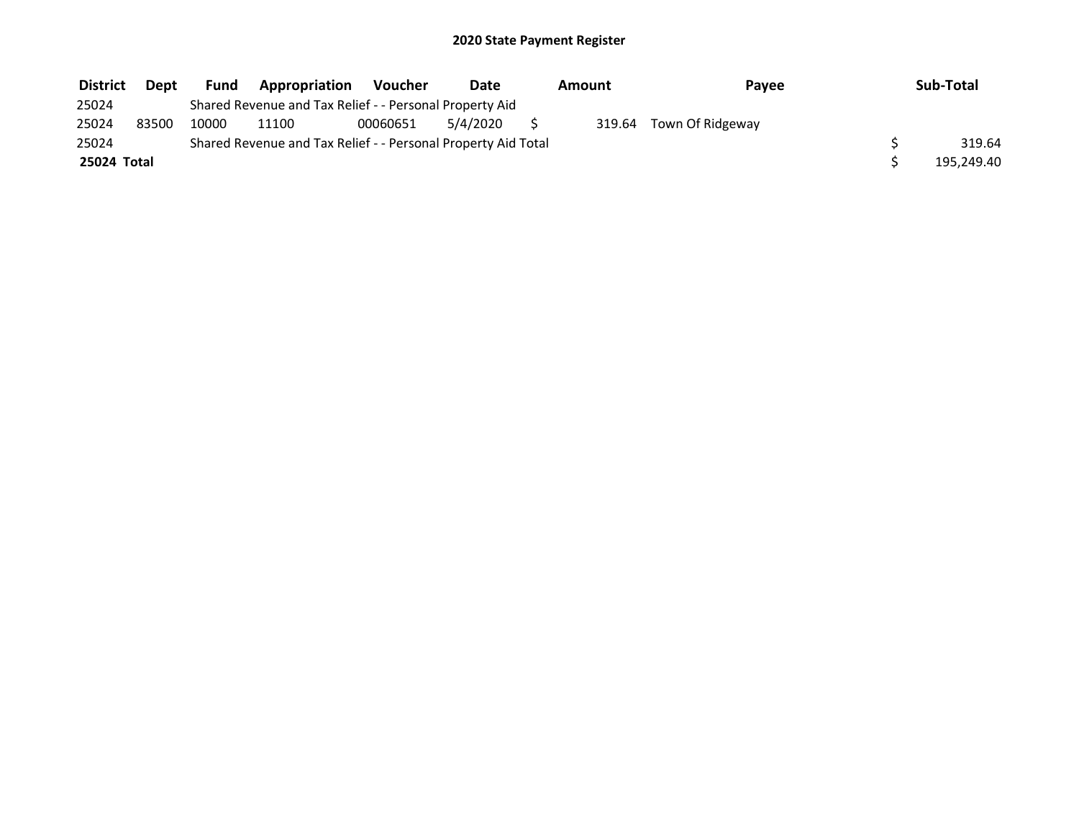| <b>District</b> | Dept  | Fund  | Appropriation                                                 | <b>Voucher</b> | <b>Date</b> | Amount | Pavee            | Sub-Total  |
|-----------------|-------|-------|---------------------------------------------------------------|----------------|-------------|--------|------------------|------------|
| 25024           |       |       | Shared Revenue and Tax Relief - - Personal Property Aid       |                |             |        |                  |            |
| 25024           | 83500 | 10000 | 11100                                                         | 00060651       | 5/4/2020    | 319.64 | Town Of Ridgeway |            |
| 25024           |       |       | Shared Revenue and Tax Relief - - Personal Property Aid Total |                |             |        |                  | 319.64     |
| 25024 Total     |       |       |                                                               |                |             |        |                  | 195,249.40 |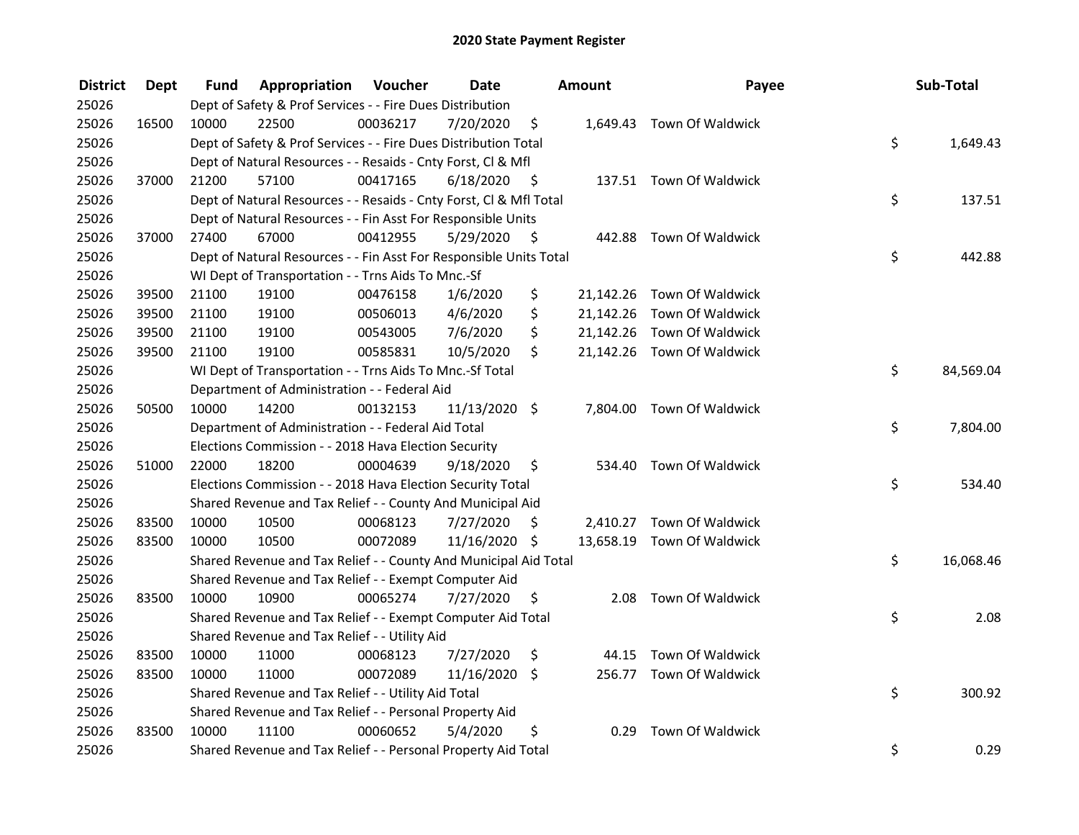| <b>District</b> | <b>Dept</b> | Fund  | Appropriation                                                      | Voucher  | <b>Date</b>     |      | Amount | Payee                      | Sub-Total       |
|-----------------|-------------|-------|--------------------------------------------------------------------|----------|-----------------|------|--------|----------------------------|-----------------|
| 25026           |             |       | Dept of Safety & Prof Services - - Fire Dues Distribution          |          |                 |      |        |                            |                 |
| 25026           | 16500       | 10000 | 22500                                                              | 00036217 | 7/20/2020       | \$   |        | 1,649.43 Town Of Waldwick  |                 |
| 25026           |             |       | Dept of Safety & Prof Services - - Fire Dues Distribution Total    |          |                 |      |        |                            | \$<br>1,649.43  |
| 25026           |             |       | Dept of Natural Resources - - Resaids - Cnty Forst, Cl & Mfl       |          |                 |      |        |                            |                 |
| 25026           | 37000       | 21200 | 57100                                                              | 00417165 | 6/18/2020       | - \$ |        | 137.51 Town Of Waldwick    |                 |
| 25026           |             |       | Dept of Natural Resources - - Resaids - Cnty Forst, Cl & Mfl Total |          |                 |      |        |                            | \$<br>137.51    |
| 25026           |             |       | Dept of Natural Resources - - Fin Asst For Responsible Units       |          |                 |      |        |                            |                 |
| 25026           | 37000       | 27400 | 67000                                                              | 00412955 | 5/29/2020       | - \$ |        | 442.88 Town Of Waldwick    |                 |
| 25026           |             |       | Dept of Natural Resources - - Fin Asst For Responsible Units Total |          |                 |      |        |                            | \$<br>442.88    |
| 25026           |             |       | WI Dept of Transportation - - Trns Aids To Mnc.-Sf                 |          |                 |      |        |                            |                 |
| 25026           | 39500       | 21100 | 19100                                                              | 00476158 | 1/6/2020        | \$   |        | 21,142.26 Town Of Waldwick |                 |
| 25026           | 39500       | 21100 | 19100                                                              | 00506013 | 4/6/2020        | \$   |        | 21,142.26 Town Of Waldwick |                 |
| 25026           | 39500       | 21100 | 19100                                                              | 00543005 | 7/6/2020        | \$   |        | 21,142.26 Town Of Waldwick |                 |
| 25026           | 39500       | 21100 | 19100                                                              | 00585831 | 10/5/2020       | \$   |        | 21,142.26 Town Of Waldwick |                 |
| 25026           |             |       | WI Dept of Transportation - - Trns Aids To Mnc.-Sf Total           |          |                 |      |        |                            | \$<br>84,569.04 |
| 25026           |             |       | Department of Administration - - Federal Aid                       |          |                 |      |        |                            |                 |
| 25026           | 50500       | 10000 | 14200                                                              | 00132153 | $11/13/2020$ \$ |      |        | 7,804.00 Town Of Waldwick  |                 |
| 25026           |             |       | Department of Administration - - Federal Aid Total                 |          |                 |      |        |                            | \$<br>7,804.00  |
| 25026           |             |       | Elections Commission - - 2018 Hava Election Security               |          |                 |      |        |                            |                 |
| 25026           | 51000       | 22000 | 18200                                                              | 00004639 | 9/18/2020       | \$   |        | 534.40 Town Of Waldwick    |                 |
| 25026           |             |       | Elections Commission - - 2018 Hava Election Security Total         |          |                 |      |        |                            | \$<br>534.40    |
| 25026           |             |       | Shared Revenue and Tax Relief - - County And Municipal Aid         |          |                 |      |        |                            |                 |
| 25026           | 83500       | 10000 | 10500                                                              | 00068123 | 7/27/2020       | S    |        | 2,410.27 Town Of Waldwick  |                 |
| 25026           | 83500       | 10000 | 10500                                                              | 00072089 | 11/16/2020 \$   |      |        | 13,658.19 Town Of Waldwick |                 |
| 25026           |             |       | Shared Revenue and Tax Relief - - County And Municipal Aid Total   |          |                 |      |        |                            | \$<br>16,068.46 |
| 25026           |             |       | Shared Revenue and Tax Relief - - Exempt Computer Aid              |          |                 |      |        |                            |                 |
| 25026           | 83500       | 10000 | 10900                                                              | 00065274 | 7/27/2020       | \$.  |        | 2.08 Town Of Waldwick      |                 |
| 25026           |             |       | Shared Revenue and Tax Relief - - Exempt Computer Aid Total        |          |                 |      |        |                            | \$<br>2.08      |
| 25026           |             |       | Shared Revenue and Tax Relief - - Utility Aid                      |          |                 |      |        |                            |                 |
| 25026           | 83500       | 10000 | 11000                                                              | 00068123 | 7/27/2020       | \$   |        | 44.15 Town Of Waldwick     |                 |
| 25026           | 83500       | 10000 | 11000                                                              | 00072089 | 11/16/2020      | \$   |        | 256.77 Town Of Waldwick    |                 |
| 25026           |             |       | Shared Revenue and Tax Relief - - Utility Aid Total                |          |                 |      |        |                            | \$<br>300.92    |
| 25026           |             |       | Shared Revenue and Tax Relief - - Personal Property Aid            |          |                 |      |        |                            |                 |
| 25026           | 83500       | 10000 | 11100                                                              | 00060652 | 5/4/2020        | \$   | 0.29   | Town Of Waldwick           |                 |
| 25026           |             |       | Shared Revenue and Tax Relief - - Personal Property Aid Total      |          |                 |      |        |                            | \$<br>0.29      |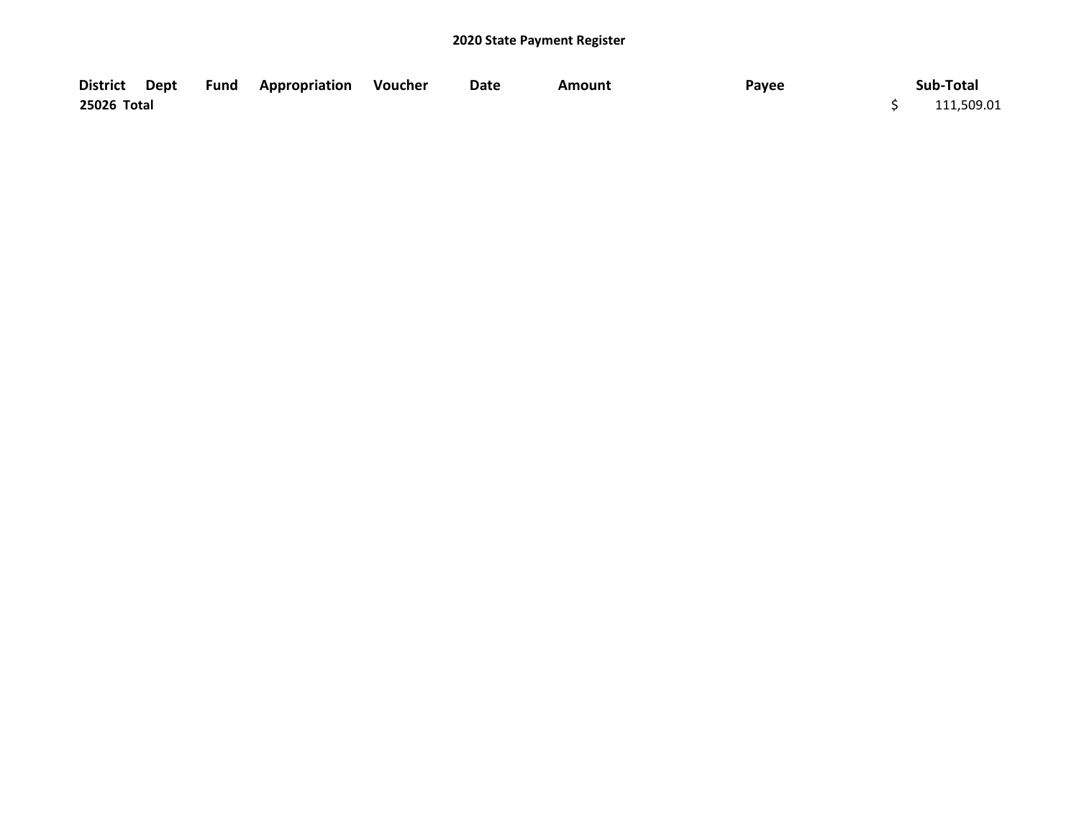|             |  | District Dept Fund Appropriation Voucher | Date | Amount | Payee | Sub-Total  |
|-------------|--|------------------------------------------|------|--------|-------|------------|
| 25026 Total |  |                                          |      |        |       | 111,509.01 |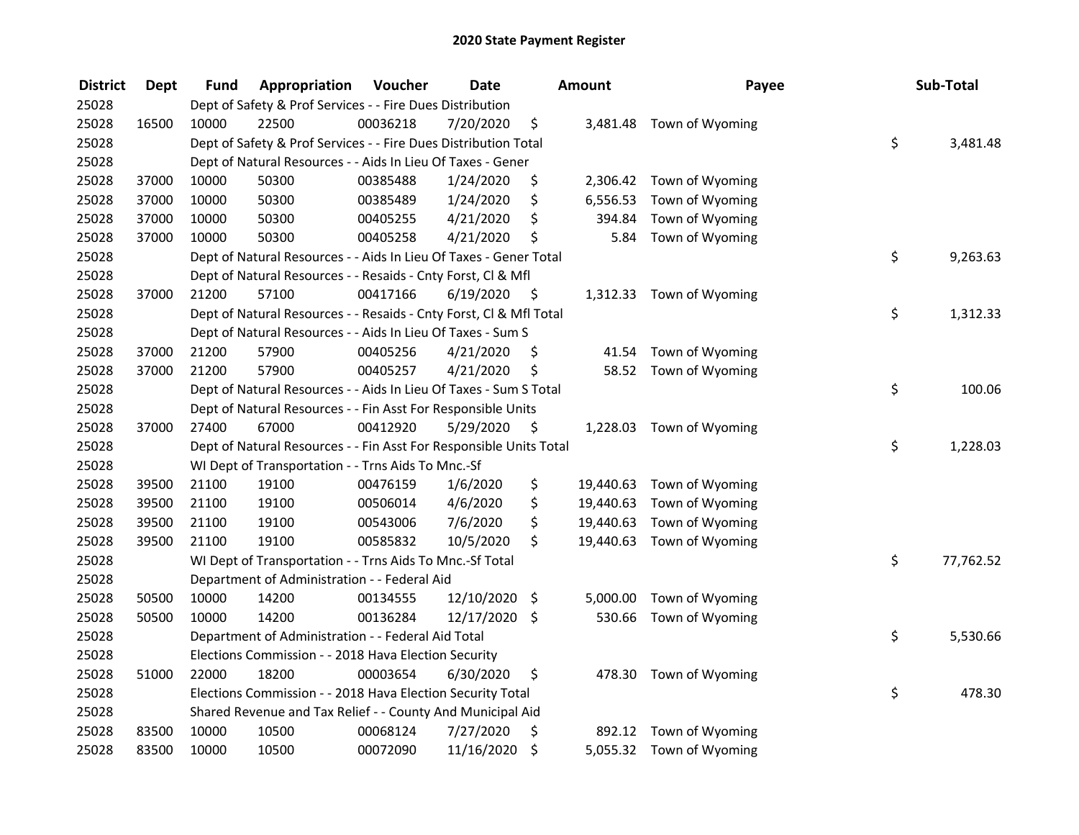| <b>District</b> | <b>Dept</b> | <b>Fund</b> | Appropriation                                                      | Voucher  | <b>Date</b>   |         | <b>Amount</b> | Payee                     | Sub-Total       |
|-----------------|-------------|-------------|--------------------------------------------------------------------|----------|---------------|---------|---------------|---------------------------|-----------------|
| 25028           |             |             | Dept of Safety & Prof Services - - Fire Dues Distribution          |          |               |         |               |                           |                 |
| 25028           | 16500       | 10000       | 22500                                                              | 00036218 | 7/20/2020     | \$      |               | 3,481.48 Town of Wyoming  |                 |
| 25028           |             |             | Dept of Safety & Prof Services - - Fire Dues Distribution Total    |          |               |         |               |                           | \$<br>3,481.48  |
| 25028           |             |             | Dept of Natural Resources - - Aids In Lieu Of Taxes - Gener        |          |               |         |               |                           |                 |
| 25028           | 37000       | 10000       | 50300                                                              | 00385488 | 1/24/2020     | \$      | 2,306.42      | Town of Wyoming           |                 |
| 25028           | 37000       | 10000       | 50300                                                              | 00385489 | 1/24/2020     | \$      | 6,556.53      | Town of Wyoming           |                 |
| 25028           | 37000       | 10000       | 50300                                                              | 00405255 | 4/21/2020     | \$      | 394.84        | Town of Wyoming           |                 |
| 25028           | 37000       | 10000       | 50300                                                              | 00405258 | 4/21/2020     | \$      | 5.84          | Town of Wyoming           |                 |
| 25028           |             |             | Dept of Natural Resources - - Aids In Lieu Of Taxes - Gener Total  |          |               |         |               |                           | \$<br>9,263.63  |
| 25028           |             |             | Dept of Natural Resources - - Resaids - Cnty Forst, Cl & Mfl       |          |               |         |               |                           |                 |
| 25028           | 37000       | 21200       | 57100                                                              | 00417166 | 6/19/2020     | - \$    |               | 1,312.33 Town of Wyoming  |                 |
| 25028           |             |             | Dept of Natural Resources - - Resaids - Cnty Forst, Cl & Mfl Total |          |               |         |               |                           | \$<br>1,312.33  |
| 25028           |             |             | Dept of Natural Resources - - Aids In Lieu Of Taxes - Sum S        |          |               |         |               |                           |                 |
| 25028           | 37000       | 21200       | 57900                                                              | 00405256 | 4/21/2020     | \$      | 41.54         | Town of Wyoming           |                 |
| 25028           | 37000       | 21200       | 57900                                                              | 00405257 | 4/21/2020     | \$      | 58.52         | Town of Wyoming           |                 |
| 25028           |             |             | Dept of Natural Resources - - Aids In Lieu Of Taxes - Sum S Total  |          |               |         |               |                           | \$<br>100.06    |
| 25028           |             |             | Dept of Natural Resources - - Fin Asst For Responsible Units       |          |               |         |               |                           |                 |
| 25028           | 37000       | 27400       | 67000                                                              | 00412920 | 5/29/2020     | \$      | 1,228.03      | Town of Wyoming           |                 |
| 25028           |             |             | Dept of Natural Resources - - Fin Asst For Responsible Units Total |          |               |         |               |                           | \$<br>1,228.03  |
| 25028           |             |             | WI Dept of Transportation - - Trns Aids To Mnc.-Sf                 |          |               |         |               |                           |                 |
| 25028           | 39500       | 21100       | 19100                                                              | 00476159 | 1/6/2020      | \$      | 19,440.63     | Town of Wyoming           |                 |
| 25028           | 39500       | 21100       | 19100                                                              | 00506014 | 4/6/2020      | \$      |               | 19,440.63 Town of Wyoming |                 |
| 25028           | 39500       | 21100       | 19100                                                              | 00543006 | 7/6/2020      | \$      | 19,440.63     | Town of Wyoming           |                 |
| 25028           | 39500       | 21100       | 19100                                                              | 00585832 | 10/5/2020     | \$      | 19,440.63     | Town of Wyoming           |                 |
| 25028           |             |             | WI Dept of Transportation - - Trns Aids To Mnc.-Sf Total           |          |               |         |               |                           | \$<br>77,762.52 |
| 25028           |             |             | Department of Administration - - Federal Aid                       |          |               |         |               |                           |                 |
| 25028           | 50500       | 10000       | 14200                                                              | 00134555 | 12/10/2020 \$ |         | 5,000.00      | Town of Wyoming           |                 |
| 25028           | 50500       | 10000       | 14200                                                              | 00136284 | 12/17/2020 \$ |         | 530.66        | Town of Wyoming           |                 |
| 25028           |             |             | Department of Administration - - Federal Aid Total                 |          |               |         |               |                           | \$<br>5,530.66  |
| 25028           |             |             | Elections Commission - - 2018 Hava Election Security               |          |               |         |               |                           |                 |
| 25028           | 51000       | 22000       | 18200                                                              | 00003654 | 6/30/2020     | \$      | 478.30        | Town of Wyoming           |                 |
| 25028           |             |             | Elections Commission - - 2018 Hava Election Security Total         |          |               |         |               |                           | \$<br>478.30    |
| 25028           |             |             | Shared Revenue and Tax Relief - - County And Municipal Aid         |          |               |         |               |                           |                 |
| 25028           | 83500       | 10000       | 10500                                                              | 00068124 | 7/27/2020     | \$      | 892.12        | Town of Wyoming           |                 |
| 25028           | 83500       | 10000       | 10500                                                              | 00072090 | 11/16/2020    | $\zeta$ |               | 5,055.32 Town of Wyoming  |                 |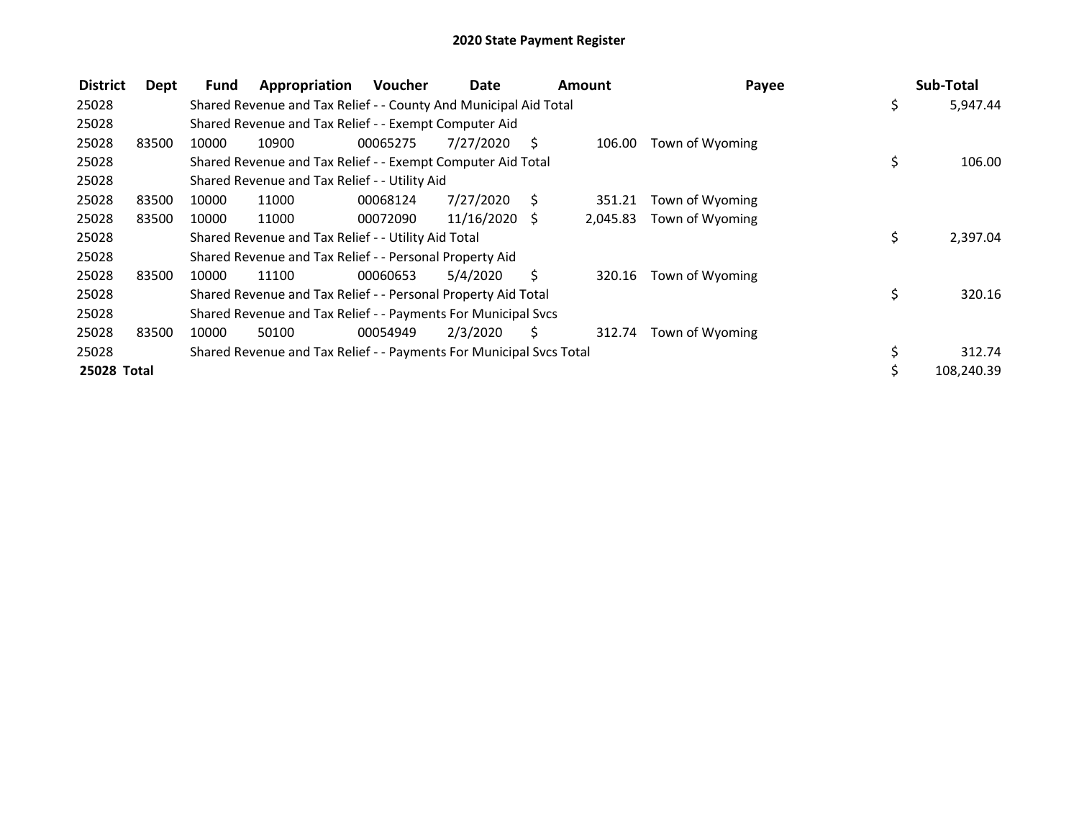| <b>District</b> | Dept  | Fund  | Appropriation                                                       | Voucher  | Date          |    | Amount   | Payee           |    | Sub-Total  |
|-----------------|-------|-------|---------------------------------------------------------------------|----------|---------------|----|----------|-----------------|----|------------|
| 25028           |       |       | Shared Revenue and Tax Relief - - County And Municipal Aid Total    |          |               |    |          |                 | \$ | 5,947.44   |
| 25028           |       |       | Shared Revenue and Tax Relief - - Exempt Computer Aid               |          |               |    |          |                 |    |            |
| 25028           | 83500 | 10000 | 10900                                                               | 00065275 | 7/27/2020     | S  | 106.00   | Town of Wyoming |    |            |
| 25028           |       |       | Shared Revenue and Tax Relief - - Exempt Computer Aid Total         |          |               |    |          |                 | \$ | 106.00     |
| 25028           |       |       | Shared Revenue and Tax Relief - - Utility Aid                       |          |               |    |          |                 |    |            |
| 25028           | 83500 | 10000 | 11000                                                               | 00068124 | 7/27/2020     | S  | 351.21   | Town of Wyoming |    |            |
| 25028           | 83500 | 10000 | 11000                                                               | 00072090 | 11/16/2020 \$ |    | 2,045.83 | Town of Wyoming |    |            |
| 25028           |       |       | Shared Revenue and Tax Relief - - Utility Aid Total                 |          |               |    |          |                 | \$ | 2,397.04   |
| 25028           |       |       | Shared Revenue and Tax Relief - - Personal Property Aid             |          |               |    |          |                 |    |            |
| 25028           | 83500 | 10000 | 11100                                                               | 00060653 | 5/4/2020      | S. | 320.16   | Town of Wyoming |    |            |
| 25028           |       |       | Shared Revenue and Tax Relief - - Personal Property Aid Total       |          |               |    |          |                 | \$ | 320.16     |
| 25028           |       |       | Shared Revenue and Tax Relief - - Payments For Municipal Svcs       |          |               |    |          |                 |    |            |
| 25028           | 83500 | 10000 | 50100                                                               | 00054949 | 2/3/2020      | Ś. | 312.74   | Town of Wyoming |    |            |
| 25028           |       |       | Shared Revenue and Tax Relief - - Payments For Municipal Svcs Total |          |               |    |          |                 | \$ | 312.74     |
| 25028 Total     |       |       |                                                                     |          |               |    |          |                 | Ś. | 108.240.39 |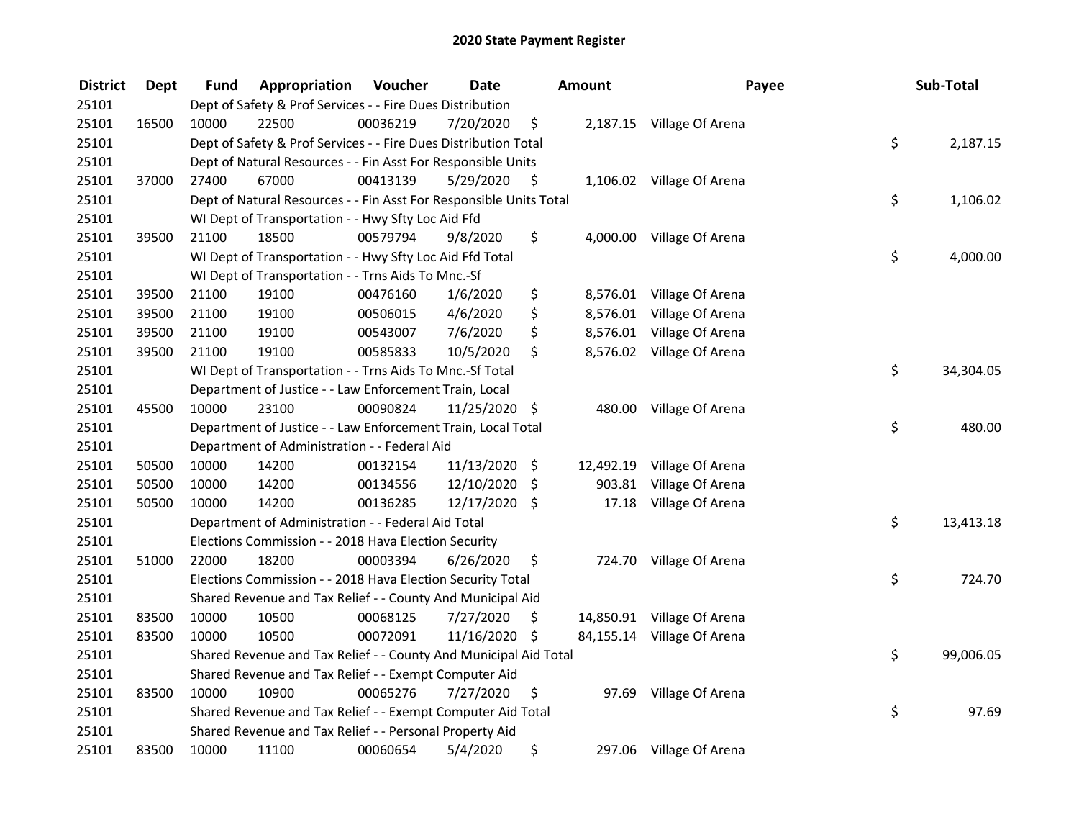| <b>District</b> | <b>Dept</b> | Fund  | Appropriation                                                      | Voucher  | <b>Date</b>   | <b>Amount</b>  | Payee                      | Sub-Total       |
|-----------------|-------------|-------|--------------------------------------------------------------------|----------|---------------|----------------|----------------------------|-----------------|
| 25101           |             |       | Dept of Safety & Prof Services - - Fire Dues Distribution          |          |               |                |                            |                 |
| 25101           | 16500       | 10000 | 22500                                                              | 00036219 | 7/20/2020     | \$             | 2,187.15 Village Of Arena  |                 |
| 25101           |             |       | Dept of Safety & Prof Services - - Fire Dues Distribution Total    |          |               |                |                            | \$<br>2,187.15  |
| 25101           |             |       | Dept of Natural Resources - - Fin Asst For Responsible Units       |          |               |                |                            |                 |
| 25101           | 37000       | 27400 | 67000                                                              | 00413139 | 5/29/2020     | \$             | 1,106.02 Village Of Arena  |                 |
| 25101           |             |       | Dept of Natural Resources - - Fin Asst For Responsible Units Total |          |               |                |                            | \$<br>1,106.02  |
| 25101           |             |       | WI Dept of Transportation - - Hwy Sfty Loc Aid Ffd                 |          |               |                |                            |                 |
| 25101           | 39500       | 21100 | 18500                                                              | 00579794 | 9/8/2020      | \$             | 4,000.00 Village Of Arena  |                 |
| 25101           |             |       | WI Dept of Transportation - - Hwy Sfty Loc Aid Ffd Total           |          |               |                |                            | \$<br>4,000.00  |
| 25101           |             |       | WI Dept of Transportation - - Trns Aids To Mnc.-Sf                 |          |               |                |                            |                 |
| 25101           | 39500       | 21100 | 19100                                                              | 00476160 | 1/6/2020      | \$             | 8,576.01 Village Of Arena  |                 |
| 25101           | 39500       | 21100 | 19100                                                              | 00506015 | 4/6/2020      | \$<br>8,576.01 | Village Of Arena           |                 |
| 25101           | 39500       | 21100 | 19100                                                              | 00543007 | 7/6/2020      | \$<br>8,576.01 | Village Of Arena           |                 |
| 25101           | 39500       | 21100 | 19100                                                              | 00585833 | 10/5/2020     | \$<br>8,576.02 | Village Of Arena           |                 |
| 25101           |             |       | WI Dept of Transportation - - Trns Aids To Mnc.-Sf Total           |          |               |                |                            | \$<br>34,304.05 |
| 25101           |             |       | Department of Justice - - Law Enforcement Train, Local             |          |               |                |                            |                 |
| 25101           | 45500       | 10000 | 23100                                                              | 00090824 | 11/25/2020 \$ | 480.00         | Village Of Arena           |                 |
| 25101           |             |       | Department of Justice - - Law Enforcement Train, Local Total       |          |               |                |                            | \$<br>480.00    |
| 25101           |             |       | Department of Administration - - Federal Aid                       |          |               |                |                            |                 |
| 25101           | 50500       | 10000 | 14200                                                              | 00132154 | 11/13/2020 \$ |                | 12,492.19 Village Of Arena |                 |
| 25101           | 50500       | 10000 | 14200                                                              | 00134556 | 12/10/2020    | \$<br>903.81   | Village Of Arena           |                 |
| 25101           | 50500       | 10000 | 14200                                                              | 00136285 | 12/17/2020 \$ | 17.18          | Village Of Arena           |                 |
| 25101           |             |       | Department of Administration - - Federal Aid Total                 |          |               |                |                            | \$<br>13,413.18 |
| 25101           |             |       | Elections Commission - - 2018 Hava Election Security               |          |               |                |                            |                 |
| 25101           | 51000       | 22000 | 18200                                                              | 00003394 | 6/26/2020     | \$             | 724.70 Village Of Arena    |                 |
| 25101           |             |       | Elections Commission - - 2018 Hava Election Security Total         |          |               |                |                            | \$<br>724.70    |
| 25101           |             |       | Shared Revenue and Tax Relief - - County And Municipal Aid         |          |               |                |                            |                 |
| 25101           | 83500       | 10000 | 10500                                                              | 00068125 | 7/27/2020     | \$             | 14,850.91 Village Of Arena |                 |
| 25101           | 83500       | 10000 | 10500                                                              | 00072091 | 11/16/2020 \$ |                | 84,155.14 Village Of Arena |                 |
| 25101           |             |       | Shared Revenue and Tax Relief - - County And Municipal Aid Total   |          |               |                |                            | \$<br>99,006.05 |
| 25101           |             |       | Shared Revenue and Tax Relief - - Exempt Computer Aid              |          |               |                |                            |                 |
| 25101           | 83500       | 10000 | 10900                                                              | 00065276 | 7/27/2020     | \$             | 97.69 Village Of Arena     |                 |
| 25101           |             |       | Shared Revenue and Tax Relief - - Exempt Computer Aid Total        |          |               |                |                            | \$<br>97.69     |
| 25101           |             |       | Shared Revenue and Tax Relief - - Personal Property Aid            |          |               |                |                            |                 |
| 25101           | 83500       | 10000 | 11100                                                              | 00060654 | 5/4/2020      | \$             | 297.06 Village Of Arena    |                 |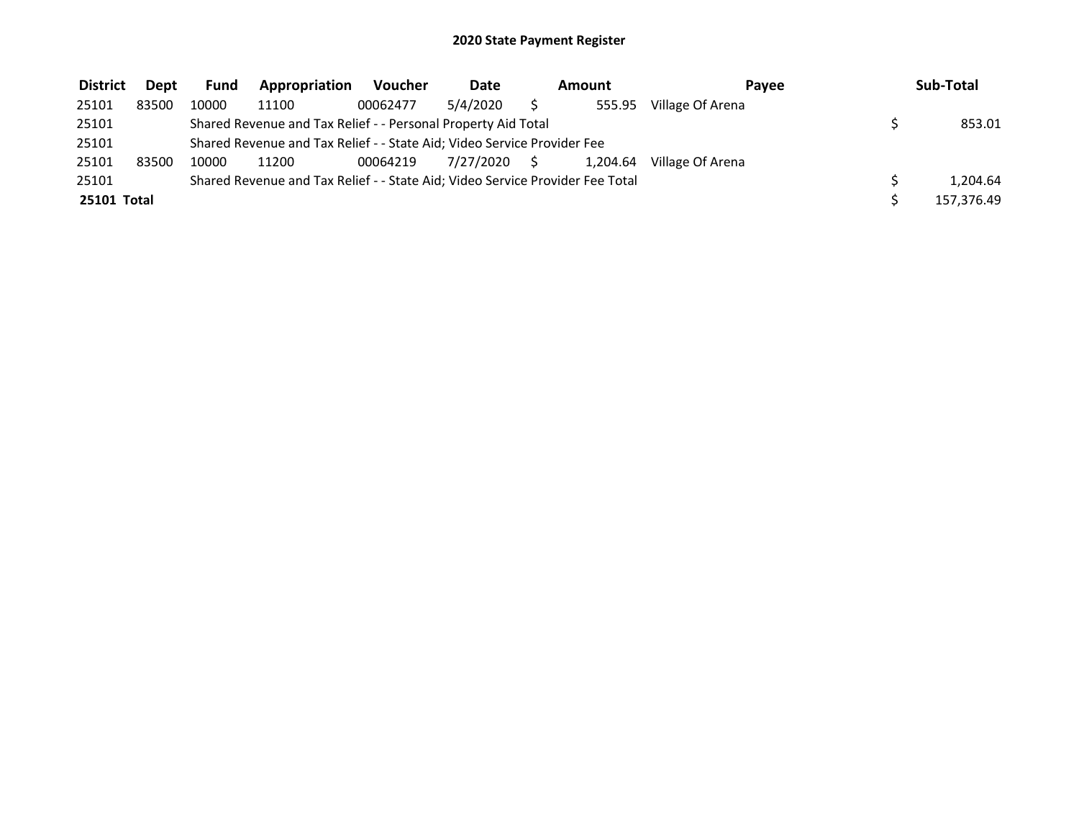| <b>District</b> | <b>Dept</b> | <b>Fund</b> | Appropriation                                                                 | <b>Voucher</b> | <b>Date</b>  | Amount   | Pavee            | Sub-Total  |
|-----------------|-------------|-------------|-------------------------------------------------------------------------------|----------------|--------------|----------|------------------|------------|
| 25101           | 83500       | 10000       | 11100                                                                         | 00062477       | 5/4/2020     | 555.95   | Village Of Arena |            |
| 25101           |             |             | Shared Revenue and Tax Relief - - Personal Property Aid Total                 |                |              |          |                  | 853.01     |
| 25101           |             |             | Shared Revenue and Tax Relief - - State Aid; Video Service Provider Fee       |                |              |          |                  |            |
| 25101           | 83500       | 10000       | 11200                                                                         | 00064219       | 7/27/2020 \$ | 1.204.64 | Village Of Arena |            |
| 25101           |             |             | Shared Revenue and Tax Relief - - State Aid; Video Service Provider Fee Total |                |              |          |                  | 1.204.64   |
| 25101 Total     |             |             |                                                                               |                |              |          |                  | 157,376.49 |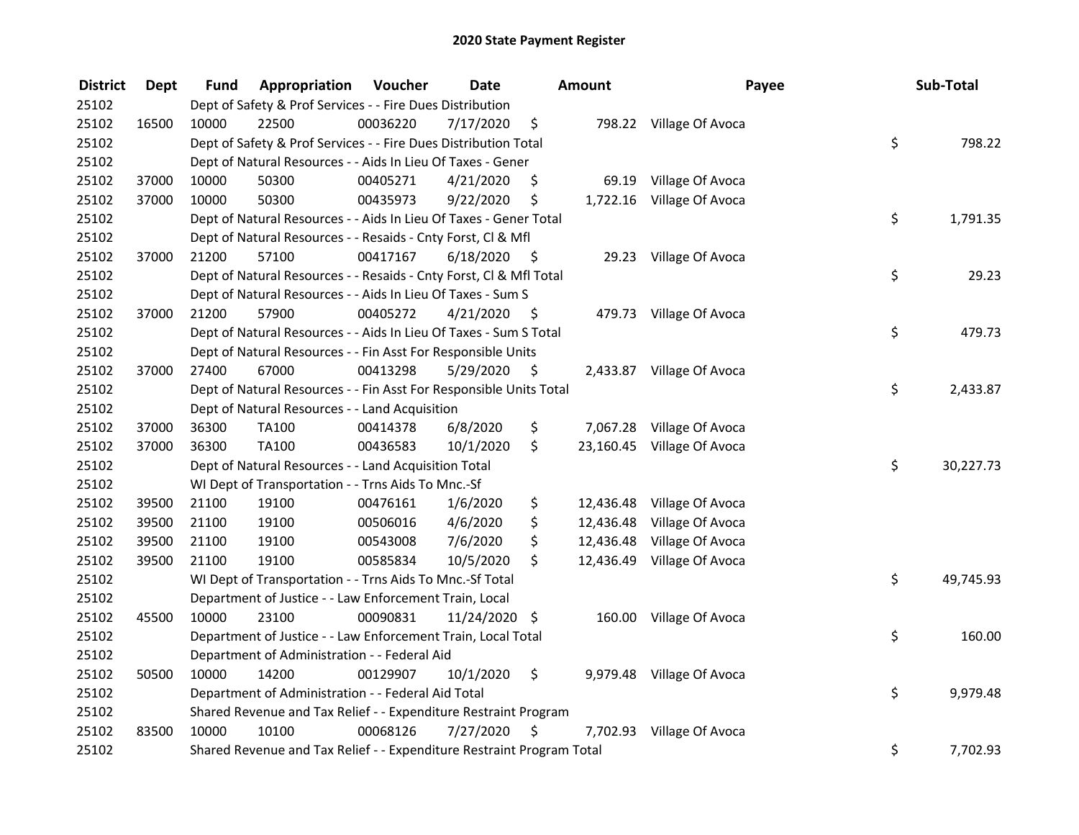| <b>District</b> | <b>Dept</b> | Fund  | Appropriation                                                         | Voucher  | <b>Date</b>   |      | Amount    | Payee                     | Sub-Total       |
|-----------------|-------------|-------|-----------------------------------------------------------------------|----------|---------------|------|-----------|---------------------------|-----------------|
| 25102           |             |       | Dept of Safety & Prof Services - - Fire Dues Distribution             |          |               |      |           |                           |                 |
| 25102           | 16500       | 10000 | 22500                                                                 | 00036220 | 7/17/2020     | \$   |           | 798.22 Village Of Avoca   |                 |
| 25102           |             |       | Dept of Safety & Prof Services - - Fire Dues Distribution Total       |          |               |      |           |                           | \$<br>798.22    |
| 25102           |             |       | Dept of Natural Resources - - Aids In Lieu Of Taxes - Gener           |          |               |      |           |                           |                 |
| 25102           | 37000       | 10000 | 50300                                                                 | 00405271 | 4/21/2020     | \$   | 69.19     | Village Of Avoca          |                 |
| 25102           | 37000       | 10000 | 50300                                                                 | 00435973 | 9/22/2020     | \$   | 1,722.16  | Village Of Avoca          |                 |
| 25102           |             |       | Dept of Natural Resources - - Aids In Lieu Of Taxes - Gener Total     |          |               |      |           |                           | \$<br>1,791.35  |
| 25102           |             |       | Dept of Natural Resources - - Resaids - Cnty Forst, Cl & Mfl          |          |               |      |           |                           |                 |
| 25102           | 37000       | 21200 | 57100                                                                 | 00417167 | 6/18/2020     | - \$ |           | 29.23 Village Of Avoca    |                 |
| 25102           |             |       | Dept of Natural Resources - - Resaids - Cnty Forst, Cl & Mfl Total    |          |               |      |           |                           | \$<br>29.23     |
| 25102           |             |       | Dept of Natural Resources - - Aids In Lieu Of Taxes - Sum S           |          |               |      |           |                           |                 |
| 25102           | 37000       | 21200 | 57900                                                                 | 00405272 | 4/21/2020     | - \$ |           | 479.73 Village Of Avoca   |                 |
| 25102           |             |       | Dept of Natural Resources - - Aids In Lieu Of Taxes - Sum S Total     |          |               |      |           |                           | \$<br>479.73    |
| 25102           |             |       | Dept of Natural Resources - - Fin Asst For Responsible Units          |          |               |      |           |                           |                 |
| 25102           | 37000       | 27400 | 67000                                                                 | 00413298 | 5/29/2020     | -\$  |           | 2,433.87 Village Of Avoca |                 |
| 25102           |             |       | Dept of Natural Resources - - Fin Asst For Responsible Units Total    |          |               |      |           |                           | \$<br>2,433.87  |
| 25102           |             |       | Dept of Natural Resources - - Land Acquisition                        |          |               |      |           |                           |                 |
| 25102           | 37000       | 36300 | <b>TA100</b>                                                          | 00414378 | 6/8/2020      | \$   | 7,067.28  | Village Of Avoca          |                 |
| 25102           | 37000       | 36300 | <b>TA100</b>                                                          | 00436583 | 10/1/2020     | \$   | 23,160.45 | Village Of Avoca          |                 |
| 25102           |             |       | Dept of Natural Resources - - Land Acquisition Total                  |          |               |      |           |                           | \$<br>30,227.73 |
| 25102           |             |       | WI Dept of Transportation - - Trns Aids To Mnc.-Sf                    |          |               |      |           |                           |                 |
| 25102           | 39500       | 21100 | 19100                                                                 | 00476161 | 1/6/2020      | \$   | 12,436.48 | Village Of Avoca          |                 |
| 25102           | 39500       | 21100 | 19100                                                                 | 00506016 | 4/6/2020      | \$   | 12,436.48 | Village Of Avoca          |                 |
| 25102           | 39500       | 21100 | 19100                                                                 | 00543008 | 7/6/2020      | \$   | 12,436.48 | Village Of Avoca          |                 |
| 25102           | 39500       | 21100 | 19100                                                                 | 00585834 | 10/5/2020     | \$   | 12,436.49 | Village Of Avoca          |                 |
| 25102           |             |       | WI Dept of Transportation - - Trns Aids To Mnc.-Sf Total              |          |               |      |           |                           | \$<br>49,745.93 |
| 25102           |             |       | Department of Justice - - Law Enforcement Train, Local                |          |               |      |           |                           |                 |
| 25102           | 45500       | 10000 | 23100                                                                 | 00090831 | 11/24/2020 \$ |      |           | 160.00 Village Of Avoca   |                 |
| 25102           |             |       | Department of Justice - - Law Enforcement Train, Local Total          |          |               |      |           |                           | \$<br>160.00    |
| 25102           |             |       | Department of Administration - - Federal Aid                          |          |               |      |           |                           |                 |
| 25102           | 50500       | 10000 | 14200                                                                 | 00129907 | 10/1/2020     | \$   |           | 9,979.48 Village Of Avoca |                 |
| 25102           |             |       | Department of Administration - - Federal Aid Total                    |          |               |      |           |                           | \$<br>9,979.48  |
| 25102           |             |       | Shared Revenue and Tax Relief - - Expenditure Restraint Program       |          |               |      |           |                           |                 |
| 25102           | 83500       | 10000 | 10100                                                                 | 00068126 | 7/27/2020     | \$   | 7,702.93  | Village Of Avoca          |                 |
| 25102           |             |       | Shared Revenue and Tax Relief - - Expenditure Restraint Program Total |          |               |      |           |                           | \$<br>7,702.93  |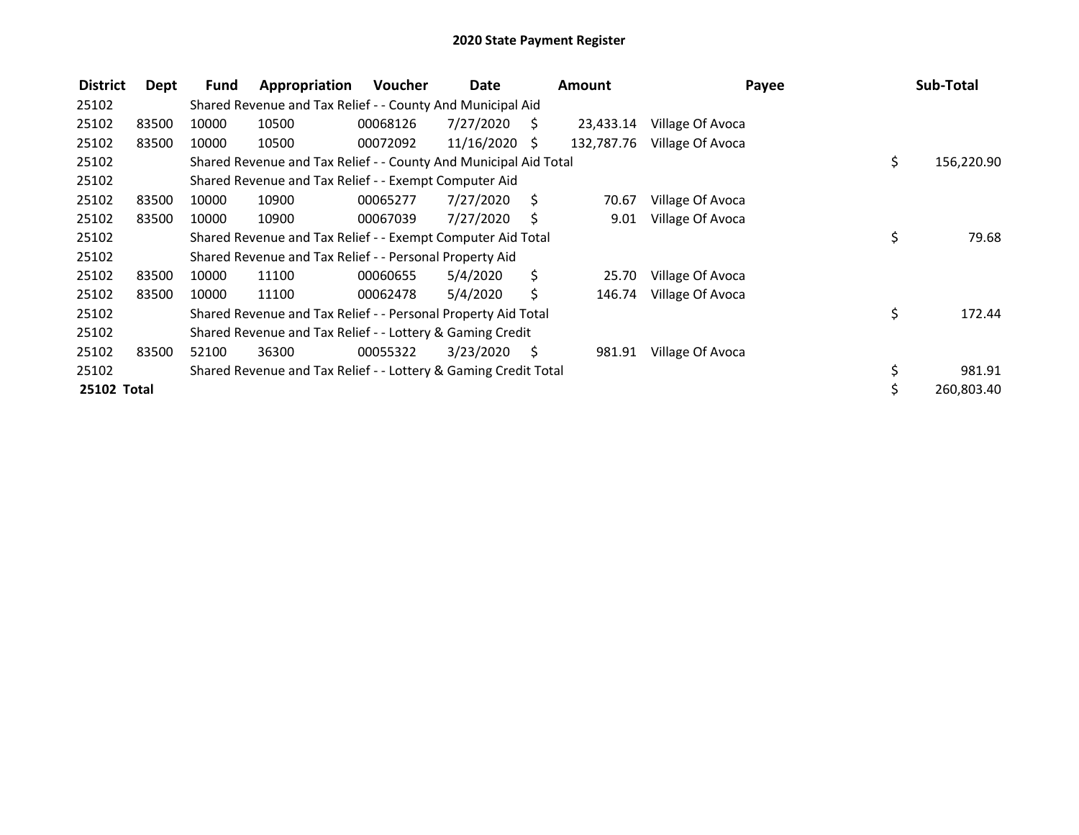| <b>District</b> | Dept  | <b>Fund</b> | Appropriation                                                    | <b>Voucher</b> | Date          |    | <b>Amount</b> | Payee            |     | Sub-Total  |
|-----------------|-------|-------------|------------------------------------------------------------------|----------------|---------------|----|---------------|------------------|-----|------------|
| 25102           |       |             | Shared Revenue and Tax Relief - - County And Municipal Aid       |                |               |    |               |                  |     |            |
| 25102           | 83500 | 10000       | 10500                                                            | 00068126       | 7/27/2020     | S. | 23,433.14     | Village Of Avoca |     |            |
| 25102           | 83500 | 10000       | 10500                                                            | 00072092       | 11/16/2020 \$ |    | 132,787.76    | Village Of Avoca |     |            |
| 25102           |       |             | Shared Revenue and Tax Relief - - County And Municipal Aid Total |                |               |    |               |                  | \$. | 156,220.90 |
| 25102           |       |             | Shared Revenue and Tax Relief - - Exempt Computer Aid            |                |               |    |               |                  |     |            |
| 25102           | 83500 | 10000       | 10900                                                            | 00065277       | 7/27/2020     | Ŝ. | 70.67         | Village Of Avoca |     |            |
| 25102           | 83500 | 10000       | 10900                                                            | 00067039       | 7/27/2020     | S  | 9.01          | Village Of Avoca |     |            |
| 25102           |       |             | Shared Revenue and Tax Relief - - Exempt Computer Aid Total      |                |               |    |               |                  | \$  | 79.68      |
| 25102           |       |             | Shared Revenue and Tax Relief - - Personal Property Aid          |                |               |    |               |                  |     |            |
| 25102           | 83500 | 10000       | 11100                                                            | 00060655       | 5/4/2020      | Ś. | 25.70         | Village Of Avoca |     |            |
| 25102           | 83500 | 10000       | 11100                                                            | 00062478       | 5/4/2020      | \$ | 146.74        | Village Of Avoca |     |            |
| 25102           |       |             | Shared Revenue and Tax Relief - - Personal Property Aid Total    |                |               |    |               |                  | \$  | 172.44     |
| 25102           |       |             | Shared Revenue and Tax Relief - - Lottery & Gaming Credit        |                |               |    |               |                  |     |            |
| 25102           | 83500 | 52100       | 36300                                                            | 00055322       | 3/23/2020     | S  | 981.91        | Village Of Avoca |     |            |
| 25102           |       |             | Shared Revenue and Tax Relief - - Lottery & Gaming Credit Total  |                |               |    |               |                  | \$  | 981.91     |
| 25102 Total     |       |             |                                                                  |                |               |    |               |                  |     | 260,803.40 |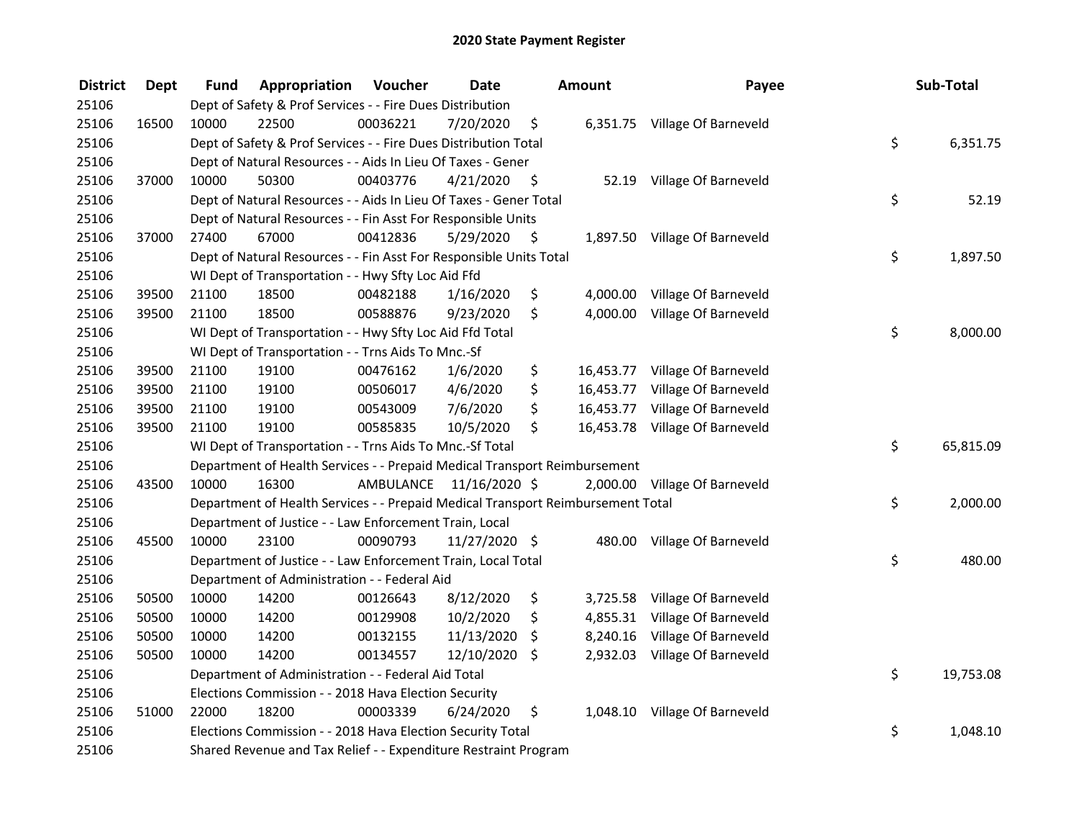| <b>District</b> | <b>Dept</b> | Fund  | Appropriation                                                                   | Voucher  | <b>Date</b>             | <b>Amount</b>   | Payee                          | Sub-Total       |
|-----------------|-------------|-------|---------------------------------------------------------------------------------|----------|-------------------------|-----------------|--------------------------------|-----------------|
| 25106           |             |       | Dept of Safety & Prof Services - - Fire Dues Distribution                       |          |                         |                 |                                |                 |
| 25106           | 16500       | 10000 | 22500                                                                           | 00036221 | 7/20/2020               | \$              | 6,351.75 Village Of Barneveld  |                 |
| 25106           |             |       | Dept of Safety & Prof Services - - Fire Dues Distribution Total                 |          |                         |                 |                                | \$<br>6,351.75  |
| 25106           |             |       | Dept of Natural Resources - - Aids In Lieu Of Taxes - Gener                     |          |                         |                 |                                |                 |
| 25106           | 37000       | 10000 | 50300                                                                           | 00403776 | 4/21/2020               | \$              | 52.19 Village Of Barneveld     |                 |
| 25106           |             |       | Dept of Natural Resources - - Aids In Lieu Of Taxes - Gener Total               |          |                         |                 |                                | \$<br>52.19     |
| 25106           |             |       | Dept of Natural Resources - - Fin Asst For Responsible Units                    |          |                         |                 |                                |                 |
| 25106           | 37000       | 27400 | 67000                                                                           | 00412836 | 5/29/2020               | \$              | 1,897.50 Village Of Barneveld  |                 |
| 25106           |             |       | Dept of Natural Resources - - Fin Asst For Responsible Units Total              |          |                         |                 |                                | \$<br>1,897.50  |
| 25106           |             |       | WI Dept of Transportation - - Hwy Sfty Loc Aid Ffd                              |          |                         |                 |                                |                 |
| 25106           | 39500       | 21100 | 18500                                                                           | 00482188 | 1/16/2020               | \$              | 4,000.00 Village Of Barneveld  |                 |
| 25106           | 39500       | 21100 | 18500                                                                           | 00588876 | 9/23/2020               | \$              | 4,000.00 Village Of Barneveld  |                 |
| 25106           |             |       | WI Dept of Transportation - - Hwy Sfty Loc Aid Ffd Total                        |          |                         |                 |                                | \$<br>8,000.00  |
| 25106           |             |       | WI Dept of Transportation - - Trns Aids To Mnc.-Sf                              |          |                         |                 |                                |                 |
| 25106           | 39500       | 21100 | 19100                                                                           | 00476162 | 1/6/2020                | \$              | 16,453.77 Village Of Barneveld |                 |
| 25106           | 39500       | 21100 | 19100                                                                           | 00506017 | 4/6/2020                | \$<br>16,453.77 | Village Of Barneveld           |                 |
| 25106           | 39500       | 21100 | 19100                                                                           | 00543009 | 7/6/2020                | \$<br>16,453.77 | Village Of Barneveld           |                 |
| 25106           | 39500       | 21100 | 19100                                                                           | 00585835 | 10/5/2020               | \$              | 16,453.78 Village Of Barneveld |                 |
| 25106           |             |       | WI Dept of Transportation - - Trns Aids To Mnc.-Sf Total                        |          |                         |                 |                                | \$<br>65,815.09 |
| 25106           |             |       | Department of Health Services - - Prepaid Medical Transport Reimbursement       |          |                         |                 |                                |                 |
| 25106           | 43500       | 10000 | 16300                                                                           |          | AMBULANCE 11/16/2020 \$ | 2,000.00        | Village Of Barneveld           |                 |
| 25106           |             |       | Department of Health Services - - Prepaid Medical Transport Reimbursement Total |          |                         |                 |                                | \$<br>2,000.00  |
| 25106           |             |       | Department of Justice - - Law Enforcement Train, Local                          |          |                         |                 |                                |                 |
| 25106           | 45500       | 10000 | 23100                                                                           | 00090793 | 11/27/2020 \$           |                 | 480.00 Village Of Barneveld    |                 |
| 25106           |             |       | Department of Justice - - Law Enforcement Train, Local Total                    |          |                         |                 |                                | \$<br>480.00    |
| 25106           |             |       | Department of Administration - - Federal Aid                                    |          |                         |                 |                                |                 |
| 25106           | 50500       | 10000 | 14200                                                                           | 00126643 | 8/12/2020               | \$              | 3,725.58 Village Of Barneveld  |                 |
| 25106           | 50500       | 10000 | 14200                                                                           | 00129908 | 10/2/2020               | \$<br>4,855.31  | Village Of Barneveld           |                 |
| 25106           | 50500       | 10000 | 14200                                                                           | 00132155 | 11/13/2020              | \$<br>8,240.16  | Village Of Barneveld           |                 |
| 25106           | 50500       | 10000 | 14200                                                                           | 00134557 | 12/10/2020              | \$<br>2,932.03  | Village Of Barneveld           |                 |
| 25106           |             |       | Department of Administration - - Federal Aid Total                              |          |                         |                 |                                | \$<br>19,753.08 |
| 25106           |             |       | Elections Commission - - 2018 Hava Election Security                            |          |                         |                 |                                |                 |
| 25106           | 51000       | 22000 | 18200                                                                           | 00003339 | 6/24/2020               | \$              | 1,048.10 Village Of Barneveld  |                 |
| 25106           |             |       | Elections Commission - - 2018 Hava Election Security Total                      |          |                         |                 |                                | \$<br>1,048.10  |
| 25106           |             |       | Shared Revenue and Tax Relief - - Expenditure Restraint Program                 |          |                         |                 |                                |                 |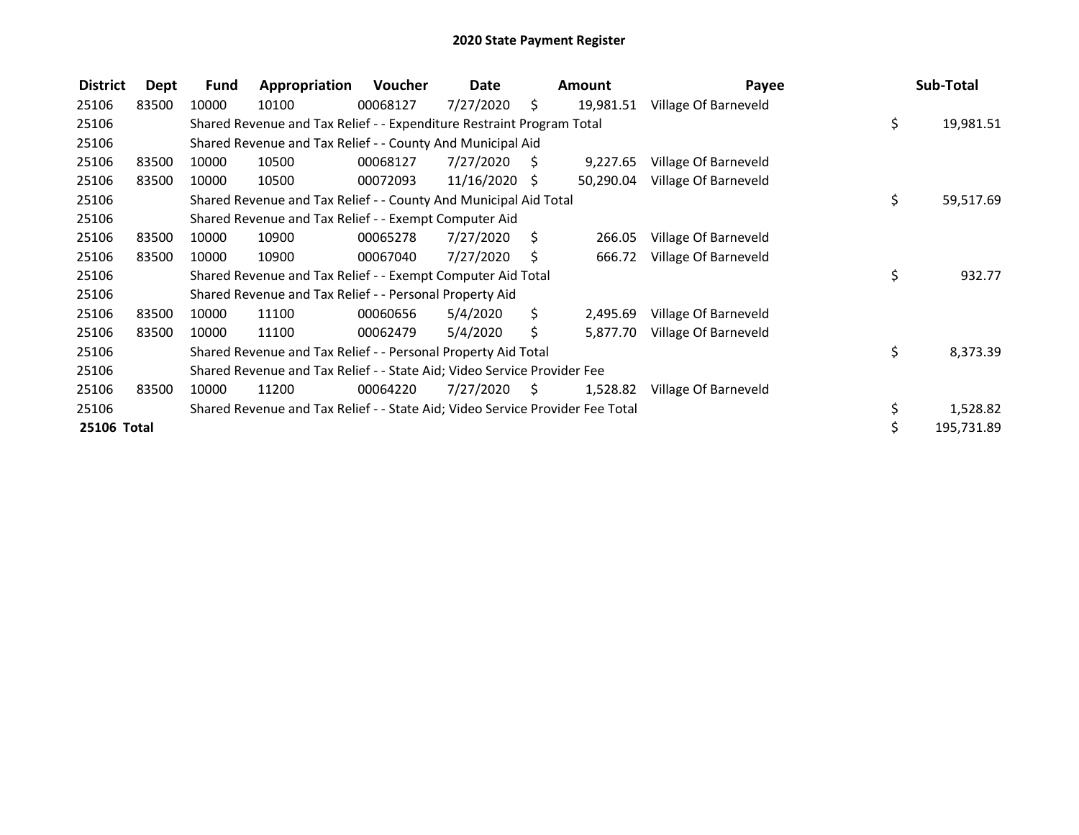| <b>District</b> | Dept  | Fund  | Appropriation                                                                 | Voucher  | Date            |      | Amount    | Payee                |     | Sub-Total  |
|-----------------|-------|-------|-------------------------------------------------------------------------------|----------|-----------------|------|-----------|----------------------|-----|------------|
| 25106           | 83500 | 10000 | 10100                                                                         | 00068127 | 7/27/2020       | \$.  | 19,981.51 | Village Of Barneveld |     |            |
| 25106           |       |       | Shared Revenue and Tax Relief - - Expenditure Restraint Program Total         |          |                 |      |           |                      | \$. | 19,981.51  |
| 25106           |       |       | Shared Revenue and Tax Relief - - County And Municipal Aid                    |          |                 |      |           |                      |     |            |
| 25106           | 83500 | 10000 | 10500                                                                         | 00068127 | 7/27/2020       | - S  | 9,227.65  | Village Of Barneveld |     |            |
| 25106           | 83500 | 10000 | 10500                                                                         | 00072093 | $11/16/2020$ \$ |      | 50,290.04 | Village Of Barneveld |     |            |
| 25106           |       |       | Shared Revenue and Tax Relief - - County And Municipal Aid Total              |          |                 |      |           |                      | \$. | 59,517.69  |
| 25106           |       |       | Shared Revenue and Tax Relief - - Exempt Computer Aid                         |          |                 |      |           |                      |     |            |
| 25106           | 83500 | 10000 | 10900                                                                         | 00065278 | 7/27/2020       | S.   | 266.05    | Village Of Barneveld |     |            |
| 25106           | 83500 | 10000 | 10900                                                                         | 00067040 | 7/27/2020       | S    | 666.72    | Village Of Barneveld |     |            |
| 25106           |       |       | Shared Revenue and Tax Relief - - Exempt Computer Aid Total                   |          |                 |      |           |                      | \$  | 932.77     |
| 25106           |       |       | Shared Revenue and Tax Relief - - Personal Property Aid                       |          |                 |      |           |                      |     |            |
| 25106           | 83500 | 10000 | 11100                                                                         | 00060656 | 5/4/2020        | S.   | 2,495.69  | Village Of Barneveld |     |            |
| 25106           | 83500 | 10000 | 11100                                                                         | 00062479 | 5/4/2020        | \$.  | 5,877.70  | Village Of Barneveld |     |            |
| 25106           |       |       | Shared Revenue and Tax Relief - - Personal Property Aid Total                 |          |                 |      |           |                      | \$  | 8,373.39   |
| 25106           |       |       | Shared Revenue and Tax Relief - - State Aid; Video Service Provider Fee       |          |                 |      |           |                      |     |            |
| 25106           | 83500 | 10000 | 11200                                                                         | 00064220 | 7/27/2020       | - \$ | 1,528.82  | Village Of Barneveld |     |            |
| 25106           |       |       | Shared Revenue and Tax Relief - - State Aid; Video Service Provider Fee Total |          |                 |      |           |                      |     | 1,528.82   |
| 25106 Total     |       |       |                                                                               |          |                 |      |           |                      | Ś.  | 195,731.89 |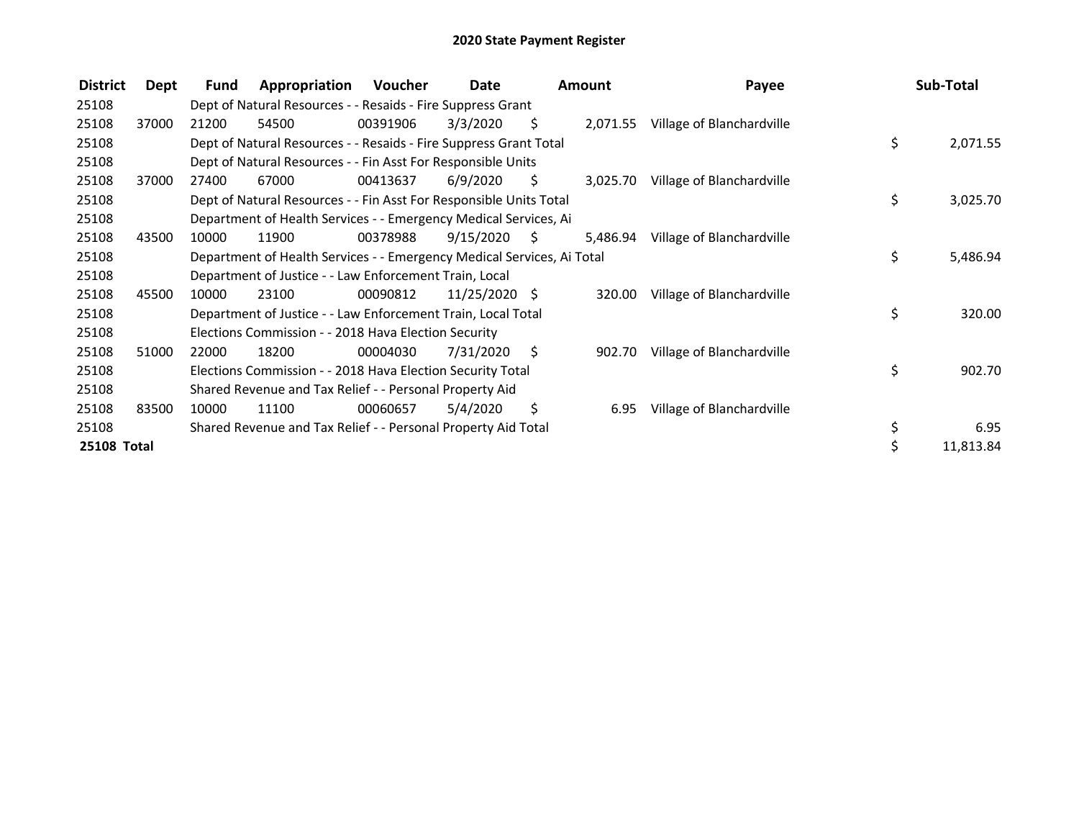| <b>District</b>    | Dept  | Fund  | Appropriation                                                          | Voucher  | Date          |                     | <b>Amount</b> | Payee                     | Sub-Total      |
|--------------------|-------|-------|------------------------------------------------------------------------|----------|---------------|---------------------|---------------|---------------------------|----------------|
| 25108              |       |       | Dept of Natural Resources - - Resaids - Fire Suppress Grant            |          |               |                     |               |                           |                |
| 25108              | 37000 | 21200 | 54500                                                                  | 00391906 | 3/3/2020      | S.                  | 2,071.55      | Village of Blanchardville |                |
| 25108              |       |       | Dept of Natural Resources - - Resaids - Fire Suppress Grant Total      |          |               |                     |               |                           | \$<br>2,071.55 |
| 25108              |       |       | Dept of Natural Resources - - Fin Asst For Responsible Units           |          |               |                     |               |                           |                |
| 25108              | 37000 | 27400 | 67000                                                                  | 00413637 | 6/9/2020      | \$.                 | 3,025.70      | Village of Blanchardville |                |
| 25108              |       |       | Dept of Natural Resources - - Fin Asst For Responsible Units Total     |          |               |                     |               |                           | \$<br>3,025.70 |
| 25108              |       |       | Department of Health Services - - Emergency Medical Services, Ai       |          |               |                     |               |                           |                |
| 25108              | 43500 | 10000 | 11900                                                                  | 00378988 | 9/15/2020     | $\ddot{\mathsf{S}}$ | 5.486.94      | Village of Blanchardville |                |
| 25108              |       |       | Department of Health Services - - Emergency Medical Services, Ai Total |          |               |                     |               |                           | \$<br>5,486.94 |
| 25108              |       |       | Department of Justice - - Law Enforcement Train, Local                 |          |               |                     |               |                           |                |
| 25108              | 45500 | 10000 | 23100                                                                  | 00090812 | 11/25/2020 \$ |                     | 320.00        | Village of Blanchardville |                |
| 25108              |       |       | Department of Justice - - Law Enforcement Train, Local Total           |          |               |                     |               |                           | \$<br>320.00   |
| 25108              |       |       | Elections Commission - - 2018 Hava Election Security                   |          |               |                     |               |                           |                |
| 25108              | 51000 | 22000 | 18200                                                                  | 00004030 | 7/31/2020     | - \$                | 902.70        | Village of Blanchardville |                |
| 25108              |       |       | Elections Commission - - 2018 Hava Election Security Total             |          |               |                     |               |                           | \$<br>902.70   |
| 25108              |       |       | Shared Revenue and Tax Relief - - Personal Property Aid                |          |               |                     |               |                           |                |
| 25108              | 83500 | 10000 | 11100                                                                  | 00060657 | 5/4/2020      | \$.                 | 6.95          | Village of Blanchardville |                |
| 25108              |       |       | Shared Revenue and Tax Relief - - Personal Property Aid Total          |          |               |                     |               |                           | \$<br>6.95     |
| <b>25108 Total</b> |       |       |                                                                        |          |               |                     |               |                           | 11,813.84      |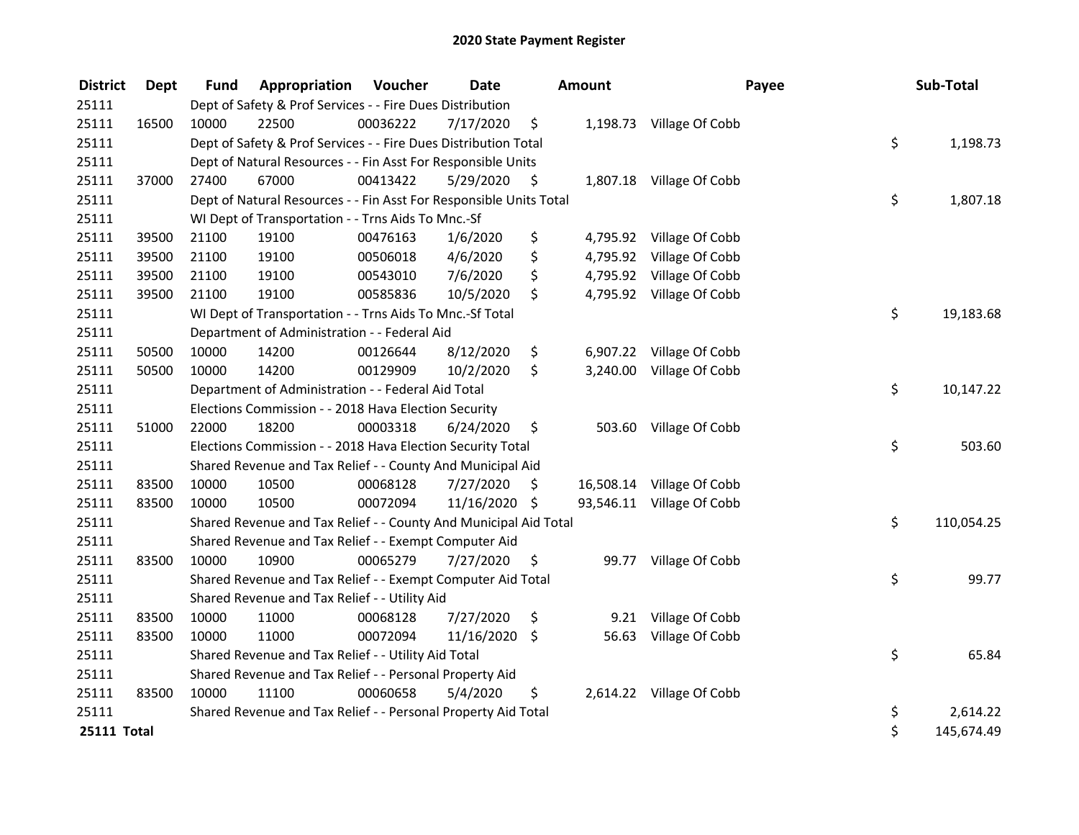| <b>District</b>    | <b>Dept</b> | <b>Fund</b> | Appropriation                                                      | Voucher  | <b>Date</b> |     | <b>Amount</b> | Payee                     | Sub-Total        |
|--------------------|-------------|-------------|--------------------------------------------------------------------|----------|-------------|-----|---------------|---------------------------|------------------|
| 25111              |             |             | Dept of Safety & Prof Services - - Fire Dues Distribution          |          |             |     |               |                           |                  |
| 25111              | 16500       | 10000       | 22500                                                              | 00036222 | 7/17/2020   | \$  |               | 1,198.73 Village Of Cobb  |                  |
| 25111              |             |             | Dept of Safety & Prof Services - - Fire Dues Distribution Total    |          |             |     |               |                           | \$<br>1,198.73   |
| 25111              |             |             | Dept of Natural Resources - - Fin Asst For Responsible Units       |          |             |     |               |                           |                  |
| 25111              | 37000       | 27400       | 67000                                                              | 00413422 | 5/29/2020   | \$  |               | 1,807.18 Village Of Cobb  |                  |
| 25111              |             |             | Dept of Natural Resources - - Fin Asst For Responsible Units Total |          |             |     |               |                           | \$<br>1,807.18   |
| 25111              |             |             | WI Dept of Transportation - - Trns Aids To Mnc.-Sf                 |          |             |     |               |                           |                  |
| 25111              | 39500       | 21100       | 19100                                                              | 00476163 | 1/6/2020    | \$  |               | 4,795.92 Village Of Cobb  |                  |
| 25111              | 39500       | 21100       | 19100                                                              | 00506018 | 4/6/2020    | \$  | 4,795.92      | Village Of Cobb           |                  |
| 25111              | 39500       | 21100       | 19100                                                              | 00543010 | 7/6/2020    | \$  |               | 4,795.92 Village Of Cobb  |                  |
| 25111              | 39500       | 21100       | 19100                                                              | 00585836 | 10/5/2020   | \$  |               | 4,795.92 Village Of Cobb  |                  |
| 25111              |             |             | WI Dept of Transportation - - Trns Aids To Mnc.-Sf Total           |          |             |     |               |                           | \$<br>19,183.68  |
| 25111              |             |             | Department of Administration - - Federal Aid                       |          |             |     |               |                           |                  |
| 25111              | 50500       | 10000       | 14200                                                              | 00126644 | 8/12/2020   | \$  |               | 6,907.22 Village Of Cobb  |                  |
| 25111              | 50500       | 10000       | 14200                                                              | 00129909 | 10/2/2020   | \$  |               | 3,240.00 Village Of Cobb  |                  |
| 25111              |             |             | Department of Administration - - Federal Aid Total                 |          |             |     |               |                           | \$<br>10,147.22  |
| 25111              |             |             | Elections Commission - - 2018 Hava Election Security               |          |             |     |               |                           |                  |
| 25111              | 51000       | 22000       | 18200                                                              | 00003318 | 6/24/2020   | \$  |               | 503.60 Village Of Cobb    |                  |
| 25111              |             |             | Elections Commission - - 2018 Hava Election Security Total         |          |             |     |               |                           | \$<br>503.60     |
| 25111              |             |             | Shared Revenue and Tax Relief - - County And Municipal Aid         |          |             |     |               |                           |                  |
| 25111              | 83500       | 10000       | 10500                                                              | 00068128 | 7/27/2020   | S   |               | 16,508.14 Village Of Cobb |                  |
| 25111              | 83500       | 10000       | 10500                                                              | 00072094 | 11/16/2020  | -\$ |               | 93,546.11 Village Of Cobb |                  |
| 25111              |             |             | Shared Revenue and Tax Relief - - County And Municipal Aid Total   |          |             |     |               |                           | \$<br>110,054.25 |
| 25111              |             |             | Shared Revenue and Tax Relief - - Exempt Computer Aid              |          |             |     |               |                           |                  |
| 25111              | 83500       | 10000       | 10900                                                              | 00065279 | 7/27/2020   | \$  | 99.77         | Village Of Cobb           |                  |
| 25111              |             |             | Shared Revenue and Tax Relief - - Exempt Computer Aid Total        |          |             |     |               |                           | \$<br>99.77      |
| 25111              |             |             | Shared Revenue and Tax Relief - - Utility Aid                      |          |             |     |               |                           |                  |
| 25111              | 83500       | 10000       | 11000                                                              | 00068128 | 7/27/2020   | \$  | 9.21          | Village Of Cobb           |                  |
| 25111              | 83500       | 10000       | 11000                                                              | 00072094 | 11/16/2020  | \$  | 56.63         | Village Of Cobb           |                  |
| 25111              |             |             | Shared Revenue and Tax Relief - - Utility Aid Total                |          |             |     |               |                           | \$<br>65.84      |
| 25111              |             |             | Shared Revenue and Tax Relief - - Personal Property Aid            |          |             |     |               |                           |                  |
| 25111              | 83500       | 10000       | 11100                                                              | 00060658 | 5/4/2020    | \$  |               | 2,614.22 Village Of Cobb  |                  |
| 25111              |             |             | Shared Revenue and Tax Relief - - Personal Property Aid Total      |          |             |     |               |                           | \$<br>2,614.22   |
| <b>25111 Total</b> |             |             |                                                                    |          |             |     |               |                           | \$<br>145,674.49 |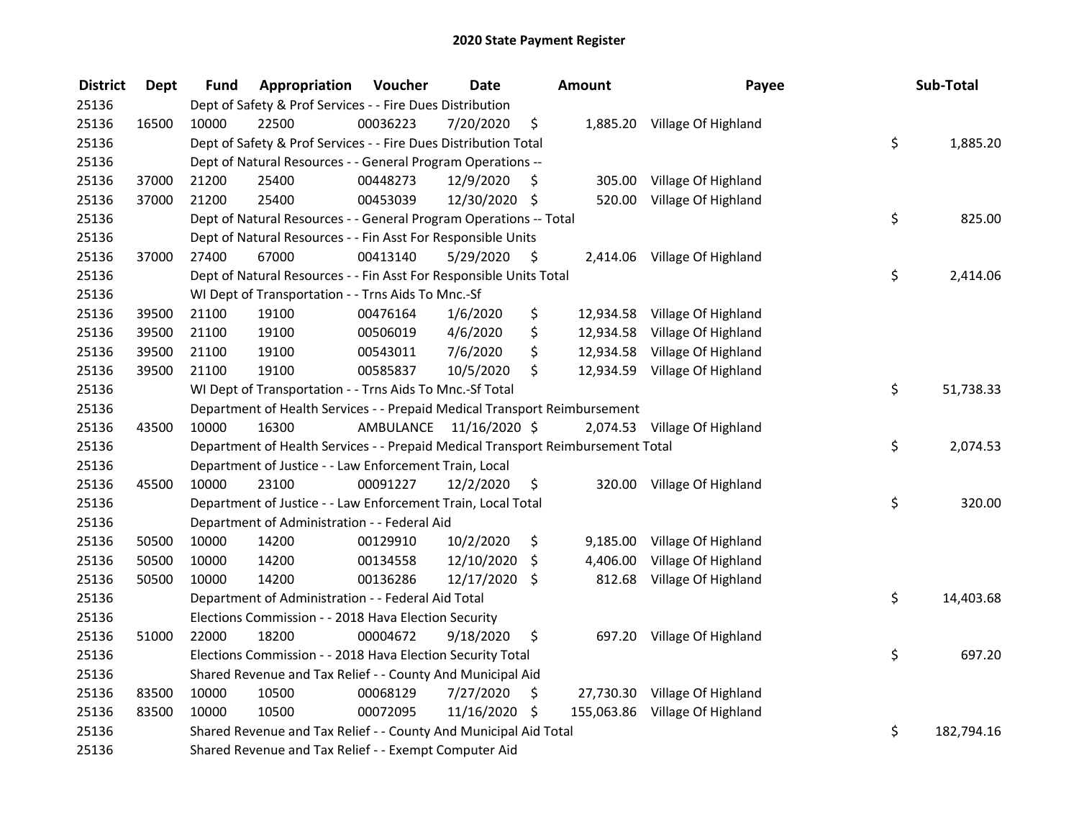| <b>District</b> | <b>Dept</b> | Fund  | Appropriation                                                                   | Voucher  | <b>Date</b>             |      | <b>Amount</b> | Payee                          | Sub-Total        |
|-----------------|-------------|-------|---------------------------------------------------------------------------------|----------|-------------------------|------|---------------|--------------------------------|------------------|
| 25136           |             |       | Dept of Safety & Prof Services - - Fire Dues Distribution                       |          |                         |      |               |                                |                  |
| 25136           | 16500       | 10000 | 22500                                                                           | 00036223 | 7/20/2020               | \$   |               | 1,885.20 Village Of Highland   |                  |
| 25136           |             |       | Dept of Safety & Prof Services - - Fire Dues Distribution Total                 |          |                         |      |               |                                | \$<br>1,885.20   |
| 25136           |             |       | Dept of Natural Resources - - General Program Operations --                     |          |                         |      |               |                                |                  |
| 25136           | 37000       | 21200 | 25400                                                                           | 00448273 | 12/9/2020               | \$   | 305.00        | Village Of Highland            |                  |
| 25136           | 37000       | 21200 | 25400                                                                           | 00453039 | 12/30/2020 \$           |      | 520.00        | Village Of Highland            |                  |
| 25136           |             |       | Dept of Natural Resources - - General Program Operations -- Total               |          |                         |      |               |                                | \$<br>825.00     |
| 25136           |             |       | Dept of Natural Resources - - Fin Asst For Responsible Units                    |          |                         |      |               |                                |                  |
| 25136           | 37000       | 27400 | 67000                                                                           | 00413140 | 5/29/2020               | - \$ |               | 2,414.06 Village Of Highland   |                  |
| 25136           |             |       | Dept of Natural Resources - - Fin Asst For Responsible Units Total              |          |                         |      |               |                                | \$<br>2,414.06   |
| 25136           |             |       | WI Dept of Transportation - - Trns Aids To Mnc.-Sf                              |          |                         |      |               |                                |                  |
| 25136           | 39500       | 21100 | 19100                                                                           | 00476164 | 1/6/2020                | \$   |               | 12,934.58 Village Of Highland  |                  |
| 25136           | 39500       | 21100 | 19100                                                                           | 00506019 | 4/6/2020                | \$   | 12,934.58     | Village Of Highland            |                  |
| 25136           | 39500       | 21100 | 19100                                                                           | 00543011 | 7/6/2020                | \$   | 12,934.58     | Village Of Highland            |                  |
| 25136           | 39500       | 21100 | 19100                                                                           | 00585837 | 10/5/2020               | \$   |               | 12,934.59 Village Of Highland  |                  |
| 25136           |             |       | WI Dept of Transportation - - Trns Aids To Mnc.-Sf Total                        |          |                         |      |               |                                | \$<br>51,738.33  |
| 25136           |             |       | Department of Health Services - - Prepaid Medical Transport Reimbursement       |          |                         |      |               |                                |                  |
| 25136           | 43500       | 10000 | 16300                                                                           |          | AMBULANCE 11/16/2020 \$ |      |               | 2,074.53 Village Of Highland   |                  |
| 25136           |             |       | Department of Health Services - - Prepaid Medical Transport Reimbursement Total |          |                         |      |               |                                | \$<br>2,074.53   |
| 25136           |             |       | Department of Justice - - Law Enforcement Train, Local                          |          |                         |      |               |                                |                  |
| 25136           | 45500       | 10000 | 23100                                                                           | 00091227 | 12/2/2020               | \$   |               | 320.00 Village Of Highland     |                  |
| 25136           |             |       | Department of Justice - - Law Enforcement Train, Local Total                    |          |                         |      |               |                                | \$<br>320.00     |
| 25136           |             |       | Department of Administration - - Federal Aid                                    |          |                         |      |               |                                |                  |
| 25136           | 50500       | 10000 | 14200                                                                           | 00129910 | 10/2/2020               | \$   |               | 9,185.00 Village Of Highland   |                  |
| 25136           | 50500       | 10000 | 14200                                                                           | 00134558 | 12/10/2020              | \$   | 4,406.00      | Village Of Highland            |                  |
| 25136           | 50500       | 10000 | 14200                                                                           | 00136286 | 12/17/2020 \$           |      | 812.68        | Village Of Highland            |                  |
| 25136           |             |       | Department of Administration - - Federal Aid Total                              |          |                         |      |               |                                | \$<br>14,403.68  |
| 25136           |             |       | Elections Commission - - 2018 Hava Election Security                            |          |                         |      |               |                                |                  |
| 25136           | 51000       | 22000 | 18200                                                                           | 00004672 | 9/18/2020               | \$   |               | 697.20 Village Of Highland     |                  |
| 25136           |             |       | Elections Commission - - 2018 Hava Election Security Total                      |          |                         |      |               |                                | \$<br>697.20     |
| 25136           |             |       | Shared Revenue and Tax Relief - - County And Municipal Aid                      |          |                         |      |               |                                |                  |
| 25136           | 83500       | 10000 | 10500                                                                           | 00068129 | 7/27/2020               | \$   |               | 27,730.30 Village Of Highland  |                  |
| 25136           | 83500       | 10000 | 10500                                                                           | 00072095 | 11/16/2020 \$           |      |               | 155,063.86 Village Of Highland |                  |
| 25136           |             |       | Shared Revenue and Tax Relief - - County And Municipal Aid Total                |          |                         |      |               |                                | \$<br>182,794.16 |
| 25136           |             |       | Shared Revenue and Tax Relief - - Exempt Computer Aid                           |          |                         |      |               |                                |                  |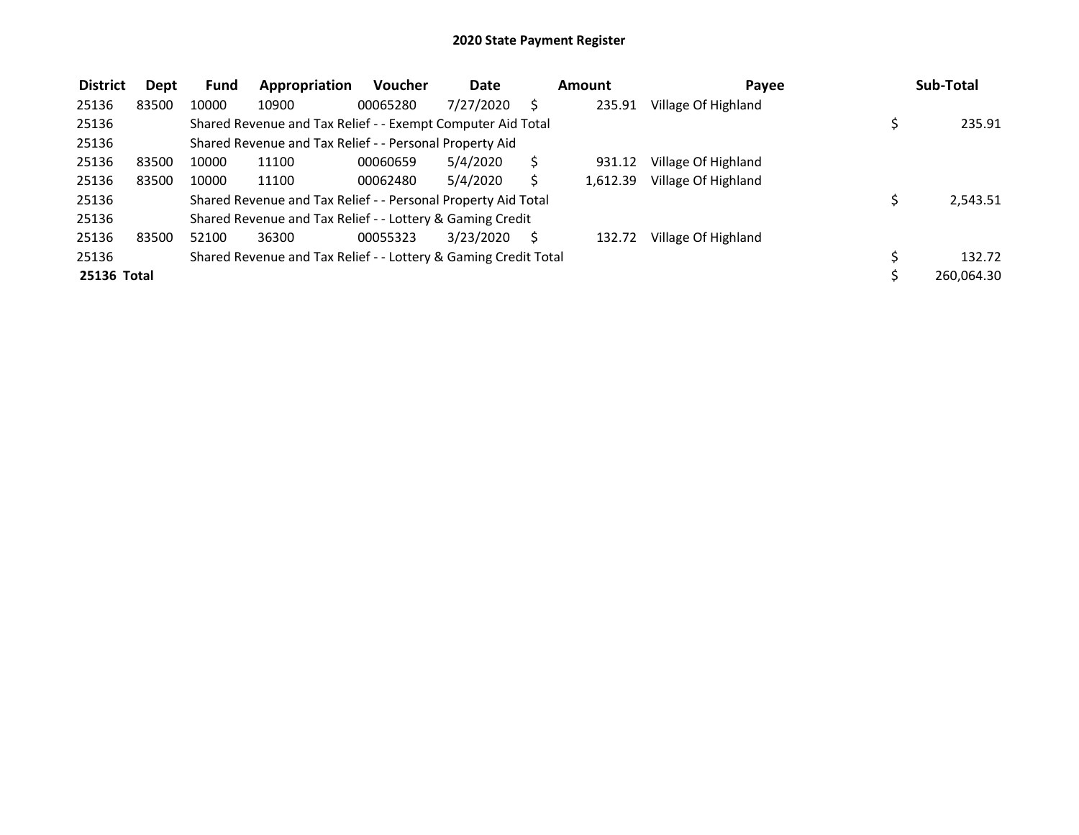| <b>District</b> | Dept  | <b>Fund</b> | Appropriation                                                   | <b>Voucher</b> | <b>Date</b> |   | Amount   | Payee               | Sub-Total  |
|-----------------|-------|-------------|-----------------------------------------------------------------|----------------|-------------|---|----------|---------------------|------------|
| 25136           | 83500 | 10000       | 10900                                                           | 00065280       | 7/27/2020   |   | 235.91   | Village Of Highland |            |
| 25136           |       |             | Shared Revenue and Tax Relief - - Exempt Computer Aid Total     |                |             |   |          |                     | 235.91     |
| 25136           |       |             | Shared Revenue and Tax Relief - - Personal Property Aid         |                |             |   |          |                     |            |
| 25136           | 83500 | 10000       | 11100                                                           | 00060659       | 5/4/2020    |   | 931.12   | Village Of Highland |            |
| 25136           | 83500 | 10000       | 11100                                                           | 00062480       | 5/4/2020    |   | 1,612.39 | Village Of Highland |            |
| 25136           |       |             | Shared Revenue and Tax Relief - - Personal Property Aid Total   |                |             |   |          |                     | 2,543.51   |
| 25136           |       |             | Shared Revenue and Tax Relief - - Lottery & Gaming Credit       |                |             |   |          |                     |            |
| 25136           | 83500 | 52100       | 36300                                                           | 00055323       | 3/23/2020   | S | 132.72   | Village Of Highland |            |
| 25136           |       |             | Shared Revenue and Tax Relief - - Lottery & Gaming Credit Total |                |             |   |          |                     | 132.72     |
| 25136 Total     |       |             |                                                                 |                |             |   |          |                     | 260,064.30 |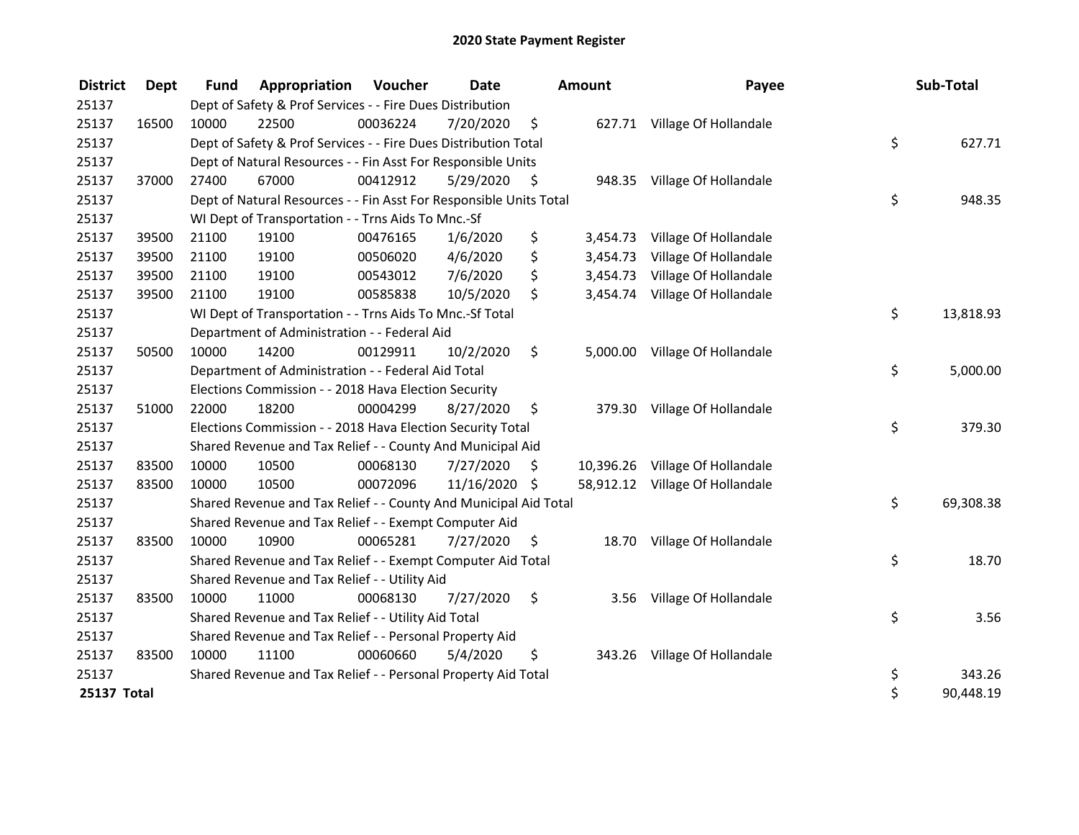| <b>District</b> | Dept  | <b>Fund</b> | <b>Appropriation Voucher</b>                                       |          | Date          | <b>Amount</b>  | Payee                           | Sub-Total       |
|-----------------|-------|-------------|--------------------------------------------------------------------|----------|---------------|----------------|---------------------------------|-----------------|
| 25137           |       |             | Dept of Safety & Prof Services - - Fire Dues Distribution          |          |               |                |                                 |                 |
| 25137           | 16500 | 10000       | 22500                                                              | 00036224 | 7/20/2020     | \$             | 627.71 Village Of Hollandale    |                 |
| 25137           |       |             | Dept of Safety & Prof Services - - Fire Dues Distribution Total    |          |               |                |                                 | \$<br>627.71    |
| 25137           |       |             | Dept of Natural Resources - - Fin Asst For Responsible Units       |          |               |                |                                 |                 |
| 25137           | 37000 | 27400       | 67000                                                              | 00412912 | 5/29/2020     | \$<br>948.35   | Village Of Hollandale           |                 |
| 25137           |       |             | Dept of Natural Resources - - Fin Asst For Responsible Units Total |          |               |                |                                 | \$<br>948.35    |
| 25137           |       |             | WI Dept of Transportation - - Trns Aids To Mnc.-Sf                 |          |               |                |                                 |                 |
| 25137           | 39500 | 21100       | 19100                                                              | 00476165 | 1/6/2020      | \$<br>3,454.73 | Village Of Hollandale           |                 |
| 25137           | 39500 | 21100       | 19100                                                              | 00506020 | 4/6/2020      | \$<br>3,454.73 | Village Of Hollandale           |                 |
| 25137           | 39500 | 21100       | 19100                                                              | 00543012 | 7/6/2020      | \$<br>3,454.73 | Village Of Hollandale           |                 |
| 25137           | 39500 | 21100       | 19100                                                              | 00585838 | 10/5/2020     | \$             | 3,454.74 Village Of Hollandale  |                 |
| 25137           |       |             | WI Dept of Transportation - - Trns Aids To Mnc.-Sf Total           |          |               |                |                                 | \$<br>13,818.93 |
| 25137           |       |             | Department of Administration - - Federal Aid                       |          |               |                |                                 |                 |
| 25137           | 50500 | 10000       | 14200                                                              | 00129911 | 10/2/2020     | \$             | 5,000.00 Village Of Hollandale  |                 |
| 25137           |       |             | Department of Administration - - Federal Aid Total                 |          |               |                |                                 | \$<br>5,000.00  |
| 25137           |       |             | Elections Commission - - 2018 Hava Election Security               |          |               |                |                                 |                 |
| 25137           | 51000 | 22000       | 18200                                                              | 00004299 | 8/27/2020     | \$             | 379.30 Village Of Hollandale    |                 |
| 25137           |       |             | Elections Commission - - 2018 Hava Election Security Total         |          |               |                |                                 | \$<br>379.30    |
| 25137           |       |             | Shared Revenue and Tax Relief - - County And Municipal Aid         |          |               |                |                                 |                 |
| 25137           | 83500 | 10000       | 10500                                                              | 00068130 | 7/27/2020     | \$             | 10,396.26 Village Of Hollandale |                 |
| 25137           | 83500 | 10000       | 10500                                                              | 00072096 | 11/16/2020 \$ |                | 58,912.12 Village Of Hollandale |                 |
| 25137           |       |             | Shared Revenue and Tax Relief - - County And Municipal Aid Total   |          |               |                |                                 | \$<br>69,308.38 |
| 25137           |       |             | Shared Revenue and Tax Relief - - Exempt Computer Aid              |          |               |                |                                 |                 |
| 25137           | 83500 | 10000       | 10900                                                              | 00065281 | 7/27/2020     | \$             | 18.70 Village Of Hollandale     |                 |
| 25137           |       |             | Shared Revenue and Tax Relief - - Exempt Computer Aid Total        |          |               |                |                                 | \$<br>18.70     |
| 25137           |       |             | Shared Revenue and Tax Relief - - Utility Aid                      |          |               |                |                                 |                 |
| 25137           | 83500 | 10000       | 11000                                                              | 00068130 | 7/27/2020     | \$<br>3.56     | Village Of Hollandale           |                 |
| 25137           |       |             | Shared Revenue and Tax Relief - - Utility Aid Total                |          |               |                |                                 | \$<br>3.56      |
| 25137           |       |             | Shared Revenue and Tax Relief - - Personal Property Aid            |          |               |                |                                 |                 |
| 25137           | 83500 | 10000       | 11100                                                              | 00060660 | 5/4/2020      | \$             | 343.26 Village Of Hollandale    |                 |
| 25137           |       |             | Shared Revenue and Tax Relief - - Personal Property Aid Total      |          |               |                |                                 | \$<br>343.26    |
| 25137 Total     |       |             |                                                                    |          |               |                |                                 | \$<br>90,448.19 |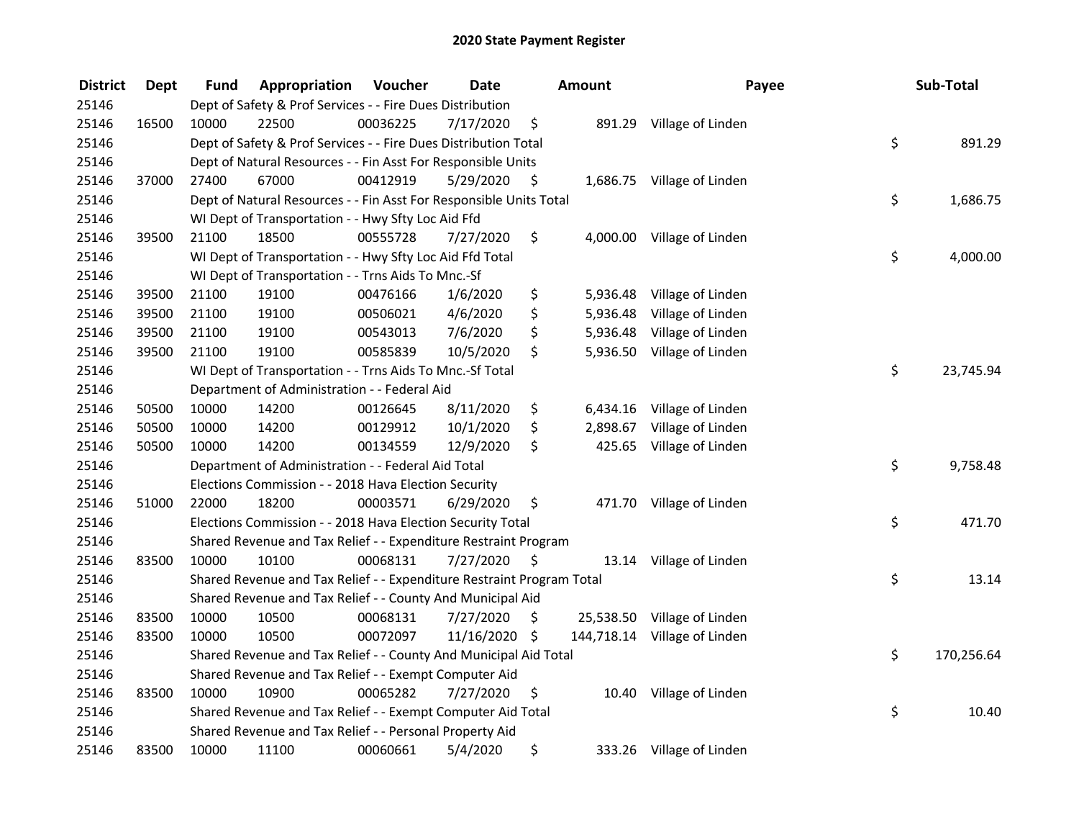| <b>District</b> | <b>Dept</b> | Fund  | Appropriation                                                         | Voucher  | <b>Date</b>   |    | Amount   | Payee                        | Sub-Total        |
|-----------------|-------------|-------|-----------------------------------------------------------------------|----------|---------------|----|----------|------------------------------|------------------|
| 25146           |             |       | Dept of Safety & Prof Services - - Fire Dues Distribution             |          |               |    |          |                              |                  |
| 25146           | 16500       | 10000 | 22500                                                                 | 00036225 | 7/17/2020     | \$ |          | 891.29 Village of Linden     |                  |
| 25146           |             |       | Dept of Safety & Prof Services - - Fire Dues Distribution Total       |          |               |    |          |                              | \$<br>891.29     |
| 25146           |             |       | Dept of Natural Resources - - Fin Asst For Responsible Units          |          |               |    |          |                              |                  |
| 25146           | 37000       | 27400 | 67000                                                                 | 00412919 | 5/29/2020     | \$ |          | 1,686.75 Village of Linden   |                  |
| 25146           |             |       | Dept of Natural Resources - - Fin Asst For Responsible Units Total    |          |               |    |          |                              | \$<br>1,686.75   |
| 25146           |             |       | WI Dept of Transportation - - Hwy Sfty Loc Aid Ffd                    |          |               |    |          |                              |                  |
| 25146           | 39500       | 21100 | 18500                                                                 | 00555728 | 7/27/2020     | \$ |          | 4,000.00 Village of Linden   |                  |
| 25146           |             |       | WI Dept of Transportation - - Hwy Sfty Loc Aid Ffd Total              |          |               |    |          |                              | \$<br>4,000.00   |
| 25146           |             |       | WI Dept of Transportation - - Trns Aids To Mnc.-Sf                    |          |               |    |          |                              |                  |
| 25146           | 39500       | 21100 | 19100                                                                 | 00476166 | 1/6/2020      | \$ | 5,936.48 | Village of Linden            |                  |
| 25146           | 39500       | 21100 | 19100                                                                 | 00506021 | 4/6/2020      | \$ | 5,936.48 | Village of Linden            |                  |
| 25146           | 39500       | 21100 | 19100                                                                 | 00543013 | 7/6/2020      | \$ | 5,936.48 | Village of Linden            |                  |
| 25146           | 39500       | 21100 | 19100                                                                 | 00585839 | 10/5/2020     | \$ | 5,936.50 | Village of Linden            |                  |
| 25146           |             |       | WI Dept of Transportation - - Trns Aids To Mnc.-Sf Total              |          |               |    |          |                              | \$<br>23,745.94  |
| 25146           |             |       | Department of Administration - - Federal Aid                          |          |               |    |          |                              |                  |
| 25146           | 50500       | 10000 | 14200                                                                 | 00126645 | 8/11/2020     | \$ | 6,434.16 | Village of Linden            |                  |
| 25146           | 50500       | 10000 | 14200                                                                 | 00129912 | 10/1/2020     | \$ | 2,898.67 | Village of Linden            |                  |
| 25146           | 50500       | 10000 | 14200                                                                 | 00134559 | 12/9/2020     | \$ | 425.65   | Village of Linden            |                  |
| 25146           |             |       | Department of Administration - - Federal Aid Total                    |          |               |    |          |                              | \$<br>9,758.48   |
| 25146           |             |       | Elections Commission - - 2018 Hava Election Security                  |          |               |    |          |                              |                  |
| 25146           | 51000       | 22000 | 18200                                                                 | 00003571 | 6/29/2020     | \$ |          | 471.70 Village of Linden     |                  |
| 25146           |             |       | Elections Commission - - 2018 Hava Election Security Total            |          |               |    |          |                              | \$<br>471.70     |
| 25146           |             |       | Shared Revenue and Tax Relief - - Expenditure Restraint Program       |          |               |    |          |                              |                  |
| 25146           | 83500       | 10000 | 10100                                                                 | 00068131 | 7/27/2020     | S  |          | 13.14 Village of Linden      |                  |
| 25146           |             |       | Shared Revenue and Tax Relief - - Expenditure Restraint Program Total |          |               |    |          |                              | \$<br>13.14      |
| 25146           |             |       | Shared Revenue and Tax Relief - - County And Municipal Aid            |          |               |    |          |                              |                  |
| 25146           | 83500       | 10000 | 10500                                                                 | 00068131 | 7/27/2020     | \$ |          | 25,538.50 Village of Linden  |                  |
| 25146           | 83500       | 10000 | 10500                                                                 | 00072097 | 11/16/2020 \$ |    |          | 144,718.14 Village of Linden |                  |
| 25146           |             |       | Shared Revenue and Tax Relief - - County And Municipal Aid Total      |          |               |    |          |                              | \$<br>170,256.64 |
| 25146           |             |       | Shared Revenue and Tax Relief - - Exempt Computer Aid                 |          |               |    |          |                              |                  |
| 25146           | 83500       | 10000 | 10900                                                                 | 00065282 | 7/27/2020     | \$ |          | 10.40 Village of Linden      |                  |
| 25146           |             |       | Shared Revenue and Tax Relief - - Exempt Computer Aid Total           |          |               |    |          |                              | \$<br>10.40      |
| 25146           |             |       | Shared Revenue and Tax Relief - - Personal Property Aid               |          |               |    |          |                              |                  |
| 25146           | 83500       | 10000 | 11100                                                                 | 00060661 | 5/4/2020      | \$ |          | 333.26 Village of Linden     |                  |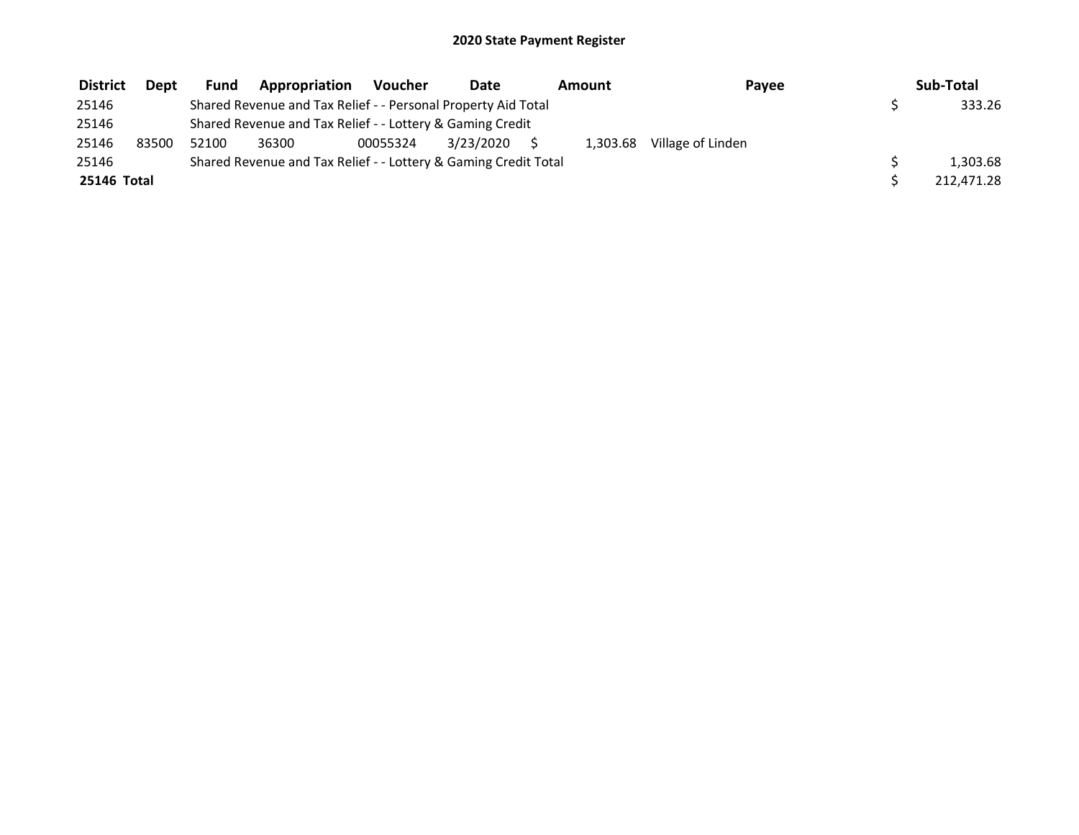| <b>District</b> | <b>Dept</b> | Fund  | Appropriation                                                   | <b>Voucher</b> | Date      | Amount   | Pavee             | Sub-Total  |
|-----------------|-------------|-------|-----------------------------------------------------------------|----------------|-----------|----------|-------------------|------------|
| 25146           |             |       | Shared Revenue and Tax Relief - - Personal Property Aid Total   |                |           |          |                   | 333.26     |
| 25146           |             |       | Shared Revenue and Tax Relief - - Lottery & Gaming Credit       |                |           |          |                   |            |
| 25146           | 83500       | 52100 | 36300                                                           | 00055324       | 3/23/2020 | 1,303.68 | Village of Linden |            |
| 25146           |             |       | Shared Revenue and Tax Relief - - Lottery & Gaming Credit Total |                |           |          |                   | 1.303.68   |
| 25146 Total     |             |       |                                                                 |                |           |          |                   | 212,471.28 |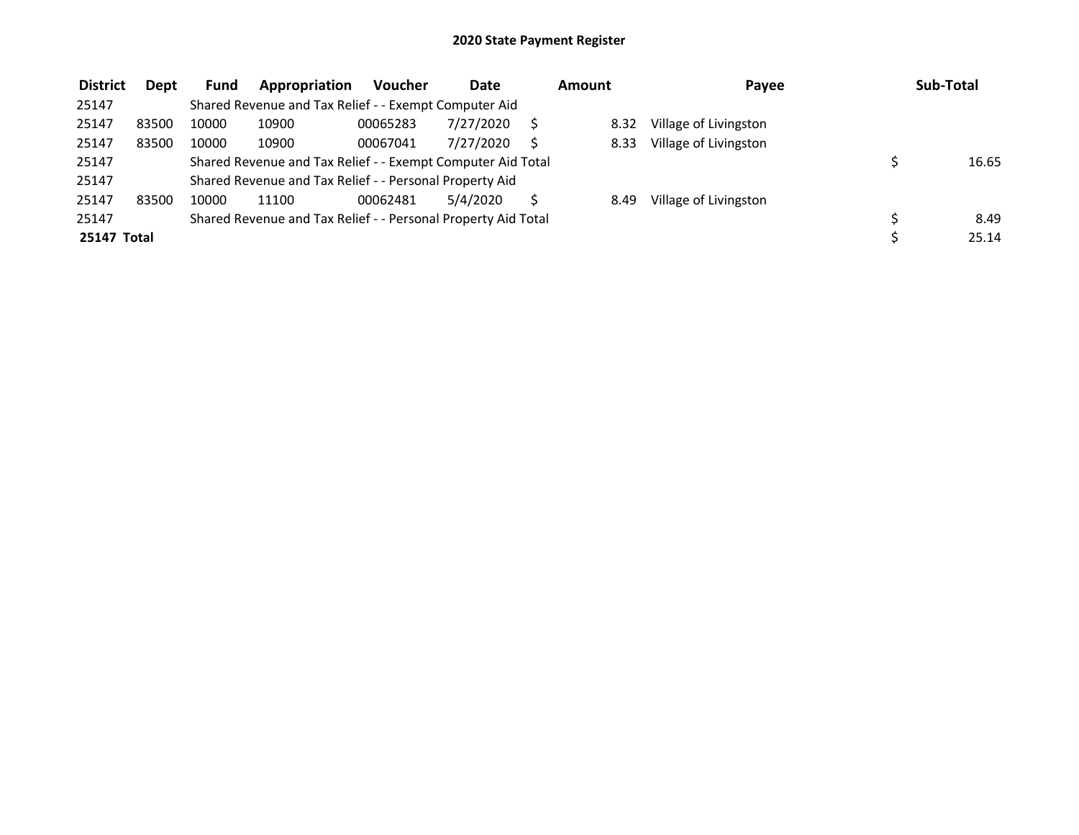| <b>District</b> | Dept  | <b>Fund</b> | Appropriation                                                 | <b>Voucher</b> | <b>Date</b> | Amount | Payee                 | Sub-Total |
|-----------------|-------|-------------|---------------------------------------------------------------|----------------|-------------|--------|-----------------------|-----------|
| 25147           |       |             | Shared Revenue and Tax Relief - - Exempt Computer Aid         |                |             |        |                       |           |
| 25147           | 83500 | 10000       | 10900                                                         | 00065283       | 7/27/2020   | 8.32   | Village of Livingston |           |
| 25147           | 83500 | 10000       | 10900                                                         | 00067041       | 7/27/2020   | 8.33   | Village of Livingston |           |
| 25147           |       |             | Shared Revenue and Tax Relief - - Exempt Computer Aid Total   |                |             |        |                       | 16.65     |
| 25147           |       |             | Shared Revenue and Tax Relief - - Personal Property Aid       |                |             |        |                       |           |
| 25147           | 83500 | 10000       | 11100                                                         | 00062481       | 5/4/2020    | 8.49   | Village of Livingston |           |
| 25147           |       |             | Shared Revenue and Tax Relief - - Personal Property Aid Total |                |             |        |                       | 8.49      |
| 25147 Total     |       |             |                                                               |                |             |        |                       | 25.14     |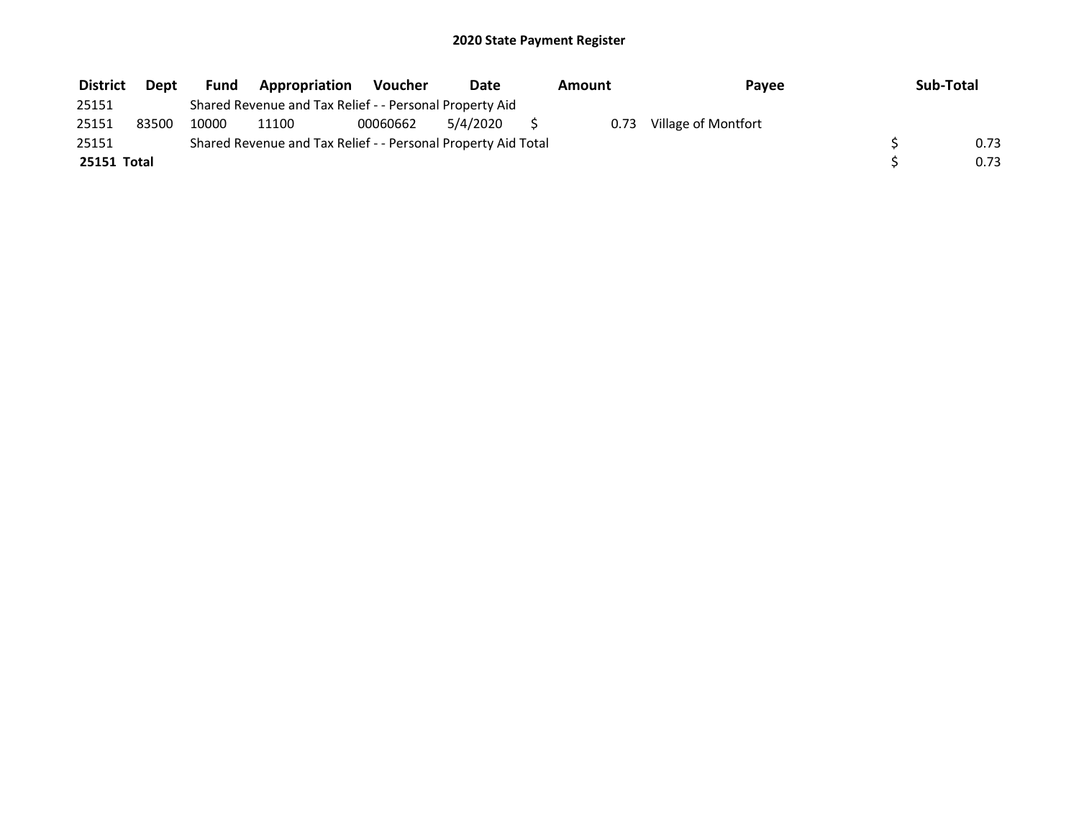| <b>District</b> | <b>Dept</b> | <b>Fund</b> | <b>Appropriation</b>                                          | Voucher  | Date     | Amount | Payee               | Sub-Total |
|-----------------|-------------|-------------|---------------------------------------------------------------|----------|----------|--------|---------------------|-----------|
| 25151           |             |             | Shared Revenue and Tax Relief - - Personal Property Aid       |          |          |        |                     |           |
| 25151           | 83500       | 10000       | 11100                                                         | 00060662 | 5/4/2020 | 0.73   | Village of Montfort |           |
| 25151           |             |             | Shared Revenue and Tax Relief - - Personal Property Aid Total |          |          |        |                     | 0.73      |
| 25151 Total     |             |             |                                                               |          |          |        |                     | 0.73      |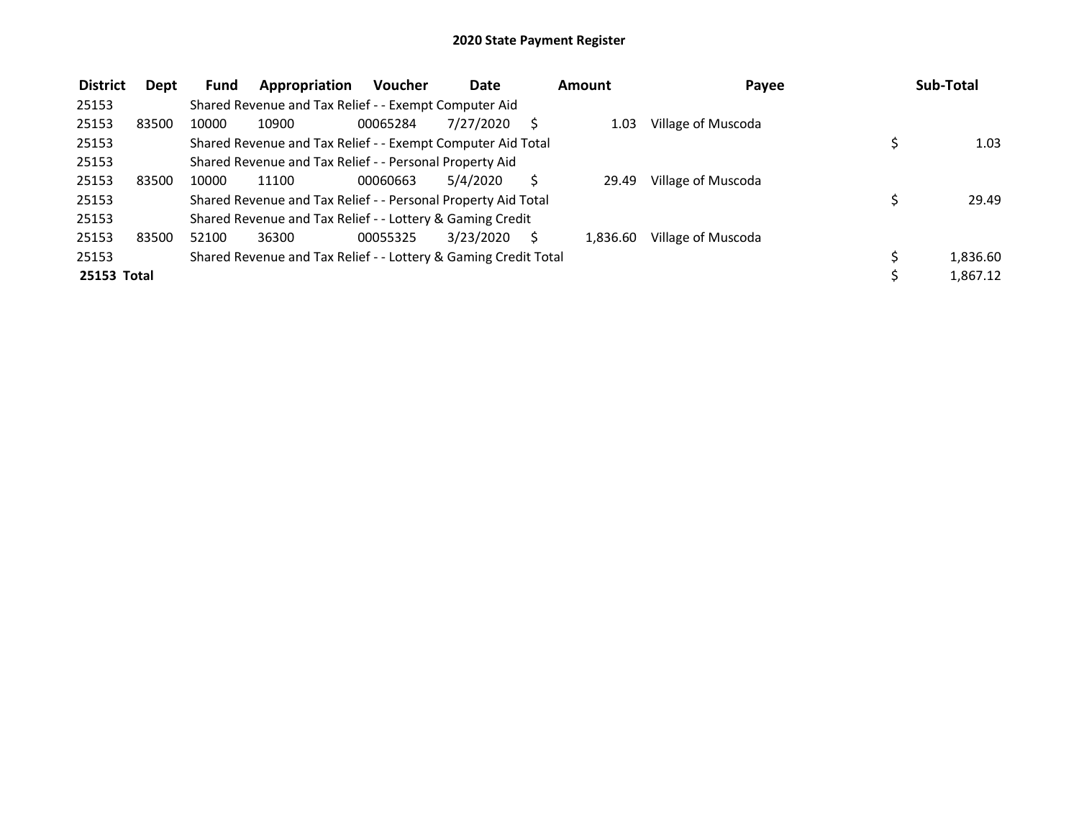| <b>District</b> | Dept  | Fund  | Appropriation                                                   | <b>Voucher</b> | Date      | Amount   | Payee              | Sub-Total |
|-----------------|-------|-------|-----------------------------------------------------------------|----------------|-----------|----------|--------------------|-----------|
| 25153           |       |       | Shared Revenue and Tax Relief - - Exempt Computer Aid           |                |           |          |                    |           |
| 25153           | 83500 | 10000 | 10900                                                           | 00065284       | 7/27/2020 | 1.03     | Village of Muscoda |           |
| 25153           |       |       | Shared Revenue and Tax Relief - - Exempt Computer Aid Total     |                |           |          |                    | 1.03      |
| 25153           |       |       | Shared Revenue and Tax Relief - - Personal Property Aid         |                |           |          |                    |           |
| 25153           | 83500 | 10000 | 11100                                                           | 00060663       | 5/4/2020  | 29.49    | Village of Muscoda |           |
| 25153           |       |       | Shared Revenue and Tax Relief - - Personal Property Aid Total   |                |           |          |                    | 29.49     |
| 25153           |       |       | Shared Revenue and Tax Relief - - Lottery & Gaming Credit       |                |           |          |                    |           |
| 25153           | 83500 | 52100 | 36300                                                           | 00055325       | 3/23/2020 | 1,836.60 | Village of Muscoda |           |
| 25153           |       |       | Shared Revenue and Tax Relief - - Lottery & Gaming Credit Total |                |           |          |                    | 1,836.60  |
| 25153 Total     |       |       |                                                                 |                |           |          |                    | 1,867.12  |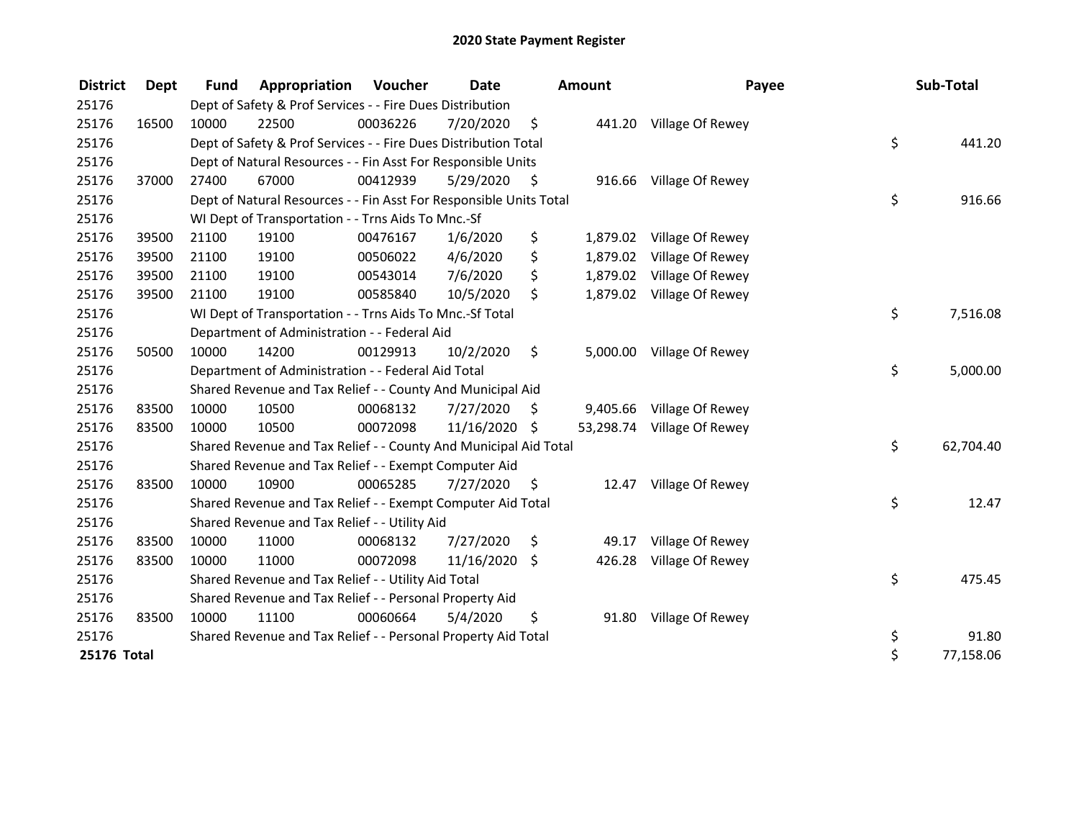| <b>District</b> | Dept  | <b>Fund</b> | Appropriation                                                      | Voucher  | <b>Date</b>   |     | <b>Amount</b> | Payee                     | Sub-Total       |
|-----------------|-------|-------------|--------------------------------------------------------------------|----------|---------------|-----|---------------|---------------------------|-----------------|
| 25176           |       |             | Dept of Safety & Prof Services - - Fire Dues Distribution          |          |               |     |               |                           |                 |
| 25176           | 16500 | 10000       | 22500                                                              | 00036226 | 7/20/2020     | \$  |               | 441.20 Village Of Rewey   |                 |
| 25176           |       |             | Dept of Safety & Prof Services - - Fire Dues Distribution Total    |          |               |     |               |                           | \$<br>441.20    |
| 25176           |       |             | Dept of Natural Resources - - Fin Asst For Responsible Units       |          |               |     |               |                           |                 |
| 25176           | 37000 | 27400       | 67000                                                              | 00412939 | 5/29/2020     | -S  |               | 916.66 Village Of Rewey   |                 |
| 25176           |       |             | Dept of Natural Resources - - Fin Asst For Responsible Units Total |          |               |     |               |                           | \$<br>916.66    |
| 25176           |       |             | WI Dept of Transportation - - Trns Aids To Mnc.-Sf                 |          |               |     |               |                           |                 |
| 25176           | 39500 | 21100       | 19100                                                              | 00476167 | 1/6/2020      | \$  | 1,879.02      | Village Of Rewey          |                 |
| 25176           | 39500 | 21100       | 19100                                                              | 00506022 | 4/6/2020      | \$  | 1,879.02      | Village Of Rewey          |                 |
| 25176           | 39500 | 21100       | 19100                                                              | 00543014 | 7/6/2020      | \$  |               | 1,879.02 Village Of Rewey |                 |
| 25176           | 39500 | 21100       | 19100                                                              | 00585840 | 10/5/2020     | \$  |               | 1,879.02 Village Of Rewey |                 |
| 25176           |       |             | WI Dept of Transportation - - Trns Aids To Mnc.-Sf Total           |          |               |     |               |                           | \$<br>7,516.08  |
| 25176           |       |             | Department of Administration - - Federal Aid                       |          |               |     |               |                           |                 |
| 25176           | 50500 | 10000       | 14200                                                              | 00129913 | 10/2/2020     | \$  | 5,000.00      | Village Of Rewey          |                 |
| 25176           |       |             | Department of Administration - - Federal Aid Total                 |          |               |     |               |                           | \$<br>5,000.00  |
| 25176           |       |             | Shared Revenue and Tax Relief - - County And Municipal Aid         |          |               |     |               |                           |                 |
| 25176           | 83500 | 10000       | 10500                                                              | 00068132 | 7/27/2020     | \$  | 9,405.66      | Village Of Rewey          |                 |
| 25176           | 83500 | 10000       | 10500                                                              | 00072098 | 11/16/2020 \$ |     | 53,298.74     | Village Of Rewey          |                 |
| 25176           |       |             | Shared Revenue and Tax Relief - - County And Municipal Aid Total   |          |               |     |               |                           | \$<br>62,704.40 |
| 25176           |       |             | Shared Revenue and Tax Relief - - Exempt Computer Aid              |          |               |     |               |                           |                 |
| 25176           | 83500 | 10000       | 10900                                                              | 00065285 | 7/27/2020     | \$. | 12.47         | Village Of Rewey          |                 |
| 25176           |       |             | Shared Revenue and Tax Relief - - Exempt Computer Aid Total        |          |               |     |               |                           | \$<br>12.47     |
| 25176           |       |             | Shared Revenue and Tax Relief - - Utility Aid                      |          |               |     |               |                           |                 |
| 25176           | 83500 | 10000       | 11000                                                              | 00068132 | 7/27/2020     | \$  | 49.17         | Village Of Rewey          |                 |
| 25176           | 83500 | 10000       | 11000                                                              | 00072098 | 11/16/2020    | \$  | 426.28        | Village Of Rewey          |                 |
| 25176           |       |             | Shared Revenue and Tax Relief - - Utility Aid Total                |          |               |     |               |                           | \$<br>475.45    |
| 25176           |       |             | Shared Revenue and Tax Relief - - Personal Property Aid            |          |               |     |               |                           |                 |
| 25176           | 83500 | 10000       | 11100                                                              | 00060664 | 5/4/2020      | \$  | 91.80         | Village Of Rewey          |                 |
| 25176           |       |             | Shared Revenue and Tax Relief - - Personal Property Aid Total      |          |               |     |               |                           | \$<br>91.80     |
| 25176 Total     |       |             |                                                                    |          |               |     |               |                           | \$<br>77,158.06 |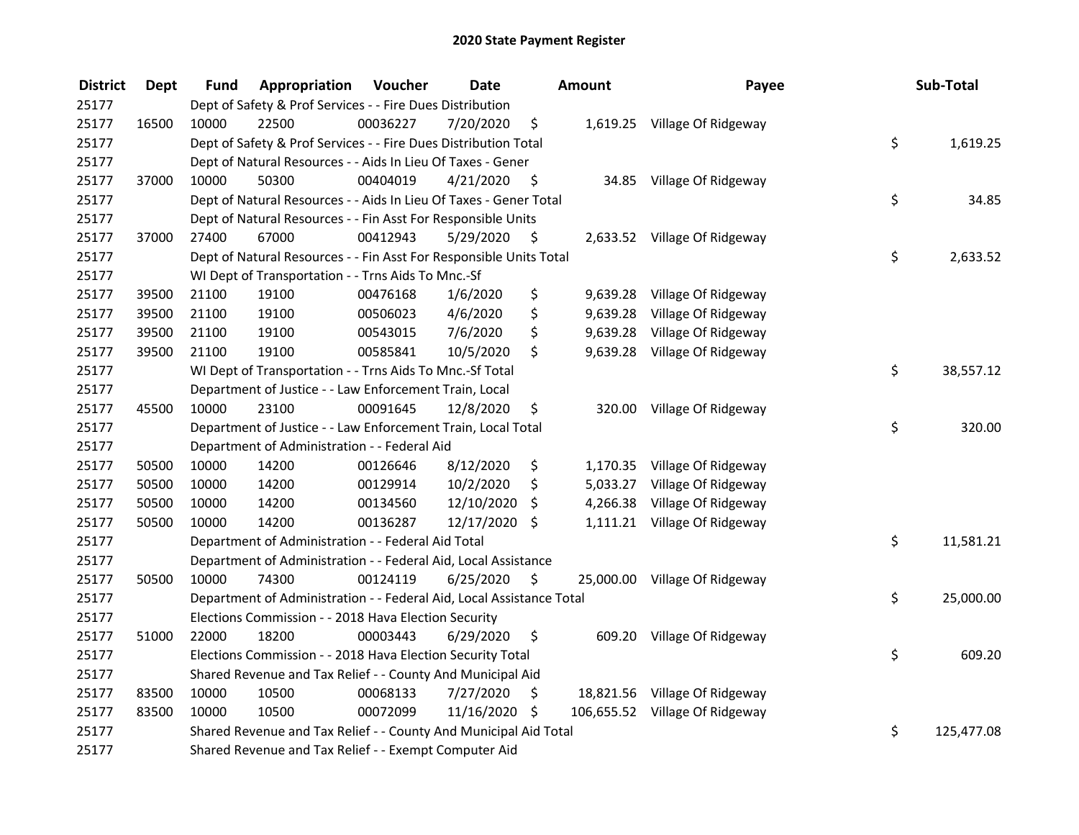| <b>District</b> | <b>Dept</b> | Fund  | Appropriation                                                        | Voucher  | <b>Date</b>   |         | <b>Amount</b> | Payee                          | Sub-Total        |
|-----------------|-------------|-------|----------------------------------------------------------------------|----------|---------------|---------|---------------|--------------------------------|------------------|
| 25177           |             |       | Dept of Safety & Prof Services - - Fire Dues Distribution            |          |               |         |               |                                |                  |
| 25177           | 16500       | 10000 | 22500                                                                | 00036227 | 7/20/2020     | \$      |               | 1,619.25 Village Of Ridgeway   |                  |
| 25177           |             |       | Dept of Safety & Prof Services - - Fire Dues Distribution Total      |          |               |         |               |                                | \$<br>1,619.25   |
| 25177           |             |       | Dept of Natural Resources - - Aids In Lieu Of Taxes - Gener          |          |               |         |               |                                |                  |
| 25177           | 37000       | 10000 | 50300                                                                | 00404019 | 4/21/2020     | - \$    |               | 34.85 Village Of Ridgeway      |                  |
| 25177           |             |       | Dept of Natural Resources - - Aids In Lieu Of Taxes - Gener Total    |          |               |         |               |                                | \$<br>34.85      |
| 25177           |             |       | Dept of Natural Resources - - Fin Asst For Responsible Units         |          |               |         |               |                                |                  |
| 25177           | 37000       | 27400 | 67000                                                                | 00412943 | 5/29/2020     | - \$    |               | 2,633.52 Village Of Ridgeway   |                  |
| 25177           |             |       | Dept of Natural Resources - - Fin Asst For Responsible Units Total   |          |               |         |               |                                | \$<br>2,633.52   |
| 25177           |             |       | WI Dept of Transportation - - Trns Aids To Mnc.-Sf                   |          |               |         |               |                                |                  |
| 25177           | 39500       | 21100 | 19100                                                                | 00476168 | 1/6/2020      | \$      | 9,639.28      | Village Of Ridgeway            |                  |
| 25177           | 39500       | 21100 | 19100                                                                | 00506023 | 4/6/2020      | \$      | 9,639.28      | Village Of Ridgeway            |                  |
| 25177           | 39500       | 21100 | 19100                                                                | 00543015 | 7/6/2020      | \$      | 9,639.28      | Village Of Ridgeway            |                  |
| 25177           | 39500       | 21100 | 19100                                                                | 00585841 | 10/5/2020     | \$      | 9,639.28      | Village Of Ridgeway            |                  |
| 25177           |             |       | WI Dept of Transportation - - Trns Aids To Mnc.-Sf Total             |          |               |         |               |                                | \$<br>38,557.12  |
| 25177           |             |       | Department of Justice - - Law Enforcement Train, Local               |          |               |         |               |                                |                  |
| 25177           | 45500       | 10000 | 23100                                                                | 00091645 | 12/8/2020     | \$      | 320.00        | Village Of Ridgeway            |                  |
| 25177           |             |       | Department of Justice - - Law Enforcement Train, Local Total         |          |               |         |               |                                | \$<br>320.00     |
| 25177           |             |       | Department of Administration - - Federal Aid                         |          |               |         |               |                                |                  |
| 25177           | 50500       | 10000 | 14200                                                                | 00126646 | 8/12/2020     | \$      |               | 1,170.35 Village Of Ridgeway   |                  |
| 25177           | 50500       | 10000 | 14200                                                                | 00129914 | 10/2/2020     | \$      |               | 5,033.27 Village Of Ridgeway   |                  |
| 25177           | 50500       | 10000 | 14200                                                                | 00134560 | 12/10/2020    | \$      | 4,266.38      | Village Of Ridgeway            |                  |
| 25177           | 50500       | 10000 | 14200                                                                | 00136287 | 12/17/2020 \$ |         |               | 1,111.21 Village Of Ridgeway   |                  |
| 25177           |             |       | Department of Administration - - Federal Aid Total                   |          |               |         |               |                                | \$<br>11,581.21  |
| 25177           |             |       | Department of Administration - - Federal Aid, Local Assistance       |          |               |         |               |                                |                  |
| 25177           | 50500       | 10000 | 74300                                                                | 00124119 | 6/25/2020     | $\zeta$ |               | 25,000.00 Village Of Ridgeway  |                  |
| 25177           |             |       | Department of Administration - - Federal Aid, Local Assistance Total |          |               |         |               |                                | \$<br>25,000.00  |
| 25177           |             |       | Elections Commission - - 2018 Hava Election Security                 |          |               |         |               |                                |                  |
| 25177           | 51000       | 22000 | 18200                                                                | 00003443 | 6/29/2020     | \$      |               | 609.20 Village Of Ridgeway     |                  |
| 25177           |             |       | Elections Commission - - 2018 Hava Election Security Total           |          |               |         |               |                                | \$<br>609.20     |
| 25177           |             |       | Shared Revenue and Tax Relief - - County And Municipal Aid           |          |               |         |               |                                |                  |
| 25177           | 83500       | 10000 | 10500                                                                | 00068133 | 7/27/2020     | \$      |               | 18,821.56 Village Of Ridgeway  |                  |
| 25177           | 83500       | 10000 | 10500                                                                | 00072099 | 11/16/2020 \$ |         |               | 106,655.52 Village Of Ridgeway |                  |
| 25177           |             |       | Shared Revenue and Tax Relief - - County And Municipal Aid Total     |          |               |         |               |                                | \$<br>125,477.08 |
| 25177           |             |       | Shared Revenue and Tax Relief - - Exempt Computer Aid                |          |               |         |               |                                |                  |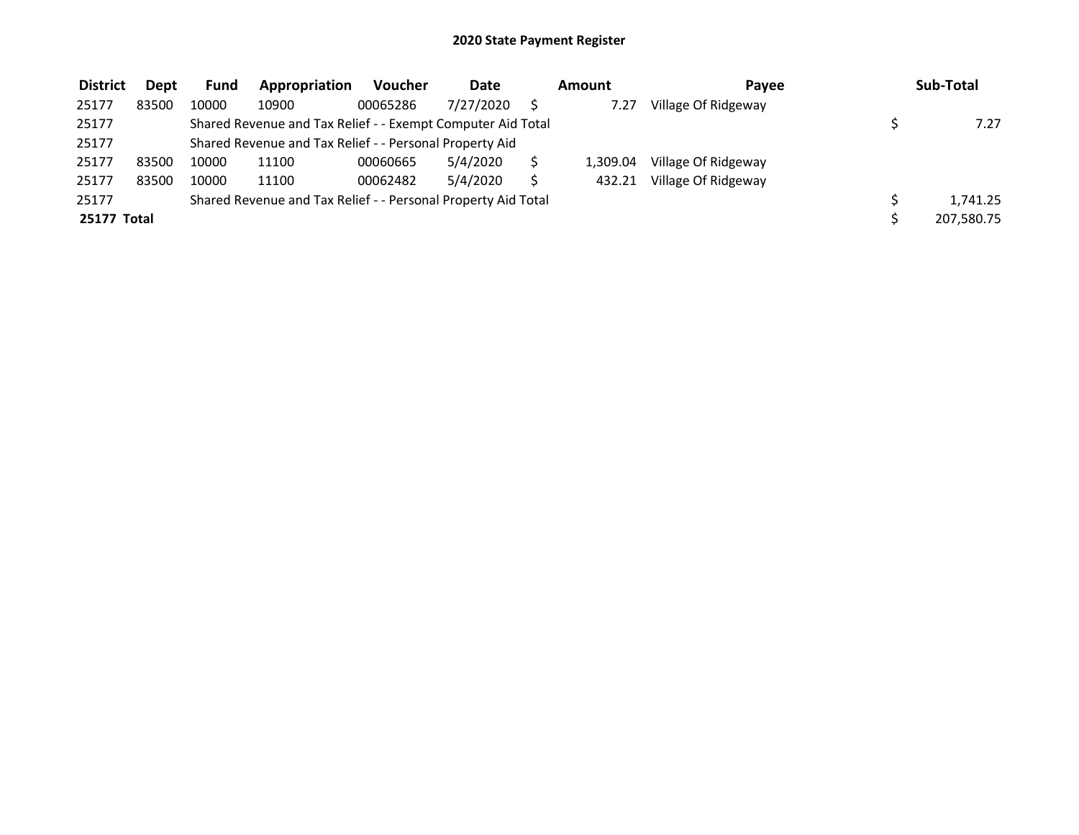| <b>District</b> | Dept  | <b>Fund</b> | Appropriation                                                 | Voucher  | Date      | Amount   | Pavee               | Sub-Total  |
|-----------------|-------|-------------|---------------------------------------------------------------|----------|-----------|----------|---------------------|------------|
| 25177           | 83500 | 10000       | 10900                                                         | 00065286 | 7/27/2020 | 7.27     | Village Of Ridgeway |            |
| 25177           |       |             | Shared Revenue and Tax Relief - - Exempt Computer Aid Total   |          |           |          |                     | 7.27       |
| 25177           |       |             | Shared Revenue and Tax Relief - - Personal Property Aid       |          |           |          |                     |            |
| 25177           | 83500 | 10000       | 11100                                                         | 00060665 | 5/4/2020  | 1.309.04 | Village Of Ridgeway |            |
| 25177           | 83500 | 10000       | 11100                                                         | 00062482 | 5/4/2020  | 432.21   | Village Of Ridgeway |            |
| 25177           |       |             | Shared Revenue and Tax Relief - - Personal Property Aid Total |          |           |          |                     | 1.741.25   |
| 25177 Total     |       |             |                                                               |          |           |          |                     | 207.580.75 |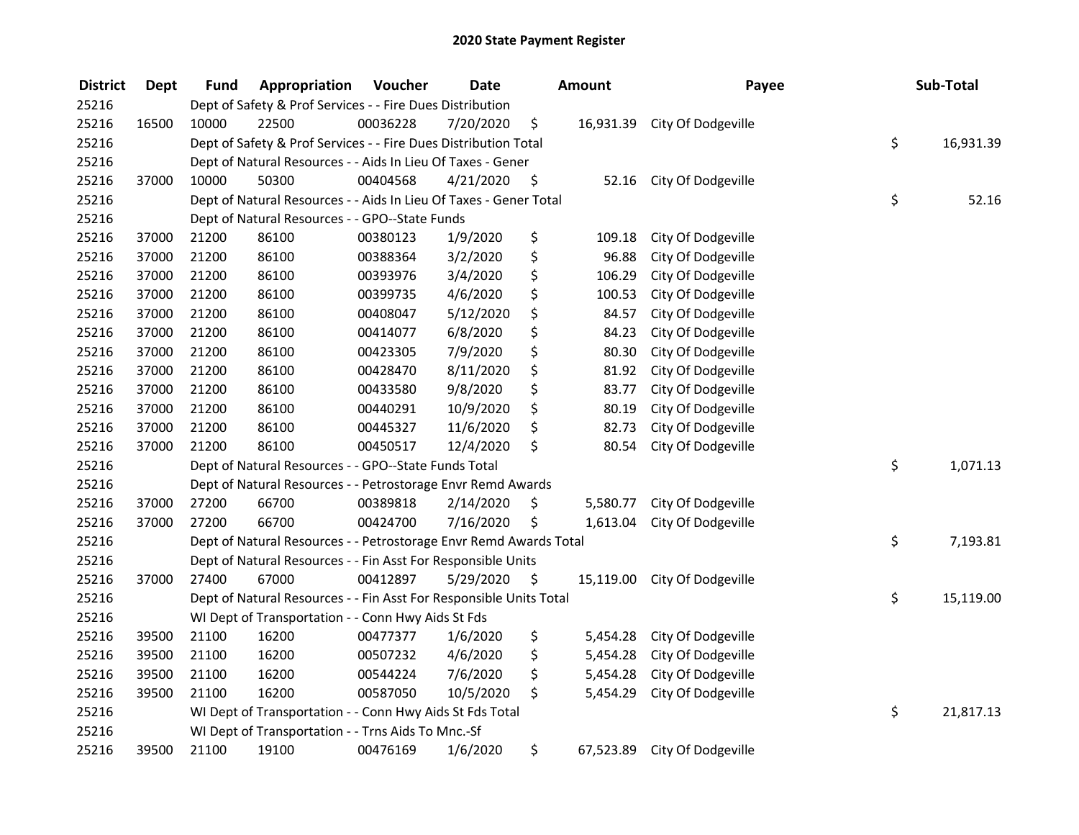| <b>District</b> | <b>Dept</b> | Fund  | Appropriation                                                      | Voucher  | <b>Date</b> |      | <b>Amount</b> | Payee              | Sub-Total       |
|-----------------|-------------|-------|--------------------------------------------------------------------|----------|-------------|------|---------------|--------------------|-----------------|
| 25216           |             |       | Dept of Safety & Prof Services - - Fire Dues Distribution          |          |             |      |               |                    |                 |
| 25216           | 16500       | 10000 | 22500                                                              | 00036228 | 7/20/2020   | \$   | 16,931.39     | City Of Dodgeville |                 |
| 25216           |             |       | Dept of Safety & Prof Services - - Fire Dues Distribution Total    |          |             |      |               |                    | \$<br>16,931.39 |
| 25216           |             |       | Dept of Natural Resources - - Aids In Lieu Of Taxes - Gener        |          |             |      |               |                    |                 |
| 25216           | 37000       | 10000 | 50300                                                              | 00404568 | 4/21/2020   | \$   | 52.16         | City Of Dodgeville |                 |
| 25216           |             |       | Dept of Natural Resources - - Aids In Lieu Of Taxes - Gener Total  |          |             |      |               |                    | \$<br>52.16     |
| 25216           |             |       | Dept of Natural Resources - - GPO--State Funds                     |          |             |      |               |                    |                 |
| 25216           | 37000       | 21200 | 86100                                                              | 00380123 | 1/9/2020    | \$   | 109.18        | City Of Dodgeville |                 |
| 25216           | 37000       | 21200 | 86100                                                              | 00388364 | 3/2/2020    | \$   | 96.88         | City Of Dodgeville |                 |
| 25216           | 37000       | 21200 | 86100                                                              | 00393976 | 3/4/2020    | \$   | 106.29        | City Of Dodgeville |                 |
| 25216           | 37000       | 21200 | 86100                                                              | 00399735 | 4/6/2020    | \$   | 100.53        | City Of Dodgeville |                 |
| 25216           | 37000       | 21200 | 86100                                                              | 00408047 | 5/12/2020   | \$   | 84.57         | City Of Dodgeville |                 |
| 25216           | 37000       | 21200 | 86100                                                              | 00414077 | 6/8/2020    | \$   | 84.23         | City Of Dodgeville |                 |
| 25216           | 37000       | 21200 | 86100                                                              | 00423305 | 7/9/2020    | \$   | 80.30         | City Of Dodgeville |                 |
| 25216           | 37000       | 21200 | 86100                                                              | 00428470 | 8/11/2020   | \$   | 81.92         | City Of Dodgeville |                 |
| 25216           | 37000       | 21200 | 86100                                                              | 00433580 | 9/8/2020    | \$   | 83.77         | City Of Dodgeville |                 |
| 25216           | 37000       | 21200 | 86100                                                              | 00440291 | 10/9/2020   | \$   | 80.19         | City Of Dodgeville |                 |
| 25216           | 37000       | 21200 | 86100                                                              | 00445327 | 11/6/2020   | \$   | 82.73         | City Of Dodgeville |                 |
| 25216           | 37000       | 21200 | 86100                                                              | 00450517 | 12/4/2020   | \$   | 80.54         | City Of Dodgeville |                 |
| 25216           |             |       | Dept of Natural Resources - - GPO--State Funds Total               |          |             |      |               |                    | \$<br>1,071.13  |
| 25216           |             |       | Dept of Natural Resources - - Petrostorage Envr Remd Awards        |          |             |      |               |                    |                 |
| 25216           | 37000       | 27200 | 66700                                                              | 00389818 | 2/14/2020   | \$   | 5,580.77      | City Of Dodgeville |                 |
| 25216           | 37000       | 27200 | 66700                                                              | 00424700 | 7/16/2020   | \$   | 1,613.04      | City Of Dodgeville |                 |
| 25216           |             |       | Dept of Natural Resources - - Petrostorage Envr Remd Awards Total  |          |             |      |               |                    | \$<br>7,193.81  |
| 25216           |             |       | Dept of Natural Resources - - Fin Asst For Responsible Units       |          |             |      |               |                    |                 |
| 25216           | 37000       | 27400 | 67000                                                              | 00412897 | 5/29/2020   | - \$ | 15,119.00     | City Of Dodgeville |                 |
| 25216           |             |       | Dept of Natural Resources - - Fin Asst For Responsible Units Total |          |             |      |               |                    | \$<br>15,119.00 |
| 25216           |             |       | WI Dept of Transportation - - Conn Hwy Aids St Fds                 |          |             |      |               |                    |                 |
| 25216           | 39500       | 21100 | 16200                                                              | 00477377 | 1/6/2020    | \$   | 5,454.28      | City Of Dodgeville |                 |
| 25216           | 39500       | 21100 | 16200                                                              | 00507232 | 4/6/2020    | \$   | 5,454.28      | City Of Dodgeville |                 |
| 25216           | 39500       | 21100 | 16200                                                              | 00544224 | 7/6/2020    | \$   | 5,454.28      | City Of Dodgeville |                 |
| 25216           | 39500       | 21100 | 16200                                                              | 00587050 | 10/5/2020   | \$   | 5,454.29      | City Of Dodgeville |                 |
| 25216           |             |       | WI Dept of Transportation - - Conn Hwy Aids St Fds Total           |          |             |      |               |                    | \$<br>21,817.13 |
| 25216           |             |       | WI Dept of Transportation - - Trns Aids To Mnc.-Sf                 |          |             |      |               |                    |                 |
| 25216           | 39500       | 21100 | 19100                                                              | 00476169 | 1/6/2020    | \$   | 67,523.89     | City Of Dodgeville |                 |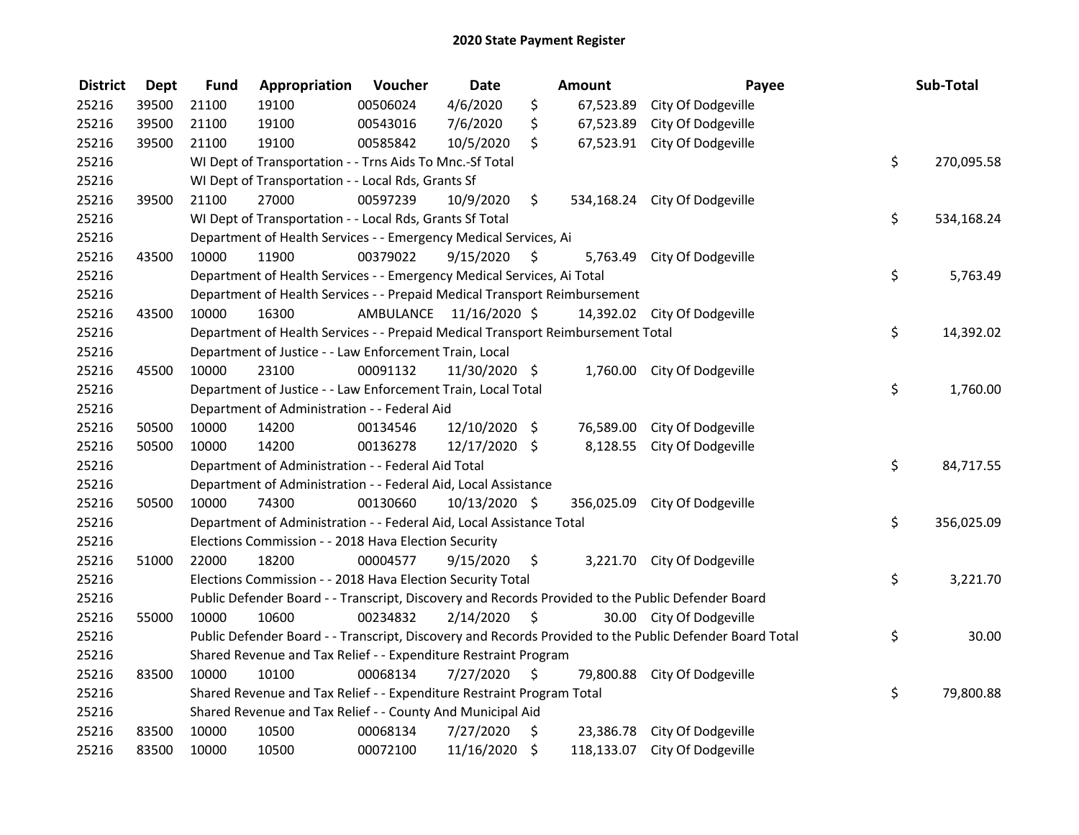| <b>District</b> | <b>Dept</b> | <b>Fund</b> | Appropriation                                                                   | Voucher                 | <b>Date</b>   |                     | Amount    | Payee                                                                                                   | Sub-Total        |
|-----------------|-------------|-------------|---------------------------------------------------------------------------------|-------------------------|---------------|---------------------|-----------|---------------------------------------------------------------------------------------------------------|------------------|
| 25216           | 39500       | 21100       | 19100                                                                           | 00506024                | 4/6/2020      | \$                  | 67,523.89 | City Of Dodgeville                                                                                      |                  |
| 25216           | 39500       | 21100       | 19100                                                                           | 00543016                | 7/6/2020      | \$                  | 67,523.89 | City Of Dodgeville                                                                                      |                  |
| 25216           | 39500       | 21100       | 19100                                                                           | 00585842                | 10/5/2020     | \$.                 |           | 67,523.91 City Of Dodgeville                                                                            |                  |
| 25216           |             |             | WI Dept of Transportation - - Trns Aids To Mnc.-Sf Total                        |                         |               |                     |           |                                                                                                         | \$<br>270,095.58 |
| 25216           |             |             | WI Dept of Transportation - - Local Rds, Grants Sf                              |                         |               |                     |           |                                                                                                         |                  |
| 25216           | 39500       | 21100       | 27000                                                                           | 00597239                | 10/9/2020     | \$                  |           | 534,168.24 City Of Dodgeville                                                                           |                  |
| 25216           |             |             | WI Dept of Transportation - - Local Rds, Grants Sf Total                        |                         |               |                     |           |                                                                                                         | \$<br>534,168.24 |
| 25216           |             |             | Department of Health Services - - Emergency Medical Services, Ai                |                         |               |                     |           |                                                                                                         |                  |
| 25216           | 43500       | 10000       | 11900                                                                           | 00379022                | 9/15/2020     | - \$                |           | 5,763.49 City Of Dodgeville                                                                             |                  |
| 25216           |             |             | Department of Health Services - - Emergency Medical Services, Ai Total          |                         |               |                     |           |                                                                                                         | \$<br>5,763.49   |
| 25216           |             |             | Department of Health Services - - Prepaid Medical Transport Reimbursement       |                         |               |                     |           |                                                                                                         |                  |
| 25216           | 43500       | 10000       | 16300                                                                           | AMBULANCE 11/16/2020 \$ |               |                     |           | 14,392.02 City Of Dodgeville                                                                            |                  |
| 25216           |             |             | Department of Health Services - - Prepaid Medical Transport Reimbursement Total |                         |               |                     |           |                                                                                                         | \$<br>14,392.02  |
| 25216           |             |             | Department of Justice - - Law Enforcement Train, Local                          |                         |               |                     |           |                                                                                                         |                  |
| 25216           | 45500       | 10000       | 23100                                                                           | 00091132                | 11/30/2020 \$ |                     | 1,760.00  | City Of Dodgeville                                                                                      |                  |
| 25216           |             |             | Department of Justice - - Law Enforcement Train, Local Total                    |                         |               |                     |           |                                                                                                         | \$<br>1,760.00   |
| 25216           |             |             | Department of Administration - - Federal Aid                                    |                         |               |                     |           |                                                                                                         |                  |
| 25216           | 50500       | 10000       | 14200                                                                           | 00134546                | 12/10/2020 \$ |                     | 76,589.00 | City Of Dodgeville                                                                                      |                  |
| 25216           | 50500       | 10000       | 14200                                                                           | 00136278                | 12/17/2020 \$ |                     |           | 8,128.55 City Of Dodgeville                                                                             |                  |
| 25216           |             |             | Department of Administration - - Federal Aid Total                              |                         |               |                     |           |                                                                                                         | \$<br>84,717.55  |
| 25216           |             |             | Department of Administration - - Federal Aid, Local Assistance                  |                         |               |                     |           |                                                                                                         |                  |
| 25216           | 50500       | 10000       | 74300                                                                           | 00130660                | 10/13/2020 \$ |                     |           | 356,025.09 City Of Dodgeville                                                                           |                  |
| 25216           |             |             | Department of Administration - - Federal Aid, Local Assistance Total            |                         |               |                     |           |                                                                                                         | \$<br>356,025.09 |
| 25216           |             |             | Elections Commission - - 2018 Hava Election Security                            |                         |               |                     |           |                                                                                                         |                  |
| 25216           | 51000       | 22000       | 18200                                                                           | 00004577                | 9/15/2020     | \$                  |           | 3,221.70 City Of Dodgeville                                                                             |                  |
| 25216           |             |             | Elections Commission - - 2018 Hava Election Security Total                      |                         |               |                     |           |                                                                                                         | \$<br>3,221.70   |
| 25216           |             |             |                                                                                 |                         |               |                     |           | Public Defender Board - - Transcript, Discovery and Records Provided to the Public Defender Board       |                  |
| 25216           | 55000       | 10000       | 10600                                                                           | 00234832                | 2/14/2020     | \$                  |           | 30.00 City Of Dodgeville                                                                                |                  |
| 25216           |             |             |                                                                                 |                         |               |                     |           | Public Defender Board - - Transcript, Discovery and Records Provided to the Public Defender Board Total | \$<br>30.00      |
| 25216           |             |             | Shared Revenue and Tax Relief - - Expenditure Restraint Program                 |                         |               |                     |           |                                                                                                         |                  |
| 25216           | 83500       | 10000       | 10100                                                                           | 00068134                | 7/27/2020     | $\ddot{\mathsf{s}}$ |           | 79,800.88 City Of Dodgeville                                                                            |                  |
| 25216           |             |             | Shared Revenue and Tax Relief - - Expenditure Restraint Program Total           |                         |               |                     |           |                                                                                                         | \$<br>79,800.88  |
| 25216           |             |             | Shared Revenue and Tax Relief - - County And Municipal Aid                      |                         |               |                     |           |                                                                                                         |                  |
| 25216           | 83500       | 10000       | 10500                                                                           | 00068134                | 7/27/2020     | \$                  |           | 23,386.78 City Of Dodgeville                                                                            |                  |
| 25216           | 83500       | 10000       | 10500                                                                           | 00072100                | 11/16/2020    | \$                  |           | 118,133.07 City Of Dodgeville                                                                           |                  |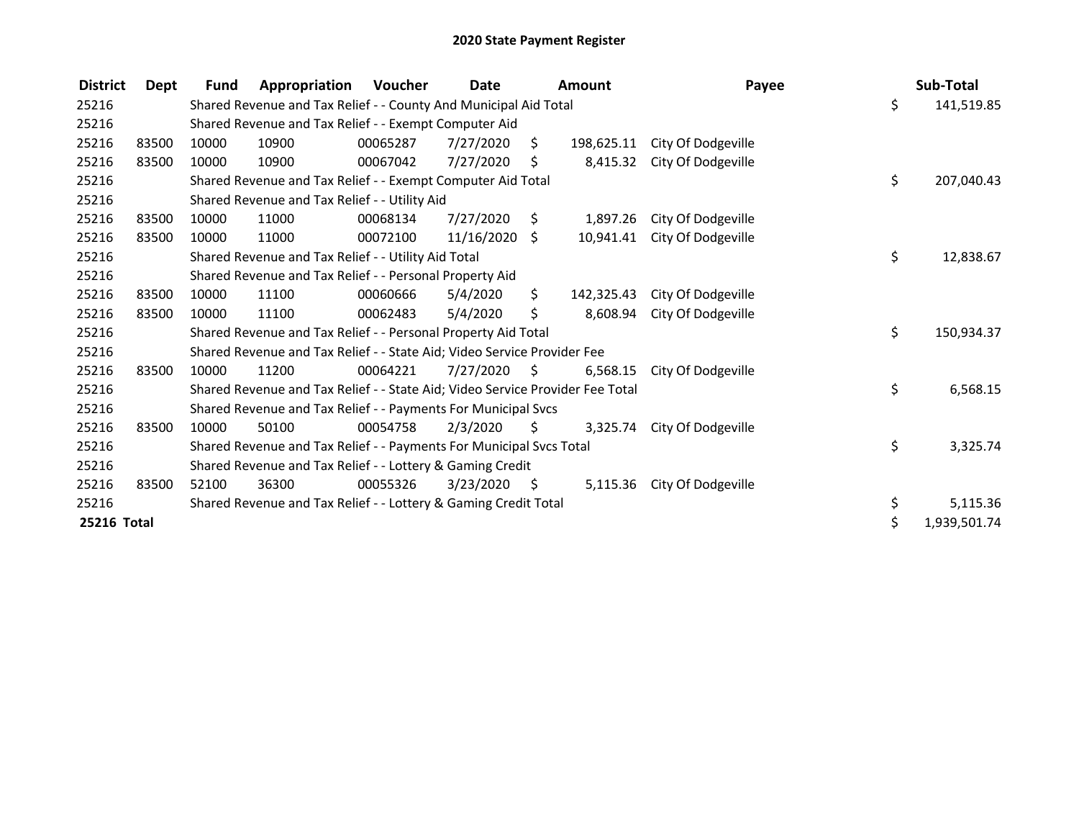| <b>District</b> | Dept  | <b>Fund</b> | Appropriation                                                                 | Voucher  | <b>Date</b>   |      | <b>Amount</b> | Payee              | Sub-Total          |
|-----------------|-------|-------------|-------------------------------------------------------------------------------|----------|---------------|------|---------------|--------------------|--------------------|
| 25216           |       |             | Shared Revenue and Tax Relief - - County And Municipal Aid Total              |          |               |      |               |                    | \$<br>141,519.85   |
| 25216           |       |             | Shared Revenue and Tax Relief - - Exempt Computer Aid                         |          |               |      |               |                    |                    |
| 25216           | 83500 | 10000       | 10900                                                                         | 00065287 | 7/27/2020     | Ŝ.   | 198,625.11    | City Of Dodgeville |                    |
| 25216           | 83500 | 10000       | 10900                                                                         | 00067042 | 7/27/2020     | \$.  | 8,415.32      | City Of Dodgeville |                    |
| 25216           |       |             | Shared Revenue and Tax Relief - - Exempt Computer Aid Total                   |          |               |      |               |                    | \$<br>207,040.43   |
| 25216           |       |             | Shared Revenue and Tax Relief - - Utility Aid                                 |          |               |      |               |                    |                    |
| 25216           | 83500 | 10000       | 11000                                                                         | 00068134 | 7/27/2020     | \$   | 1,897.26      | City Of Dodgeville |                    |
| 25216           | 83500 | 10000       | 11000                                                                         | 00072100 | 11/16/2020 \$ |      | 10,941.41     | City Of Dodgeville |                    |
| 25216           |       |             | Shared Revenue and Tax Relief - - Utility Aid Total                           |          |               |      |               |                    | \$<br>12,838.67    |
| 25216           |       |             | Shared Revenue and Tax Relief - - Personal Property Aid                       |          |               |      |               |                    |                    |
| 25216           | 83500 | 10000       | 11100                                                                         | 00060666 | 5/4/2020      | \$   | 142,325.43    | City Of Dodgeville |                    |
| 25216           | 83500 | 10000       | 11100                                                                         | 00062483 | 5/4/2020      | \$   | 8,608.94      | City Of Dodgeville |                    |
| 25216           |       |             | Shared Revenue and Tax Relief - - Personal Property Aid Total                 |          |               |      |               |                    | \$<br>150,934.37   |
| 25216           |       |             | Shared Revenue and Tax Relief - - State Aid; Video Service Provider Fee       |          |               |      |               |                    |                    |
| 25216           | 83500 | 10000       | 11200                                                                         | 00064221 | 7/27/2020     | - \$ | 6,568.15      | City Of Dodgeville |                    |
| 25216           |       |             | Shared Revenue and Tax Relief - - State Aid; Video Service Provider Fee Total |          |               |      |               |                    | \$<br>6,568.15     |
| 25216           |       |             | Shared Revenue and Tax Relief - - Payments For Municipal Svcs                 |          |               |      |               |                    |                    |
| 25216           | 83500 | 10000       | 50100                                                                         | 00054758 | 2/3/2020      | S.   | 3,325.74      | City Of Dodgeville |                    |
| 25216           |       |             | Shared Revenue and Tax Relief - - Payments For Municipal Svcs Total           |          |               |      |               |                    | \$<br>3,325.74     |
| 25216           |       |             | Shared Revenue and Tax Relief - - Lottery & Gaming Credit                     |          |               |      |               |                    |                    |
| 25216           | 83500 | 52100       | 36300                                                                         | 00055326 | 3/23/2020     | - \$ | 5,115.36      | City Of Dodgeville |                    |
| 25216           |       |             | Shared Revenue and Tax Relief - - Lottery & Gaming Credit Total               |          |               |      |               |                    | \$<br>5,115.36     |
| 25216 Total     |       |             |                                                                               |          |               |      |               |                    | \$<br>1,939,501.74 |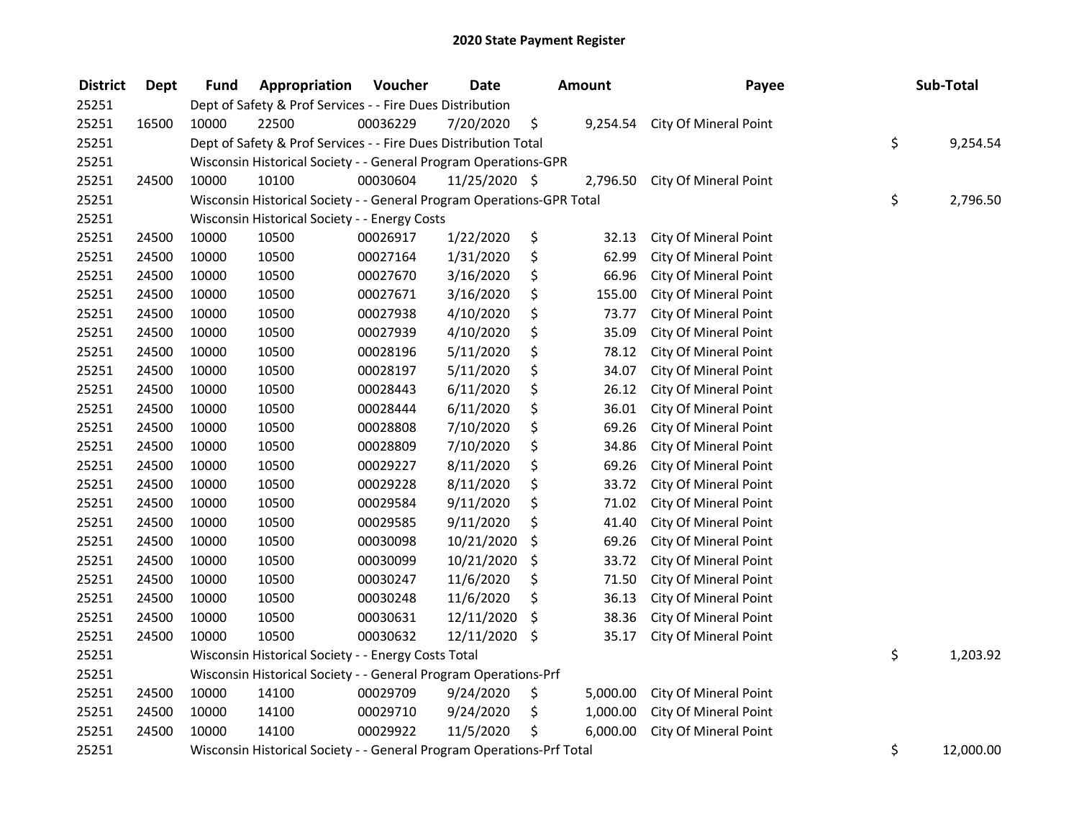| <b>District</b> | <b>Dept</b> | <b>Fund</b>                                                           | Appropriation                                 | Voucher  | <b>Date</b>   | <b>Amount</b> |          | Payee                 |    | Sub-Total |  |
|-----------------|-------------|-----------------------------------------------------------------------|-----------------------------------------------|----------|---------------|---------------|----------|-----------------------|----|-----------|--|
| 25251           |             | Dept of Safety & Prof Services - - Fire Dues Distribution             |                                               |          |               |               |          |                       |    |           |  |
| 25251           | 16500       | 10000                                                                 | 22500                                         | 00036229 | 7/20/2020     | \$            | 9,254.54 | City Of Mineral Point |    |           |  |
| 25251           |             | Dept of Safety & Prof Services - - Fire Dues Distribution Total       |                                               |          |               |               |          |                       |    | 9,254.54  |  |
| 25251           |             | Wisconsin Historical Society - - General Program Operations-GPR       |                                               |          |               |               |          |                       |    |           |  |
| 25251           | 24500       | 10000                                                                 | 10100                                         | 00030604 | 11/25/2020 \$ |               | 2,796.50 | City Of Mineral Point |    |           |  |
| 25251           |             | Wisconsin Historical Society - - General Program Operations-GPR Total |                                               |          |               |               |          |                       | \$ | 2,796.50  |  |
| 25251           |             |                                                                       | Wisconsin Historical Society - - Energy Costs |          |               |               |          |                       |    |           |  |
| 25251           | 24500       | 10000                                                                 | 10500                                         | 00026917 | 1/22/2020     | \$            | 32.13    | City Of Mineral Point |    |           |  |
| 25251           | 24500       | 10000                                                                 | 10500                                         | 00027164 | 1/31/2020     | \$            | 62.99    | City Of Mineral Point |    |           |  |
| 25251           | 24500       | 10000                                                                 | 10500                                         | 00027670 | 3/16/2020     | \$            | 66.96    | City Of Mineral Point |    |           |  |
| 25251           | 24500       | 10000                                                                 | 10500                                         | 00027671 | 3/16/2020     | \$            | 155.00   | City Of Mineral Point |    |           |  |
| 25251           | 24500       | 10000                                                                 | 10500                                         | 00027938 | 4/10/2020     | \$            | 73.77    | City Of Mineral Point |    |           |  |
| 25251           | 24500       | 10000                                                                 | 10500                                         | 00027939 | 4/10/2020     | \$            | 35.09    | City Of Mineral Point |    |           |  |
| 25251           | 24500       | 10000                                                                 | 10500                                         | 00028196 | 5/11/2020     | \$            | 78.12    | City Of Mineral Point |    |           |  |
| 25251           | 24500       | 10000                                                                 | 10500                                         | 00028197 | 5/11/2020     | \$            | 34.07    | City Of Mineral Point |    |           |  |
| 25251           | 24500       | 10000                                                                 | 10500                                         | 00028443 | 6/11/2020     | \$            | 26.12    | City Of Mineral Point |    |           |  |
| 25251           | 24500       | 10000                                                                 | 10500                                         | 00028444 | 6/11/2020     | \$            | 36.01    | City Of Mineral Point |    |           |  |
| 25251           | 24500       | 10000                                                                 | 10500                                         | 00028808 | 7/10/2020     | \$            | 69.26    | City Of Mineral Point |    |           |  |
| 25251           | 24500       | 10000                                                                 | 10500                                         | 00028809 | 7/10/2020     | \$            | 34.86    | City Of Mineral Point |    |           |  |
| 25251           | 24500       | 10000                                                                 | 10500                                         | 00029227 | 8/11/2020     | \$            | 69.26    | City Of Mineral Point |    |           |  |
| 25251           | 24500       | 10000                                                                 | 10500                                         | 00029228 | 8/11/2020     | \$            | 33.72    | City Of Mineral Point |    |           |  |
| 25251           | 24500       | 10000                                                                 | 10500                                         | 00029584 | 9/11/2020     | \$            | 71.02    | City Of Mineral Point |    |           |  |
| 25251           | 24500       | 10000                                                                 | 10500                                         | 00029585 | 9/11/2020     | \$            | 41.40    | City Of Mineral Point |    |           |  |
| 25251           | 24500       | 10000                                                                 | 10500                                         | 00030098 | 10/21/2020    | \$            | 69.26    | City Of Mineral Point |    |           |  |
| 25251           | 24500       | 10000                                                                 | 10500                                         | 00030099 | 10/21/2020    | \$            | 33.72    | City Of Mineral Point |    |           |  |
| 25251           | 24500       | 10000                                                                 | 10500                                         | 00030247 | 11/6/2020     | \$            | 71.50    | City Of Mineral Point |    |           |  |
| 25251           | 24500       | 10000                                                                 | 10500                                         | 00030248 | 11/6/2020     | \$            | 36.13    | City Of Mineral Point |    |           |  |
| 25251           | 24500       | 10000                                                                 | 10500                                         | 00030631 | 12/11/2020    | \$            | 38.36    | City Of Mineral Point |    |           |  |
| 25251           | 24500       | 10000                                                                 | 10500                                         | 00030632 | 12/11/2020 \$ |               | 35.17    | City Of Mineral Point |    |           |  |
| 25251           |             | Wisconsin Historical Society - - Energy Costs Total                   |                                               |          |               |               |          |                       |    | 1,203.92  |  |
| 25251           |             | Wisconsin Historical Society - - General Program Operations-Prf       |                                               |          |               |               |          |                       |    |           |  |
| 25251           | 24500       | 10000                                                                 | 14100                                         | 00029709 | 9/24/2020     | \$            | 5,000.00 | City Of Mineral Point |    |           |  |
| 25251           | 24500       | 10000                                                                 | 14100                                         | 00029710 | 9/24/2020     | \$            | 1,000.00 | City Of Mineral Point |    |           |  |
| 25251           | 24500       | 10000                                                                 | 14100                                         | 00029922 | 11/5/2020     | \$            | 6,000.00 | City Of Mineral Point |    |           |  |
| 25251           |             | Wisconsin Historical Society - - General Program Operations-Prf Total |                                               |          |               |               |          |                       | \$ | 12,000.00 |  |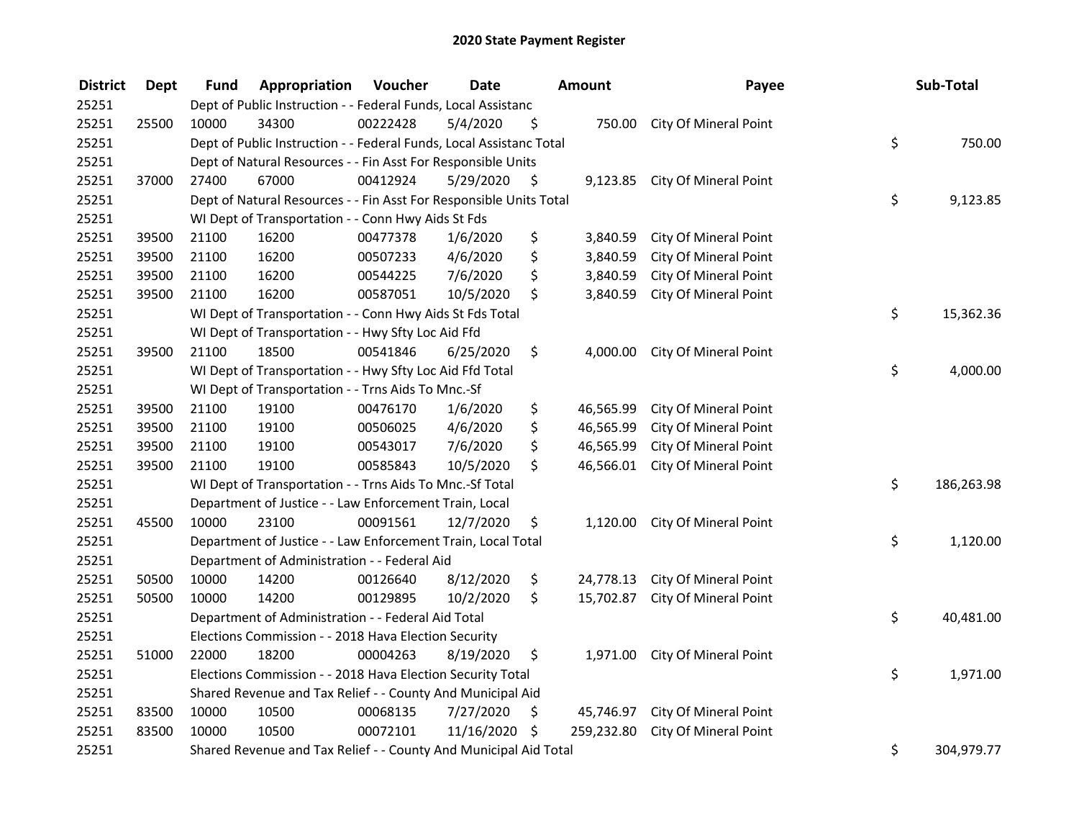| <b>District</b> | <b>Dept</b> | Fund                                                                | Appropriation                                                      | Voucher  | <b>Date</b> | Amount |            | Payee                           |    | Sub-Total  |
|-----------------|-------------|---------------------------------------------------------------------|--------------------------------------------------------------------|----------|-------------|--------|------------|---------------------------------|----|------------|
| 25251           |             | Dept of Public Instruction - - Federal Funds, Local Assistanc       |                                                                    |          |             |        |            |                                 |    |            |
| 25251           | 25500       | 10000                                                               | 34300                                                              | 00222428 | 5/4/2020    | \$     |            | 750.00 City Of Mineral Point    |    |            |
| 25251           |             | Dept of Public Instruction - - Federal Funds, Local Assistanc Total |                                                                    |          |             |        |            |                                 |    | 750.00     |
| 25251           |             | Dept of Natural Resources - - Fin Asst For Responsible Units        |                                                                    |          |             |        |            |                                 |    |            |
| 25251           | 37000       | 27400                                                               | 67000                                                              | 00412924 | 5/29/2020   | \$     | 9,123.85   | City Of Mineral Point           |    |            |
| 25251           |             |                                                                     | Dept of Natural Resources - - Fin Asst For Responsible Units Total |          |             |        |            |                                 | \$ | 9,123.85   |
| 25251           |             |                                                                     | WI Dept of Transportation - - Conn Hwy Aids St Fds                 |          |             |        |            |                                 |    |            |
| 25251           | 39500       | 21100                                                               | 16200                                                              | 00477378 | 1/6/2020    | \$     |            | 3,840.59 City Of Mineral Point  |    |            |
| 25251           | 39500       | 21100                                                               | 16200                                                              | 00507233 | 4/6/2020    | \$     | 3,840.59   | City Of Mineral Point           |    |            |
| 25251           | 39500       | 21100                                                               | 16200                                                              | 00544225 | 7/6/2020    | \$     | 3,840.59   | City Of Mineral Point           |    |            |
| 25251           | 39500       | 21100                                                               | 16200                                                              | 00587051 | 10/5/2020   | \$     | 3,840.59   | City Of Mineral Point           |    |            |
| 25251           |             |                                                                     | WI Dept of Transportation - - Conn Hwy Aids St Fds Total           |          |             |        |            |                                 | \$ | 15,362.36  |
| 25251           |             |                                                                     | WI Dept of Transportation - - Hwy Sfty Loc Aid Ffd                 |          |             |        |            |                                 |    |            |
| 25251           | 39500       | 21100                                                               | 18500                                                              | 00541846 | 6/25/2020   | \$     | 4,000.00   | City Of Mineral Point           |    |            |
| 25251           |             |                                                                     | WI Dept of Transportation - - Hwy Sfty Loc Aid Ffd Total           |          |             |        |            |                                 | \$ | 4,000.00   |
| 25251           |             |                                                                     | WI Dept of Transportation - - Trns Aids To Mnc.-Sf                 |          |             |        |            |                                 |    |            |
| 25251           | 39500       | 21100                                                               | 19100                                                              | 00476170 | 1/6/2020    | \$     | 46,565.99  | City Of Mineral Point           |    |            |
| 25251           | 39500       | 21100                                                               | 19100                                                              | 00506025 | 4/6/2020    | \$     | 46,565.99  | City Of Mineral Point           |    |            |
| 25251           | 39500       | 21100                                                               | 19100                                                              | 00543017 | 7/6/2020    | \$     | 46,565.99  | City Of Mineral Point           |    |            |
| 25251           | 39500       | 21100                                                               | 19100                                                              | 00585843 | 10/5/2020   | \$     | 46,566.01  | City Of Mineral Point           |    |            |
| 25251           |             | WI Dept of Transportation - - Trns Aids To Mnc.-Sf Total            |                                                                    |          |             |        |            |                                 |    | 186,263.98 |
| 25251           |             | Department of Justice - - Law Enforcement Train, Local              |                                                                    |          |             |        |            |                                 |    |            |
| 25251           | 45500       | 10000                                                               | 23100                                                              | 00091561 | 12/7/2020   | \$     | 1,120.00   | City Of Mineral Point           |    |            |
| 25251           |             | Department of Justice - - Law Enforcement Train, Local Total        |                                                                    |          |             |        |            |                                 |    | 1,120.00   |
| 25251           |             | Department of Administration - - Federal Aid                        |                                                                    |          |             |        |            |                                 |    |            |
| 25251           | 50500       | 10000                                                               | 14200                                                              | 00126640 | 8/12/2020   | \$     | 24,778.13  | City Of Mineral Point           |    |            |
| 25251           | 50500       | 10000                                                               | 14200                                                              | 00129895 | 10/2/2020   | \$     | 15,702.87  | City Of Mineral Point           |    |            |
| 25251           |             | Department of Administration - - Federal Aid Total                  |                                                                    |          |             |        |            |                                 |    | 40,481.00  |
| 25251           |             | Elections Commission - - 2018 Hava Election Security                |                                                                    |          |             |        |            |                                 |    |            |
| 25251           | 51000       | 22000                                                               | 18200                                                              | 00004263 | 8/19/2020   | \$     | 1,971.00   | City Of Mineral Point           |    |            |
| 25251           |             | Elections Commission - - 2018 Hava Election Security Total          |                                                                    |          |             |        |            |                                 | \$ | 1,971.00   |
| 25251           |             | Shared Revenue and Tax Relief - - County And Municipal Aid          |                                                                    |          |             |        |            |                                 |    |            |
| 25251           | 83500       | 10000                                                               | 10500                                                              | 00068135 | 7/27/2020   | \$     |            | 45,746.97 City Of Mineral Point |    |            |
| 25251           | 83500       | 10000                                                               | 10500                                                              | 00072101 | 11/16/2020  | \$     | 259,232.80 | City Of Mineral Point           |    |            |
| 25251           |             | Shared Revenue and Tax Relief - - County And Municipal Aid Total    |                                                                    |          |             |        |            |                                 | \$ | 304,979.77 |